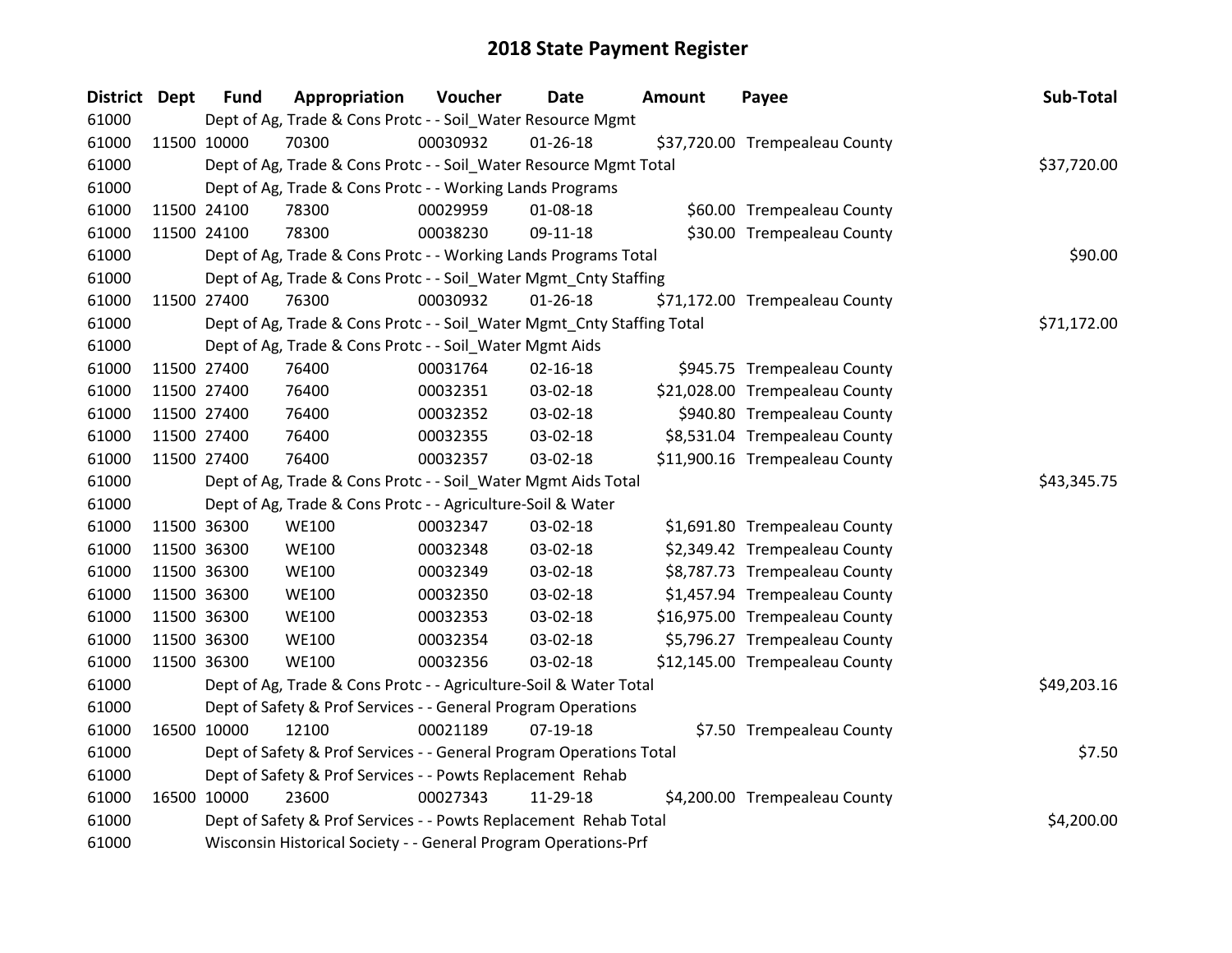| <b>District</b> | <b>Dept</b> | <b>Fund</b> | Appropriation                                                          | Voucher  | Date           | Amount | Payee                          | Sub-Total   |
|-----------------|-------------|-------------|------------------------------------------------------------------------|----------|----------------|--------|--------------------------------|-------------|
| 61000           |             |             | Dept of Ag, Trade & Cons Protc - - Soil_Water Resource Mgmt            |          |                |        |                                |             |
| 61000           | 11500 10000 |             | 70300                                                                  | 00030932 | $01 - 26 - 18$ |        | \$37,720.00 Trempealeau County |             |
| 61000           |             |             | Dept of Ag, Trade & Cons Protc - - Soil_Water Resource Mgmt Total      |          |                |        |                                | \$37,720.00 |
| 61000           |             |             | Dept of Ag, Trade & Cons Protc - - Working Lands Programs              |          |                |        |                                |             |
| 61000           | 11500 24100 |             | 78300                                                                  | 00029959 | 01-08-18       |        | \$60.00 Trempealeau County     |             |
| 61000           |             | 11500 24100 | 78300                                                                  | 00038230 | 09-11-18       |        | \$30.00 Trempealeau County     |             |
| 61000           |             |             | Dept of Ag, Trade & Cons Protc - - Working Lands Programs Total        |          |                |        |                                | \$90.00     |
| 61000           |             |             | Dept of Ag, Trade & Cons Protc - - Soil_Water Mgmt_Cnty Staffing       |          |                |        |                                |             |
| 61000           | 11500 27400 |             | 76300                                                                  | 00030932 | $01 - 26 - 18$ |        | \$71,172.00 Trempealeau County |             |
| 61000           |             |             | Dept of Ag, Trade & Cons Protc - - Soil_Water Mgmt_Cnty Staffing Total |          |                |        |                                | \$71,172.00 |
| 61000           |             |             | Dept of Ag, Trade & Cons Protc - - Soil_Water Mgmt Aids                |          |                |        |                                |             |
| 61000           | 11500 27400 |             | 76400                                                                  | 00031764 | $02 - 16 - 18$ |        | \$945.75 Trempealeau County    |             |
| 61000           | 11500 27400 |             | 76400                                                                  | 00032351 | 03-02-18       |        | \$21,028.00 Trempealeau County |             |
| 61000           |             | 11500 27400 | 76400                                                                  | 00032352 | 03-02-18       |        | \$940.80 Trempealeau County    |             |
| 61000           |             | 11500 27400 | 76400                                                                  | 00032355 | 03-02-18       |        | \$8,531.04 Trempealeau County  |             |
| 61000           | 11500 27400 |             | 76400                                                                  | 00032357 | 03-02-18       |        | \$11,900.16 Trempealeau County |             |
| 61000           |             |             | Dept of Ag, Trade & Cons Protc - - Soil_Water Mgmt Aids Total          |          |                |        |                                | \$43,345.75 |
| 61000           |             |             | Dept of Ag, Trade & Cons Protc - - Agriculture-Soil & Water            |          |                |        |                                |             |
| 61000           | 11500 36300 |             | <b>WE100</b>                                                           | 00032347 | 03-02-18       |        | \$1,691.80 Trempealeau County  |             |
| 61000           | 11500 36300 |             | <b>WE100</b>                                                           | 00032348 | 03-02-18       |        | \$2,349.42 Trempealeau County  |             |
| 61000           |             | 11500 36300 | <b>WE100</b>                                                           | 00032349 | 03-02-18       |        | \$8,787.73 Trempealeau County  |             |
| 61000           | 11500 36300 |             | <b>WE100</b>                                                           | 00032350 | 03-02-18       |        | \$1,457.94 Trempealeau County  |             |
| 61000           | 11500 36300 |             | <b>WE100</b>                                                           | 00032353 | 03-02-18       |        | \$16,975.00 Trempealeau County |             |
| 61000           | 11500 36300 |             | <b>WE100</b>                                                           | 00032354 | 03-02-18       |        | \$5,796.27 Trempealeau County  |             |
| 61000           | 11500 36300 |             | <b>WE100</b>                                                           | 00032356 | 03-02-18       |        | \$12,145.00 Trempealeau County |             |
| 61000           |             |             | Dept of Ag, Trade & Cons Protc - - Agriculture-Soil & Water Total      |          |                |        |                                | \$49,203.16 |
| 61000           |             |             | Dept of Safety & Prof Services - - General Program Operations          |          |                |        |                                |             |
| 61000           |             | 16500 10000 | 12100                                                                  | 00021189 | 07-19-18       |        | \$7.50 Trempealeau County      |             |
| 61000           |             |             | Dept of Safety & Prof Services - - General Program Operations Total    |          |                |        |                                | \$7.50      |
| 61000           |             |             | Dept of Safety & Prof Services - - Powts Replacement Rehab             |          |                |        |                                |             |
| 61000           | 16500 10000 |             | 23600                                                                  | 00027343 | 11-29-18       |        | \$4,200.00 Trempealeau County  |             |
| 61000           |             |             | Dept of Safety & Prof Services - - Powts Replacement Rehab Total       |          |                |        |                                | \$4,200.00  |
| 61000           |             |             | Wisconsin Historical Society - - General Program Operations-Prf        |          |                |        |                                |             |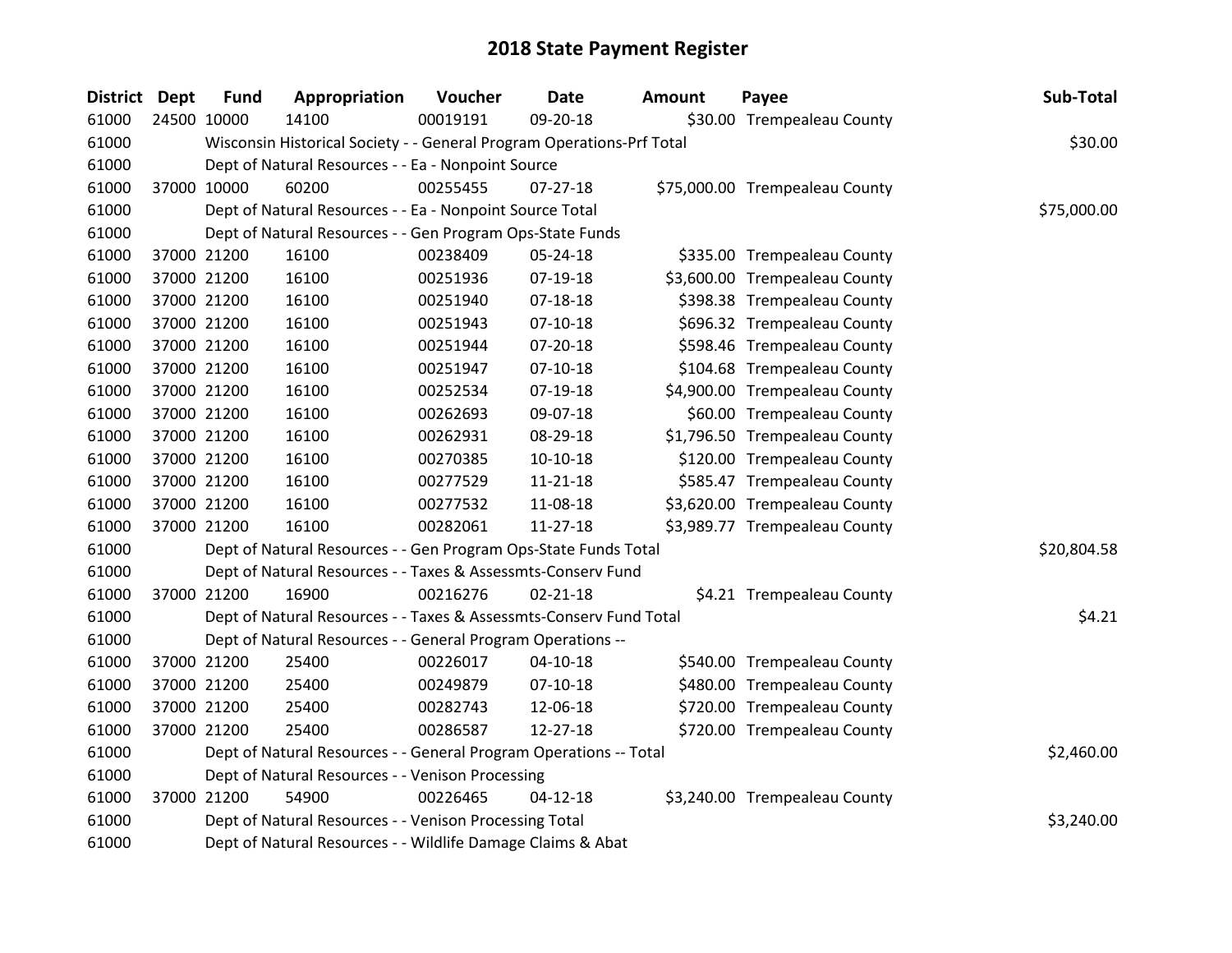| <b>District</b> | <b>Dept</b> | <b>Fund</b> | Appropriation                                                         | Voucher  | <b>Date</b>    | <b>Amount</b> | Payee                          | Sub-Total   |
|-----------------|-------------|-------------|-----------------------------------------------------------------------|----------|----------------|---------------|--------------------------------|-------------|
| 61000           |             | 24500 10000 | 14100                                                                 | 00019191 | 09-20-18       |               | \$30.00 Trempealeau County     |             |
| 61000           |             |             | Wisconsin Historical Society - - General Program Operations-Prf Total |          |                |               |                                | \$30.00     |
| 61000           |             |             | Dept of Natural Resources - - Ea - Nonpoint Source                    |          |                |               |                                |             |
| 61000           |             | 37000 10000 | 60200                                                                 | 00255455 | $07-27-18$     |               | \$75,000.00 Trempealeau County |             |
| 61000           |             |             | Dept of Natural Resources - - Ea - Nonpoint Source Total              |          |                |               |                                | \$75,000.00 |
| 61000           |             |             | Dept of Natural Resources - - Gen Program Ops-State Funds             |          |                |               |                                |             |
| 61000           |             | 37000 21200 | 16100                                                                 | 00238409 | 05-24-18       |               | \$335.00 Trempealeau County    |             |
| 61000           |             | 37000 21200 | 16100                                                                 | 00251936 | 07-19-18       |               | \$3,600.00 Trempealeau County  |             |
| 61000           |             | 37000 21200 | 16100                                                                 | 00251940 | $07 - 18 - 18$ |               | \$398.38 Trempealeau County    |             |
| 61000           |             | 37000 21200 | 16100                                                                 | 00251943 | $07-10-18$     |               | \$696.32 Trempealeau County    |             |
| 61000           |             | 37000 21200 | 16100                                                                 | 00251944 | 07-20-18       |               | \$598.46 Trempealeau County    |             |
| 61000           |             | 37000 21200 | 16100                                                                 | 00251947 | $07-10-18$     |               | \$104.68 Trempealeau County    |             |
| 61000           |             | 37000 21200 | 16100                                                                 | 00252534 | 07-19-18       |               | \$4,900.00 Trempealeau County  |             |
| 61000           |             | 37000 21200 | 16100                                                                 | 00262693 | 09-07-18       |               | \$60.00 Trempealeau County     |             |
| 61000           |             | 37000 21200 | 16100                                                                 | 00262931 | 08-29-18       |               | \$1,796.50 Trempealeau County  |             |
| 61000           |             | 37000 21200 | 16100                                                                 | 00270385 | $10-10-18$     |               | \$120.00 Trempealeau County    |             |
| 61000           |             | 37000 21200 | 16100                                                                 | 00277529 | $11 - 21 - 18$ |               | \$585.47 Trempealeau County    |             |
| 61000           |             | 37000 21200 | 16100                                                                 | 00277532 | 11-08-18       |               | \$3,620.00 Trempealeau County  |             |
| 61000           |             | 37000 21200 | 16100                                                                 | 00282061 | $11 - 27 - 18$ |               | \$3,989.77 Trempealeau County  |             |
| 61000           |             |             | Dept of Natural Resources - - Gen Program Ops-State Funds Total       |          |                |               |                                | \$20,804.58 |
| 61000           |             |             | Dept of Natural Resources - - Taxes & Assessmts-Conserv Fund          |          |                |               |                                |             |
| 61000           |             | 37000 21200 | 16900                                                                 | 00216276 | $02 - 21 - 18$ |               | \$4.21 Trempealeau County      |             |
| 61000           |             |             | Dept of Natural Resources - - Taxes & Assessmts-Conserv Fund Total    |          |                |               |                                | \$4.21      |
| 61000           |             |             | Dept of Natural Resources - - General Program Operations --           |          |                |               |                                |             |
| 61000           |             | 37000 21200 | 25400                                                                 | 00226017 | $04 - 10 - 18$ |               | \$540.00 Trempealeau County    |             |
| 61000           |             | 37000 21200 | 25400                                                                 | 00249879 | $07-10-18$     |               | \$480.00 Trempealeau County    |             |
| 61000           |             | 37000 21200 | 25400                                                                 | 00282743 | 12-06-18       |               | \$720.00 Trempealeau County    |             |
| 61000           |             | 37000 21200 | 25400                                                                 | 00286587 | 12-27-18       |               | \$720.00 Trempealeau County    |             |
| 61000           |             |             | Dept of Natural Resources - - General Program Operations -- Total     |          |                |               |                                | \$2,460.00  |
| 61000           |             |             | Dept of Natural Resources - - Venison Processing                      |          |                |               |                                |             |
| 61000           |             | 37000 21200 | 54900                                                                 | 00226465 | $04 - 12 - 18$ |               | \$3,240.00 Trempealeau County  |             |
| 61000           |             |             | Dept of Natural Resources - - Venison Processing Total                |          |                |               |                                | \$3,240.00  |
| 61000           |             |             | Dept of Natural Resources - - Wildlife Damage Claims & Abat           |          |                |               |                                |             |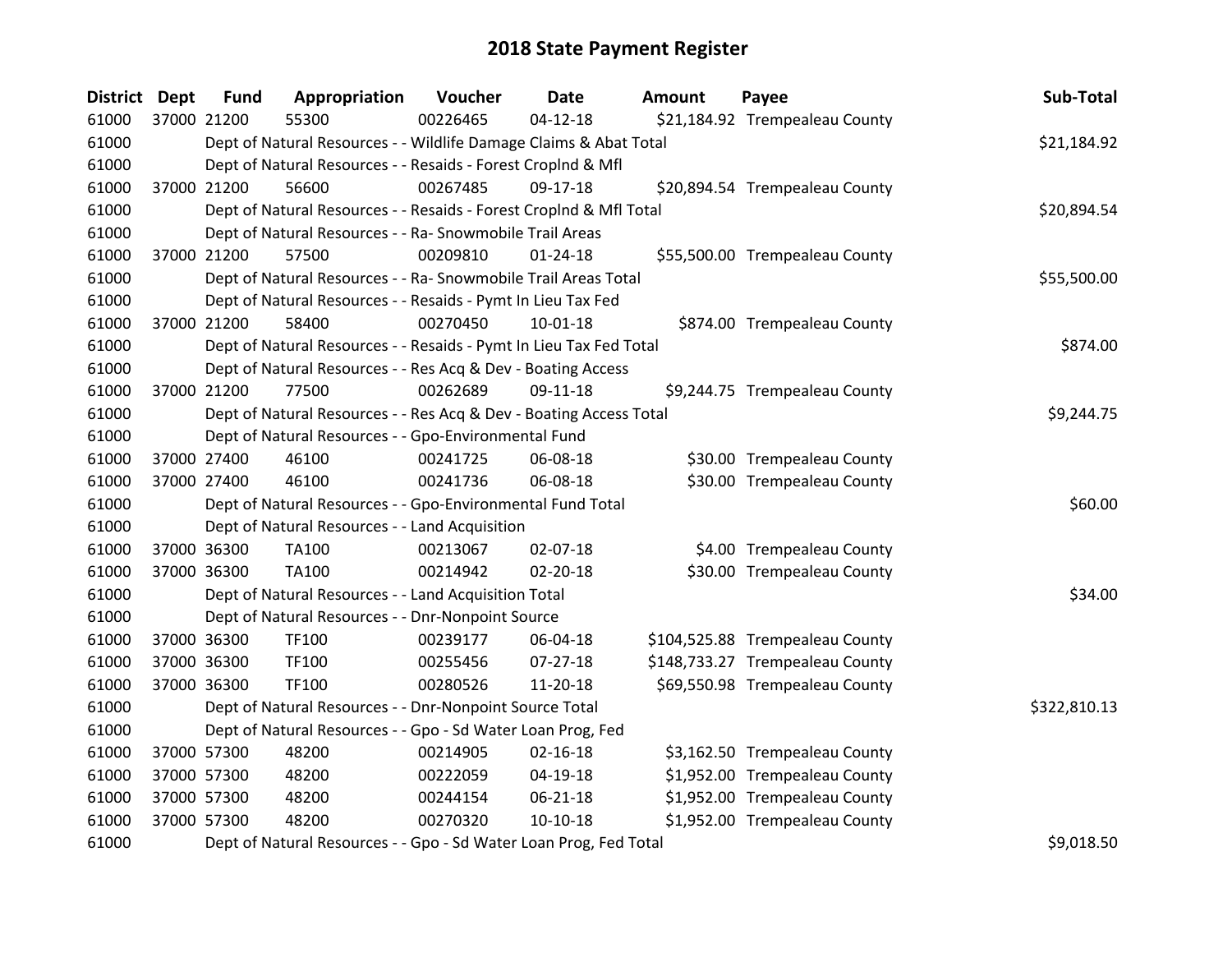| <b>District</b> | <b>Dept</b> | <b>Fund</b> | Appropriation                                                      | Voucher  | <b>Date</b>    | <b>Amount</b> | Payee                           | Sub-Total    |
|-----------------|-------------|-------------|--------------------------------------------------------------------|----------|----------------|---------------|---------------------------------|--------------|
| 61000           | 37000 21200 |             | 55300                                                              | 00226465 | $04 - 12 - 18$ |               | \$21,184.92 Trempealeau County  |              |
| 61000           |             |             | Dept of Natural Resources - - Wildlife Damage Claims & Abat Total  |          |                |               |                                 | \$21,184.92  |
| 61000           |             |             | Dept of Natural Resources - - Resaids - Forest CropInd & Mfl       |          |                |               |                                 |              |
| 61000           |             | 37000 21200 | 56600                                                              | 00267485 | 09-17-18       |               | \$20,894.54 Trempealeau County  |              |
| 61000           |             |             | Dept of Natural Resources - - Resaids - Forest CropInd & Mfl Total |          |                |               |                                 | \$20,894.54  |
| 61000           |             |             | Dept of Natural Resources - - Ra- Snowmobile Trail Areas           |          |                |               |                                 |              |
| 61000           |             | 37000 21200 | 57500                                                              | 00209810 | $01 - 24 - 18$ |               | \$55,500.00 Trempealeau County  |              |
| 61000           |             |             | Dept of Natural Resources - - Ra- Snowmobile Trail Areas Total     |          |                |               |                                 | \$55,500.00  |
| 61000           |             |             | Dept of Natural Resources - - Resaids - Pymt In Lieu Tax Fed       |          |                |               |                                 |              |
| 61000           | 37000 21200 |             | 58400                                                              | 00270450 | $10-01-18$     |               | \$874.00 Trempealeau County     |              |
| 61000           |             |             | Dept of Natural Resources - - Resaids - Pymt In Lieu Tax Fed Total |          |                |               |                                 | \$874.00     |
| 61000           |             |             | Dept of Natural Resources - - Res Acq & Dev - Boating Access       |          |                |               |                                 |              |
| 61000           |             | 37000 21200 | 77500                                                              | 00262689 | 09-11-18       |               | \$9,244.75 Trempealeau County   |              |
| 61000           |             |             | Dept of Natural Resources - - Res Acq & Dev - Boating Access Total |          |                |               |                                 | \$9,244.75   |
| 61000           |             |             | Dept of Natural Resources - - Gpo-Environmental Fund               |          |                |               |                                 |              |
| 61000           |             | 37000 27400 | 46100                                                              | 00241725 | 06-08-18       |               | \$30.00 Trempealeau County      |              |
| 61000           |             | 37000 27400 | 46100                                                              | 00241736 | 06-08-18       |               | \$30.00 Trempealeau County      |              |
| 61000           |             |             | Dept of Natural Resources - - Gpo-Environmental Fund Total         |          |                |               |                                 | \$60.00      |
| 61000           |             |             | Dept of Natural Resources - - Land Acquisition                     |          |                |               |                                 |              |
| 61000           |             | 37000 36300 | TA100                                                              | 00213067 | 02-07-18       |               | \$4.00 Trempealeau County       |              |
| 61000           | 37000 36300 |             | TA100                                                              | 00214942 | $02 - 20 - 18$ |               | \$30.00 Trempealeau County      |              |
| 61000           |             |             | Dept of Natural Resources - - Land Acquisition Total               |          |                |               |                                 | \$34.00      |
| 61000           |             |             | Dept of Natural Resources - - Dnr-Nonpoint Source                  |          |                |               |                                 |              |
| 61000           |             | 37000 36300 | TF100                                                              | 00239177 | 06-04-18       |               | \$104,525.88 Trempealeau County |              |
| 61000           |             | 37000 36300 | TF100                                                              | 00255456 | 07-27-18       |               | \$148,733.27 Trempealeau County |              |
| 61000           | 37000 36300 |             | TF100                                                              | 00280526 | 11-20-18       |               | \$69,550.98 Trempealeau County  |              |
| 61000           |             |             | Dept of Natural Resources - - Dnr-Nonpoint Source Total            |          |                |               |                                 | \$322,810.13 |
| 61000           |             |             | Dept of Natural Resources - - Gpo - Sd Water Loan Prog, Fed        |          |                |               |                                 |              |
| 61000           |             | 37000 57300 | 48200                                                              | 00214905 | $02 - 16 - 18$ |               | \$3,162.50 Trempealeau County   |              |
| 61000           |             | 37000 57300 | 48200                                                              | 00222059 | 04-19-18       |               | \$1,952.00 Trempealeau County   |              |
| 61000           |             | 37000 57300 | 48200                                                              | 00244154 | 06-21-18       |               | \$1,952.00 Trempealeau County   |              |
| 61000           | 37000 57300 |             | 48200                                                              | 00270320 | $10-10-18$     |               | \$1,952.00 Trempealeau County   |              |
| 61000           |             |             | Dept of Natural Resources - - Gpo - Sd Water Loan Prog, Fed Total  |          |                |               |                                 | \$9,018.50   |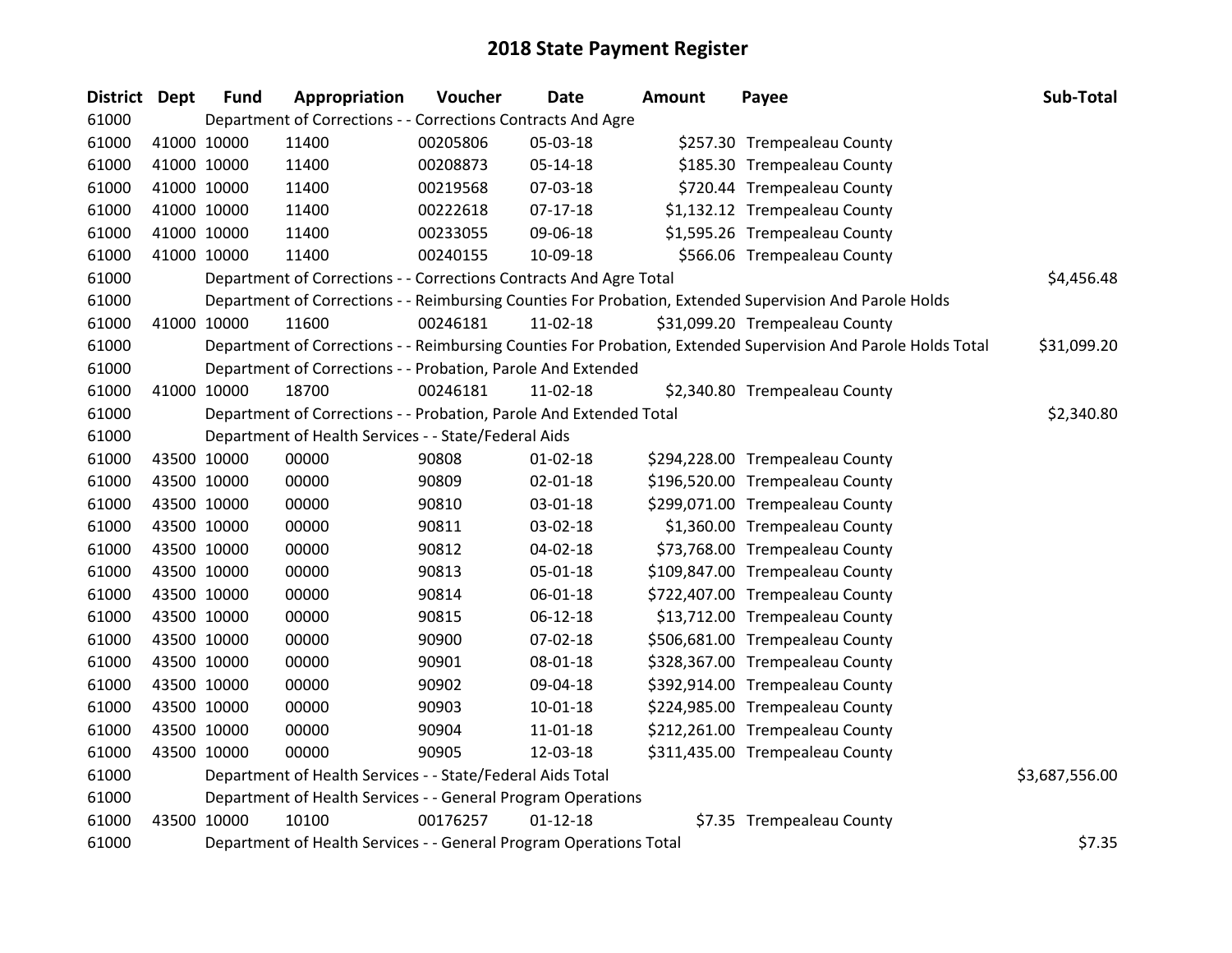| <b>District Dept</b> |             | <b>Fund</b> | Appropriation                                                      | Voucher  | <b>Date</b>    | <b>Amount</b> | Payee                                                                                                         | Sub-Total      |  |  |  |
|----------------------|-------------|-------------|--------------------------------------------------------------------|----------|----------------|---------------|---------------------------------------------------------------------------------------------------------------|----------------|--|--|--|
| 61000                |             |             | Department of Corrections - - Corrections Contracts And Agre       |          |                |               |                                                                                                               |                |  |  |  |
| 61000                | 41000 10000 |             | 11400                                                              | 00205806 | 05-03-18       |               | \$257.30 Trempealeau County                                                                                   |                |  |  |  |
| 61000                | 41000 10000 |             | 11400                                                              | 00208873 | 05-14-18       |               | \$185.30 Trempealeau County                                                                                   |                |  |  |  |
| 61000                | 41000 10000 |             | 11400                                                              | 00219568 | 07-03-18       |               | \$720.44 Trempealeau County                                                                                   |                |  |  |  |
| 61000                | 41000 10000 |             | 11400                                                              | 00222618 | $07-17-18$     |               | \$1,132.12 Trempealeau County                                                                                 |                |  |  |  |
| 61000                | 41000 10000 |             | 11400                                                              | 00233055 | 09-06-18       |               | \$1,595.26 Trempealeau County                                                                                 |                |  |  |  |
| 61000                | 41000 10000 |             | 11400                                                              | 00240155 | 10-09-18       |               | \$566.06 Trempealeau County                                                                                   |                |  |  |  |
| 61000                |             |             | Department of Corrections - - Corrections Contracts And Agre Total |          |                |               |                                                                                                               | \$4,456.48     |  |  |  |
| 61000                |             |             |                                                                    |          |                |               | Department of Corrections - - Reimbursing Counties For Probation, Extended Supervision And Parole Holds       |                |  |  |  |
| 61000                | 41000 10000 |             | 11600                                                              | 00246181 | 11-02-18       |               | \$31,099.20 Trempealeau County                                                                                |                |  |  |  |
| 61000                |             |             |                                                                    |          |                |               | Department of Corrections - - Reimbursing Counties For Probation, Extended Supervision And Parole Holds Total | \$31,099.20    |  |  |  |
| 61000                |             |             | Department of Corrections - - Probation, Parole And Extended       |          |                |               |                                                                                                               |                |  |  |  |
| 61000                | 41000 10000 |             | 18700                                                              | 00246181 | 11-02-18       |               | \$2,340.80 Trempealeau County                                                                                 |                |  |  |  |
| 61000                |             |             | Department of Corrections - - Probation, Parole And Extended Total |          |                |               |                                                                                                               | \$2,340.80     |  |  |  |
| 61000                |             |             | Department of Health Services - - State/Federal Aids               |          |                |               |                                                                                                               |                |  |  |  |
| 61000                | 43500 10000 |             | 00000                                                              | 90808    | $01 - 02 - 18$ |               | \$294,228.00 Trempealeau County                                                                               |                |  |  |  |
| 61000                | 43500 10000 |             | 00000                                                              | 90809    | 02-01-18       |               | \$196,520.00 Trempealeau County                                                                               |                |  |  |  |
| 61000                | 43500 10000 |             | 00000                                                              | 90810    | 03-01-18       |               | \$299,071.00 Trempealeau County                                                                               |                |  |  |  |
| 61000                | 43500 10000 |             | 00000                                                              | 90811    | 03-02-18       |               | \$1,360.00 Trempealeau County                                                                                 |                |  |  |  |
| 61000                | 43500 10000 |             | 00000                                                              | 90812    | 04-02-18       |               | \$73,768.00 Trempealeau County                                                                                |                |  |  |  |
| 61000                | 43500 10000 |             | 00000                                                              | 90813    | 05-01-18       |               | \$109,847.00 Trempealeau County                                                                               |                |  |  |  |
| 61000                | 43500 10000 |             | 00000                                                              | 90814    | 06-01-18       |               | \$722,407.00 Trempealeau County                                                                               |                |  |  |  |
| 61000                | 43500 10000 |             | 00000                                                              | 90815    | 06-12-18       |               | \$13,712.00 Trempealeau County                                                                                |                |  |  |  |
| 61000                | 43500 10000 |             | 00000                                                              | 90900    | 07-02-18       |               | \$506,681.00 Trempealeau County                                                                               |                |  |  |  |
| 61000                | 43500 10000 |             | 00000                                                              | 90901    | 08-01-18       |               | \$328,367.00 Trempealeau County                                                                               |                |  |  |  |
| 61000                | 43500 10000 |             | 00000                                                              | 90902    | 09-04-18       |               | \$392,914.00 Trempealeau County                                                                               |                |  |  |  |
| 61000                | 43500 10000 |             | 00000                                                              | 90903    | 10-01-18       |               | \$224,985.00 Trempealeau County                                                                               |                |  |  |  |
| 61000                | 43500 10000 |             | 00000                                                              | 90904    | 11-01-18       |               | \$212,261.00 Trempealeau County                                                                               |                |  |  |  |
| 61000                | 43500 10000 |             | 00000                                                              | 90905    | 12-03-18       |               | \$311,435.00 Trempealeau County                                                                               |                |  |  |  |
| 61000                |             |             | Department of Health Services - - State/Federal Aids Total         |          |                |               |                                                                                                               | \$3,687,556.00 |  |  |  |
| 61000                |             |             | Department of Health Services - - General Program Operations       |          |                |               |                                                                                                               |                |  |  |  |
| 61000                | 43500 10000 |             | 10100                                                              | 00176257 | $01 - 12 - 18$ |               | \$7.35 Trempealeau County                                                                                     |                |  |  |  |
| 61000                |             |             | Department of Health Services - - General Program Operations Total |          |                |               |                                                                                                               | \$7.35         |  |  |  |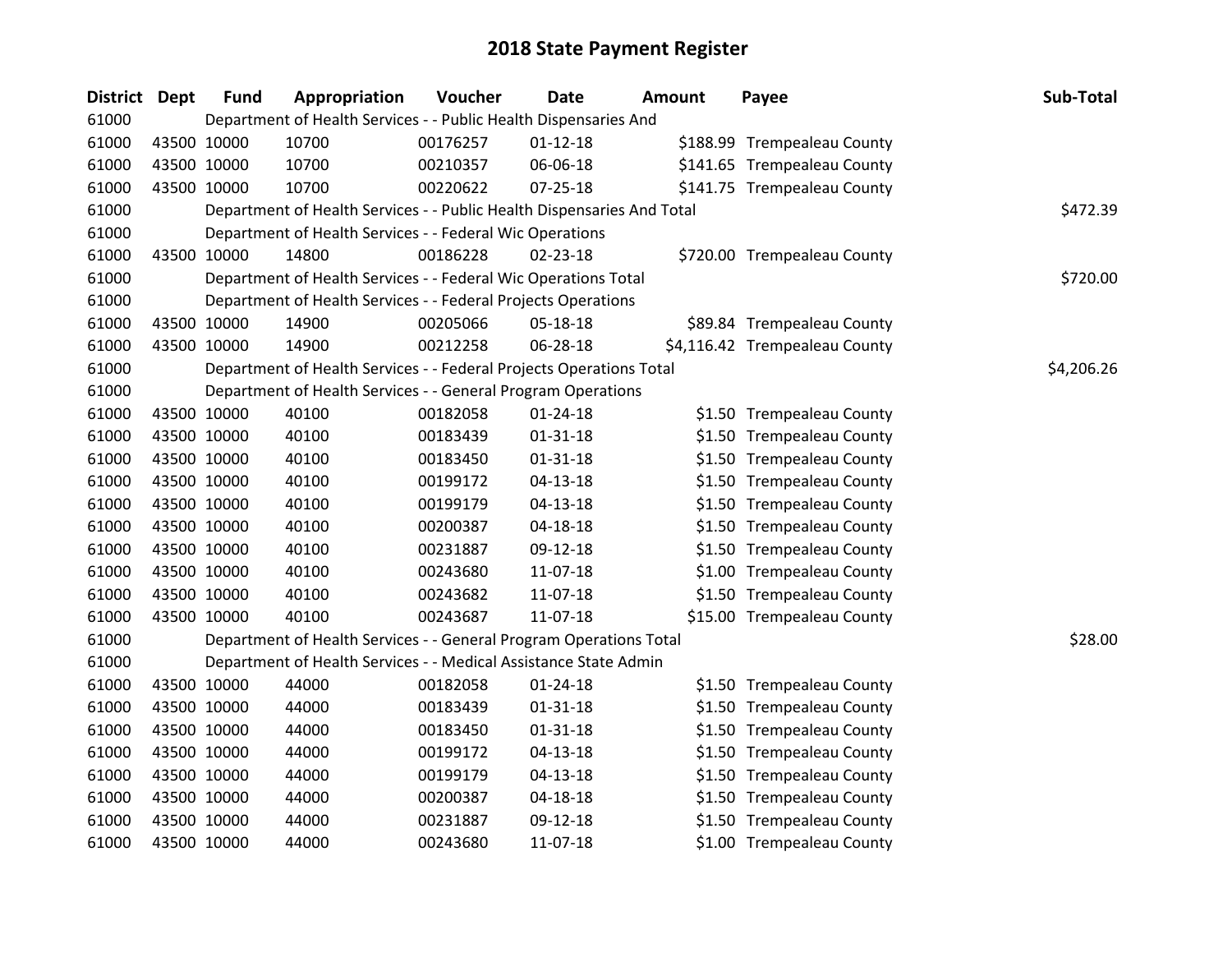| District Dept | <b>Fund</b> | Appropriation                                                          | Voucher  | <b>Date</b>    | Amount | Payee                         | Sub-Total  |
|---------------|-------------|------------------------------------------------------------------------|----------|----------------|--------|-------------------------------|------------|
| 61000         |             | Department of Health Services - - Public Health Dispensaries And       |          |                |        |                               |            |
| 61000         | 43500 10000 | 10700                                                                  | 00176257 | $01 - 12 - 18$ |        | \$188.99 Trempealeau County   |            |
| 61000         | 43500 10000 | 10700                                                                  | 00210357 | 06-06-18       |        | \$141.65 Trempealeau County   |            |
| 61000         | 43500 10000 | 10700                                                                  | 00220622 | $07 - 25 - 18$ |        | \$141.75 Trempealeau County   |            |
| 61000         |             | Department of Health Services - - Public Health Dispensaries And Total |          |                |        |                               | \$472.39   |
| 61000         |             | Department of Health Services - - Federal Wic Operations               |          |                |        |                               |            |
| 61000         | 43500 10000 | 14800                                                                  | 00186228 | $02 - 23 - 18$ |        | \$720.00 Trempealeau County   |            |
| 61000         |             | Department of Health Services - - Federal Wic Operations Total         |          |                |        |                               | \$720.00   |
| 61000         |             | Department of Health Services - - Federal Projects Operations          |          |                |        |                               |            |
| 61000         | 43500 10000 | 14900                                                                  | 00205066 | 05-18-18       |        | \$89.84 Trempealeau County    |            |
| 61000         | 43500 10000 | 14900                                                                  | 00212258 | 06-28-18       |        | \$4,116.42 Trempealeau County |            |
| 61000         |             | Department of Health Services - - Federal Projects Operations Total    |          |                |        |                               | \$4,206.26 |
| 61000         |             | Department of Health Services - - General Program Operations           |          |                |        |                               |            |
| 61000         | 43500 10000 | 40100                                                                  | 00182058 | $01 - 24 - 18$ |        | \$1.50 Trempealeau County     |            |
| 61000         | 43500 10000 | 40100                                                                  | 00183439 | 01-31-18       |        | \$1.50 Trempealeau County     |            |
| 61000         | 43500 10000 | 40100                                                                  | 00183450 | $01 - 31 - 18$ |        | \$1.50 Trempealeau County     |            |
| 61000         | 43500 10000 | 40100                                                                  | 00199172 | $04 - 13 - 18$ |        | \$1.50 Trempealeau County     |            |
| 61000         | 43500 10000 | 40100                                                                  | 00199179 | $04 - 13 - 18$ |        | \$1.50 Trempealeau County     |            |
| 61000         | 43500 10000 | 40100                                                                  | 00200387 | $04 - 18 - 18$ |        | \$1.50 Trempealeau County     |            |
| 61000         | 43500 10000 | 40100                                                                  | 00231887 | 09-12-18       |        | \$1.50 Trempealeau County     |            |
| 61000         | 43500 10000 | 40100                                                                  | 00243680 | 11-07-18       |        | \$1.00 Trempealeau County     |            |
| 61000         | 43500 10000 | 40100                                                                  | 00243682 | 11-07-18       |        | \$1.50 Trempealeau County     |            |
| 61000         | 43500 10000 | 40100                                                                  | 00243687 | 11-07-18       |        | \$15.00 Trempealeau County    |            |
| 61000         |             | Department of Health Services - - General Program Operations Total     |          |                |        |                               | \$28.00    |
| 61000         |             | Department of Health Services - - Medical Assistance State Admin       |          |                |        |                               |            |
| 61000         | 43500 10000 | 44000                                                                  | 00182058 | $01 - 24 - 18$ |        | \$1.50 Trempealeau County     |            |
| 61000         | 43500 10000 | 44000                                                                  | 00183439 | $01 - 31 - 18$ |        | \$1.50 Trempealeau County     |            |
| 61000         | 43500 10000 | 44000                                                                  | 00183450 | $01 - 31 - 18$ |        | \$1.50 Trempealeau County     |            |
| 61000         | 43500 10000 | 44000                                                                  | 00199172 | $04 - 13 - 18$ |        | \$1.50 Trempealeau County     |            |
| 61000         | 43500 10000 | 44000                                                                  | 00199179 | $04 - 13 - 18$ |        | \$1.50 Trempealeau County     |            |
| 61000         | 43500 10000 | 44000                                                                  | 00200387 | 04-18-18       |        | \$1.50 Trempealeau County     |            |
| 61000         | 43500 10000 | 44000                                                                  | 00231887 | 09-12-18       |        | \$1.50 Trempealeau County     |            |
| 61000         | 43500 10000 | 44000                                                                  | 00243680 | 11-07-18       |        | \$1.00 Trempealeau County     |            |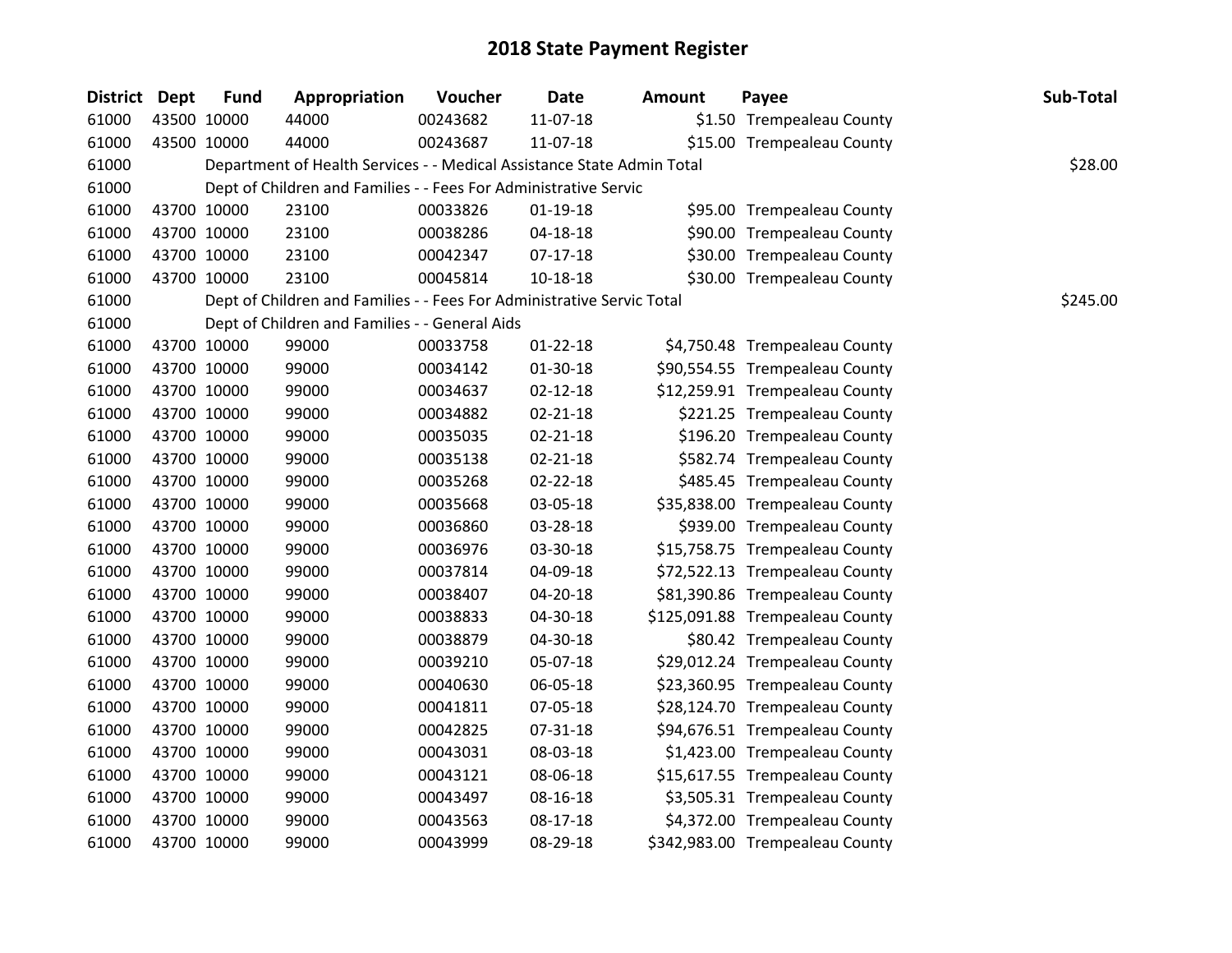| <b>District Dept</b> | <b>Fund</b> | Appropriation                                                          | Voucher  | <b>Date</b>    | <b>Amount</b> | Payee                           | Sub-Total |
|----------------------|-------------|------------------------------------------------------------------------|----------|----------------|---------------|---------------------------------|-----------|
| 61000                | 43500 10000 | 44000                                                                  | 00243682 | 11-07-18       |               | \$1.50 Trempealeau County       |           |
| 61000                | 43500 10000 | 44000                                                                  | 00243687 | 11-07-18       |               | \$15.00 Trempealeau County      |           |
| 61000                |             | Department of Health Services - - Medical Assistance State Admin Total |          |                |               |                                 | \$28.00   |
| 61000                |             | Dept of Children and Families - - Fees For Administrative Servic       |          |                |               |                                 |           |
| 61000                | 43700 10000 | 23100                                                                  | 00033826 | $01 - 19 - 18$ |               | \$95.00 Trempealeau County      |           |
| 61000                | 43700 10000 | 23100                                                                  | 00038286 | 04-18-18       |               | \$90.00 Trempealeau County      |           |
| 61000                | 43700 10000 | 23100                                                                  | 00042347 | $07-17-18$     |               | \$30.00 Trempealeau County      |           |
| 61000                | 43700 10000 | 23100                                                                  | 00045814 | $10 - 18 - 18$ |               | \$30.00 Trempealeau County      |           |
| 61000                |             | Dept of Children and Families - - Fees For Administrative Servic Total |          |                |               |                                 | \$245.00  |
| 61000                |             | Dept of Children and Families - - General Aids                         |          |                |               |                                 |           |
| 61000                | 43700 10000 | 99000                                                                  | 00033758 | $01 - 22 - 18$ |               | \$4,750.48 Trempealeau County   |           |
| 61000                | 43700 10000 | 99000                                                                  | 00034142 | 01-30-18       |               | \$90,554.55 Trempealeau County  |           |
| 61000                | 43700 10000 | 99000                                                                  | 00034637 | $02 - 12 - 18$ |               | \$12,259.91 Trempealeau County  |           |
| 61000                | 43700 10000 | 99000                                                                  | 00034882 | 02-21-18       |               | \$221.25 Trempealeau County     |           |
| 61000                | 43700 10000 | 99000                                                                  | 00035035 | 02-21-18       |               | \$196.20 Trempealeau County     |           |
| 61000                | 43700 10000 | 99000                                                                  | 00035138 | $02 - 21 - 18$ |               | \$582.74 Trempealeau County     |           |
| 61000                | 43700 10000 | 99000                                                                  | 00035268 | $02 - 22 - 18$ |               | \$485.45 Trempealeau County     |           |
| 61000                | 43700 10000 | 99000                                                                  | 00035668 | 03-05-18       |               | \$35,838.00 Trempealeau County  |           |
| 61000                | 43700 10000 | 99000                                                                  | 00036860 | 03-28-18       |               | \$939.00 Trempealeau County     |           |
| 61000                | 43700 10000 | 99000                                                                  | 00036976 | 03-30-18       |               | \$15,758.75 Trempealeau County  |           |
| 61000                | 43700 10000 | 99000                                                                  | 00037814 | 04-09-18       |               | \$72,522.13 Trempealeau County  |           |
| 61000                | 43700 10000 | 99000                                                                  | 00038407 | 04-20-18       |               | \$81,390.86 Trempealeau County  |           |
| 61000                | 43700 10000 | 99000                                                                  | 00038833 | 04-30-18       |               | \$125,091.88 Trempealeau County |           |
| 61000                | 43700 10000 | 99000                                                                  | 00038879 | 04-30-18       |               | \$80.42 Trempealeau County      |           |
| 61000                | 43700 10000 | 99000                                                                  | 00039210 | 05-07-18       |               | \$29,012.24 Trempealeau County  |           |
| 61000                | 43700 10000 | 99000                                                                  | 00040630 | 06-05-18       |               | \$23,360.95 Trempealeau County  |           |
| 61000                | 43700 10000 | 99000                                                                  | 00041811 | 07-05-18       |               | \$28,124.70 Trempealeau County  |           |
| 61000                | 43700 10000 | 99000                                                                  | 00042825 | 07-31-18       |               | \$94,676.51 Trempealeau County  |           |
| 61000                | 43700 10000 | 99000                                                                  | 00043031 | 08-03-18       |               | \$1,423.00 Trempealeau County   |           |
| 61000                | 43700 10000 | 99000                                                                  | 00043121 | 08-06-18       |               | \$15,617.55 Trempealeau County  |           |
| 61000                | 43700 10000 | 99000                                                                  | 00043497 | 08-16-18       |               | \$3,505.31 Trempealeau County   |           |
| 61000                | 43700 10000 | 99000                                                                  | 00043563 | 08-17-18       |               | \$4,372.00 Trempealeau County   |           |
| 61000                | 43700 10000 | 99000                                                                  | 00043999 | 08-29-18       |               | \$342,983.00 Trempealeau County |           |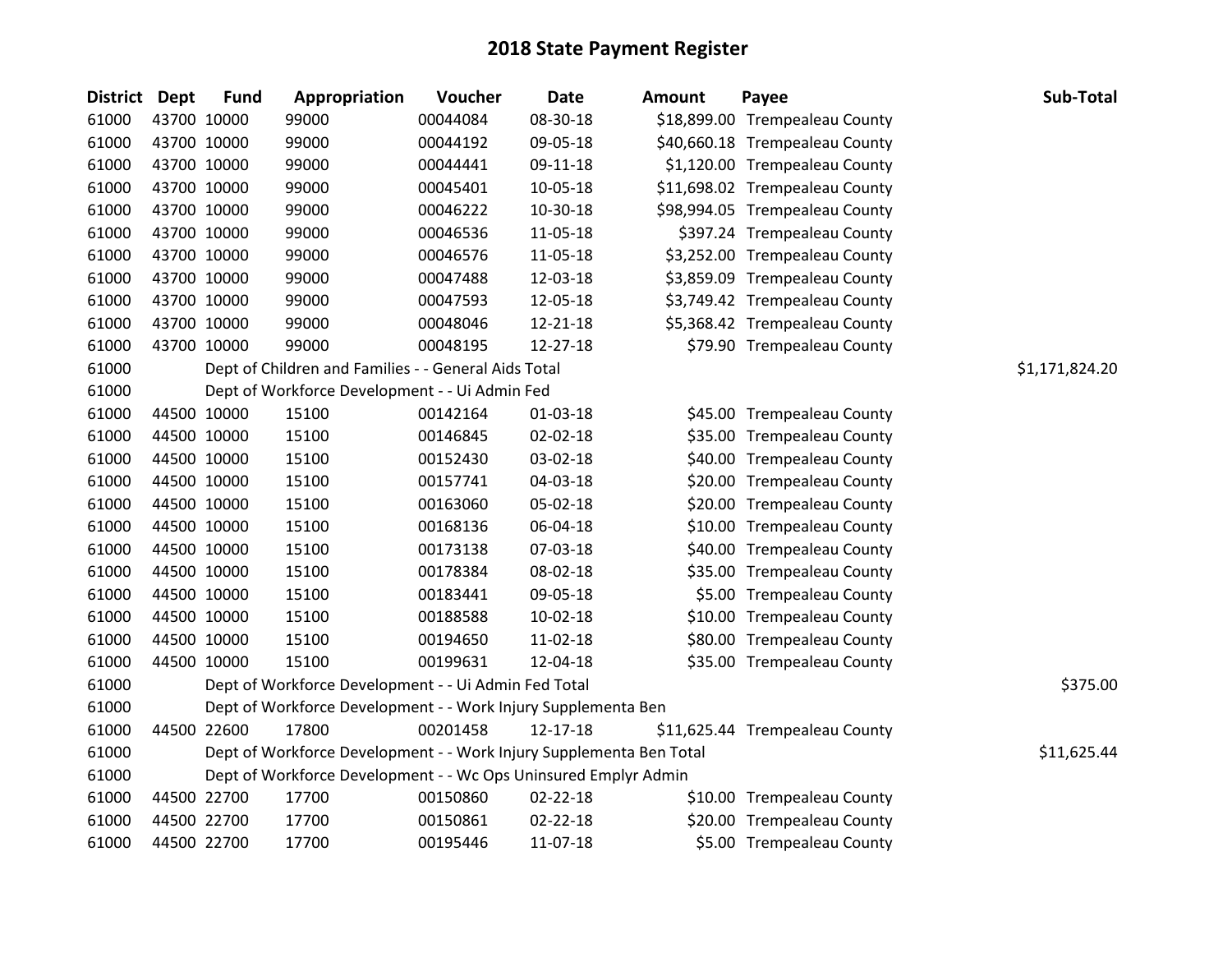| District Dept |             | <b>Fund</b> | Appropriation                                                       | Voucher  | <b>Date</b> | <b>Amount</b> | Payee                          | Sub-Total      |
|---------------|-------------|-------------|---------------------------------------------------------------------|----------|-------------|---------------|--------------------------------|----------------|
| 61000         |             | 43700 10000 | 99000                                                               | 00044084 | 08-30-18    |               | \$18,899.00 Trempealeau County |                |
| 61000         |             | 43700 10000 | 99000                                                               | 00044192 | 09-05-18    |               | \$40,660.18 Trempealeau County |                |
| 61000         |             | 43700 10000 | 99000                                                               | 00044441 | 09-11-18    |               | \$1,120.00 Trempealeau County  |                |
| 61000         |             | 43700 10000 | 99000                                                               | 00045401 | 10-05-18    |               | \$11,698.02 Trempealeau County |                |
| 61000         |             | 43700 10000 | 99000                                                               | 00046222 | 10-30-18    |               | \$98,994.05 Trempealeau County |                |
| 61000         |             | 43700 10000 | 99000                                                               | 00046536 | 11-05-18    |               | \$397.24 Trempealeau County    |                |
| 61000         |             | 43700 10000 | 99000                                                               | 00046576 | 11-05-18    |               | \$3,252.00 Trempealeau County  |                |
| 61000         |             | 43700 10000 | 99000                                                               | 00047488 | 12-03-18    |               | \$3,859.09 Trempealeau County  |                |
| 61000         |             | 43700 10000 | 99000                                                               | 00047593 | 12-05-18    |               | \$3,749.42 Trempealeau County  |                |
| 61000         |             | 43700 10000 | 99000                                                               | 00048046 | 12-21-18    |               | \$5,368.42 Trempealeau County  |                |
| 61000         |             | 43700 10000 | 99000                                                               | 00048195 | 12-27-18    |               | \$79.90 Trempealeau County     |                |
| 61000         |             |             | Dept of Children and Families - - General Aids Total                |          |             |               |                                | \$1,171,824.20 |
| 61000         |             |             | Dept of Workforce Development - - Ui Admin Fed                      |          |             |               |                                |                |
| 61000         |             | 44500 10000 | 15100                                                               | 00142164 | 01-03-18    |               | \$45.00 Trempealeau County     |                |
| 61000         |             | 44500 10000 | 15100                                                               | 00146845 | 02-02-18    |               | \$35.00 Trempealeau County     |                |
| 61000         |             | 44500 10000 | 15100                                                               | 00152430 | 03-02-18    |               | \$40.00 Trempealeau County     |                |
| 61000         |             | 44500 10000 | 15100                                                               | 00157741 | 04-03-18    |               | \$20.00 Trempealeau County     |                |
| 61000         |             | 44500 10000 | 15100                                                               | 00163060 | 05-02-18    |               | \$20.00 Trempealeau County     |                |
| 61000         |             | 44500 10000 | 15100                                                               | 00168136 | 06-04-18    |               | \$10.00 Trempealeau County     |                |
| 61000         |             | 44500 10000 | 15100                                                               | 00173138 | 07-03-18    |               | \$40.00 Trempealeau County     |                |
| 61000         |             | 44500 10000 | 15100                                                               | 00178384 | 08-02-18    |               | \$35.00 Trempealeau County     |                |
| 61000         |             | 44500 10000 | 15100                                                               | 00183441 | 09-05-18    |               | \$5.00 Trempealeau County      |                |
| 61000         |             | 44500 10000 | 15100                                                               | 00188588 | $10-02-18$  |               | \$10.00 Trempealeau County     |                |
| 61000         |             | 44500 10000 | 15100                                                               | 00194650 | 11-02-18    |               | \$80.00 Trempealeau County     |                |
| 61000         |             | 44500 10000 | 15100                                                               | 00199631 | 12-04-18    |               | \$35.00 Trempealeau County     |                |
| 61000         |             |             | Dept of Workforce Development - - Ui Admin Fed Total                |          |             |               |                                | \$375.00       |
| 61000         |             |             | Dept of Workforce Development - - Work Injury Supplementa Ben       |          |             |               |                                |                |
| 61000         |             | 44500 22600 | 17800                                                               | 00201458 | 12-17-18    |               | \$11,625.44 Trempealeau County |                |
| 61000         |             |             | Dept of Workforce Development - - Work Injury Supplementa Ben Total |          |             |               |                                | \$11,625.44    |
| 61000         |             |             | Dept of Workforce Development - - Wc Ops Uninsured Emplyr Admin     |          |             |               |                                |                |
| 61000         |             | 44500 22700 | 17700                                                               | 00150860 | 02-22-18    |               | \$10.00 Trempealeau County     |                |
| 61000         |             | 44500 22700 | 17700                                                               | 00150861 | 02-22-18    |               | \$20.00 Trempealeau County     |                |
| 61000         | 44500 22700 |             | 17700                                                               | 00195446 | 11-07-18    |               | \$5.00 Trempealeau County      |                |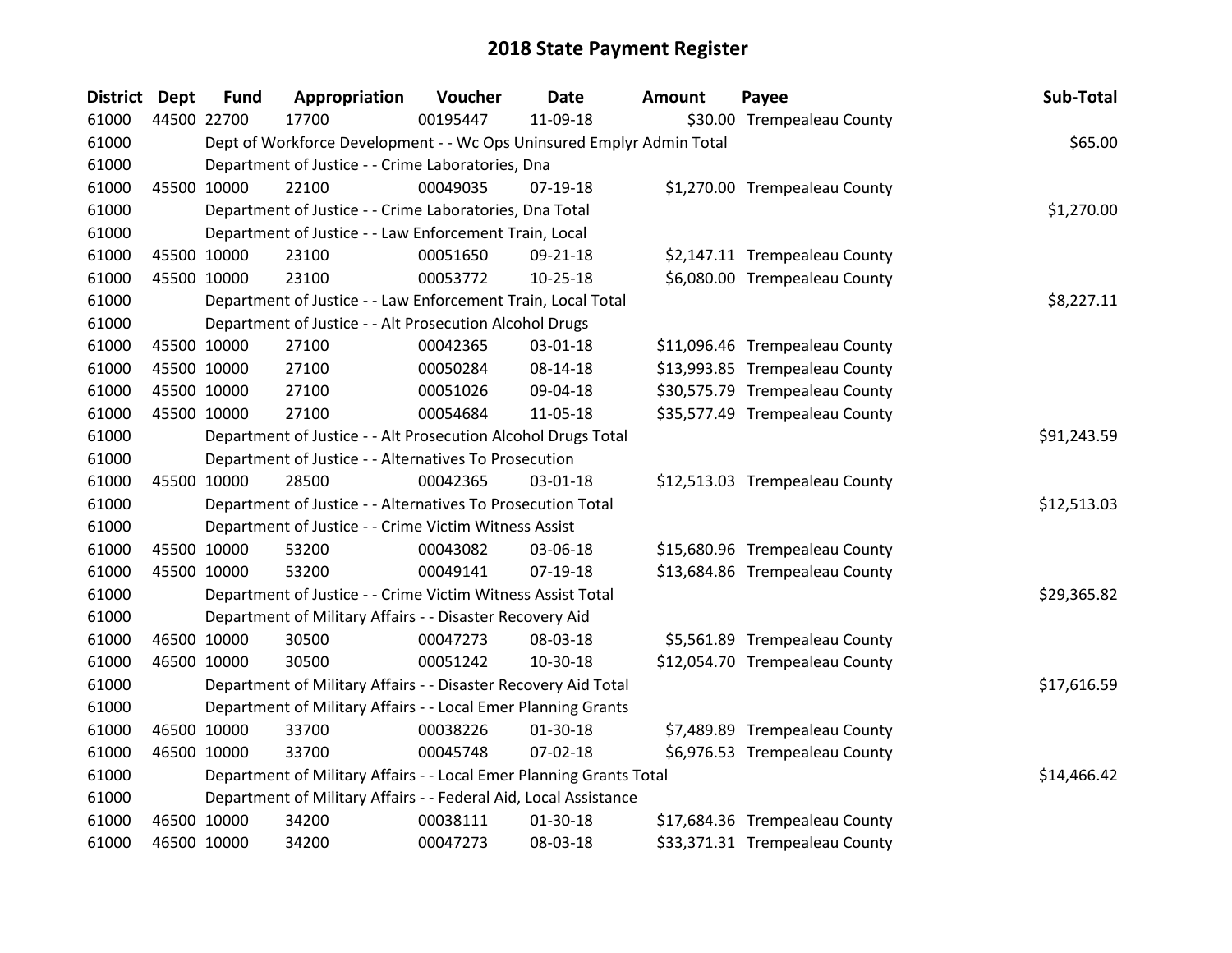| <b>District Dept</b> |             | <b>Fund</b> | Appropriation                                                         | Voucher  | <b>Date</b>    | Amount | Payee                          | Sub-Total   |
|----------------------|-------------|-------------|-----------------------------------------------------------------------|----------|----------------|--------|--------------------------------|-------------|
| 61000                |             | 44500 22700 | 17700                                                                 | 00195447 | 11-09-18       |        | \$30.00 Trempealeau County     |             |
| 61000                |             |             | Dept of Workforce Development - - Wc Ops Uninsured Emplyr Admin Total |          |                |        |                                | \$65.00     |
| 61000                |             |             | Department of Justice - - Crime Laboratories, Dna                     |          |                |        |                                |             |
| 61000                | 45500 10000 |             | 22100                                                                 | 00049035 | 07-19-18       |        | \$1,270.00 Trempealeau County  |             |
| 61000                |             |             | Department of Justice - - Crime Laboratories, Dna Total               |          |                |        |                                | \$1,270.00  |
| 61000                |             |             | Department of Justice - - Law Enforcement Train, Local                |          |                |        |                                |             |
| 61000                | 45500 10000 |             | 23100                                                                 | 00051650 | 09-21-18       |        | \$2,147.11 Trempealeau County  |             |
| 61000                |             | 45500 10000 | 23100                                                                 | 00053772 | $10 - 25 - 18$ |        | \$6,080.00 Trempealeau County  |             |
| 61000                |             |             | Department of Justice - - Law Enforcement Train, Local Total          |          |                |        |                                | \$8,227.11  |
| 61000                |             |             | Department of Justice - - Alt Prosecution Alcohol Drugs               |          |                |        |                                |             |
| 61000                |             | 45500 10000 | 27100                                                                 | 00042365 | $03 - 01 - 18$ |        | \$11,096.46 Trempealeau County |             |
| 61000                |             | 45500 10000 | 27100                                                                 | 00050284 | 08-14-18       |        | \$13,993.85 Trempealeau County |             |
| 61000                | 45500 10000 |             | 27100                                                                 | 00051026 | 09-04-18       |        | \$30,575.79 Trempealeau County |             |
| 61000                | 45500 10000 |             | 27100                                                                 | 00054684 | 11-05-18       |        | \$35,577.49 Trempealeau County |             |
| 61000                |             |             | Department of Justice - - Alt Prosecution Alcohol Drugs Total         |          | \$91,243.59    |        |                                |             |
| 61000                |             |             | Department of Justice - - Alternatives To Prosecution                 |          |                |        |                                |             |
| 61000                | 45500 10000 |             | 28500                                                                 | 00042365 | $03 - 01 - 18$ |        | \$12,513.03 Trempealeau County |             |
| 61000                |             |             | Department of Justice - - Alternatives To Prosecution Total           |          |                |        |                                | \$12,513.03 |
| 61000                |             |             | Department of Justice - - Crime Victim Witness Assist                 |          |                |        |                                |             |
| 61000                | 45500 10000 |             | 53200                                                                 | 00043082 | 03-06-18       |        | \$15,680.96 Trempealeau County |             |
| 61000                |             | 45500 10000 | 53200                                                                 | 00049141 | 07-19-18       |        | \$13,684.86 Trempealeau County |             |
| 61000                |             |             | Department of Justice - - Crime Victim Witness Assist Total           |          |                |        |                                | \$29,365.82 |
| 61000                |             |             | Department of Military Affairs - - Disaster Recovery Aid              |          |                |        |                                |             |
| 61000                |             | 46500 10000 | 30500                                                                 | 00047273 | 08-03-18       |        | \$5,561.89 Trempealeau County  |             |
| 61000                |             | 46500 10000 | 30500                                                                 | 00051242 | 10-30-18       |        | \$12,054.70 Trempealeau County |             |
| 61000                |             |             | Department of Military Affairs - - Disaster Recovery Aid Total        |          |                |        |                                | \$17,616.59 |
| 61000                |             |             | Department of Military Affairs - - Local Emer Planning Grants         |          |                |        |                                |             |
| 61000                |             | 46500 10000 | 33700                                                                 | 00038226 | 01-30-18       |        | \$7,489.89 Trempealeau County  |             |
| 61000                | 46500 10000 |             | 33700                                                                 | 00045748 | 07-02-18       |        | \$6,976.53 Trempealeau County  |             |
| 61000                |             |             | Department of Military Affairs - - Local Emer Planning Grants Total   |          |                |        |                                | \$14,466.42 |
| 61000                |             |             | Department of Military Affairs - - Federal Aid, Local Assistance      |          |                |        |                                |             |
| 61000                | 46500 10000 |             | 34200                                                                 | 00038111 | 01-30-18       |        | \$17,684.36 Trempealeau County |             |
| 61000                | 46500 10000 |             | 34200                                                                 | 00047273 | 08-03-18       |        | \$33,371.31 Trempealeau County |             |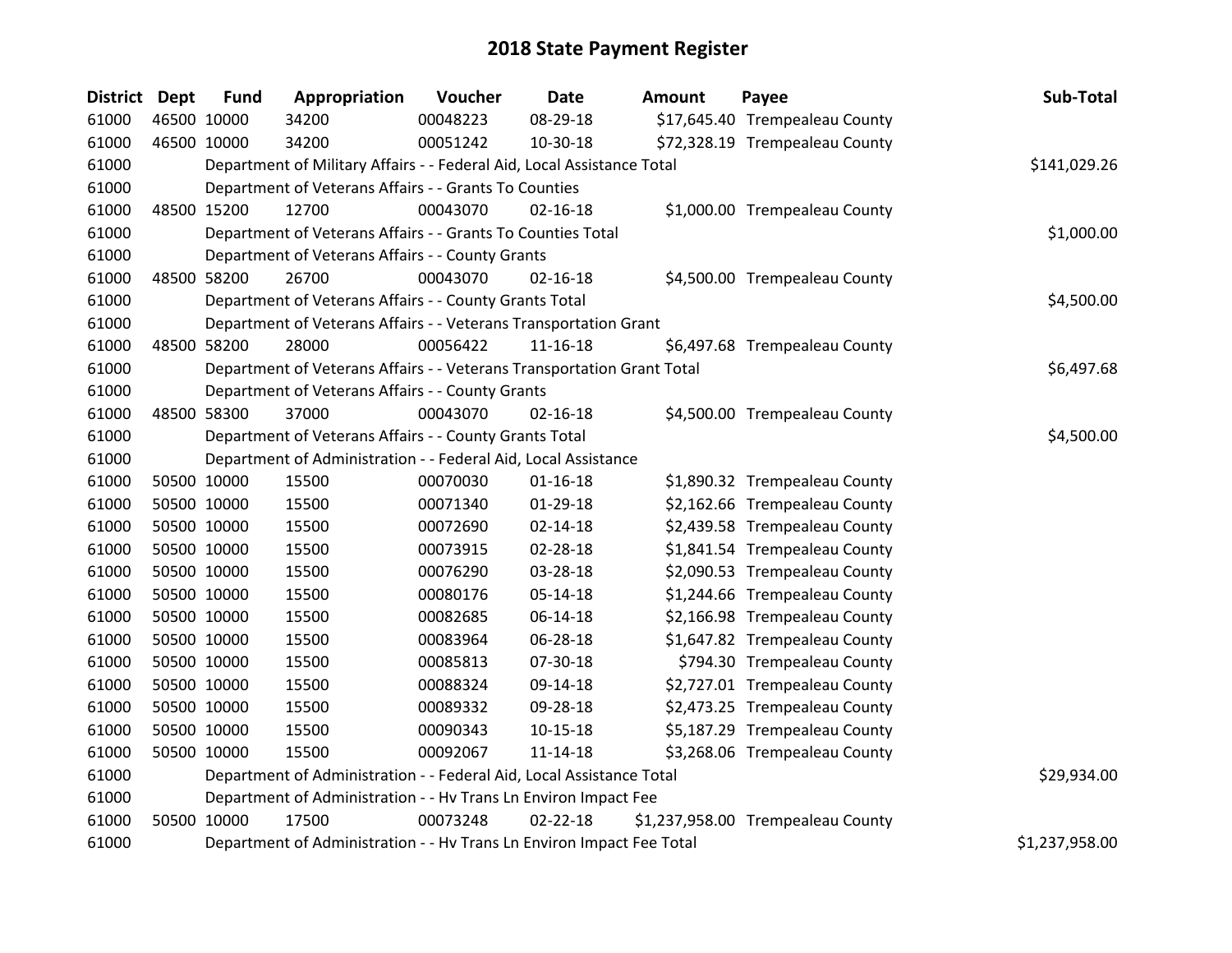| <b>District</b> | <b>Dept</b> | <b>Fund</b> | Appropriation                                                          | Voucher    | <b>Date</b>    | <b>Amount</b> | Payee                             | Sub-Total      |
|-----------------|-------------|-------------|------------------------------------------------------------------------|------------|----------------|---------------|-----------------------------------|----------------|
| 61000           |             | 46500 10000 | 34200                                                                  | 00048223   | 08-29-18       |               | \$17,645.40 Trempealeau County    |                |
| 61000           |             | 46500 10000 | 34200                                                                  | 00051242   | 10-30-18       |               | \$72,328.19 Trempealeau County    |                |
| 61000           |             |             | Department of Military Affairs - - Federal Aid, Local Assistance Total |            |                |               |                                   | \$141,029.26   |
| 61000           |             |             | Department of Veterans Affairs - - Grants To Counties                  |            |                |               |                                   |                |
| 61000           |             | 48500 15200 | 12700                                                                  | 00043070   | $02 - 16 - 18$ |               | \$1,000.00 Trempealeau County     |                |
| 61000           |             |             | Department of Veterans Affairs - - Grants To Counties Total            |            |                |               |                                   | \$1,000.00     |
| 61000           |             |             | Department of Veterans Affairs - - County Grants                       |            |                |               |                                   |                |
| 61000           |             | 48500 58200 | 26700                                                                  | 00043070   | $02 - 16 - 18$ |               | \$4,500.00 Trempealeau County     |                |
| 61000           |             |             | Department of Veterans Affairs - - County Grants Total                 |            |                |               |                                   | \$4,500.00     |
| 61000           |             |             | Department of Veterans Affairs - - Veterans Transportation Grant       |            |                |               |                                   |                |
| 61000           |             | 48500 58200 | 28000                                                                  | 00056422   | $11 - 16 - 18$ |               | \$6,497.68 Trempealeau County     |                |
| 61000           |             |             | Department of Veterans Affairs - - Veterans Transportation Grant Total |            |                |               |                                   | \$6,497.68     |
| 61000           |             |             | Department of Veterans Affairs - - County Grants                       |            |                |               |                                   |                |
| 61000           |             | 48500 58300 | 37000                                                                  | 00043070   | $02 - 16 - 18$ |               | \$4,500.00 Trempealeau County     |                |
| 61000           |             |             | Department of Veterans Affairs - - County Grants Total                 | \$4,500.00 |                |               |                                   |                |
| 61000           |             |             | Department of Administration - - Federal Aid, Local Assistance         |            |                |               |                                   |                |
| 61000           |             | 50500 10000 | 15500                                                                  | 00070030   | $01 - 16 - 18$ |               | \$1,890.32 Trempealeau County     |                |
| 61000           |             | 50500 10000 | 15500                                                                  | 00071340   | 01-29-18       |               | \$2,162.66 Trempealeau County     |                |
| 61000           |             | 50500 10000 | 15500                                                                  | 00072690   | $02 - 14 - 18$ |               | \$2,439.58 Trempealeau County     |                |
| 61000           |             | 50500 10000 | 15500                                                                  | 00073915   | 02-28-18       |               | \$1,841.54 Trempealeau County     |                |
| 61000           |             | 50500 10000 | 15500                                                                  | 00076290   | 03-28-18       |               | \$2,090.53 Trempealeau County     |                |
| 61000           |             | 50500 10000 | 15500                                                                  | 00080176   | 05-14-18       |               | \$1,244.66 Trempealeau County     |                |
| 61000           |             | 50500 10000 | 15500                                                                  | 00082685   | 06-14-18       |               | \$2,166.98 Trempealeau County     |                |
| 61000           |             | 50500 10000 | 15500                                                                  | 00083964   | 06-28-18       |               | \$1,647.82 Trempealeau County     |                |
| 61000           |             | 50500 10000 | 15500                                                                  | 00085813   | 07-30-18       |               | \$794.30 Trempealeau County       |                |
| 61000           |             | 50500 10000 | 15500                                                                  | 00088324   | 09-14-18       |               | \$2,727.01 Trempealeau County     |                |
| 61000           |             | 50500 10000 | 15500                                                                  | 00089332   | 09-28-18       |               | \$2,473.25 Trempealeau County     |                |
| 61000           |             | 50500 10000 | 15500                                                                  | 00090343   | $10 - 15 - 18$ |               | \$5,187.29 Trempealeau County     |                |
| 61000           |             | 50500 10000 | 15500                                                                  | 00092067   | $11 - 14 - 18$ |               | \$3,268.06 Trempealeau County     |                |
| 61000           |             |             | Department of Administration - - Federal Aid, Local Assistance Total   |            |                |               |                                   | \$29,934.00    |
| 61000           |             |             | Department of Administration - - Hv Trans Ln Environ Impact Fee        |            |                |               |                                   |                |
| 61000           |             | 50500 10000 | 17500                                                                  | 00073248   | $02 - 22 - 18$ |               | \$1,237,958.00 Trempealeau County |                |
| 61000           |             |             | Department of Administration - - Hv Trans Ln Environ Impact Fee Total  |            |                |               |                                   | \$1,237,958.00 |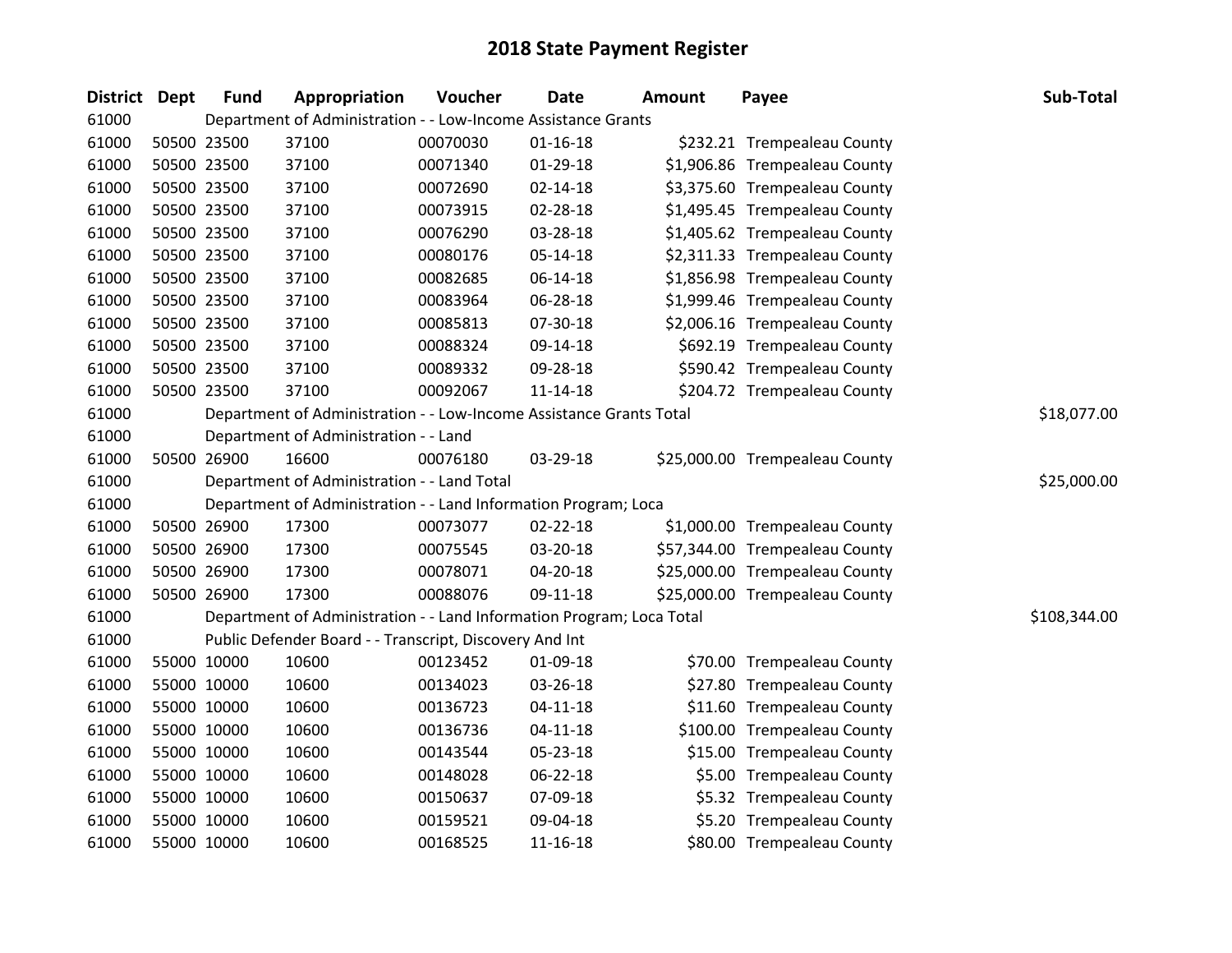| <b>District</b> | <b>Dept</b> | <b>Fund</b> | Appropriation                                                         | Voucher  | Date           | <b>Amount</b> | Payee                          | Sub-Total    |
|-----------------|-------------|-------------|-----------------------------------------------------------------------|----------|----------------|---------------|--------------------------------|--------------|
| 61000           |             |             | Department of Administration - - Low-Income Assistance Grants         |          |                |               |                                |              |
| 61000           |             | 50500 23500 | 37100                                                                 | 00070030 | $01 - 16 - 18$ |               | \$232.21 Trempealeau County    |              |
| 61000           |             | 50500 23500 | 37100                                                                 | 00071340 | 01-29-18       |               | \$1,906.86 Trempealeau County  |              |
| 61000           |             | 50500 23500 | 37100                                                                 | 00072690 | 02-14-18       |               | \$3,375.60 Trempealeau County  |              |
| 61000           |             | 50500 23500 | 37100                                                                 | 00073915 | 02-28-18       |               | \$1,495.45 Trempealeau County  |              |
| 61000           |             | 50500 23500 | 37100                                                                 | 00076290 | 03-28-18       |               | \$1,405.62 Trempealeau County  |              |
| 61000           |             | 50500 23500 | 37100                                                                 | 00080176 | 05-14-18       |               | \$2,311.33 Trempealeau County  |              |
| 61000           |             | 50500 23500 | 37100                                                                 | 00082685 | 06-14-18       |               | \$1,856.98 Trempealeau County  |              |
| 61000           |             | 50500 23500 | 37100                                                                 | 00083964 | 06-28-18       |               | \$1,999.46 Trempealeau County  |              |
| 61000           |             | 50500 23500 | 37100                                                                 | 00085813 | 07-30-18       |               | \$2,006.16 Trempealeau County  |              |
| 61000           |             | 50500 23500 | 37100                                                                 | 00088324 | 09-14-18       |               | \$692.19 Trempealeau County    |              |
| 61000           |             | 50500 23500 | 37100                                                                 | 00089332 | 09-28-18       |               | \$590.42 Trempealeau County    |              |
| 61000           |             | 50500 23500 | 37100                                                                 | 00092067 | 11-14-18       |               | \$204.72 Trempealeau County    |              |
| 61000           |             |             | Department of Administration - - Low-Income Assistance Grants Total   |          |                |               |                                | \$18,077.00  |
| 61000           |             |             | Department of Administration - - Land                                 |          |                |               |                                |              |
| 61000           |             | 50500 26900 | 16600                                                                 | 00076180 | 03-29-18       |               | \$25,000.00 Trempealeau County |              |
| 61000           |             |             | Department of Administration - - Land Total                           |          |                |               |                                | \$25,000.00  |
| 61000           |             |             | Department of Administration - - Land Information Program; Loca       |          |                |               |                                |              |
| 61000           |             | 50500 26900 | 17300                                                                 | 00073077 | 02-22-18       |               | \$1,000.00 Trempealeau County  |              |
| 61000           |             | 50500 26900 | 17300                                                                 | 00075545 | 03-20-18       |               | \$57,344.00 Trempealeau County |              |
| 61000           |             | 50500 26900 | 17300                                                                 | 00078071 | 04-20-18       |               | \$25,000.00 Trempealeau County |              |
| 61000           |             | 50500 26900 | 17300                                                                 | 00088076 | 09-11-18       |               | \$25,000.00 Trempealeau County |              |
| 61000           |             |             | Department of Administration - - Land Information Program; Loca Total |          |                |               |                                | \$108,344.00 |
| 61000           |             |             | Public Defender Board - - Transcript, Discovery And Int               |          |                |               |                                |              |
| 61000           |             | 55000 10000 | 10600                                                                 | 00123452 | 01-09-18       |               | \$70.00 Trempealeau County     |              |
| 61000           |             | 55000 10000 | 10600                                                                 | 00134023 | 03-26-18       |               | \$27.80 Trempealeau County     |              |
| 61000           |             | 55000 10000 | 10600                                                                 | 00136723 | $04 - 11 - 18$ |               | \$11.60 Trempealeau County     |              |
| 61000           |             | 55000 10000 | 10600                                                                 | 00136736 | $04 - 11 - 18$ |               | \$100.00 Trempealeau County    |              |
| 61000           |             | 55000 10000 | 10600                                                                 | 00143544 | 05-23-18       |               | \$15.00 Trempealeau County     |              |
| 61000           |             | 55000 10000 | 10600                                                                 | 00148028 | 06-22-18       |               | \$5.00 Trempealeau County      |              |
| 61000           |             | 55000 10000 | 10600                                                                 | 00150637 | 07-09-18       |               | \$5.32 Trempealeau County      |              |
| 61000           | 55000 10000 |             | 10600                                                                 | 00159521 | 09-04-18       |               | \$5.20 Trempealeau County      |              |
| 61000           |             | 55000 10000 | 10600                                                                 | 00168525 | $11 - 16 - 18$ |               | \$80.00 Trempealeau County     |              |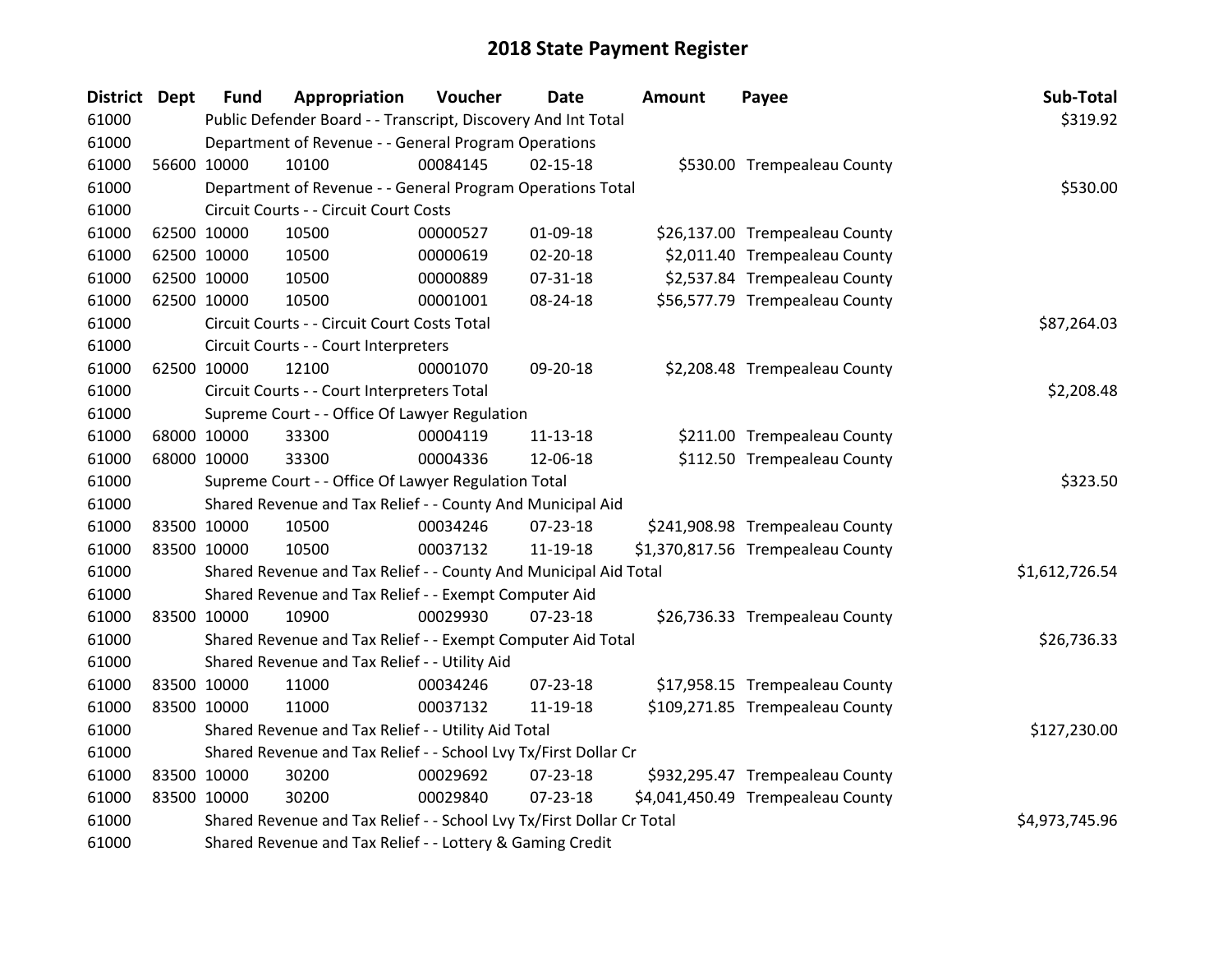| District Dept | <b>Fund</b> | Appropriation                                                         | Voucher  | <b>Date</b>    | Amount | Payee                             | Sub-Total      |
|---------------|-------------|-----------------------------------------------------------------------|----------|----------------|--------|-----------------------------------|----------------|
| 61000         |             | Public Defender Board - - Transcript, Discovery And Int Total         |          |                |        |                                   | \$319.92       |
| 61000         |             | Department of Revenue - - General Program Operations                  |          |                |        |                                   |                |
| 61000         | 56600 10000 | 10100                                                                 | 00084145 | $02 - 15 - 18$ |        | \$530.00 Trempealeau County       |                |
| 61000         |             | Department of Revenue - - General Program Operations Total            |          |                |        |                                   | \$530.00       |
| 61000         |             | Circuit Courts - - Circuit Court Costs                                |          |                |        |                                   |                |
| 61000         | 62500 10000 | 10500                                                                 | 00000527 | 01-09-18       |        | \$26,137.00 Trempealeau County    |                |
| 61000         | 62500 10000 | 10500                                                                 | 00000619 | $02 - 20 - 18$ |        | \$2,011.40 Trempealeau County     |                |
| 61000         | 62500 10000 | 10500                                                                 | 00000889 | $07 - 31 - 18$ |        | \$2,537.84 Trempealeau County     |                |
| 61000         | 62500 10000 | 10500                                                                 | 00001001 | 08-24-18       |        | \$56,577.79 Trempealeau County    |                |
| 61000         |             | Circuit Courts - - Circuit Court Costs Total                          |          | \$87,264.03    |        |                                   |                |
| 61000         |             | Circuit Courts - - Court Interpreters                                 |          |                |        |                                   |                |
| 61000         | 62500 10000 | 12100                                                                 | 00001070 | 09-20-18       |        | \$2,208.48 Trempealeau County     |                |
| 61000         |             | Circuit Courts - - Court Interpreters Total                           |          |                |        |                                   | \$2,208.48     |
| 61000         |             | Supreme Court - - Office Of Lawyer Regulation                         |          |                |        |                                   |                |
| 61000         | 68000 10000 | 33300                                                                 | 00004119 | 11-13-18       |        | \$211.00 Trempealeau County       |                |
| 61000         | 68000 10000 | 33300                                                                 | 00004336 | 12-06-18       |        | \$112.50 Trempealeau County       |                |
| 61000         |             | Supreme Court - - Office Of Lawyer Regulation Total                   |          |                |        |                                   | \$323.50       |
| 61000         |             | Shared Revenue and Tax Relief - - County And Municipal Aid            |          |                |        |                                   |                |
| 61000         | 83500 10000 | 10500                                                                 | 00034246 | 07-23-18       |        | \$241,908.98 Trempealeau County   |                |
| 61000         | 83500 10000 | 10500                                                                 | 00037132 | 11-19-18       |        | \$1,370,817.56 Trempealeau County |                |
| 61000         |             | Shared Revenue and Tax Relief - - County And Municipal Aid Total      |          |                |        |                                   | \$1,612,726.54 |
| 61000         |             | Shared Revenue and Tax Relief - - Exempt Computer Aid                 |          |                |        |                                   |                |
| 61000         | 83500 10000 | 10900                                                                 | 00029930 | 07-23-18       |        | \$26,736.33 Trempealeau County    |                |
| 61000         |             | Shared Revenue and Tax Relief - - Exempt Computer Aid Total           |          |                |        |                                   | \$26,736.33    |
| 61000         |             | Shared Revenue and Tax Relief - - Utility Aid                         |          |                |        |                                   |                |
| 61000         | 83500 10000 | 11000                                                                 | 00034246 | 07-23-18       |        | \$17,958.15 Trempealeau County    |                |
| 61000         | 83500 10000 | 11000                                                                 | 00037132 | 11-19-18       |        | \$109,271.85 Trempealeau County   |                |
| 61000         |             | Shared Revenue and Tax Relief - - Utility Aid Total                   |          |                |        |                                   | \$127,230.00   |
| 61000         |             | Shared Revenue and Tax Relief - - School Lvy Tx/First Dollar Cr       |          |                |        |                                   |                |
| 61000         | 83500 10000 | 30200                                                                 | 00029692 | 07-23-18       |        | \$932,295.47 Trempealeau County   |                |
| 61000         | 83500 10000 | 30200                                                                 | 00029840 | $07 - 23 - 18$ |        | \$4,041,450.49 Trempealeau County |                |
| 61000         |             | Shared Revenue and Tax Relief - - School Lvy Tx/First Dollar Cr Total |          |                |        |                                   | \$4,973,745.96 |
| 61000         |             | Shared Revenue and Tax Relief - - Lottery & Gaming Credit             |          |                |        |                                   |                |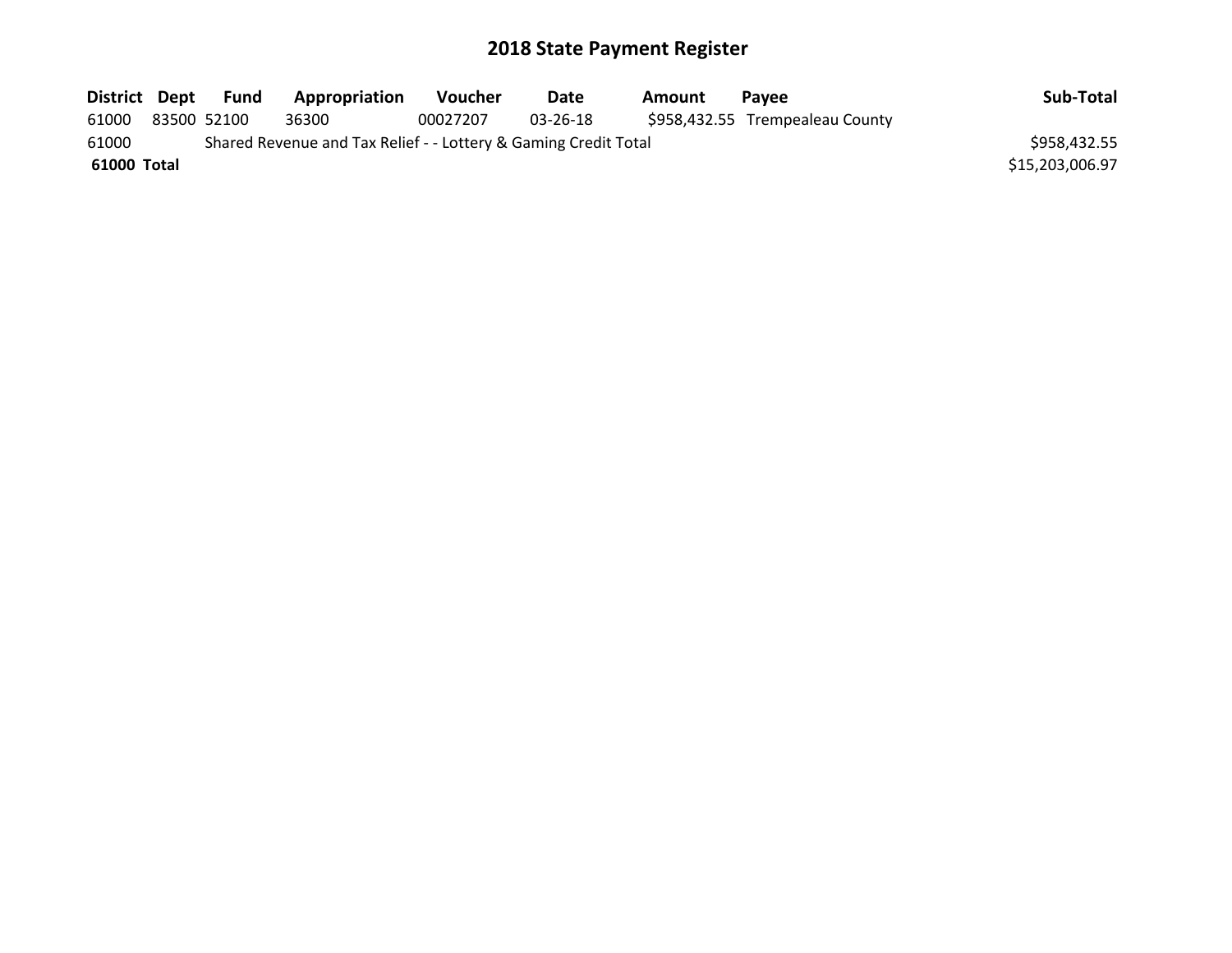| District Dept | Fund        | Appropriation                                                   | <b>Voucher</b> | Date     | Amount | Pavee                           | Sub-Total       |
|---------------|-------------|-----------------------------------------------------------------|----------------|----------|--------|---------------------------------|-----------------|
| 61000         | 83500 52100 | 36300                                                           | 00027207       | 03-26-18 |        | \$958,432.55 Trempealeau County |                 |
| 61000         |             | Shared Revenue and Tax Relief - - Lottery & Gaming Credit Total |                |          |        |                                 | \$958,432.55    |
| 61000 Total   |             |                                                                 |                |          |        |                                 | \$15,203,006.97 |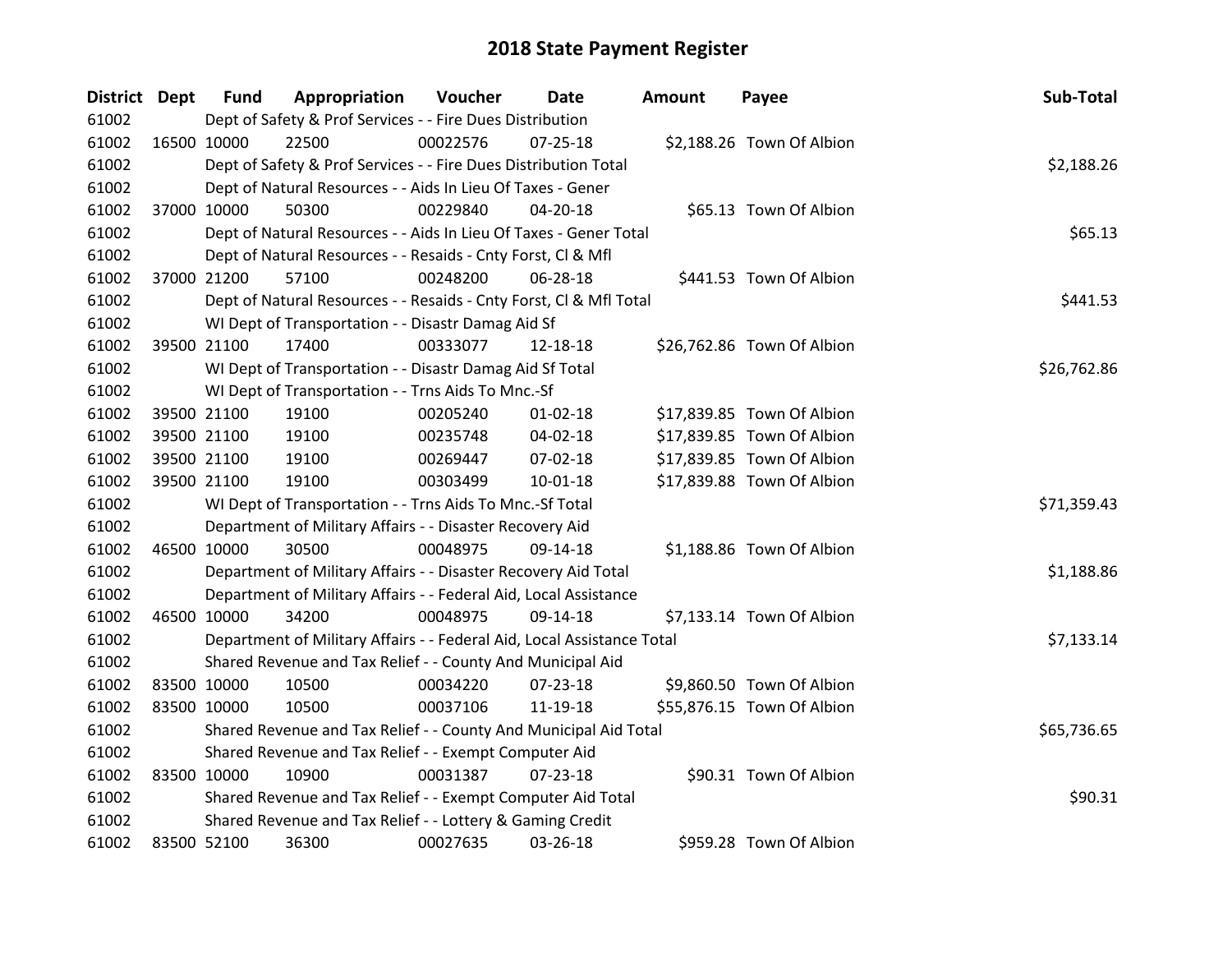| <b>District Dept</b> |             | <b>Fund</b> | Appropriation                                                          | Voucher  | <b>Date</b>    | Amount | Payee                      | Sub-Total   |
|----------------------|-------------|-------------|------------------------------------------------------------------------|----------|----------------|--------|----------------------------|-------------|
| 61002                |             |             | Dept of Safety & Prof Services - - Fire Dues Distribution              |          |                |        |                            |             |
| 61002                |             | 16500 10000 | 22500                                                                  | 00022576 | 07-25-18       |        | \$2,188.26 Town Of Albion  |             |
| 61002                |             |             | Dept of Safety & Prof Services - - Fire Dues Distribution Total        |          |                |        |                            | \$2,188.26  |
| 61002                |             |             | Dept of Natural Resources - - Aids In Lieu Of Taxes - Gener            |          |                |        |                            |             |
| 61002                |             | 37000 10000 | 50300                                                                  | 00229840 | 04-20-18       |        | \$65.13 Town Of Albion     |             |
| 61002                |             |             | Dept of Natural Resources - - Aids In Lieu Of Taxes - Gener Total      |          |                |        |                            | \$65.13     |
| 61002                |             |             | Dept of Natural Resources - - Resaids - Cnty Forst, Cl & Mfl           |          |                |        |                            |             |
| 61002                |             | 37000 21200 | 57100                                                                  | 00248200 | 06-28-18       |        | \$441.53 Town Of Albion    |             |
| 61002                |             |             | Dept of Natural Resources - - Resaids - Cnty Forst, Cl & Mfl Total     |          |                |        |                            | \$441.53    |
| 61002                |             |             | WI Dept of Transportation - - Disastr Damag Aid Sf                     |          |                |        |                            |             |
| 61002                |             | 39500 21100 | 17400                                                                  | 00333077 | 12-18-18       |        | \$26,762.86 Town Of Albion |             |
| 61002                |             |             | WI Dept of Transportation - - Disastr Damag Aid Sf Total               |          |                |        |                            | \$26,762.86 |
| 61002                |             |             | WI Dept of Transportation - - Trns Aids To Mnc.-Sf                     |          |                |        |                            |             |
| 61002                |             | 39500 21100 | 19100                                                                  | 00205240 | $01 - 02 - 18$ |        | \$17,839.85 Town Of Albion |             |
| 61002                |             | 39500 21100 | 19100                                                                  | 00235748 | 04-02-18       |        | \$17,839.85 Town Of Albion |             |
| 61002                |             | 39500 21100 | 19100                                                                  | 00269447 | 07-02-18       |        | \$17,839.85 Town Of Albion |             |
| 61002                |             | 39500 21100 | 19100                                                                  | 00303499 | 10-01-18       |        | \$17,839.88 Town Of Albion |             |
| 61002                |             |             | WI Dept of Transportation - - Trns Aids To Mnc.-Sf Total               |          |                |        |                            | \$71,359.43 |
| 61002                |             |             | Department of Military Affairs - - Disaster Recovery Aid               |          |                |        |                            |             |
| 61002                |             | 46500 10000 | 30500                                                                  | 00048975 | 09-14-18       |        | \$1,188.86 Town Of Albion  |             |
| 61002                |             |             | Department of Military Affairs - - Disaster Recovery Aid Total         |          |                |        |                            | \$1,188.86  |
| 61002                |             |             | Department of Military Affairs - - Federal Aid, Local Assistance       |          |                |        |                            |             |
| 61002                |             | 46500 10000 | 34200                                                                  | 00048975 | 09-14-18       |        | \$7,133.14 Town Of Albion  |             |
| 61002                |             |             | Department of Military Affairs - - Federal Aid, Local Assistance Total |          |                |        |                            | \$7,133.14  |
| 61002                |             |             | Shared Revenue and Tax Relief - - County And Municipal Aid             |          |                |        |                            |             |
| 61002                |             | 83500 10000 | 10500                                                                  | 00034220 | $07 - 23 - 18$ |        | \$9,860.50 Town Of Albion  |             |
| 61002                | 83500 10000 |             | 10500                                                                  | 00037106 | 11-19-18       |        | \$55,876.15 Town Of Albion |             |
| 61002                |             |             | Shared Revenue and Tax Relief - - County And Municipal Aid Total       |          |                |        |                            | \$65,736.65 |
| 61002                |             |             | Shared Revenue and Tax Relief - - Exempt Computer Aid                  |          |                |        |                            |             |
| 61002                |             | 83500 10000 | 10900                                                                  | 00031387 | $07 - 23 - 18$ |        | \$90.31 Town Of Albion     |             |
| 61002                |             |             | Shared Revenue and Tax Relief - - Exempt Computer Aid Total            |          |                |        |                            | \$90.31     |
| 61002                |             |             | Shared Revenue and Tax Relief - - Lottery & Gaming Credit              |          |                |        |                            |             |
| 61002                | 83500 52100 |             | 36300                                                                  | 00027635 | 03-26-18       |        | \$959.28 Town Of Albion    |             |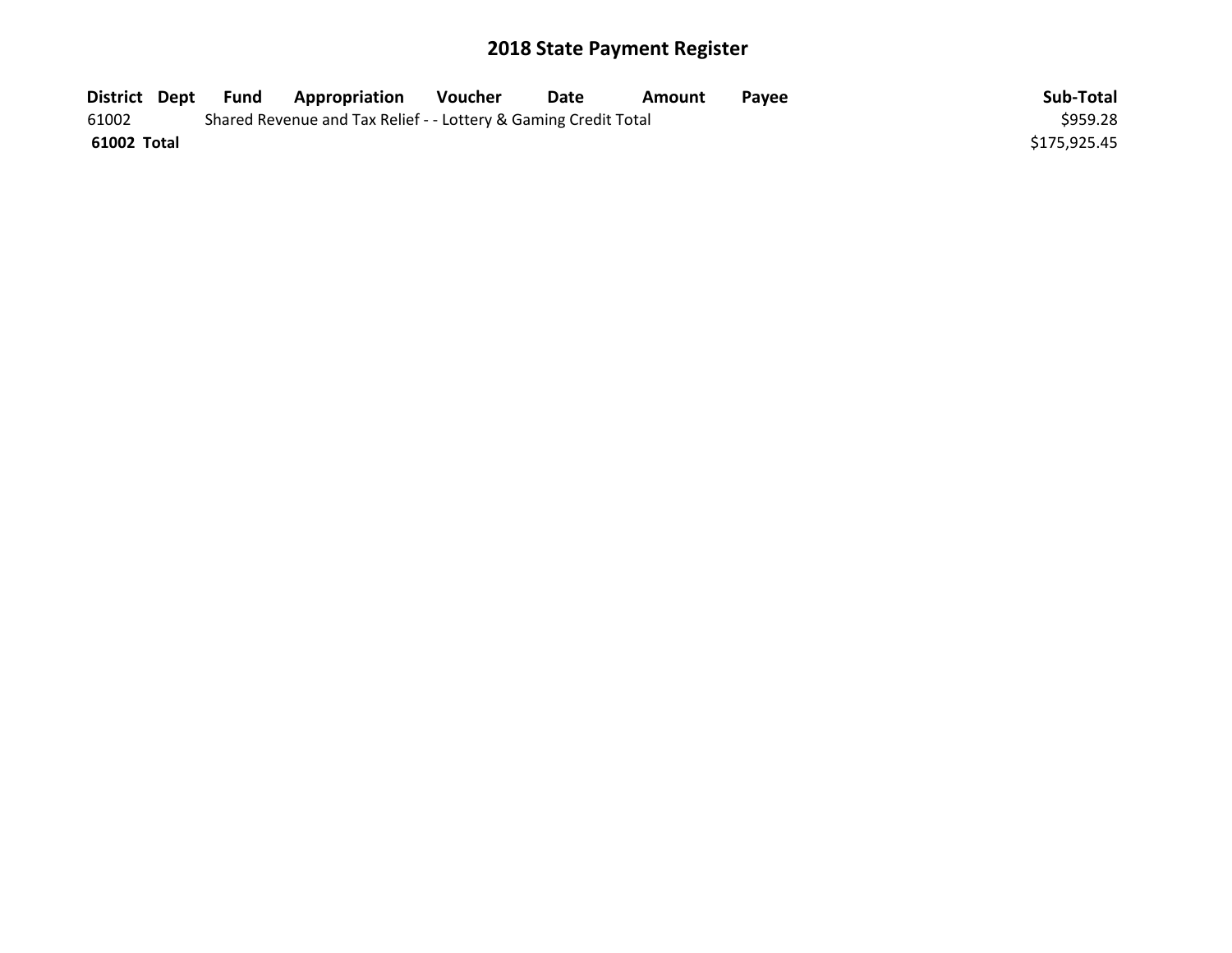| District Dept | Fund | <b>Appropriation</b>                                            | Voucher | Date | Amount | Pavee | Sub-Total    |
|---------------|------|-----------------------------------------------------------------|---------|------|--------|-------|--------------|
| 61002         |      | Shared Revenue and Tax Relief - - Lottery & Gaming Credit Total |         |      |        |       | \$959.28     |
| 61002 Total   |      |                                                                 |         |      |        |       | \$175,925.45 |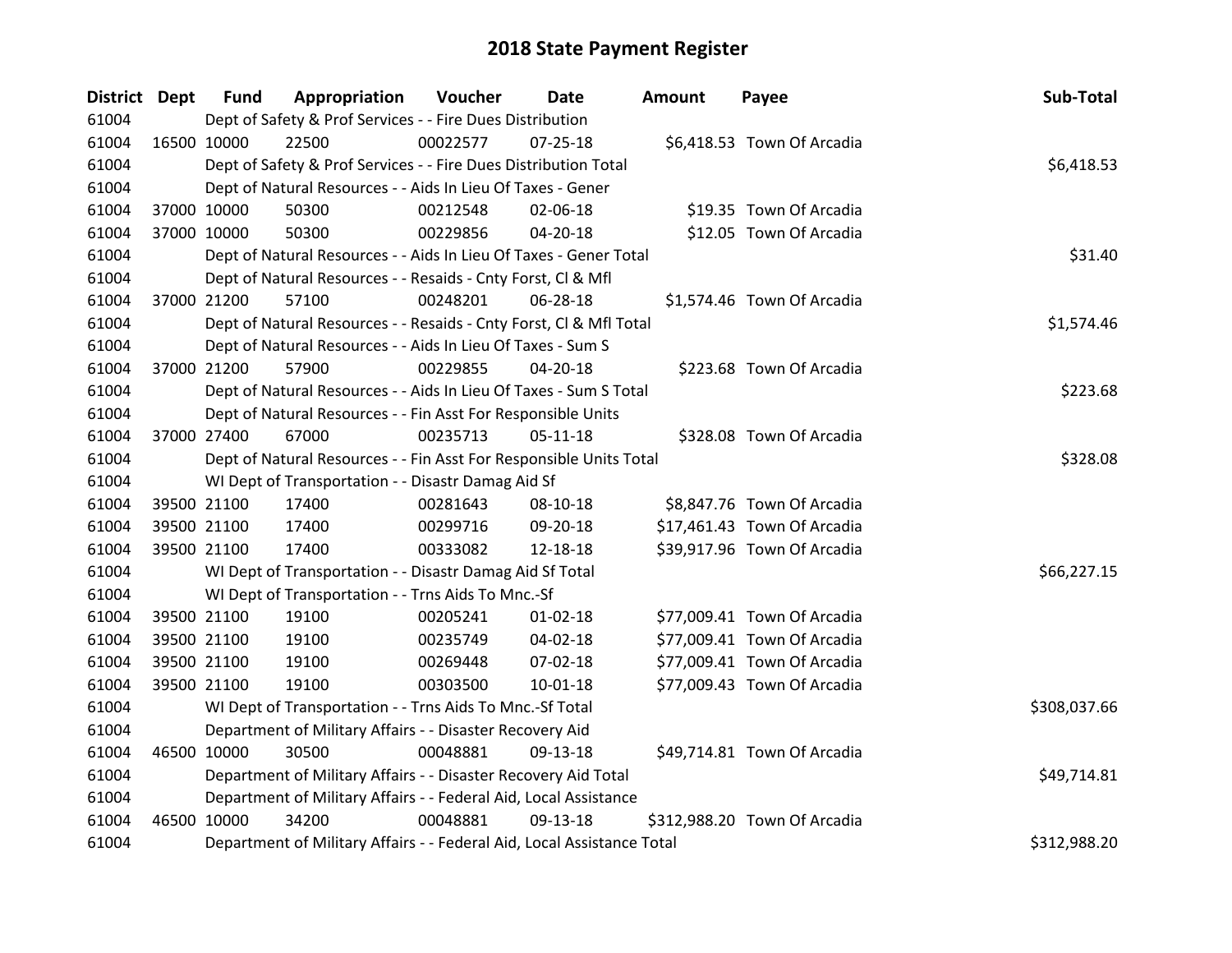| District Dept |             | <b>Fund</b> | Appropriation                                                          | Voucher    | Date           | Amount | Payee                        | Sub-Total    |
|---------------|-------------|-------------|------------------------------------------------------------------------|------------|----------------|--------|------------------------------|--------------|
| 61004         |             |             | Dept of Safety & Prof Services - - Fire Dues Distribution              |            |                |        |                              |              |
| 61004         |             | 16500 10000 | 22500                                                                  | 00022577   | $07 - 25 - 18$ |        | \$6,418.53 Town Of Arcadia   |              |
| 61004         |             |             | Dept of Safety & Prof Services - - Fire Dues Distribution Total        | \$6,418.53 |                |        |                              |              |
| 61004         |             |             | Dept of Natural Resources - - Aids In Lieu Of Taxes - Gener            |            |                |        |                              |              |
| 61004         |             | 37000 10000 | 50300                                                                  | 00212548   | 02-06-18       |        | \$19.35 Town Of Arcadia      |              |
| 61004         |             | 37000 10000 | 50300                                                                  | 00229856   | 04-20-18       |        | \$12.05 Town Of Arcadia      |              |
| 61004         |             |             | Dept of Natural Resources - - Aids In Lieu Of Taxes - Gener Total      |            |                |        |                              | \$31.40      |
| 61004         |             |             | Dept of Natural Resources - - Resaids - Cnty Forst, Cl & Mfl           |            |                |        |                              |              |
| 61004         |             | 37000 21200 | 57100                                                                  | 00248201   | 06-28-18       |        | \$1,574.46 Town Of Arcadia   |              |
| 61004         |             |             | Dept of Natural Resources - - Resaids - Cnty Forst, Cl & Mfl Total     |            |                |        |                              | \$1,574.46   |
| 61004         |             |             | Dept of Natural Resources - - Aids In Lieu Of Taxes - Sum S            |            |                |        |                              |              |
| 61004         |             | 37000 21200 | 57900                                                                  | 00229855   | 04-20-18       |        | \$223.68 Town Of Arcadia     |              |
| 61004         |             |             | Dept of Natural Resources - - Aids In Lieu Of Taxes - Sum S Total      |            |                |        |                              | \$223.68     |
| 61004         |             |             | Dept of Natural Resources - - Fin Asst For Responsible Units           |            |                |        |                              |              |
| 61004         |             | 37000 27400 | 67000                                                                  | 00235713   | 05-11-18       |        | \$328.08 Town Of Arcadia     |              |
| 61004         |             |             | Dept of Natural Resources - - Fin Asst For Responsible Units Total     |            |                |        |                              | \$328.08     |
| 61004         |             |             | WI Dept of Transportation - - Disastr Damag Aid Sf                     |            |                |        |                              |              |
| 61004         |             | 39500 21100 | 17400                                                                  | 00281643   | 08-10-18       |        | \$8,847.76 Town Of Arcadia   |              |
| 61004         |             | 39500 21100 | 17400                                                                  | 00299716   | 09-20-18       |        | \$17,461.43 Town Of Arcadia  |              |
| 61004         |             | 39500 21100 | 17400                                                                  | 00333082   | 12-18-18       |        | \$39,917.96 Town Of Arcadia  |              |
| 61004         |             |             | WI Dept of Transportation - - Disastr Damag Aid Sf Total               |            |                |        |                              | \$66,227.15  |
| 61004         |             |             | WI Dept of Transportation - - Trns Aids To Mnc.-Sf                     |            |                |        |                              |              |
| 61004         |             | 39500 21100 | 19100                                                                  | 00205241   | $01 - 02 - 18$ |        | \$77,009.41 Town Of Arcadia  |              |
| 61004         |             | 39500 21100 | 19100                                                                  | 00235749   | 04-02-18       |        | \$77,009.41 Town Of Arcadia  |              |
| 61004         |             | 39500 21100 | 19100                                                                  | 00269448   | 07-02-18       |        | \$77,009.41 Town Of Arcadia  |              |
| 61004         |             | 39500 21100 | 19100                                                                  | 00303500   | $10 - 01 - 18$ |        | \$77,009.43 Town Of Arcadia  |              |
| 61004         |             |             | WI Dept of Transportation - - Trns Aids To Mnc.-Sf Total               |            |                |        |                              | \$308,037.66 |
| 61004         |             |             | Department of Military Affairs - - Disaster Recovery Aid               |            |                |        |                              |              |
| 61004         |             | 46500 10000 | 30500                                                                  | 00048881   | 09-13-18       |        | \$49,714.81 Town Of Arcadia  |              |
| 61004         |             |             | Department of Military Affairs - - Disaster Recovery Aid Total         |            |                |        |                              | \$49,714.81  |
| 61004         |             |             | Department of Military Affairs - - Federal Aid, Local Assistance       |            |                |        |                              |              |
| 61004         | 46500 10000 |             | 34200                                                                  | 00048881   | 09-13-18       |        | \$312,988.20 Town Of Arcadia |              |
| 61004         |             |             | Department of Military Affairs - - Federal Aid, Local Assistance Total |            |                |        |                              | \$312,988.20 |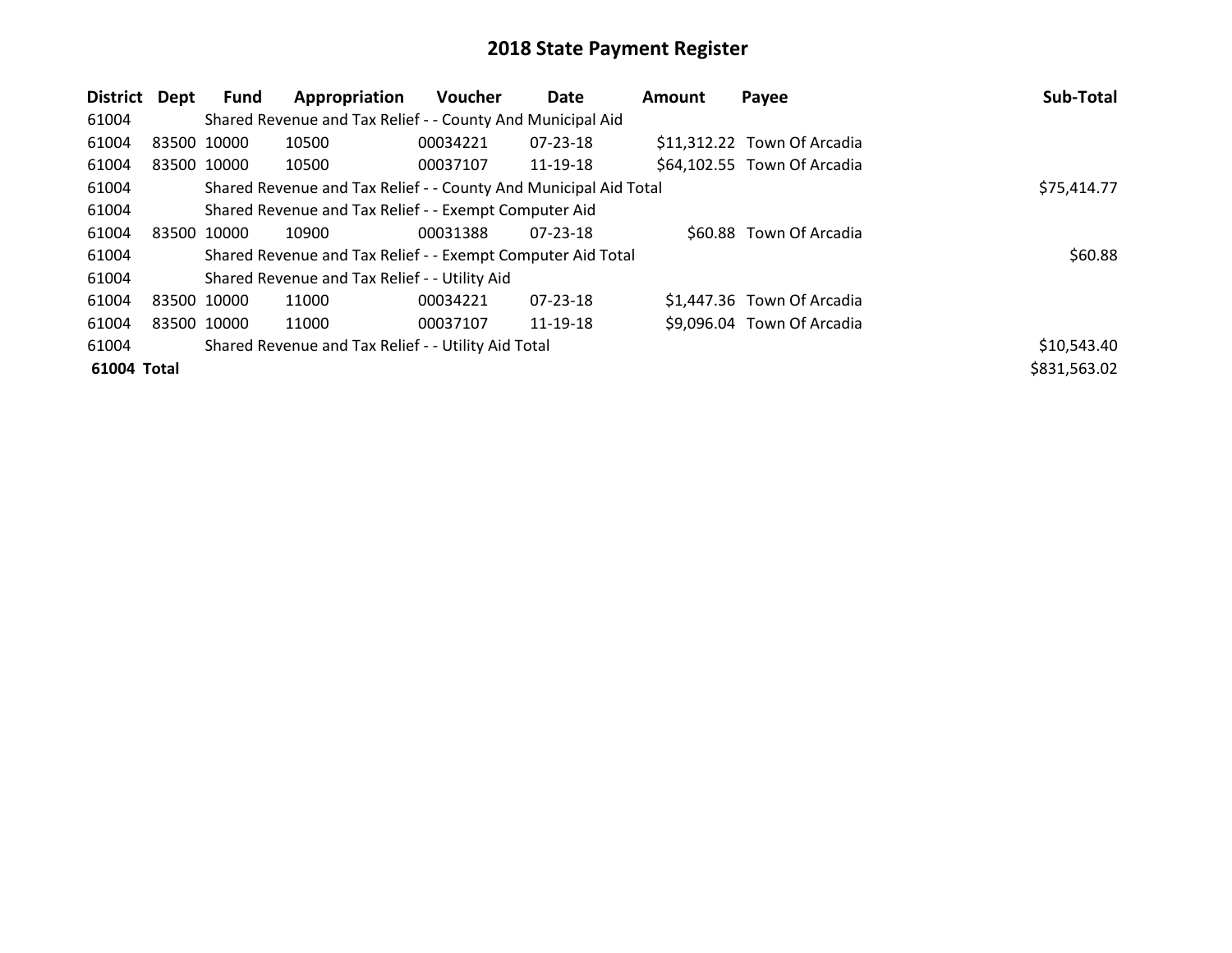| District    | Dept        | Fund | Appropriation                                                    | <b>Voucher</b> | Date           | <b>Amount</b> | Payee                       | Sub-Total    |
|-------------|-------------|------|------------------------------------------------------------------|----------------|----------------|---------------|-----------------------------|--------------|
| 61004       |             |      | Shared Revenue and Tax Relief - - County And Municipal Aid       |                |                |               |                             |              |
| 61004       | 83500 10000 |      | 10500                                                            | 00034221       | 07-23-18       |               | \$11,312.22 Town Of Arcadia |              |
| 61004       | 83500 10000 |      | 10500                                                            | 00037107       | 11-19-18       |               | \$64,102.55 Town Of Arcadia |              |
| 61004       |             |      | Shared Revenue and Tax Relief - - County And Municipal Aid Total |                |                |               |                             | \$75,414.77  |
| 61004       |             |      | Shared Revenue and Tax Relief - - Exempt Computer Aid            |                |                |               |                             |              |
| 61004       | 83500 10000 |      | 10900                                                            | 00031388       | 07-23-18       |               | \$60.88 Town Of Arcadia     |              |
| 61004       |             |      | Shared Revenue and Tax Relief - - Exempt Computer Aid Total      |                |                |               |                             | \$60.88      |
| 61004       |             |      | Shared Revenue and Tax Relief - - Utility Aid                    |                |                |               |                             |              |
| 61004       | 83500 10000 |      | 11000                                                            | 00034221       | $07 - 23 - 18$ |               | \$1,447.36 Town Of Arcadia  |              |
| 61004       | 83500 10000 |      | 11000                                                            | 00037107       | 11-19-18       |               | \$9,096.04 Town Of Arcadia  |              |
| 61004       |             |      | Shared Revenue and Tax Relief - - Utility Aid Total              |                |                |               |                             | \$10,543.40  |
| 61004 Total |             |      |                                                                  |                |                |               |                             | \$831,563.02 |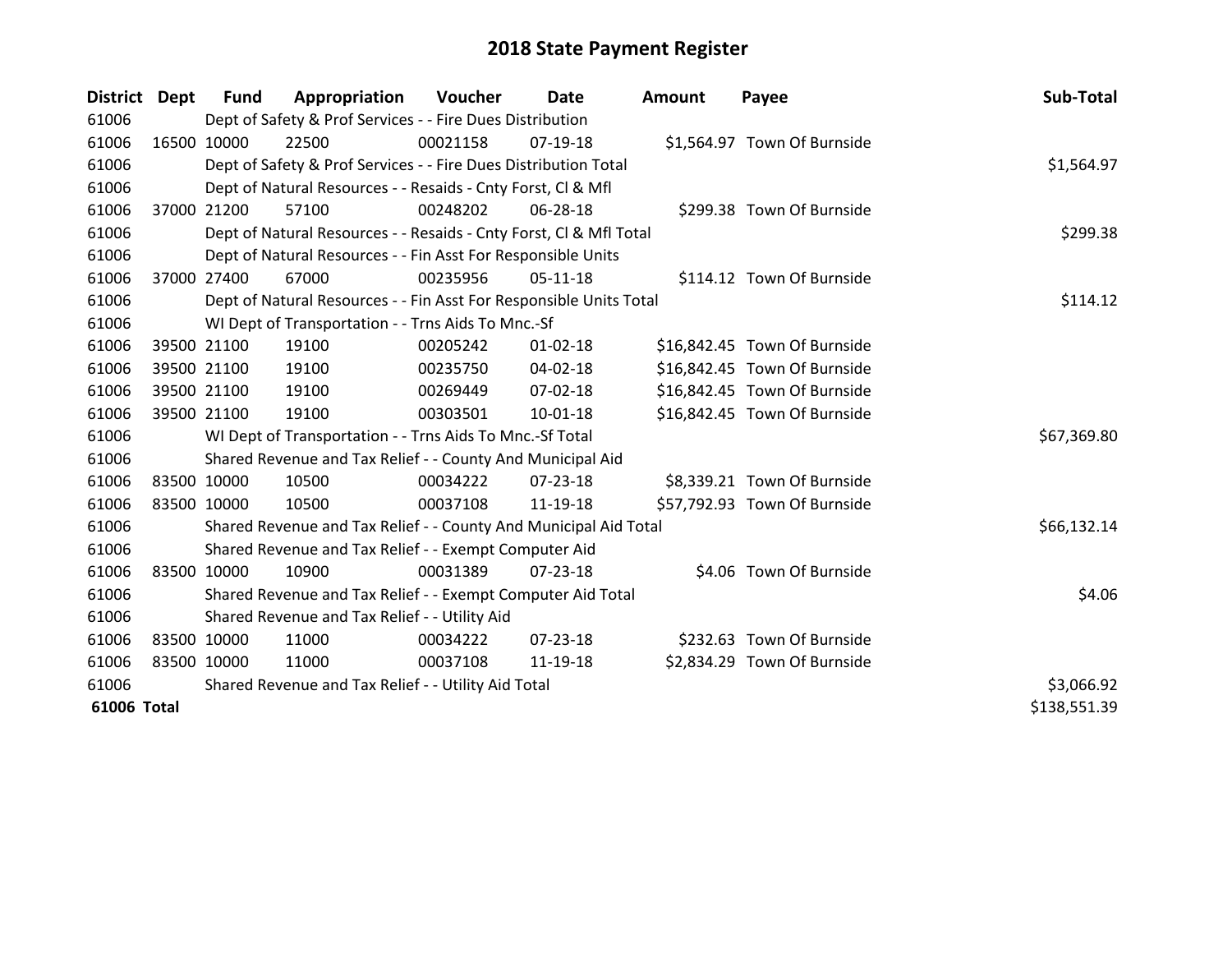| District Dept | <b>Fund</b>                                         | Appropriation                                                      | Voucher  | Date           | <b>Amount</b> | Payee                        | Sub-Total    |
|---------------|-----------------------------------------------------|--------------------------------------------------------------------|----------|----------------|---------------|------------------------------|--------------|
| 61006         |                                                     | Dept of Safety & Prof Services - - Fire Dues Distribution          |          |                |               |                              |              |
| 61006         | 16500 10000                                         | 22500                                                              | 00021158 | 07-19-18       |               | \$1,564.97 Town Of Burnside  |              |
| 61006         |                                                     | Dept of Safety & Prof Services - - Fire Dues Distribution Total    |          | \$1,564.97     |               |                              |              |
| 61006         |                                                     | Dept of Natural Resources - - Resaids - Cnty Forst, CI & Mfl       |          |                |               |                              |              |
| 61006         | 37000 21200                                         | 57100                                                              | 00248202 | 06-28-18       |               | \$299.38 Town Of Burnside    |              |
| 61006         |                                                     | Dept of Natural Resources - - Resaids - Cnty Forst, Cl & Mfl Total |          |                |               |                              | \$299.38     |
| 61006         |                                                     | Dept of Natural Resources - - Fin Asst For Responsible Units       |          |                |               |                              |              |
| 61006         | 37000 27400                                         | 67000                                                              | 00235956 | $05-11-18$     |               | \$114.12 Town Of Burnside    |              |
| 61006         |                                                     | Dept of Natural Resources - - Fin Asst For Responsible Units Total |          |                |               |                              | \$114.12     |
| 61006         |                                                     | WI Dept of Transportation - - Trns Aids To Mnc.-Sf                 |          |                |               |                              |              |
| 61006         | 39500 21100                                         | 19100                                                              | 00205242 | $01 - 02 - 18$ |               | \$16,842.45 Town Of Burnside |              |
| 61006         | 39500 21100                                         | 19100                                                              | 00235750 | $04 - 02 - 18$ |               | \$16,842.45 Town Of Burnside |              |
| 61006         | 39500 21100                                         | 19100                                                              | 00269449 | 07-02-18       |               | \$16,842.45 Town Of Burnside |              |
| 61006         | 39500 21100                                         | 19100                                                              | 00303501 | $10-01-18$     |               | \$16,842.45 Town Of Burnside |              |
| 61006         |                                                     | WI Dept of Transportation - - Trns Aids To Mnc.-Sf Total           |          |                |               |                              | \$67,369.80  |
| 61006         |                                                     | Shared Revenue and Tax Relief - - County And Municipal Aid         |          |                |               |                              |              |
| 61006         | 83500 10000                                         | 10500                                                              | 00034222 | 07-23-18       |               | \$8,339.21 Town Of Burnside  |              |
| 61006         | 83500 10000                                         | 10500                                                              | 00037108 | 11-19-18       |               | \$57,792.93 Town Of Burnside |              |
| 61006         |                                                     | Shared Revenue and Tax Relief - - County And Municipal Aid Total   |          |                |               |                              | \$66,132.14  |
| 61006         |                                                     | Shared Revenue and Tax Relief - - Exempt Computer Aid              |          |                |               |                              |              |
| 61006         | 83500 10000                                         | 10900                                                              | 00031389 | 07-23-18       |               | \$4.06 Town Of Burnside      |              |
| 61006         |                                                     | Shared Revenue and Tax Relief - - Exempt Computer Aid Total        |          |                |               |                              | \$4.06       |
| 61006         |                                                     | Shared Revenue and Tax Relief - - Utility Aid                      |          |                |               |                              |              |
| 61006         | 83500 10000                                         | 11000                                                              | 00034222 | $07 - 23 - 18$ |               | \$232.63 Town Of Burnside    |              |
| 61006         | 83500 10000                                         | 11000                                                              | 00037108 | 11-19-18       |               | \$2,834.29 Town Of Burnside  |              |
| 61006         | Shared Revenue and Tax Relief - - Utility Aid Total | \$3,066.92                                                         |          |                |               |                              |              |
| 61006 Total   |                                                     |                                                                    |          |                |               |                              | \$138,551.39 |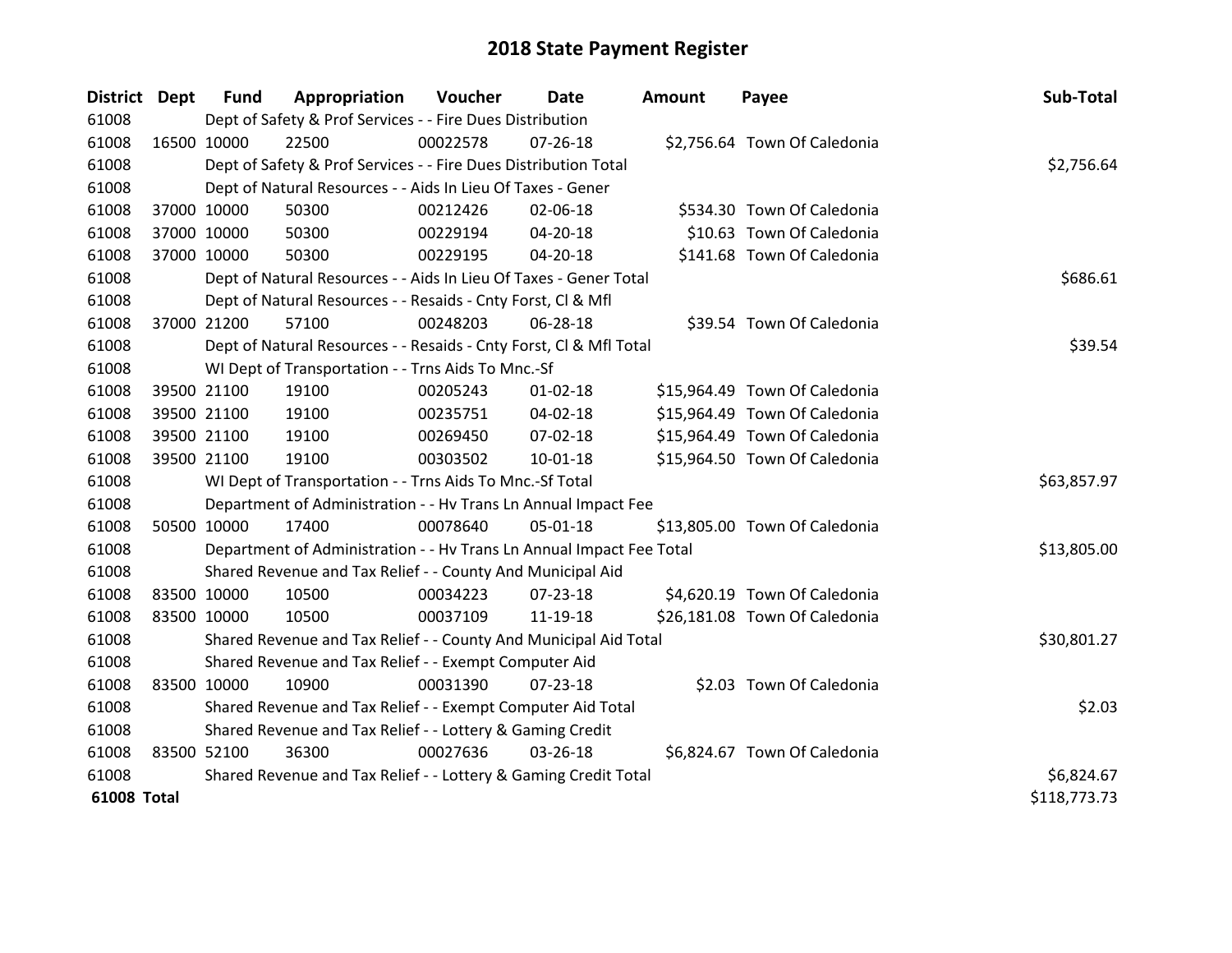| <b>District Dept</b> |             | <b>Fund</b> | Appropriation                                                        | <b>Voucher</b> | Date           | <b>Amount</b> | Payee                         | Sub-Total    |
|----------------------|-------------|-------------|----------------------------------------------------------------------|----------------|----------------|---------------|-------------------------------|--------------|
| 61008                |             |             | Dept of Safety & Prof Services - - Fire Dues Distribution            |                |                |               |                               |              |
| 61008                | 16500 10000 |             | 22500                                                                | 00022578       | 07-26-18       |               | \$2,756.64 Town Of Caledonia  |              |
| 61008                |             |             | Dept of Safety & Prof Services - - Fire Dues Distribution Total      |                |                |               |                               | \$2,756.64   |
| 61008                |             |             | Dept of Natural Resources - - Aids In Lieu Of Taxes - Gener          |                |                |               |                               |              |
| 61008                |             | 37000 10000 | 50300                                                                | 00212426       | 02-06-18       |               | \$534.30 Town Of Caledonia    |              |
| 61008                |             | 37000 10000 | 50300                                                                | 00229194       | $04 - 20 - 18$ |               | \$10.63 Town Of Caledonia     |              |
| 61008                |             | 37000 10000 | 50300                                                                | 00229195       | 04-20-18       |               | \$141.68 Town Of Caledonia    |              |
| 61008                |             |             | Dept of Natural Resources - - Aids In Lieu Of Taxes - Gener Total    |                | \$686.61       |               |                               |              |
| 61008                |             |             | Dept of Natural Resources - - Resaids - Cnty Forst, Cl & Mfl         |                |                |               |                               |              |
| 61008                |             | 37000 21200 | 57100                                                                | 00248203       | 06-28-18       |               | \$39.54 Town Of Caledonia     |              |
| 61008                |             |             | Dept of Natural Resources - - Resaids - Cnty Forst, CI & Mfl Total   |                |                |               |                               | \$39.54      |
| 61008                |             |             | WI Dept of Transportation - - Trns Aids To Mnc.-Sf                   |                |                |               |                               |              |
| 61008                |             | 39500 21100 | 19100                                                                | 00205243       | $01 - 02 - 18$ |               | \$15,964.49 Town Of Caledonia |              |
| 61008                |             | 39500 21100 | 19100                                                                | 00235751       | 04-02-18       |               | \$15,964.49 Town Of Caledonia |              |
| 61008                |             | 39500 21100 | 19100                                                                | 00269450       | 07-02-18       |               | \$15,964.49 Town Of Caledonia |              |
| 61008                |             | 39500 21100 | 19100                                                                | 00303502       | 10-01-18       |               | \$15,964.50 Town Of Caledonia |              |
| 61008                |             |             | WI Dept of Transportation - - Trns Aids To Mnc.-Sf Total             |                |                |               |                               | \$63,857.97  |
| 61008                |             |             | Department of Administration - - Hv Trans Ln Annual Impact Fee       |                |                |               |                               |              |
| 61008                | 50500 10000 |             | 17400                                                                | 00078640       | 05-01-18       |               | \$13,805.00 Town Of Caledonia |              |
| 61008                |             |             | Department of Administration - - Hv Trans Ln Annual Impact Fee Total |                |                |               |                               | \$13,805.00  |
| 61008                |             |             | Shared Revenue and Tax Relief - - County And Municipal Aid           |                |                |               |                               |              |
| 61008                |             | 83500 10000 | 10500                                                                | 00034223       | $07 - 23 - 18$ |               | \$4,620.19 Town Of Caledonia  |              |
| 61008                | 83500 10000 |             | 10500                                                                | 00037109       | 11-19-18       |               | \$26,181.08 Town Of Caledonia |              |
| 61008                |             |             | Shared Revenue and Tax Relief - - County And Municipal Aid Total     |                |                |               |                               | \$30,801.27  |
| 61008                |             |             | Shared Revenue and Tax Relief - - Exempt Computer Aid                |                |                |               |                               |              |
| 61008                |             | 83500 10000 | 10900                                                                | 00031390       | $07 - 23 - 18$ |               | \$2.03 Town Of Caledonia      |              |
| 61008                |             |             | Shared Revenue and Tax Relief - - Exempt Computer Aid Total          |                |                |               |                               | \$2.03       |
| 61008                |             |             | Shared Revenue and Tax Relief - - Lottery & Gaming Credit            |                |                |               |                               |              |
| 61008                | 83500 52100 |             | 36300                                                                | 00027636       | 03-26-18       |               | \$6,824.67 Town Of Caledonia  |              |
| 61008                |             |             | Shared Revenue and Tax Relief - - Lottery & Gaming Credit Total      |                | \$6,824.67     |               |                               |              |
| 61008 Total          |             |             |                                                                      |                |                |               |                               | \$118,773.73 |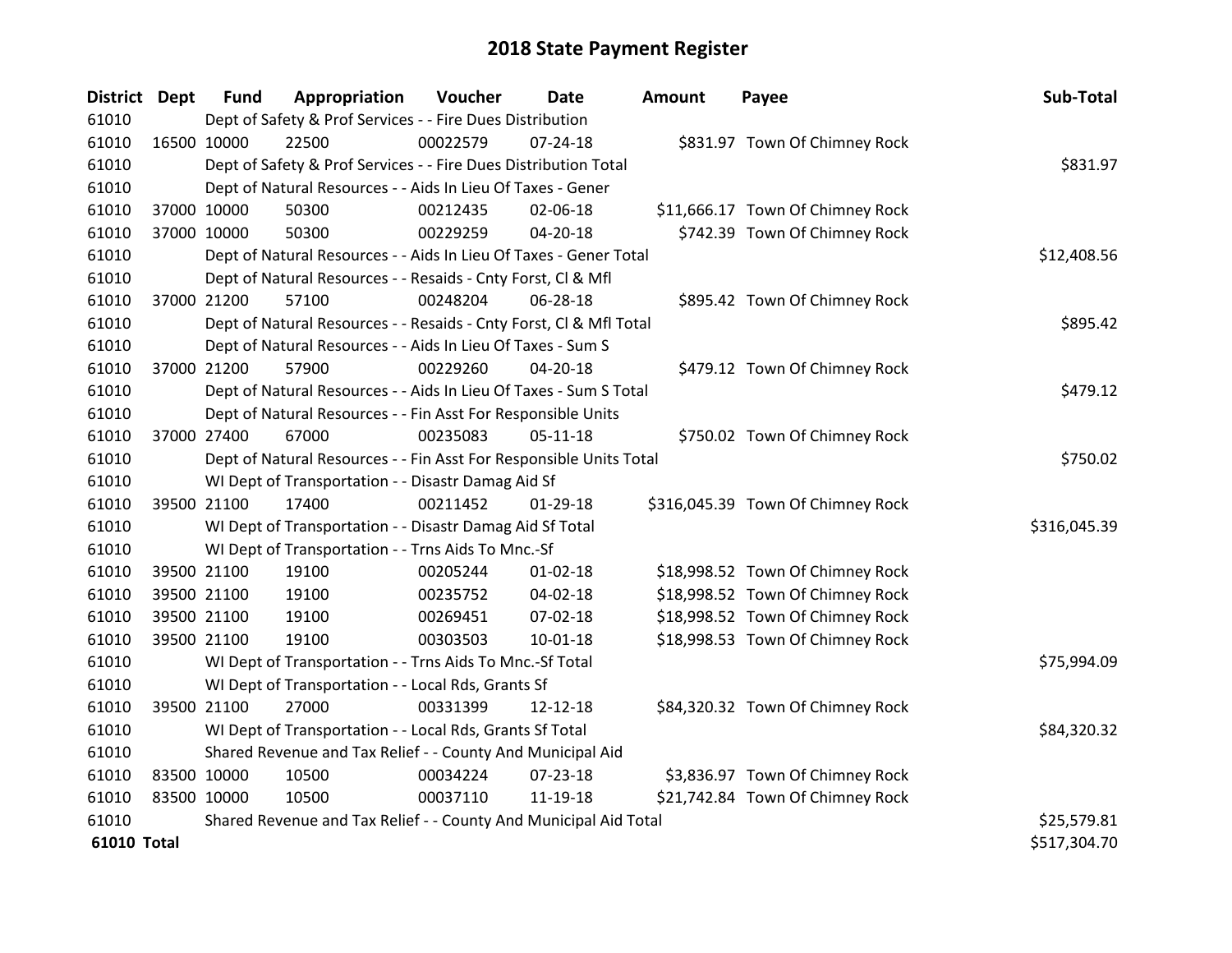| <b>District Dept</b> |             | <b>Fund</b> | Appropriation                                                      | Voucher  | Date           | <b>Amount</b> | Payee                             | Sub-Total    |
|----------------------|-------------|-------------|--------------------------------------------------------------------|----------|----------------|---------------|-----------------------------------|--------------|
| 61010                |             |             | Dept of Safety & Prof Services - - Fire Dues Distribution          |          |                |               |                                   |              |
| 61010                | 16500 10000 |             | 22500                                                              | 00022579 | $07 - 24 - 18$ |               | \$831.97 Town Of Chimney Rock     |              |
| 61010                |             |             | Dept of Safety & Prof Services - - Fire Dues Distribution Total    |          |                |               |                                   | \$831.97     |
| 61010                |             |             | Dept of Natural Resources - - Aids In Lieu Of Taxes - Gener        |          |                |               |                                   |              |
| 61010                |             | 37000 10000 | 50300                                                              | 00212435 | 02-06-18       |               | \$11,666.17 Town Of Chimney Rock  |              |
| 61010                |             | 37000 10000 | 50300                                                              | 00229259 | 04-20-18       |               | \$742.39 Town Of Chimney Rock     |              |
| 61010                |             |             | Dept of Natural Resources - - Aids In Lieu Of Taxes - Gener Total  |          |                |               |                                   | \$12,408.56  |
| 61010                |             |             | Dept of Natural Resources - - Resaids - Cnty Forst, Cl & Mfl       |          |                |               |                                   |              |
| 61010                |             | 37000 21200 | 57100                                                              | 00248204 | 06-28-18       |               | \$895.42 Town Of Chimney Rock     |              |
| 61010                |             |             | Dept of Natural Resources - - Resaids - Cnty Forst, Cl & Mfl Total |          |                |               |                                   | \$895.42     |
| 61010                |             |             | Dept of Natural Resources - - Aids In Lieu Of Taxes - Sum S        |          |                |               |                                   |              |
| 61010                |             | 37000 21200 | 57900                                                              | 00229260 | 04-20-18       |               | \$479.12 Town Of Chimney Rock     |              |
| 61010                |             |             | Dept of Natural Resources - - Aids In Lieu Of Taxes - Sum S Total  |          |                |               |                                   | \$479.12     |
| 61010                |             |             | Dept of Natural Resources - - Fin Asst For Responsible Units       |          |                |               |                                   |              |
| 61010                | 37000 27400 |             | 67000                                                              | 00235083 | $05-11-18$     |               | \$750.02 Town Of Chimney Rock     |              |
| 61010                |             |             | Dept of Natural Resources - - Fin Asst For Responsible Units Total |          |                |               |                                   | \$750.02     |
| 61010                |             |             | WI Dept of Transportation - - Disastr Damag Aid Sf                 |          |                |               |                                   |              |
| 61010                |             | 39500 21100 | 17400                                                              | 00211452 | $01-29-18$     |               | \$316,045.39 Town Of Chimney Rock |              |
| 61010                |             |             | WI Dept of Transportation - - Disastr Damag Aid Sf Total           |          |                |               |                                   | \$316,045.39 |
| 61010                |             |             | WI Dept of Transportation - - Trns Aids To Mnc.-Sf                 |          |                |               |                                   |              |
| 61010                |             | 39500 21100 | 19100                                                              | 00205244 | $01 - 02 - 18$ |               | \$18,998.52 Town Of Chimney Rock  |              |
| 61010                |             | 39500 21100 | 19100                                                              | 00235752 | 04-02-18       |               | \$18,998.52 Town Of Chimney Rock  |              |
| 61010                |             | 39500 21100 | 19100                                                              | 00269451 | 07-02-18       |               | \$18,998.52 Town Of Chimney Rock  |              |
| 61010                |             | 39500 21100 | 19100                                                              | 00303503 | 10-01-18       |               | \$18,998.53 Town Of Chimney Rock  |              |
| 61010                |             |             | WI Dept of Transportation - - Trns Aids To Mnc.-Sf Total           |          |                |               |                                   | \$75,994.09  |
| 61010                |             |             | WI Dept of Transportation - - Local Rds, Grants Sf                 |          |                |               |                                   |              |
| 61010                |             | 39500 21100 | 27000                                                              | 00331399 | 12-12-18       |               | \$84,320.32 Town Of Chimney Rock  |              |
| 61010                |             |             | WI Dept of Transportation - - Local Rds, Grants Sf Total           |          |                |               |                                   | \$84,320.32  |
| 61010                |             |             | Shared Revenue and Tax Relief - - County And Municipal Aid         |          |                |               |                                   |              |
| 61010                |             | 83500 10000 | 10500                                                              | 00034224 | 07-23-18       |               | \$3,836.97 Town Of Chimney Rock   |              |
| 61010                | 83500 10000 |             | 10500                                                              | 00037110 | 11-19-18       |               | \$21,742.84 Town Of Chimney Rock  |              |
| 61010                |             |             | Shared Revenue and Tax Relief - - County And Municipal Aid Total   |          |                |               |                                   | \$25,579.81  |
| 61010 Total          |             |             |                                                                    |          |                |               |                                   | \$517,304.70 |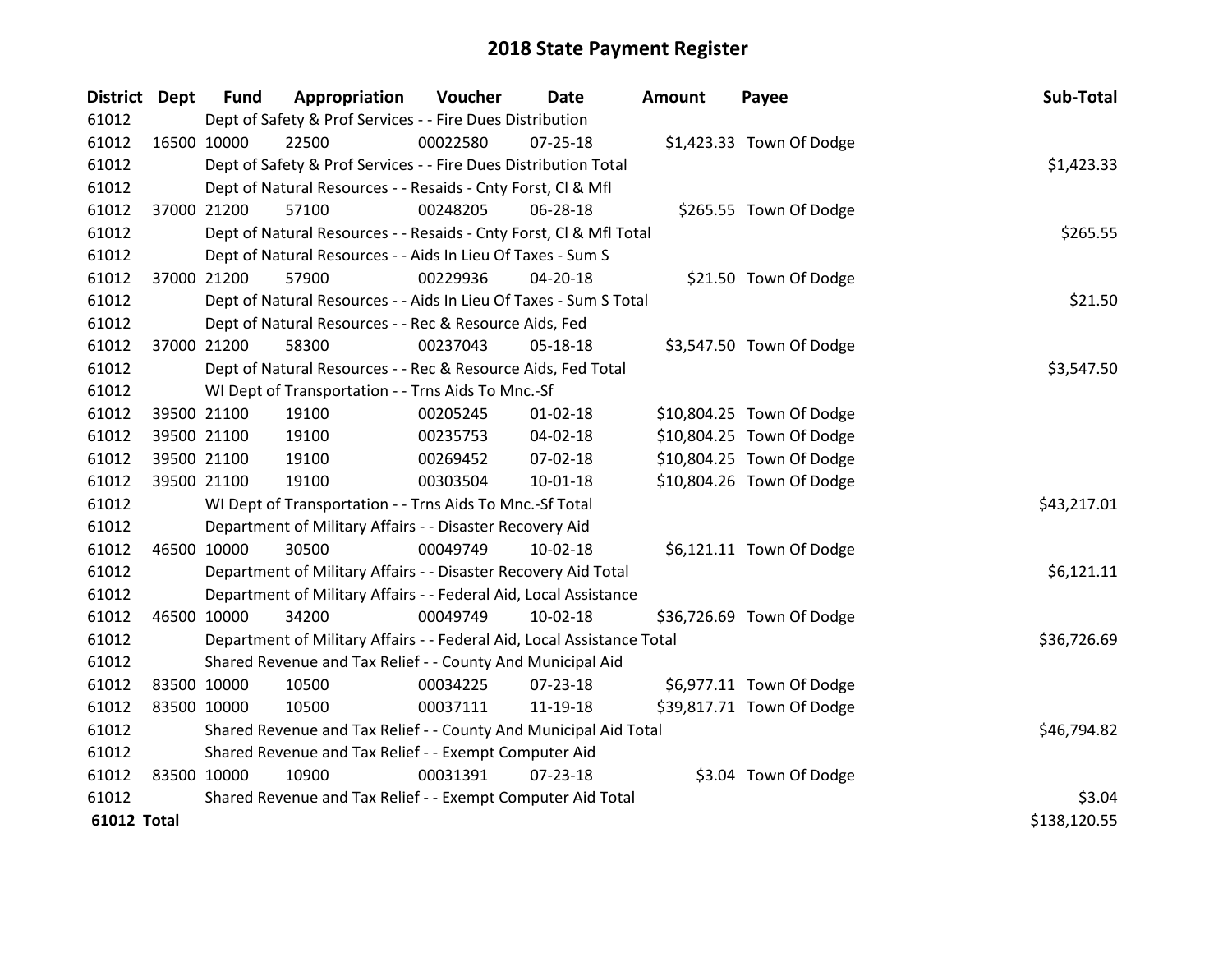| <b>District Dept</b> |             | <b>Fund</b> | Appropriation                                                          | Voucher  | <b>Date</b>    | Amount | Payee                     | Sub-Total    |
|----------------------|-------------|-------------|------------------------------------------------------------------------|----------|----------------|--------|---------------------------|--------------|
| 61012                |             |             | Dept of Safety & Prof Services - - Fire Dues Distribution              |          |                |        |                           |              |
| 61012                | 16500 10000 |             | 22500                                                                  | 00022580 | $07 - 25 - 18$ |        | \$1,423.33 Town Of Dodge  |              |
| 61012                |             |             | Dept of Safety & Prof Services - - Fire Dues Distribution Total        |          |                |        |                           | \$1,423.33   |
| 61012                |             |             | Dept of Natural Resources - - Resaids - Cnty Forst, Cl & Mfl           |          |                |        |                           |              |
| 61012                |             | 37000 21200 | 57100                                                                  | 00248205 | 06-28-18       |        | \$265.55 Town Of Dodge    |              |
| 61012                |             |             | Dept of Natural Resources - - Resaids - Cnty Forst, CI & Mfl Total     |          |                |        |                           | \$265.55     |
| 61012                |             |             | Dept of Natural Resources - - Aids In Lieu Of Taxes - Sum S            |          |                |        |                           |              |
| 61012                |             | 37000 21200 | 57900                                                                  | 00229936 | $04 - 20 - 18$ |        | \$21.50 Town Of Dodge     |              |
| 61012                |             |             | Dept of Natural Resources - - Aids In Lieu Of Taxes - Sum S Total      |          |                |        |                           | \$21.50      |
| 61012                |             |             | Dept of Natural Resources - - Rec & Resource Aids, Fed                 |          |                |        |                           |              |
| 61012                |             | 37000 21200 | 58300                                                                  | 00237043 | 05-18-18       |        | \$3,547.50 Town Of Dodge  |              |
| 61012                |             |             | Dept of Natural Resources - - Rec & Resource Aids, Fed Total           |          |                |        |                           | \$3,547.50   |
| 61012                |             |             | WI Dept of Transportation - - Trns Aids To Mnc.-Sf                     |          |                |        |                           |              |
| 61012                |             | 39500 21100 | 19100                                                                  | 00205245 | $01 - 02 - 18$ |        | \$10,804.25 Town Of Dodge |              |
| 61012                |             | 39500 21100 | 19100                                                                  | 00235753 | 04-02-18       |        | \$10,804.25 Town Of Dodge |              |
| 61012                |             | 39500 21100 | 19100                                                                  | 00269452 | 07-02-18       |        | \$10,804.25 Town Of Dodge |              |
| 61012                |             | 39500 21100 | 19100                                                                  | 00303504 | $10 - 01 - 18$ |        | \$10,804.26 Town Of Dodge |              |
| 61012                |             |             | WI Dept of Transportation - - Trns Aids To Mnc.-Sf Total               |          |                |        |                           | \$43,217.01  |
| 61012                |             |             | Department of Military Affairs - - Disaster Recovery Aid               |          |                |        |                           |              |
| 61012                | 46500 10000 |             | 30500                                                                  | 00049749 | 10-02-18       |        | \$6,121.11 Town Of Dodge  |              |
| 61012                |             |             | Department of Military Affairs - - Disaster Recovery Aid Total         |          |                |        |                           | \$6,121.11   |
| 61012                |             |             | Department of Military Affairs - - Federal Aid, Local Assistance       |          |                |        |                           |              |
| 61012                | 46500 10000 |             | 34200                                                                  | 00049749 | $10-02-18$     |        | \$36,726.69 Town Of Dodge |              |
| 61012                |             |             | Department of Military Affairs - - Federal Aid, Local Assistance Total |          |                |        |                           | \$36,726.69  |
| 61012                |             |             | Shared Revenue and Tax Relief - - County And Municipal Aid             |          |                |        |                           |              |
| 61012                |             | 83500 10000 | 10500                                                                  | 00034225 | 07-23-18       |        | \$6,977.11 Town Of Dodge  |              |
| 61012                |             | 83500 10000 | 10500                                                                  | 00037111 | 11-19-18       |        | \$39,817.71 Town Of Dodge |              |
| 61012                |             |             | Shared Revenue and Tax Relief - - County And Municipal Aid Total       |          |                |        |                           | \$46,794.82  |
| 61012                |             |             | Shared Revenue and Tax Relief - - Exempt Computer Aid                  |          |                |        |                           |              |
| 61012                | 83500 10000 |             | 10900                                                                  | 00031391 | $07 - 23 - 18$ |        | \$3.04 Town Of Dodge      |              |
| 61012                |             |             | Shared Revenue and Tax Relief - - Exempt Computer Aid Total            |          |                |        |                           | \$3.04       |
| <b>61012 Total</b>   |             |             |                                                                        |          |                |        |                           | \$138,120.55 |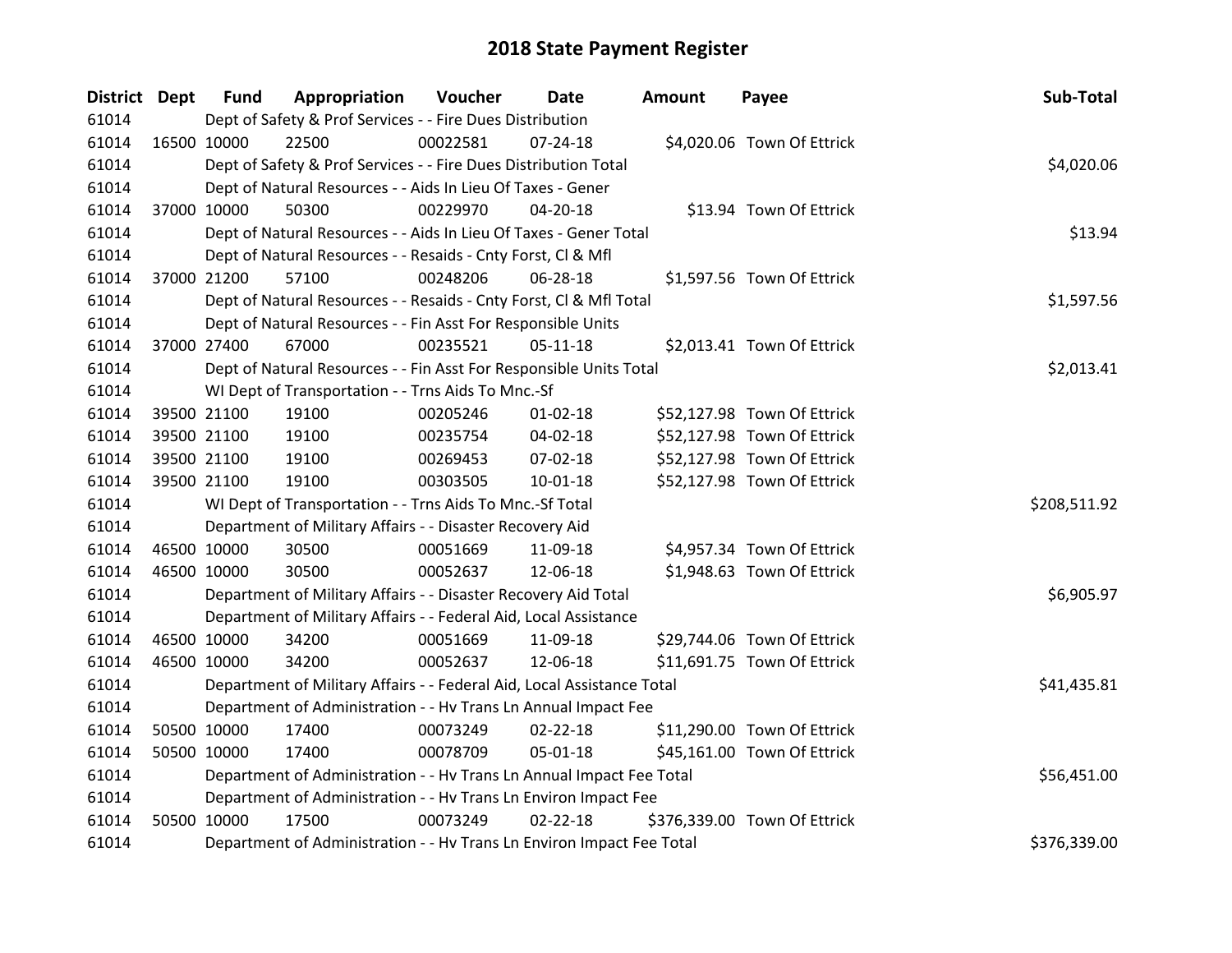| District Dept |             | <b>Fund</b> | Appropriation                                                          | Voucher    | Date           | <b>Amount</b> | Payee                        | Sub-Total    |
|---------------|-------------|-------------|------------------------------------------------------------------------|------------|----------------|---------------|------------------------------|--------------|
| 61014         |             |             | Dept of Safety & Prof Services - - Fire Dues Distribution              |            |                |               |                              |              |
| 61014         | 16500 10000 |             | 22500                                                                  | 00022581   | $07 - 24 - 18$ |               | \$4,020.06 Town Of Ettrick   |              |
| 61014         |             |             | Dept of Safety & Prof Services - - Fire Dues Distribution Total        | \$4,020.06 |                |               |                              |              |
| 61014         |             |             | Dept of Natural Resources - - Aids In Lieu Of Taxes - Gener            |            |                |               |                              |              |
| 61014         |             | 37000 10000 | 50300                                                                  | 00229970   | 04-20-18       |               | \$13.94 Town Of Ettrick      |              |
| 61014         |             |             | Dept of Natural Resources - - Aids In Lieu Of Taxes - Gener Total      |            |                |               |                              | \$13.94      |
| 61014         |             |             | Dept of Natural Resources - - Resaids - Cnty Forst, Cl & Mfl           |            |                |               |                              |              |
| 61014         |             | 37000 21200 | 57100                                                                  | 00248206   | 06-28-18       |               | \$1,597.56 Town Of Ettrick   |              |
| 61014         |             |             | Dept of Natural Resources - - Resaids - Cnty Forst, CI & Mfl Total     |            |                |               |                              | \$1,597.56   |
| 61014         |             |             | Dept of Natural Resources - - Fin Asst For Responsible Units           |            |                |               |                              |              |
| 61014         |             | 37000 27400 | 67000                                                                  | 00235521   | $05-11-18$     |               | \$2,013.41 Town Of Ettrick   |              |
| 61014         |             |             | Dept of Natural Resources - - Fin Asst For Responsible Units Total     |            |                |               |                              | \$2,013.41   |
| 61014         |             |             | WI Dept of Transportation - - Trns Aids To Mnc.-Sf                     |            |                |               |                              |              |
| 61014         |             | 39500 21100 | 19100                                                                  | 00205246   | $01 - 02 - 18$ |               | \$52,127.98 Town Of Ettrick  |              |
| 61014         |             | 39500 21100 | 19100                                                                  | 00235754   | 04-02-18       |               | \$52,127.98 Town Of Ettrick  |              |
| 61014         |             | 39500 21100 | 19100                                                                  | 00269453   | 07-02-18       |               | \$52,127.98 Town Of Ettrick  |              |
| 61014         |             | 39500 21100 | 19100                                                                  | 00303505   | $10 - 01 - 18$ |               | \$52,127.98 Town Of Ettrick  |              |
| 61014         |             |             | WI Dept of Transportation - - Trns Aids To Mnc.-Sf Total               |            |                |               |                              | \$208,511.92 |
| 61014         |             |             | Department of Military Affairs - - Disaster Recovery Aid               |            |                |               |                              |              |
| 61014         | 46500 10000 |             | 30500                                                                  | 00051669   | 11-09-18       |               | \$4,957.34 Town Of Ettrick   |              |
| 61014         |             | 46500 10000 | 30500                                                                  | 00052637   | 12-06-18       |               | \$1,948.63 Town Of Ettrick   |              |
| 61014         |             |             | Department of Military Affairs - - Disaster Recovery Aid Total         |            |                |               |                              | \$6,905.97   |
| 61014         |             |             | Department of Military Affairs - - Federal Aid, Local Assistance       |            |                |               |                              |              |
| 61014         |             | 46500 10000 | 34200                                                                  | 00051669   | 11-09-18       |               | \$29,744.06 Town Of Ettrick  |              |
| 61014         |             | 46500 10000 | 34200                                                                  | 00052637   | 12-06-18       |               | \$11,691.75 Town Of Ettrick  |              |
| 61014         |             |             | Department of Military Affairs - - Federal Aid, Local Assistance Total |            |                |               |                              | \$41,435.81  |
| 61014         |             |             | Department of Administration - - Hv Trans Ln Annual Impact Fee         |            |                |               |                              |              |
| 61014         |             | 50500 10000 | 17400                                                                  | 00073249   | $02 - 22 - 18$ |               | \$11,290.00 Town Of Ettrick  |              |
| 61014         |             | 50500 10000 | 17400                                                                  | 00078709   | 05-01-18       |               | \$45,161.00 Town Of Ettrick  |              |
| 61014         |             |             | Department of Administration - - Hv Trans Ln Annual Impact Fee Total   |            |                |               |                              | \$56,451.00  |
| 61014         |             |             | Department of Administration - - Hv Trans Ln Environ Impact Fee        |            |                |               |                              |              |
| 61014         | 50500 10000 |             | 17500                                                                  | 00073249   | $02 - 22 - 18$ |               | \$376,339.00 Town Of Ettrick |              |
| 61014         |             |             | Department of Administration - - Hv Trans Ln Environ Impact Fee Total  |            |                |               |                              | \$376,339.00 |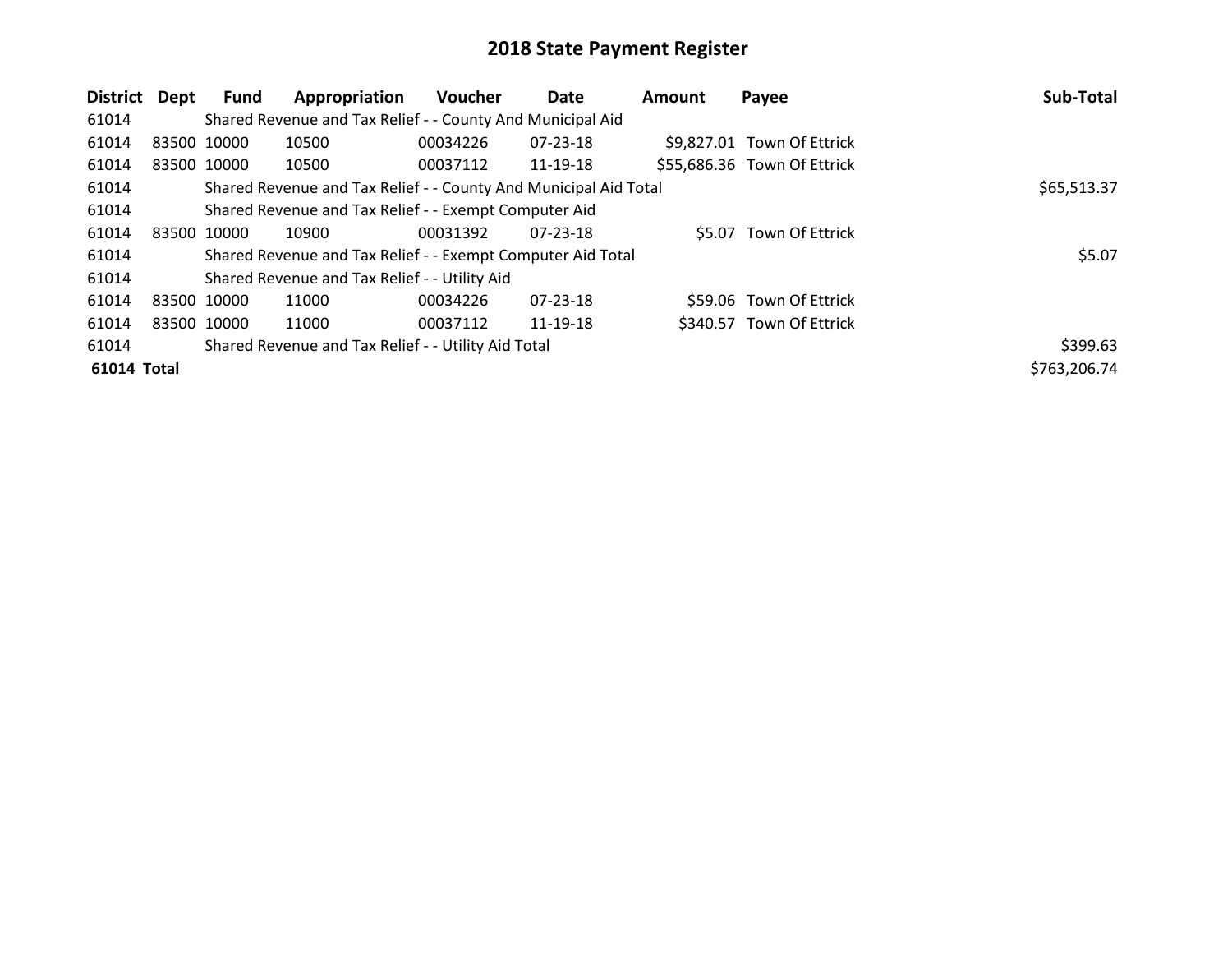| District Dept |             | Fund        | Appropriation                                                    | <b>Voucher</b> | Date           | <b>Amount</b> | Payee                       | Sub-Total    |
|---------------|-------------|-------------|------------------------------------------------------------------|----------------|----------------|---------------|-----------------------------|--------------|
| 61014         |             |             | Shared Revenue and Tax Relief - - County And Municipal Aid       |                |                |               |                             |              |
| 61014         | 83500 10000 |             | 10500                                                            | 00034226       | 07-23-18       |               | \$9,827.01 Town Of Ettrick  |              |
| 61014         |             | 83500 10000 | 10500                                                            | 00037112       | 11-19-18       |               | \$55,686.36 Town Of Ettrick |              |
| 61014         |             |             | Shared Revenue and Tax Relief - - County And Municipal Aid Total |                |                |               |                             | \$65,513.37  |
| 61014         |             |             | Shared Revenue and Tax Relief - - Exempt Computer Aid            |                |                |               |                             |              |
| 61014         | 83500 10000 |             | 10900                                                            | 00031392       | 07-23-18       |               | \$5.07 Town Of Ettrick      |              |
| 61014         |             |             | Shared Revenue and Tax Relief - - Exempt Computer Aid Total      |                |                |               |                             | \$5.07       |
| 61014         |             |             | Shared Revenue and Tax Relief - - Utility Aid                    |                |                |               |                             |              |
| 61014         | 83500 10000 |             | 11000                                                            | 00034226       | $07 - 23 - 18$ |               | \$59.06 Town Of Ettrick     |              |
| 61014         | 83500 10000 |             | 11000                                                            | 00037112       | 11-19-18       |               | \$340.57 Town Of Ettrick    |              |
| 61014         |             |             | Shared Revenue and Tax Relief - - Utility Aid Total              |                |                |               |                             | \$399.63     |
| 61014 Total   |             |             |                                                                  |                |                |               |                             | \$763,206.74 |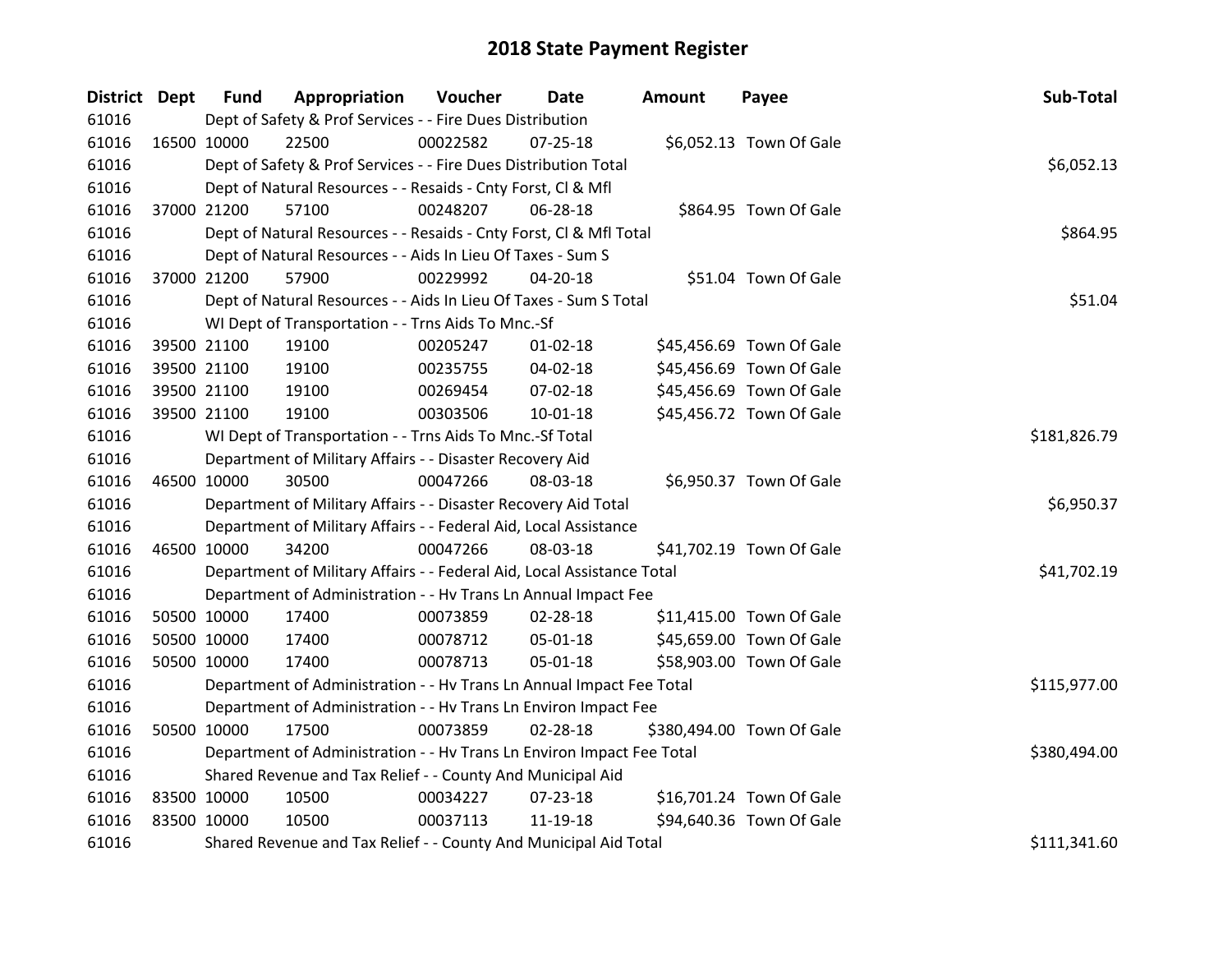| District Dept |             | <b>Fund</b> | Appropriation                                                          | Voucher    | Date           | <b>Amount</b> | Payee                     | Sub-Total    |
|---------------|-------------|-------------|------------------------------------------------------------------------|------------|----------------|---------------|---------------------------|--------------|
| 61016         |             |             | Dept of Safety & Prof Services - - Fire Dues Distribution              |            |                |               |                           |              |
| 61016         |             | 16500 10000 | 22500                                                                  | 00022582   | $07 - 25 - 18$ |               | \$6,052.13 Town Of Gale   |              |
| 61016         |             |             | Dept of Safety & Prof Services - - Fire Dues Distribution Total        | \$6,052.13 |                |               |                           |              |
| 61016         |             |             | Dept of Natural Resources - - Resaids - Cnty Forst, CI & Mfl           |            |                |               |                           |              |
| 61016         |             | 37000 21200 | 57100                                                                  | 00248207   | 06-28-18       |               | \$864.95 Town Of Gale     |              |
| 61016         |             |             | Dept of Natural Resources - - Resaids - Cnty Forst, Cl & Mfl Total     |            |                |               |                           | \$864.95     |
| 61016         |             |             | Dept of Natural Resources - - Aids In Lieu Of Taxes - Sum S            |            |                |               |                           |              |
| 61016         |             | 37000 21200 | 57900                                                                  | 00229992   | $04 - 20 - 18$ |               | \$51.04 Town Of Gale      |              |
| 61016         |             |             | Dept of Natural Resources - - Aids In Lieu Of Taxes - Sum S Total      |            |                |               |                           | \$51.04      |
| 61016         |             |             | WI Dept of Transportation - - Trns Aids To Mnc.-Sf                     |            |                |               |                           |              |
| 61016         |             | 39500 21100 | 19100                                                                  | 00205247   | $01 - 02 - 18$ |               | \$45,456.69 Town Of Gale  |              |
| 61016         |             | 39500 21100 | 19100                                                                  | 00235755   | 04-02-18       |               | \$45,456.69 Town Of Gale  |              |
| 61016         |             | 39500 21100 | 19100                                                                  | 00269454   | 07-02-18       |               | \$45,456.69 Town Of Gale  |              |
| 61016         |             | 39500 21100 | 19100                                                                  | 00303506   | 10-01-18       |               | \$45,456.72 Town Of Gale  |              |
| 61016         |             |             | WI Dept of Transportation - - Trns Aids To Mnc.-Sf Total               |            |                |               |                           | \$181,826.79 |
| 61016         |             |             | Department of Military Affairs - - Disaster Recovery Aid               |            |                |               |                           |              |
| 61016         | 46500 10000 |             | 30500                                                                  | 00047266   | 08-03-18       |               | \$6,950.37 Town Of Gale   |              |
| 61016         |             |             | Department of Military Affairs - - Disaster Recovery Aid Total         |            |                |               |                           | \$6,950.37   |
| 61016         |             |             | Department of Military Affairs - - Federal Aid, Local Assistance       |            |                |               |                           |              |
| 61016         | 46500 10000 |             | 34200                                                                  | 00047266   | 08-03-18       |               | \$41,702.19 Town Of Gale  |              |
| 61016         |             |             | Department of Military Affairs - - Federal Aid, Local Assistance Total |            |                |               |                           | \$41,702.19  |
| 61016         |             |             | Department of Administration - - Hv Trans Ln Annual Impact Fee         |            |                |               |                           |              |
| 61016         |             | 50500 10000 | 17400                                                                  | 00073859   | 02-28-18       |               | \$11,415.00 Town Of Gale  |              |
| 61016         |             | 50500 10000 | 17400                                                                  | 00078712   | 05-01-18       |               | \$45,659.00 Town Of Gale  |              |
| 61016         |             | 50500 10000 | 17400                                                                  | 00078713   | $05 - 01 - 18$ |               | \$58,903.00 Town Of Gale  |              |
| 61016         |             |             | Department of Administration - - Hv Trans Ln Annual Impact Fee Total   |            |                |               |                           | \$115,977.00 |
| 61016         |             |             | Department of Administration - - Hv Trans Ln Environ Impact Fee        |            |                |               |                           |              |
| 61016         |             | 50500 10000 | 17500                                                                  | 00073859   | 02-28-18       |               | \$380,494.00 Town Of Gale |              |
| 61016         |             |             | Department of Administration - - Hv Trans Ln Environ Impact Fee Total  |            |                |               |                           | \$380,494.00 |
| 61016         |             |             | Shared Revenue and Tax Relief - - County And Municipal Aid             |            |                |               |                           |              |
| 61016         | 83500 10000 |             | 10500                                                                  | 00034227   | 07-23-18       |               | \$16,701.24 Town Of Gale  |              |
| 61016         | 83500 10000 |             | 10500                                                                  | 00037113   | 11-19-18       |               | \$94,640.36 Town Of Gale  |              |
| 61016         |             |             | Shared Revenue and Tax Relief - - County And Municipal Aid Total       |            |                |               |                           | \$111,341.60 |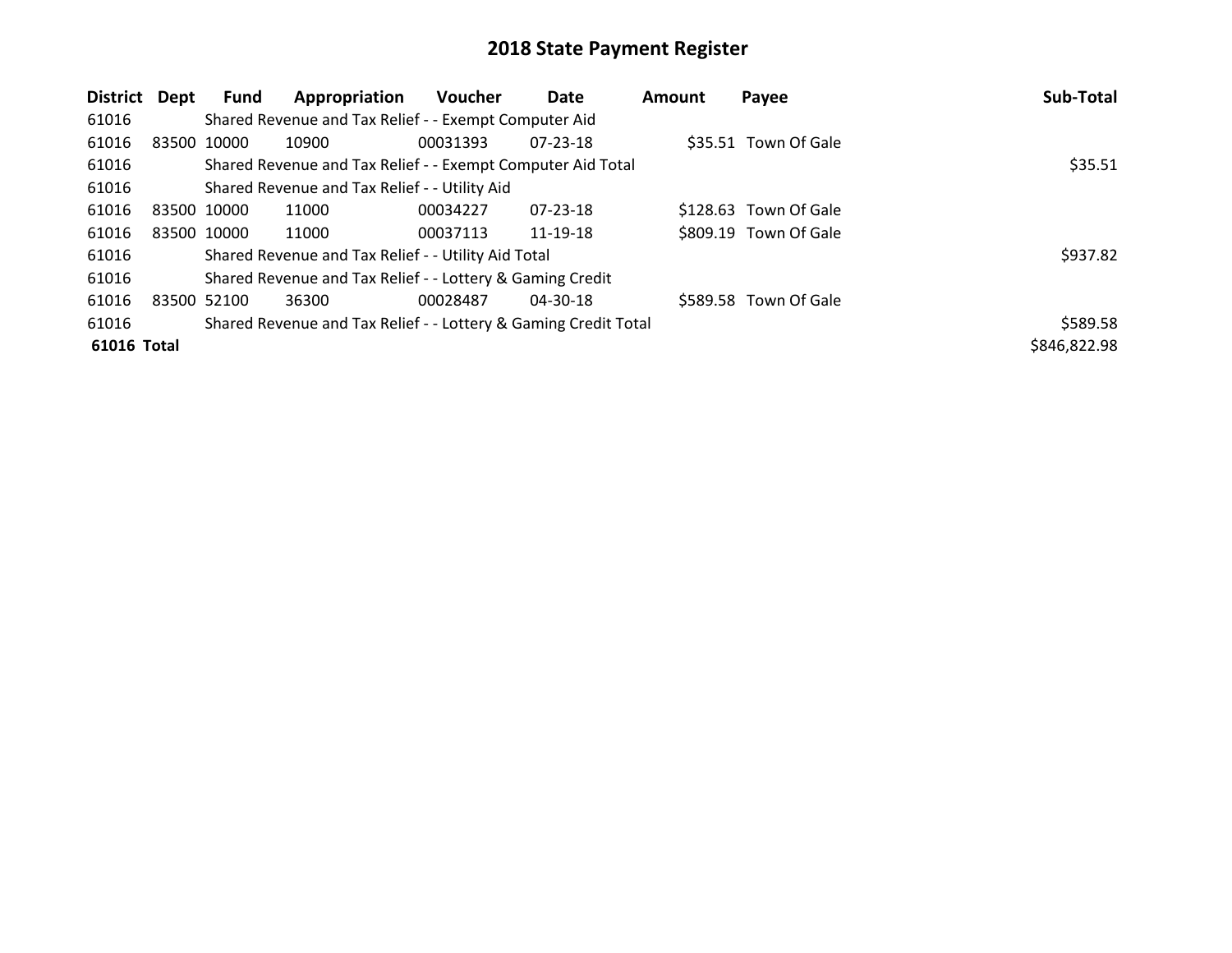| District    | Dept        | <b>Fund</b> | Appropriation                                                   | <b>Voucher</b> | Date           | <b>Amount</b> | Payee                 | Sub-Total    |
|-------------|-------------|-------------|-----------------------------------------------------------------|----------------|----------------|---------------|-----------------------|--------------|
| 61016       |             |             | Shared Revenue and Tax Relief - - Exempt Computer Aid           |                |                |               |                       |              |
| 61016       | 83500 10000 |             | 10900                                                           | 00031393       | $07 - 23 - 18$ |               | \$35.51 Town Of Gale  |              |
| 61016       |             |             | Shared Revenue and Tax Relief - - Exempt Computer Aid Total     |                |                |               |                       | \$35.51      |
| 61016       |             |             | Shared Revenue and Tax Relief - - Utility Aid                   |                |                |               |                       |              |
| 61016       | 83500 10000 |             | 11000                                                           | 00034227       | $07 - 23 - 18$ |               | \$128.63 Town Of Gale |              |
| 61016       |             | 83500 10000 | 11000                                                           | 00037113       | 11-19-18       |               | \$809.19 Town Of Gale |              |
| 61016       |             |             | Shared Revenue and Tax Relief - - Utility Aid Total             |                |                |               |                       | \$937.82     |
| 61016       |             |             | Shared Revenue and Tax Relief - - Lottery & Gaming Credit       |                |                |               |                       |              |
| 61016       | 83500 52100 |             | 36300                                                           | 00028487       | 04-30-18       |               | \$589.58 Town Of Gale |              |
| 61016       |             |             | Shared Revenue and Tax Relief - - Lottery & Gaming Credit Total |                |                |               |                       | \$589.58     |
| 61016 Total |             |             |                                                                 |                |                |               |                       | \$846,822.98 |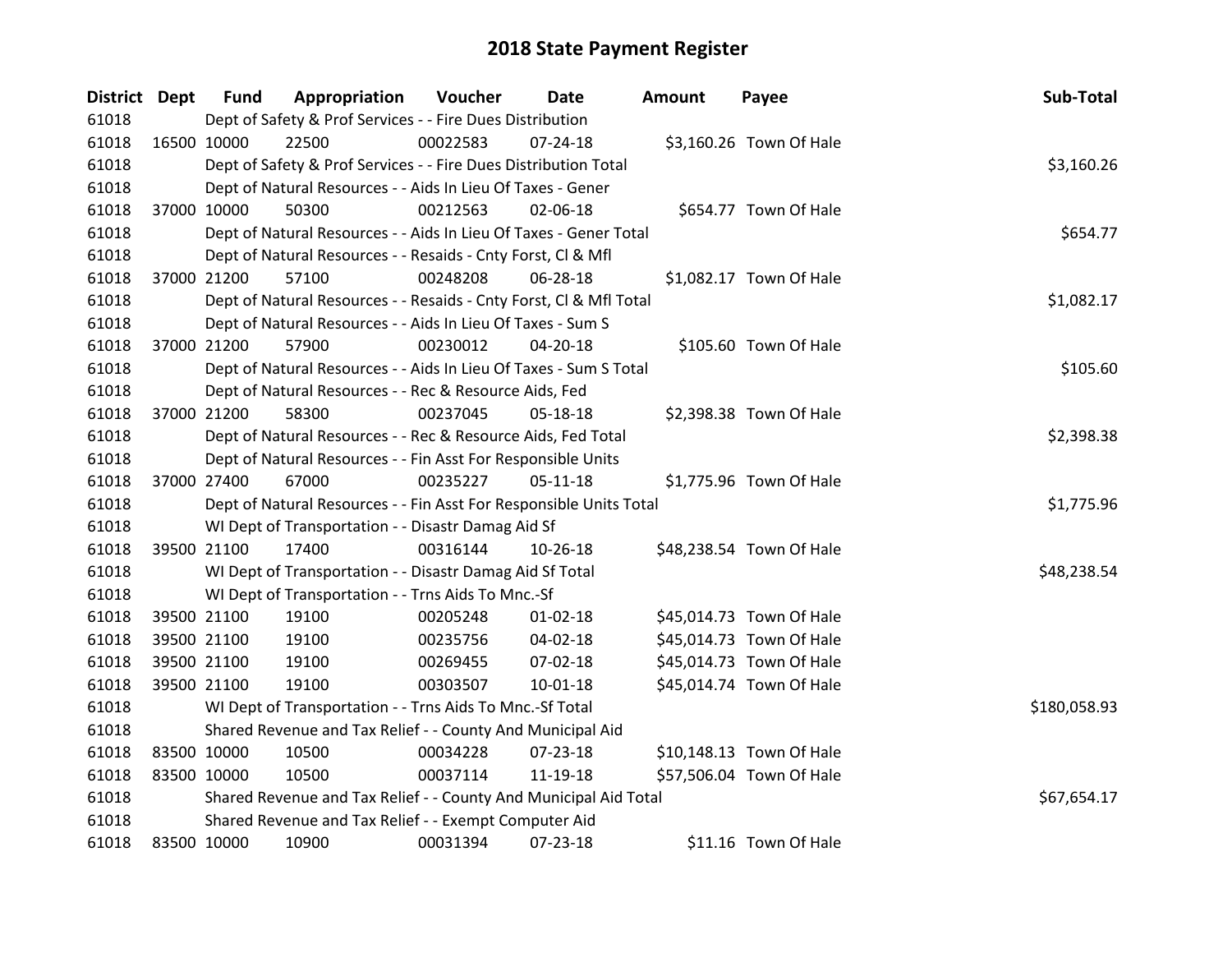| <b>District Dept</b> |             | <b>Fund</b> | Appropriation                                                      | <b>Voucher</b> | Date           | Amount | Payee                    | Sub-Total    |
|----------------------|-------------|-------------|--------------------------------------------------------------------|----------------|----------------|--------|--------------------------|--------------|
| 61018                |             |             | Dept of Safety & Prof Services - - Fire Dues Distribution          |                |                |        |                          |              |
| 61018                |             | 16500 10000 | 22500                                                              | 00022583       | $07 - 24 - 18$ |        | \$3,160.26 Town Of Hale  |              |
| 61018                |             |             | Dept of Safety & Prof Services - - Fire Dues Distribution Total    |                |                |        |                          | \$3,160.26   |
| 61018                |             |             | Dept of Natural Resources - - Aids In Lieu Of Taxes - Gener        |                |                |        |                          |              |
| 61018                |             | 37000 10000 | 50300                                                              | 00212563       | 02-06-18       |        | \$654.77 Town Of Hale    |              |
| 61018                |             |             | Dept of Natural Resources - - Aids In Lieu Of Taxes - Gener Total  |                |                |        |                          | \$654.77     |
| 61018                |             |             | Dept of Natural Resources - - Resaids - Cnty Forst, Cl & Mfl       |                |                |        |                          |              |
| 61018                |             | 37000 21200 | 57100                                                              | 00248208       | 06-28-18       |        | \$1,082.17 Town Of Hale  |              |
| 61018                |             |             | Dept of Natural Resources - - Resaids - Cnty Forst, CI & Mfl Total |                |                |        |                          | \$1,082.17   |
| 61018                |             |             | Dept of Natural Resources - - Aids In Lieu Of Taxes - Sum S        |                |                |        |                          |              |
| 61018                |             | 37000 21200 | 57900                                                              | 00230012       | 04-20-18       |        | \$105.60 Town Of Hale    |              |
| 61018                |             |             | Dept of Natural Resources - - Aids In Lieu Of Taxes - Sum S Total  |                |                |        |                          | \$105.60     |
| 61018                |             |             | Dept of Natural Resources - - Rec & Resource Aids, Fed             |                |                |        |                          |              |
| 61018                |             | 37000 21200 | 58300                                                              | 00237045       | 05-18-18       |        | \$2,398.38 Town Of Hale  |              |
| 61018                |             |             | Dept of Natural Resources - - Rec & Resource Aids, Fed Total       |                |                |        |                          | \$2,398.38   |
| 61018                |             |             | Dept of Natural Resources - - Fin Asst For Responsible Units       |                |                |        |                          |              |
| 61018                |             | 37000 27400 | 67000                                                              | 00235227       | $05-11-18$     |        | \$1,775.96 Town Of Hale  |              |
| 61018                |             |             | Dept of Natural Resources - - Fin Asst For Responsible Units Total |                |                |        |                          | \$1,775.96   |
| 61018                |             |             | WI Dept of Transportation - - Disastr Damag Aid Sf                 |                |                |        |                          |              |
| 61018                |             | 39500 21100 | 17400                                                              | 00316144       | 10-26-18       |        | \$48,238.54 Town Of Hale |              |
| 61018                |             |             | WI Dept of Transportation - - Disastr Damag Aid Sf Total           |                |                |        |                          | \$48,238.54  |
| 61018                |             |             | WI Dept of Transportation - - Trns Aids To Mnc.-Sf                 |                |                |        |                          |              |
| 61018                |             | 39500 21100 | 19100                                                              | 00205248       | $01 - 02 - 18$ |        | \$45,014.73 Town Of Hale |              |
| 61018                |             | 39500 21100 | 19100                                                              | 00235756       | 04-02-18       |        | \$45,014.73 Town Of Hale |              |
| 61018                |             | 39500 21100 | 19100                                                              | 00269455       | $07 - 02 - 18$ |        | \$45,014.73 Town Of Hale |              |
| 61018                |             | 39500 21100 | 19100                                                              | 00303507       | $10 - 01 - 18$ |        | \$45,014.74 Town Of Hale |              |
| 61018                |             |             | WI Dept of Transportation - - Trns Aids To Mnc.-Sf Total           |                |                |        |                          | \$180,058.93 |
| 61018                |             |             | Shared Revenue and Tax Relief - - County And Municipal Aid         |                |                |        |                          |              |
| 61018                |             | 83500 10000 | 10500                                                              | 00034228       | 07-23-18       |        | \$10,148.13 Town Of Hale |              |
| 61018                |             | 83500 10000 | 10500                                                              | 00037114       | 11-19-18       |        | \$57,506.04 Town Of Hale |              |
| 61018                |             |             | Shared Revenue and Tax Relief - - County And Municipal Aid Total   |                |                |        |                          | \$67,654.17  |
| 61018                |             |             | Shared Revenue and Tax Relief - - Exempt Computer Aid              |                |                |        |                          |              |
| 61018                | 83500 10000 |             | 10900                                                              | 00031394       | 07-23-18       |        | \$11.16 Town Of Hale     |              |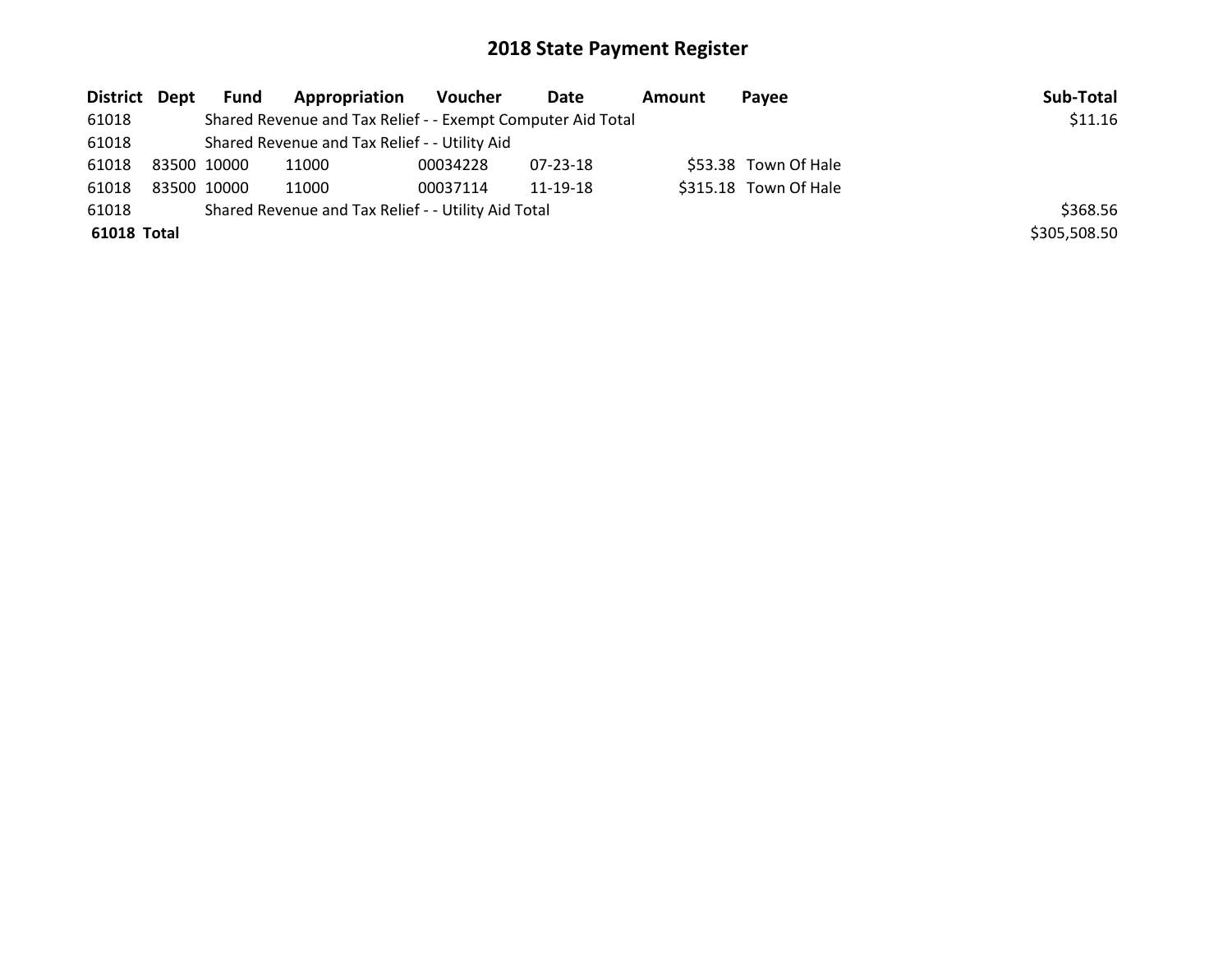| District Dept | Fund        | <b>Appropriation</b>                                        | Voucher  | Date     | Amount | Pavee                 | Sub-Total    |
|---------------|-------------|-------------------------------------------------------------|----------|----------|--------|-----------------------|--------------|
| 61018         |             | Shared Revenue and Tax Relief - - Exempt Computer Aid Total |          |          |        |                       | \$11.16      |
| 61018         |             | Shared Revenue and Tax Relief - - Utility Aid               |          |          |        |                       |              |
| 61018         | 83500 10000 | 11000                                                       | 00034228 | 07-23-18 |        | \$53.38 Town Of Hale  |              |
| 61018         | 83500 10000 | 11000                                                       | 00037114 | 11-19-18 |        | \$315.18 Town Of Hale |              |
| 61018         |             | Shared Revenue and Tax Relief - - Utility Aid Total         |          |          |        |                       | \$368.56     |
| 61018 Total   |             |                                                             |          |          |        |                       | \$305,508.50 |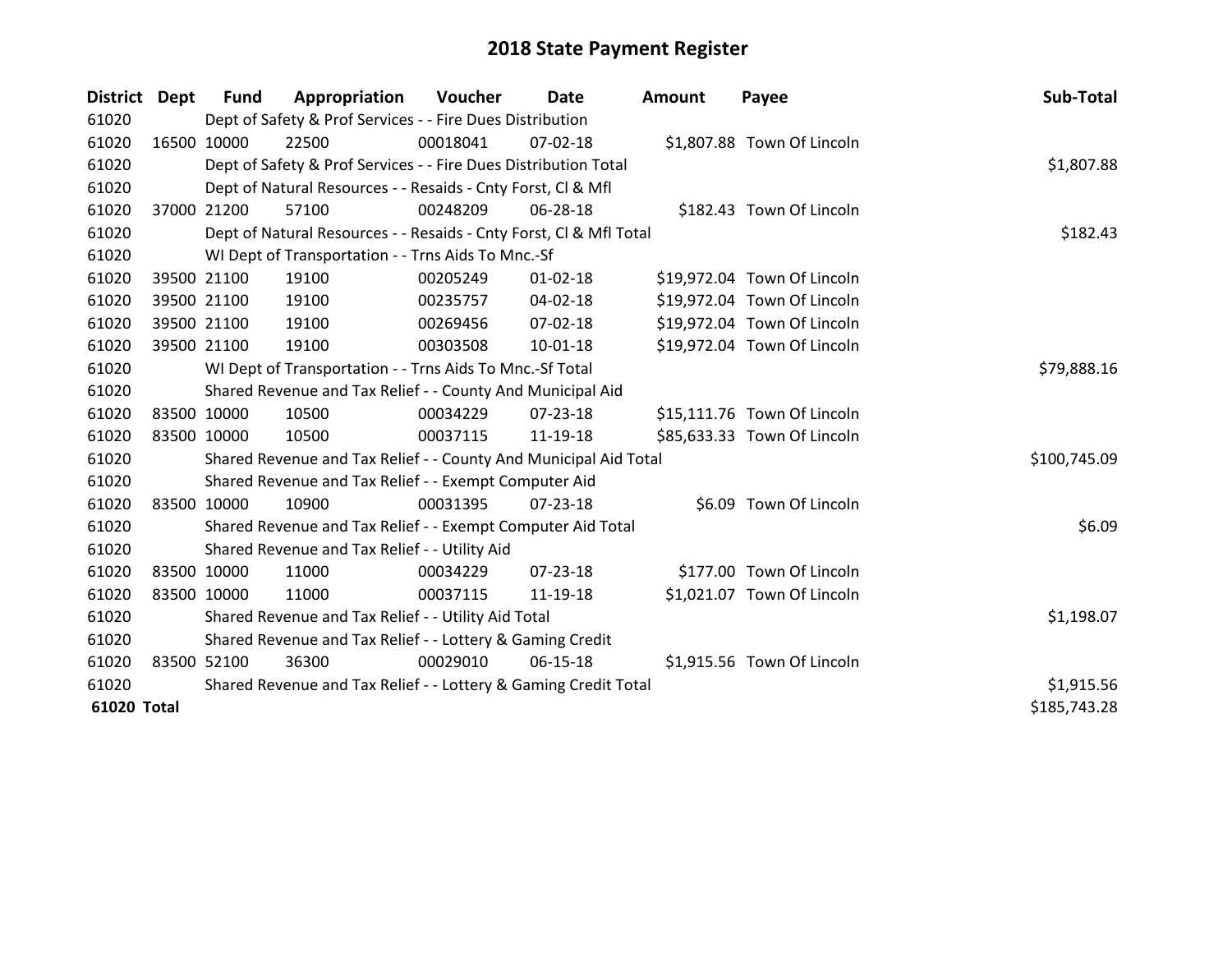| District Dept |             | Fund        | Appropriation                                                      | Voucher  | Date           | <b>Amount</b> | Payee                       | Sub-Total    |
|---------------|-------------|-------------|--------------------------------------------------------------------|----------|----------------|---------------|-----------------------------|--------------|
| 61020         |             |             | Dept of Safety & Prof Services - - Fire Dues Distribution          |          |                |               |                             |              |
| 61020         |             | 16500 10000 | 22500                                                              | 00018041 | $07 - 02 - 18$ |               | \$1,807.88 Town Of Lincoln  |              |
| 61020         |             |             | Dept of Safety & Prof Services - - Fire Dues Distribution Total    |          |                |               |                             | \$1,807.88   |
| 61020         |             |             | Dept of Natural Resources - - Resaids - Cnty Forst, Cl & Mfl       |          |                |               |                             |              |
| 61020         | 37000 21200 |             | 57100                                                              | 00248209 | 06-28-18       |               | \$182.43 Town Of Lincoln    |              |
| 61020         |             |             | Dept of Natural Resources - - Resaids - Cnty Forst, CI & Mfl Total |          | \$182.43       |               |                             |              |
| 61020         |             |             | WI Dept of Transportation - - Trns Aids To Mnc.-Sf                 |          |                |               |                             |              |
| 61020         |             | 39500 21100 | 19100                                                              | 00205249 | $01 - 02 - 18$ |               | \$19,972.04 Town Of Lincoln |              |
| 61020         |             | 39500 21100 | 19100                                                              | 00235757 | 04-02-18       |               | \$19,972.04 Town Of Lincoln |              |
| 61020         |             | 39500 21100 | 19100                                                              | 00269456 | $07 - 02 - 18$ |               | \$19,972.04 Town Of Lincoln |              |
| 61020         |             | 39500 21100 | 19100                                                              | 00303508 | $10 - 01 - 18$ |               | \$19,972.04 Town Of Lincoln |              |
| 61020         |             |             | WI Dept of Transportation - - Trns Aids To Mnc.-Sf Total           |          |                |               |                             | \$79,888.16  |
| 61020         |             |             | Shared Revenue and Tax Relief - - County And Municipal Aid         |          |                |               |                             |              |
| 61020         |             | 83500 10000 | 10500                                                              | 00034229 | $07 - 23 - 18$ |               | \$15,111.76 Town Of Lincoln |              |
| 61020         |             | 83500 10000 | 10500                                                              | 00037115 | 11-19-18       |               | \$85,633.33 Town Of Lincoln |              |
| 61020         |             |             | Shared Revenue and Tax Relief - - County And Municipal Aid Total   |          |                |               |                             | \$100,745.09 |
| 61020         |             |             | Shared Revenue and Tax Relief - - Exempt Computer Aid              |          |                |               |                             |              |
| 61020         |             | 83500 10000 | 10900                                                              | 00031395 | 07-23-18       |               | \$6.09 Town Of Lincoln      |              |
| 61020         |             |             | Shared Revenue and Tax Relief - - Exempt Computer Aid Total        |          |                |               |                             | \$6.09       |
| 61020         |             |             | Shared Revenue and Tax Relief - - Utility Aid                      |          |                |               |                             |              |
| 61020         |             | 83500 10000 | 11000                                                              | 00034229 | $07 - 23 - 18$ |               | \$177.00 Town Of Lincoln    |              |
| 61020         |             | 83500 10000 | 11000                                                              | 00037115 | 11-19-18       |               | \$1,021.07 Town Of Lincoln  |              |
| 61020         |             |             | Shared Revenue and Tax Relief - - Utility Aid Total                |          |                |               |                             | \$1,198.07   |
| 61020         |             |             | Shared Revenue and Tax Relief - - Lottery & Gaming Credit          |          |                |               |                             |              |
| 61020         |             | 83500 52100 | 36300                                                              | 00029010 | 06-15-18       |               | \$1,915.56 Town Of Lincoln  |              |
| 61020         |             |             | Shared Revenue and Tax Relief - - Lottery & Gaming Credit Total    |          |                |               |                             | \$1,915.56   |
| 61020 Total   |             |             |                                                                    |          |                |               |                             | \$185,743.28 |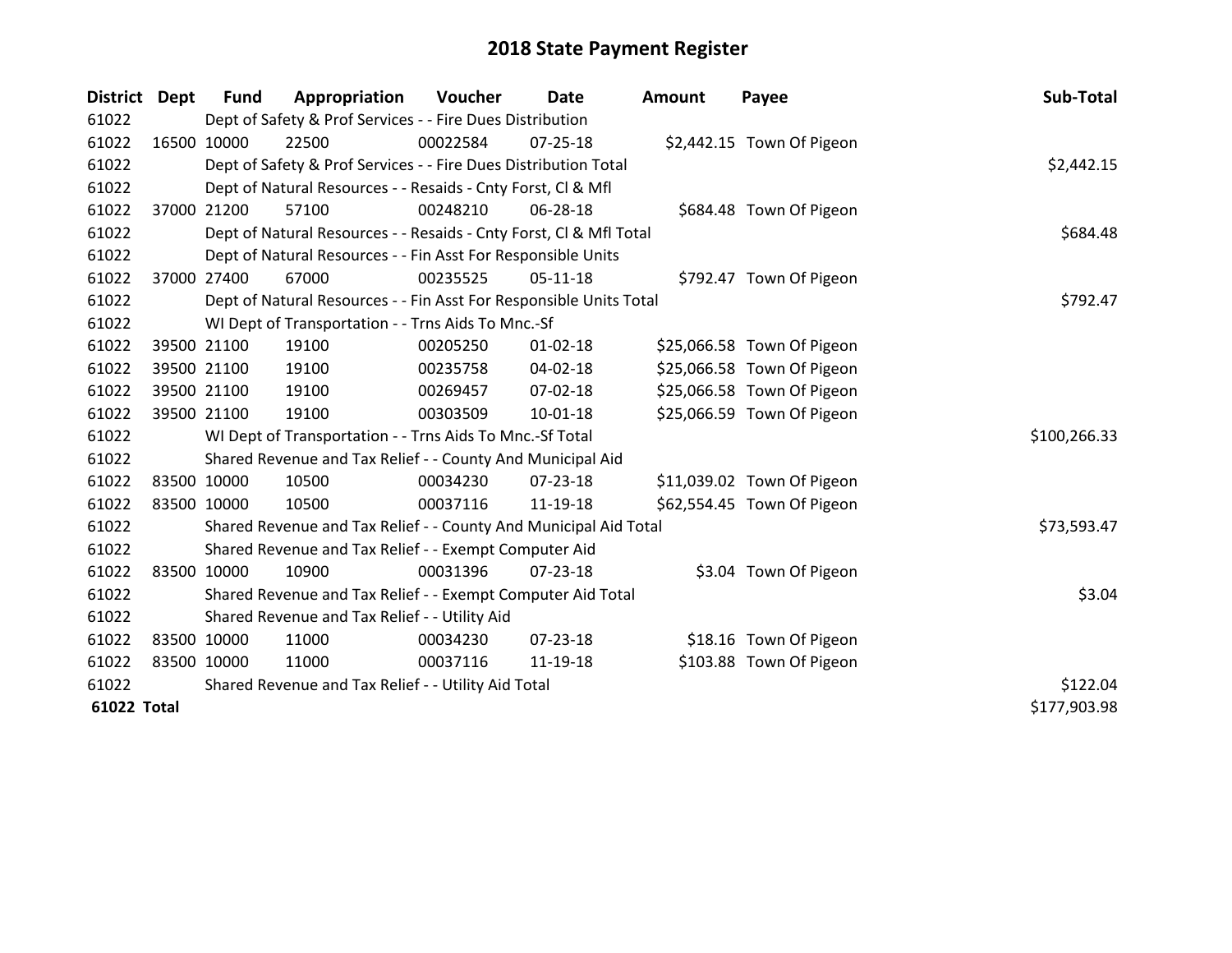| District Dept |             | <b>Fund</b> | Appropriation                                                      | Voucher  | Date           | Amount | Payee                      | Sub-Total    |
|---------------|-------------|-------------|--------------------------------------------------------------------|----------|----------------|--------|----------------------------|--------------|
| 61022         |             |             | Dept of Safety & Prof Services - - Fire Dues Distribution          |          |                |        |                            |              |
| 61022         |             | 16500 10000 | 22500                                                              | 00022584 | $07 - 25 - 18$ |        | \$2,442.15 Town Of Pigeon  |              |
| 61022         |             |             | Dept of Safety & Prof Services - - Fire Dues Distribution Total    |          |                |        |                            | \$2,442.15   |
| 61022         |             |             | Dept of Natural Resources - - Resaids - Cnty Forst, CI & Mfl       |          |                |        |                            |              |
| 61022         |             | 37000 21200 | 57100                                                              | 00248210 | 06-28-18       |        | \$684.48 Town Of Pigeon    |              |
| 61022         |             |             | Dept of Natural Resources - - Resaids - Cnty Forst, Cl & Mfl Total |          | \$684.48       |        |                            |              |
| 61022         |             |             | Dept of Natural Resources - - Fin Asst For Responsible Units       |          |                |        |                            |              |
| 61022         |             | 37000 27400 | 67000                                                              | 00235525 | $05-11-18$     |        | \$792.47 Town Of Pigeon    |              |
| 61022         |             |             | Dept of Natural Resources - - Fin Asst For Responsible Units Total |          |                |        |                            | \$792.47     |
| 61022         |             |             | WI Dept of Transportation - - Trns Aids To Mnc.-Sf                 |          |                |        |                            |              |
| 61022         |             | 39500 21100 | 19100                                                              | 00205250 | $01 - 02 - 18$ |        | \$25,066.58 Town Of Pigeon |              |
| 61022         |             | 39500 21100 | 19100                                                              | 00235758 | 04-02-18       |        | \$25,066.58 Town Of Pigeon |              |
| 61022         |             | 39500 21100 | 19100                                                              | 00269457 | $07 - 02 - 18$ |        | \$25,066.58 Town Of Pigeon |              |
| 61022         |             | 39500 21100 | 19100                                                              | 00303509 | $10 - 01 - 18$ |        | \$25,066.59 Town Of Pigeon |              |
| 61022         |             |             | WI Dept of Transportation - - Trns Aids To Mnc.-Sf Total           |          |                |        |                            | \$100,266.33 |
| 61022         |             |             | Shared Revenue and Tax Relief - - County And Municipal Aid         |          |                |        |                            |              |
| 61022         | 83500 10000 |             | 10500                                                              | 00034230 | $07 - 23 - 18$ |        | \$11,039.02 Town Of Pigeon |              |
| 61022         |             | 83500 10000 | 10500                                                              | 00037116 | 11-19-18       |        | \$62,554.45 Town Of Pigeon |              |
| 61022         |             |             | Shared Revenue and Tax Relief - - County And Municipal Aid Total   |          |                |        |                            | \$73,593.47  |
| 61022         |             |             | Shared Revenue and Tax Relief - - Exempt Computer Aid              |          |                |        |                            |              |
| 61022         |             | 83500 10000 | 10900                                                              | 00031396 | 07-23-18       |        | \$3.04 Town Of Pigeon      |              |
| 61022         |             |             | Shared Revenue and Tax Relief - - Exempt Computer Aid Total        |          |                |        |                            | \$3.04       |
| 61022         |             |             | Shared Revenue and Tax Relief - - Utility Aid                      |          |                |        |                            |              |
| 61022         | 83500 10000 |             | 11000                                                              | 00034230 | $07 - 23 - 18$ |        | \$18.16 Town Of Pigeon     |              |
| 61022         |             | 83500 10000 | 11000                                                              | 00037116 | 11-19-18       |        | \$103.88 Town Of Pigeon    |              |
| 61022         |             |             | Shared Revenue and Tax Relief - - Utility Aid Total                |          | \$122.04       |        |                            |              |
| 61022 Total   |             |             |                                                                    |          |                |        |                            | \$177,903.98 |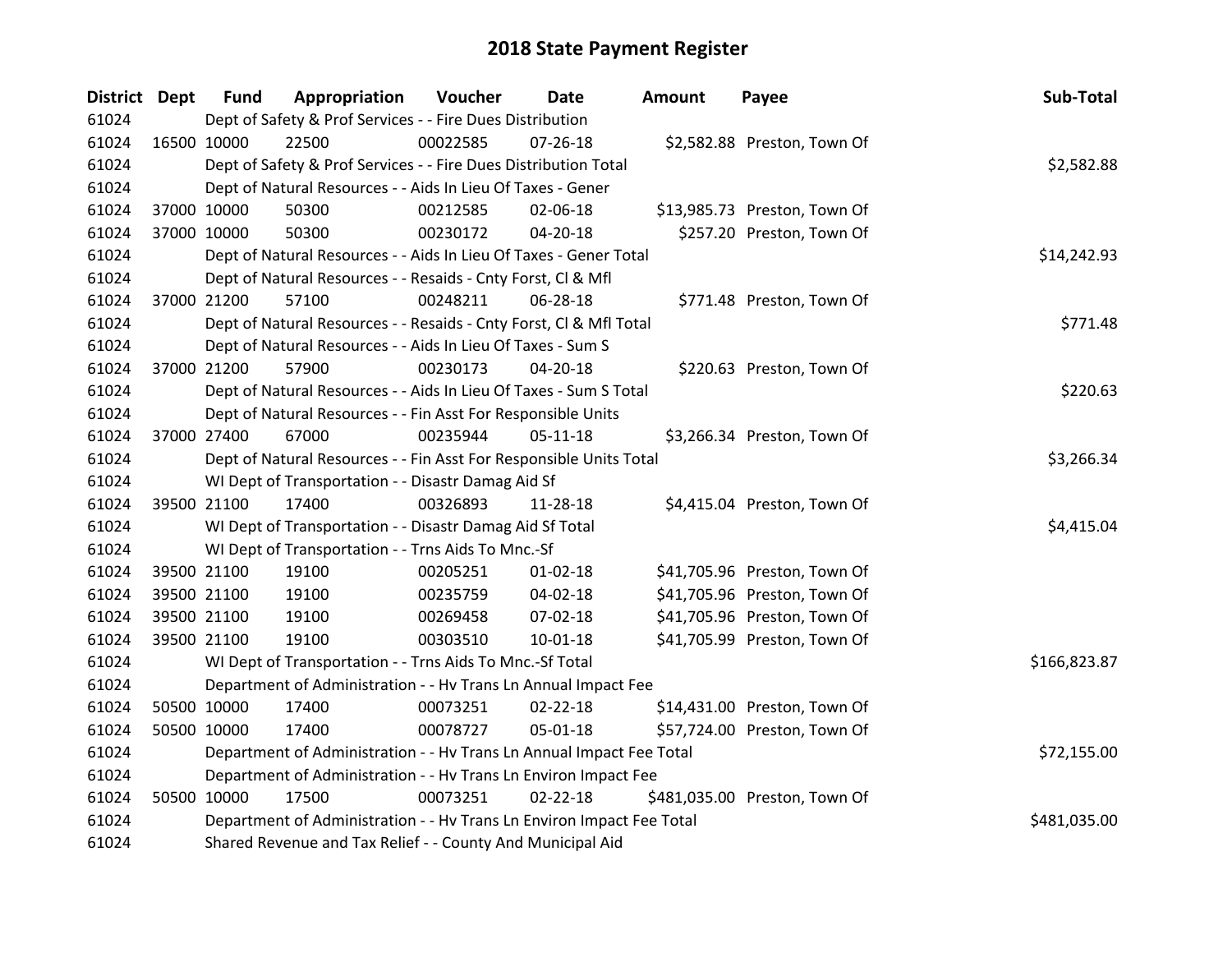| District Dept |             | <b>Fund</b> | Appropriation                                                         | Voucher  | <b>Date</b>    | <b>Amount</b> | Payee                         | Sub-Total    |
|---------------|-------------|-------------|-----------------------------------------------------------------------|----------|----------------|---------------|-------------------------------|--------------|
| 61024         |             |             | Dept of Safety & Prof Services - - Fire Dues Distribution             |          |                |               |                               |              |
| 61024         | 16500 10000 |             | 22500                                                                 | 00022585 | $07 - 26 - 18$ |               | \$2,582.88 Preston, Town Of   |              |
| 61024         |             |             | Dept of Safety & Prof Services - - Fire Dues Distribution Total       |          |                |               |                               | \$2,582.88   |
| 61024         |             |             | Dept of Natural Resources - - Aids In Lieu Of Taxes - Gener           |          |                |               |                               |              |
| 61024         | 37000 10000 |             | 50300                                                                 | 00212585 | 02-06-18       |               | \$13,985.73 Preston, Town Of  |              |
| 61024         | 37000 10000 |             | 50300                                                                 | 00230172 | 04-20-18       |               | \$257.20 Preston, Town Of     |              |
| 61024         |             |             | Dept of Natural Resources - - Aids In Lieu Of Taxes - Gener Total     |          |                |               |                               | \$14,242.93  |
| 61024         |             |             | Dept of Natural Resources - - Resaids - Cnty Forst, CI & Mfl          |          |                |               |                               |              |
| 61024         | 37000 21200 |             | 57100                                                                 | 00248211 | 06-28-18       |               | \$771.48 Preston, Town Of     |              |
| 61024         |             |             | Dept of Natural Resources - - Resaids - Cnty Forst, Cl & Mfl Total    |          |                |               |                               | \$771.48     |
| 61024         |             |             | Dept of Natural Resources - - Aids In Lieu Of Taxes - Sum S           |          |                |               |                               |              |
| 61024         | 37000 21200 |             | 57900                                                                 | 00230173 | 04-20-18       |               | \$220.63 Preston, Town Of     |              |
| 61024         |             |             | Dept of Natural Resources - - Aids In Lieu Of Taxes - Sum S Total     |          |                |               |                               | \$220.63     |
| 61024         |             |             | Dept of Natural Resources - - Fin Asst For Responsible Units          |          |                |               |                               |              |
| 61024         | 37000 27400 |             | 67000                                                                 | 00235944 | 05-11-18       |               | \$3,266.34 Preston, Town Of   |              |
| 61024         |             |             | Dept of Natural Resources - - Fin Asst For Responsible Units Total    |          |                |               |                               | \$3,266.34   |
| 61024         |             |             | WI Dept of Transportation - - Disastr Damag Aid Sf                    |          |                |               |                               |              |
| 61024         | 39500 21100 |             | 17400                                                                 | 00326893 | 11-28-18       |               | \$4,415.04 Preston, Town Of   |              |
| 61024         |             |             | WI Dept of Transportation - - Disastr Damag Aid Sf Total              |          |                |               |                               | \$4,415.04   |
| 61024         |             |             | WI Dept of Transportation - - Trns Aids To Mnc.-Sf                    |          |                |               |                               |              |
| 61024         | 39500 21100 |             | 19100                                                                 | 00205251 | $01 - 02 - 18$ |               | \$41,705.96 Preston, Town Of  |              |
| 61024         | 39500 21100 |             | 19100                                                                 | 00235759 | 04-02-18       |               | \$41,705.96 Preston, Town Of  |              |
| 61024         | 39500 21100 |             | 19100                                                                 | 00269458 | 07-02-18       |               | \$41,705.96 Preston, Town Of  |              |
| 61024         | 39500 21100 |             | 19100                                                                 | 00303510 | 10-01-18       |               | \$41,705.99 Preston, Town Of  |              |
| 61024         |             |             | WI Dept of Transportation - - Trns Aids To Mnc.-Sf Total              |          |                |               |                               | \$166,823.87 |
| 61024         |             |             | Department of Administration - - Hv Trans Ln Annual Impact Fee        |          |                |               |                               |              |
| 61024         | 50500 10000 |             | 17400                                                                 | 00073251 | 02-22-18       |               | \$14,431.00 Preston, Town Of  |              |
| 61024         | 50500 10000 |             | 17400                                                                 | 00078727 | 05-01-18       |               | \$57,724.00 Preston, Town Of  |              |
| 61024         |             |             | Department of Administration - - Hv Trans Ln Annual Impact Fee Total  |          |                |               |                               | \$72,155.00  |
| 61024         |             |             | Department of Administration - - Hv Trans Ln Environ Impact Fee       |          |                |               |                               |              |
| 61024         | 50500 10000 |             | 17500                                                                 | 00073251 | 02-22-18       |               | \$481,035.00 Preston, Town Of |              |
| 61024         |             |             | Department of Administration - - Hv Trans Ln Environ Impact Fee Total |          |                |               |                               | \$481,035.00 |
| 61024         |             |             | Shared Revenue and Tax Relief - - County And Municipal Aid            |          |                |               |                               |              |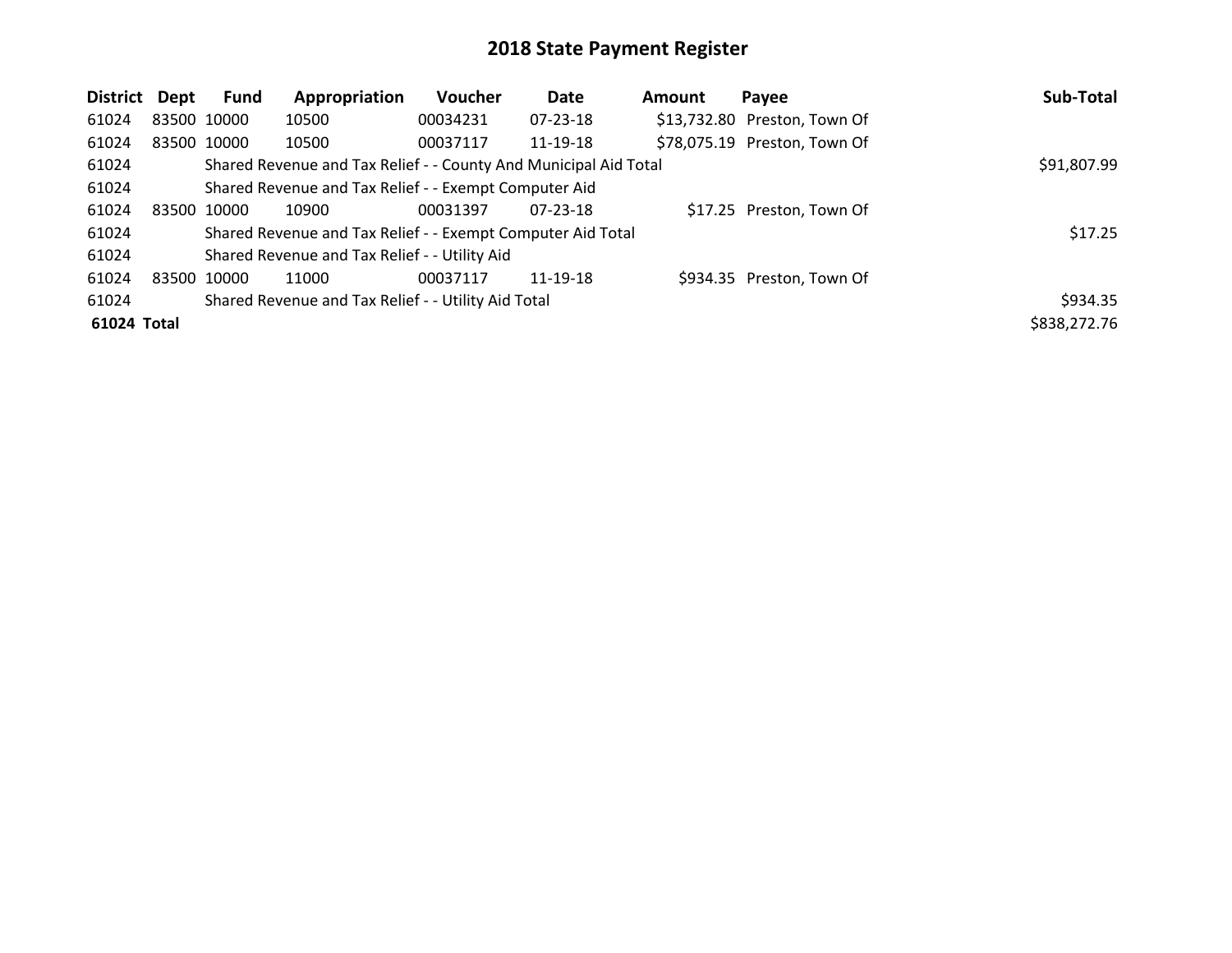| District Dept |             | <b>Fund</b> | Appropriation                                                    | Voucher  | Date           | Amount | Payee                        | Sub-Total    |
|---------------|-------------|-------------|------------------------------------------------------------------|----------|----------------|--------|------------------------------|--------------|
| 61024         | 83500 10000 |             | 10500                                                            | 00034231 | $07 - 23 - 18$ |        | \$13,732.80 Preston, Town Of |              |
| 61024         | 83500 10000 |             | 10500                                                            | 00037117 | 11-19-18       |        | \$78,075.19 Preston, Town Of |              |
| 61024         |             |             | Shared Revenue and Tax Relief - - County And Municipal Aid Total |          |                |        |                              | \$91,807.99  |
| 61024         |             |             | Shared Revenue and Tax Relief - - Exempt Computer Aid            |          |                |        |                              |              |
| 61024         | 83500 10000 |             | 10900                                                            | 00031397 | $07 - 23 - 18$ |        | \$17.25 Preston, Town Of     |              |
| 61024         |             |             | Shared Revenue and Tax Relief - - Exempt Computer Aid Total      |          |                |        |                              | \$17.25      |
| 61024         |             |             | Shared Revenue and Tax Relief - - Utility Aid                    |          |                |        |                              |              |
| 61024         | 83500 10000 |             | 11000                                                            | 00037117 | 11-19-18       |        | \$934.35 Preston, Town Of    |              |
| 61024         |             |             | Shared Revenue and Tax Relief - - Utility Aid Total              |          |                |        |                              | \$934.35     |
| 61024 Total   |             |             |                                                                  |          |                |        |                              | \$838,272.76 |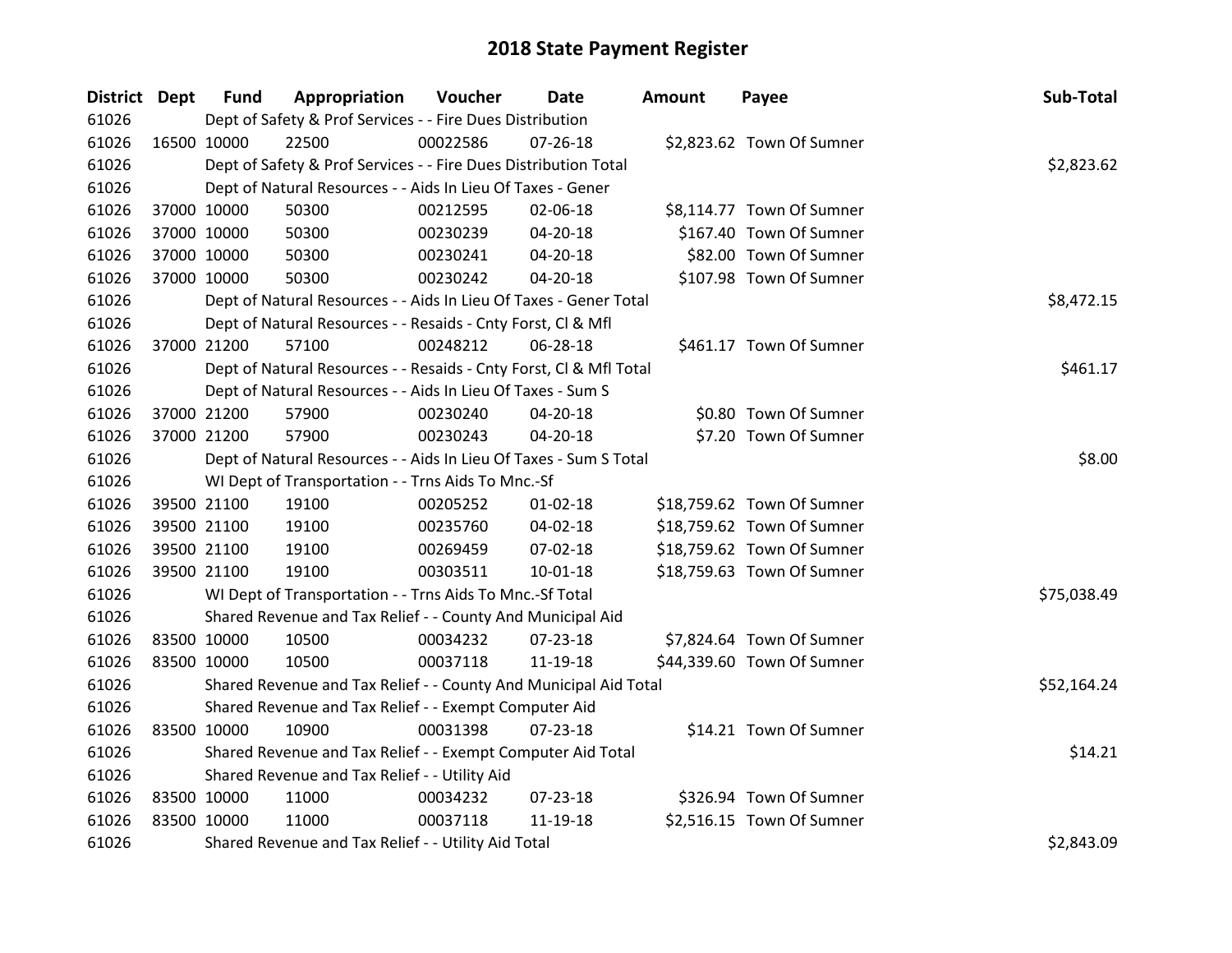| District Dept |             | <b>Fund</b> | Appropriation                                                      | Voucher  | Date           | <b>Amount</b> | Payee                      | Sub-Total   |
|---------------|-------------|-------------|--------------------------------------------------------------------|----------|----------------|---------------|----------------------------|-------------|
| 61026         |             |             | Dept of Safety & Prof Services - - Fire Dues Distribution          |          |                |               |                            |             |
| 61026         | 16500 10000 |             | 22500                                                              | 00022586 | $07 - 26 - 18$ |               | \$2,823.62 Town Of Sumner  |             |
| 61026         |             |             | Dept of Safety & Prof Services - - Fire Dues Distribution Total    |          |                |               |                            | \$2,823.62  |
| 61026         |             |             | Dept of Natural Resources - - Aids In Lieu Of Taxes - Gener        |          |                |               |                            |             |
| 61026         |             | 37000 10000 | 50300                                                              | 00212595 | 02-06-18       |               | \$8,114.77 Town Of Sumner  |             |
| 61026         |             | 37000 10000 | 50300                                                              | 00230239 | 04-20-18       |               | \$167.40 Town Of Sumner    |             |
| 61026         |             | 37000 10000 | 50300                                                              | 00230241 | 04-20-18       |               | \$82.00 Town Of Sumner     |             |
| 61026         |             | 37000 10000 | 50300                                                              | 00230242 | $04 - 20 - 18$ |               | \$107.98 Town Of Sumner    |             |
| 61026         |             |             | Dept of Natural Resources - - Aids In Lieu Of Taxes - Gener Total  |          | \$8,472.15     |               |                            |             |
| 61026         |             |             | Dept of Natural Resources - - Resaids - Cnty Forst, Cl & Mfl       |          |                |               |                            |             |
| 61026         |             | 37000 21200 | 57100                                                              | 00248212 | 06-28-18       |               | \$461.17 Town Of Sumner    |             |
| 61026         |             |             | Dept of Natural Resources - - Resaids - Cnty Forst, Cl & Mfl Total |          |                |               |                            | \$461.17    |
| 61026         |             |             | Dept of Natural Resources - - Aids In Lieu Of Taxes - Sum S        |          |                |               |                            |             |
| 61026         |             | 37000 21200 | 57900                                                              | 00230240 | 04-20-18       |               | \$0.80 Town Of Sumner      |             |
| 61026         |             | 37000 21200 | 57900                                                              | 00230243 | 04-20-18       |               | \$7.20 Town Of Sumner      |             |
| 61026         |             |             | Dept of Natural Resources - - Aids In Lieu Of Taxes - Sum S Total  |          |                |               |                            | \$8.00      |
| 61026         |             |             | WI Dept of Transportation - - Trns Aids To Mnc.-Sf                 |          |                |               |                            |             |
| 61026         |             | 39500 21100 | 19100                                                              | 00205252 | $01-02-18$     |               | \$18,759.62 Town Of Sumner |             |
| 61026         |             | 39500 21100 | 19100                                                              | 00235760 | 04-02-18       |               | \$18,759.62 Town Of Sumner |             |
| 61026         |             | 39500 21100 | 19100                                                              | 00269459 | 07-02-18       |               | \$18,759.62 Town Of Sumner |             |
| 61026         |             | 39500 21100 | 19100                                                              | 00303511 | $10-01-18$     |               | \$18,759.63 Town Of Sumner |             |
| 61026         |             |             | WI Dept of Transportation - - Trns Aids To Mnc.-Sf Total           |          |                |               |                            | \$75,038.49 |
| 61026         |             |             | Shared Revenue and Tax Relief - - County And Municipal Aid         |          |                |               |                            |             |
| 61026         |             | 83500 10000 | 10500                                                              | 00034232 | 07-23-18       |               | \$7,824.64 Town Of Sumner  |             |
| 61026         |             | 83500 10000 | 10500                                                              | 00037118 | 11-19-18       |               | \$44,339.60 Town Of Sumner |             |
| 61026         |             |             | Shared Revenue and Tax Relief - - County And Municipal Aid Total   |          |                |               |                            | \$52,164.24 |
| 61026         |             |             | Shared Revenue and Tax Relief - - Exempt Computer Aid              |          |                |               |                            |             |
| 61026         | 83500 10000 |             | 10900                                                              | 00031398 | $07 - 23 - 18$ |               | \$14.21 Town Of Sumner     |             |
| 61026         |             |             | Shared Revenue and Tax Relief - - Exempt Computer Aid Total        |          |                |               |                            | \$14.21     |
| 61026         |             |             | Shared Revenue and Tax Relief - - Utility Aid                      |          |                |               |                            |             |
| 61026         | 83500 10000 |             | 11000                                                              | 00034232 | 07-23-18       |               | \$326.94 Town Of Sumner    |             |
| 61026         | 83500 10000 |             | 11000                                                              | 00037118 | 11-19-18       |               | \$2,516.15 Town Of Sumner  |             |
| 61026         |             |             | Shared Revenue and Tax Relief - - Utility Aid Total                |          |                |               |                            | \$2,843.09  |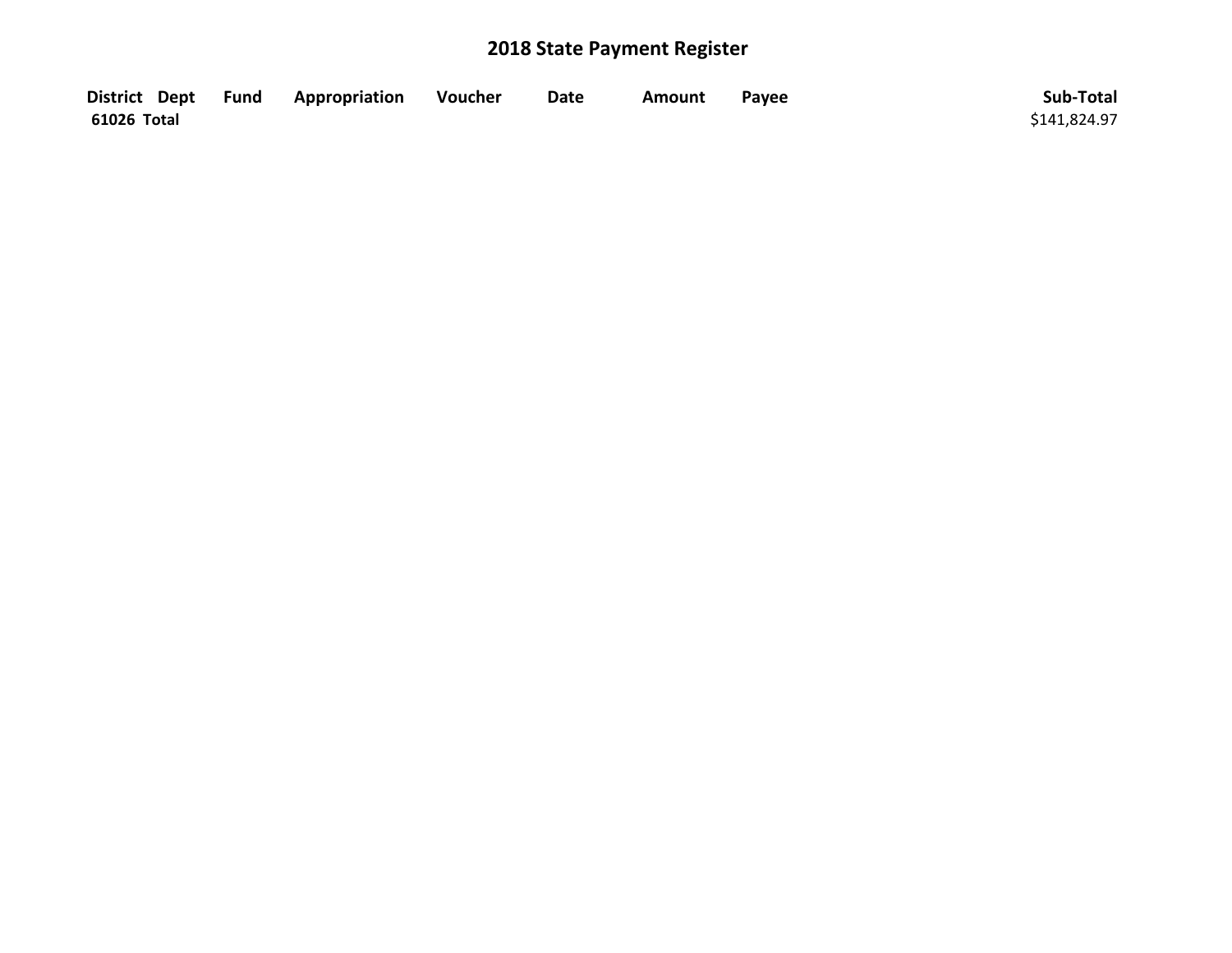|             | District Dept Fund Appropriation | Voucher | <b>Date</b> | Amount | Payee | Sub-Total    |
|-------------|----------------------------------|---------|-------------|--------|-------|--------------|
| 61026 Total |                                  |         |             |        |       | \$141,824.97 |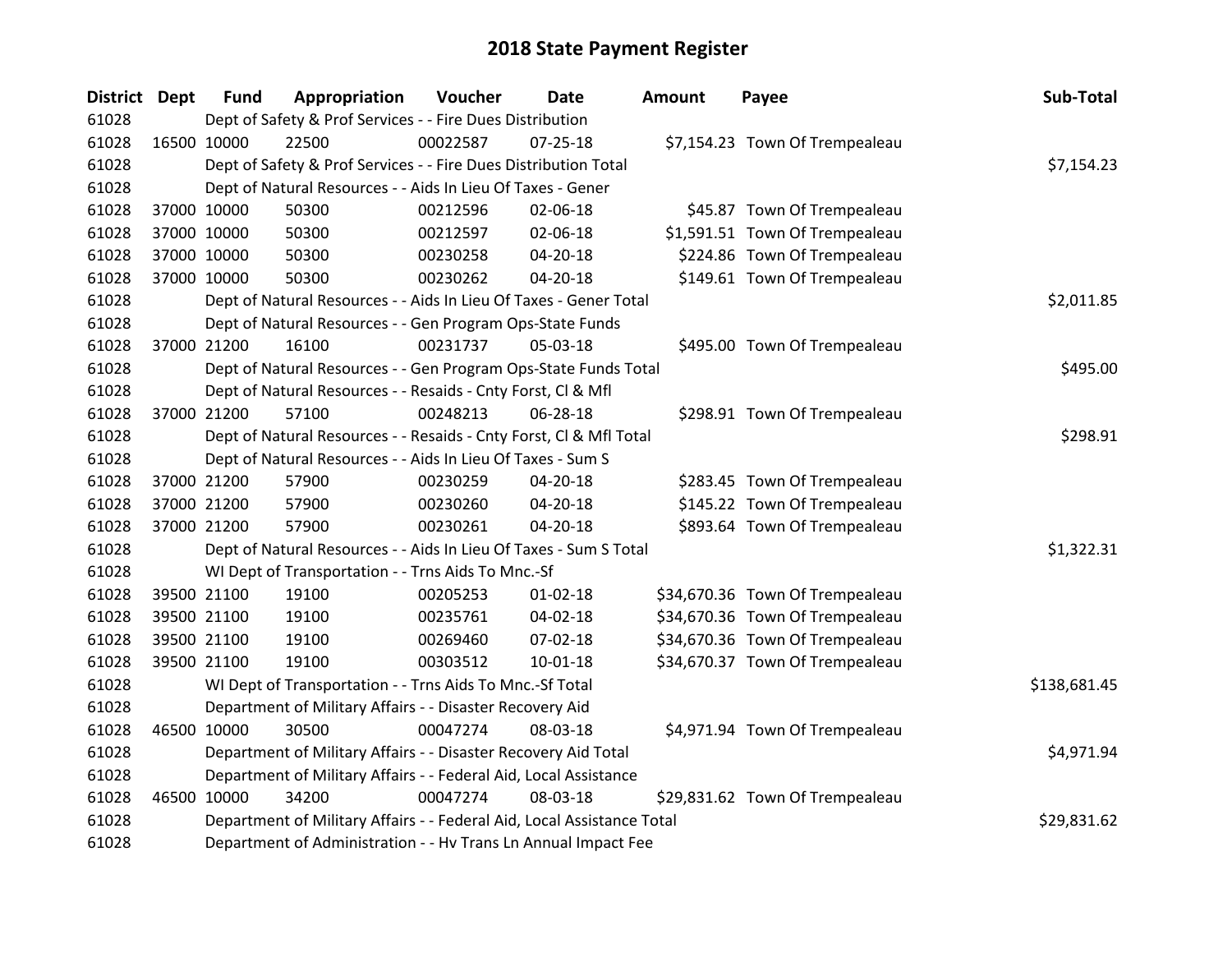| District Dept | <b>Fund</b> | Appropriation                                                          | Voucher  | <b>Date</b>    | <b>Amount</b> | Payee                           | Sub-Total    |
|---------------|-------------|------------------------------------------------------------------------|----------|----------------|---------------|---------------------------------|--------------|
| 61028         |             | Dept of Safety & Prof Services - - Fire Dues Distribution              |          |                |               |                                 |              |
| 61028         | 16500 10000 | 22500                                                                  | 00022587 | $07 - 25 - 18$ |               | \$7,154.23 Town Of Trempealeau  |              |
| 61028         |             | Dept of Safety & Prof Services - - Fire Dues Distribution Total        |          |                |               |                                 | \$7,154.23   |
| 61028         |             | Dept of Natural Resources - - Aids In Lieu Of Taxes - Gener            |          |                |               |                                 |              |
| 61028         | 37000 10000 | 50300                                                                  | 00212596 | 02-06-18       |               | \$45.87 Town Of Trempealeau     |              |
| 61028         | 37000 10000 | 50300                                                                  | 00212597 | 02-06-18       |               | \$1,591.51 Town Of Trempealeau  |              |
| 61028         | 37000 10000 | 50300                                                                  | 00230258 | 04-20-18       |               | \$224.86 Town Of Trempealeau    |              |
| 61028         | 37000 10000 | 50300                                                                  | 00230262 | 04-20-18       |               | \$149.61 Town Of Trempealeau    |              |
| 61028         |             | Dept of Natural Resources - - Aids In Lieu Of Taxes - Gener Total      |          | \$2,011.85     |               |                                 |              |
| 61028         |             | Dept of Natural Resources - - Gen Program Ops-State Funds              |          |                |               |                                 |              |
| 61028         | 37000 21200 | 16100                                                                  | 00231737 | 05-03-18       |               | \$495.00 Town Of Trempealeau    |              |
| 61028         |             | Dept of Natural Resources - - Gen Program Ops-State Funds Total        |          |                |               |                                 | \$495.00     |
| 61028         |             | Dept of Natural Resources - - Resaids - Cnty Forst, Cl & Mfl           |          |                |               |                                 |              |
| 61028         | 37000 21200 | 57100                                                                  | 00248213 | 06-28-18       |               | \$298.91 Town Of Trempealeau    |              |
| 61028         |             | Dept of Natural Resources - - Resaids - Cnty Forst, CI & Mfl Total     |          |                |               |                                 | \$298.91     |
| 61028         |             | Dept of Natural Resources - - Aids In Lieu Of Taxes - Sum S            |          |                |               |                                 |              |
| 61028         | 37000 21200 | 57900                                                                  | 00230259 | 04-20-18       |               | \$283.45 Town Of Trempealeau    |              |
| 61028         | 37000 21200 | 57900                                                                  | 00230260 | 04-20-18       |               | \$145.22 Town Of Trempealeau    |              |
| 61028         | 37000 21200 | 57900                                                                  | 00230261 | 04-20-18       |               | \$893.64 Town Of Trempealeau    |              |
| 61028         |             | Dept of Natural Resources - - Aids In Lieu Of Taxes - Sum S Total      |          |                |               |                                 | \$1,322.31   |
| 61028         |             | WI Dept of Transportation - - Trns Aids To Mnc.-Sf                     |          |                |               |                                 |              |
| 61028         | 39500 21100 | 19100                                                                  | 00205253 | $01 - 02 - 18$ |               | \$34,670.36 Town Of Trempealeau |              |
| 61028         | 39500 21100 | 19100                                                                  | 00235761 | 04-02-18       |               | \$34,670.36 Town Of Trempealeau |              |
| 61028         | 39500 21100 | 19100                                                                  | 00269460 | 07-02-18       |               | \$34,670.36 Town Of Trempealeau |              |
| 61028         | 39500 21100 | 19100                                                                  | 00303512 | 10-01-18       |               | \$34,670.37 Town Of Trempealeau |              |
| 61028         |             | WI Dept of Transportation - - Trns Aids To Mnc.-Sf Total               |          |                |               |                                 | \$138,681.45 |
| 61028         |             | Department of Military Affairs - - Disaster Recovery Aid               |          |                |               |                                 |              |
| 61028         | 46500 10000 | 30500                                                                  | 00047274 | 08-03-18       |               | \$4,971.94 Town Of Trempealeau  |              |
| 61028         |             | Department of Military Affairs - - Disaster Recovery Aid Total         |          |                |               |                                 | \$4,971.94   |
| 61028         |             | Department of Military Affairs - - Federal Aid, Local Assistance       |          |                |               |                                 |              |
| 61028         | 46500 10000 | 34200                                                                  | 00047274 | 08-03-18       |               | \$29,831.62 Town Of Trempealeau |              |
| 61028         |             | Department of Military Affairs - - Federal Aid, Local Assistance Total |          |                |               |                                 | \$29,831.62  |
| 61028         |             | Department of Administration - - Hv Trans Ln Annual Impact Fee         |          |                |               |                                 |              |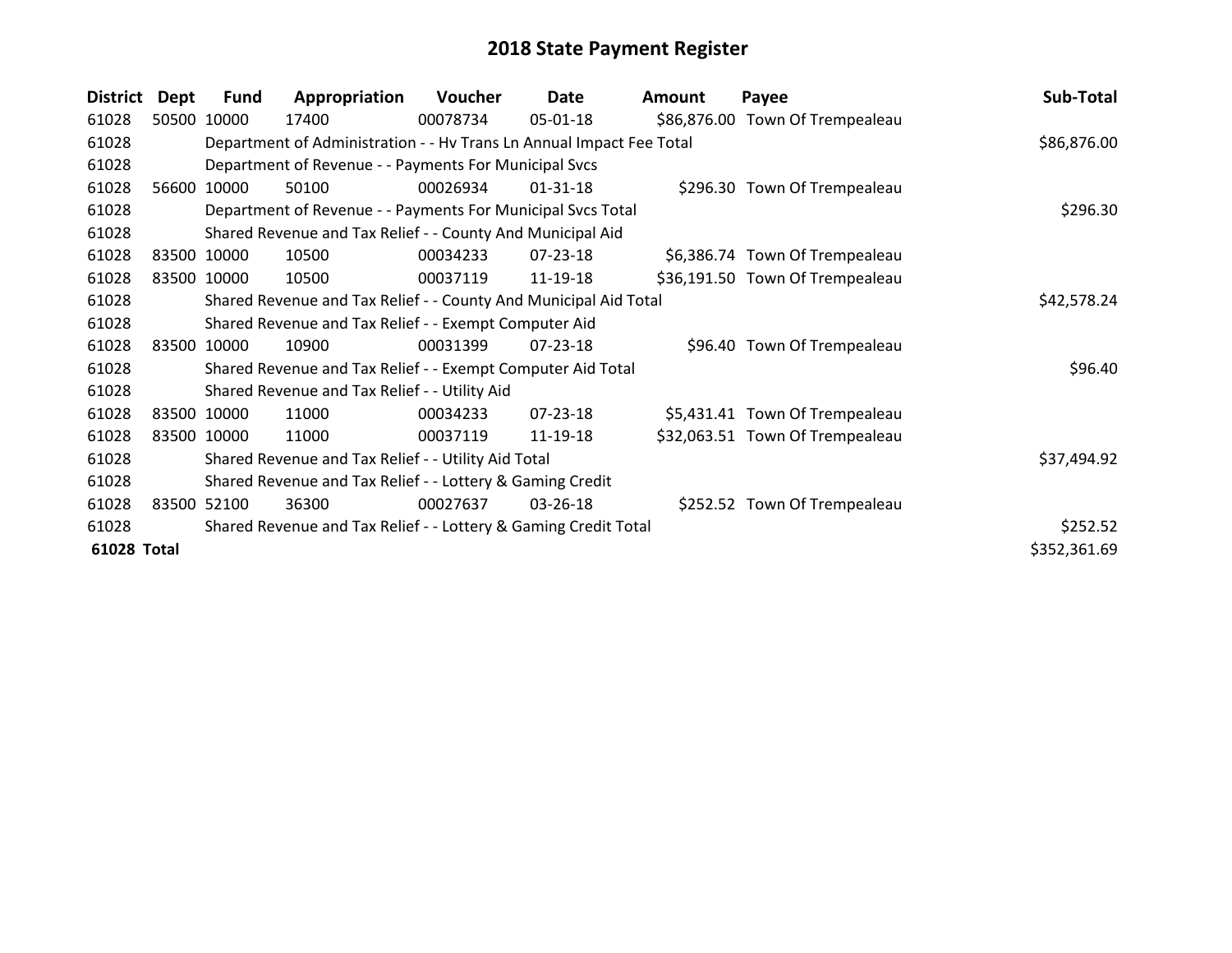| <b>District</b> | Dept | Fund        | Appropriation                                                        | <b>Voucher</b> | Date           | Amount | Payee                           | Sub-Total    |
|-----------------|------|-------------|----------------------------------------------------------------------|----------------|----------------|--------|---------------------------------|--------------|
| 61028           |      | 50500 10000 | 17400                                                                | 00078734       | 05-01-18       |        | \$86,876.00 Town Of Trempealeau |              |
| 61028           |      |             | Department of Administration - - Hv Trans Ln Annual Impact Fee Total |                |                |        |                                 | \$86,876.00  |
| 61028           |      |             | Department of Revenue - - Payments For Municipal Svcs                |                |                |        |                                 |              |
| 61028           |      | 56600 10000 | 50100                                                                | 00026934       | $01 - 31 - 18$ |        | \$296.30 Town Of Trempealeau    |              |
| 61028           |      |             | Department of Revenue - - Payments For Municipal Svcs Total          |                |                |        |                                 | \$296.30     |
| 61028           |      |             | Shared Revenue and Tax Relief - - County And Municipal Aid           |                |                |        |                                 |              |
| 61028           |      | 83500 10000 | 10500                                                                | 00034233       | 07-23-18       |        | \$6,386.74 Town Of Trempealeau  |              |
| 61028           |      | 83500 10000 | 10500                                                                | 00037119       | 11-19-18       |        | \$36,191.50 Town Of Trempealeau |              |
| 61028           |      |             | Shared Revenue and Tax Relief - - County And Municipal Aid Total     |                | \$42,578.24    |        |                                 |              |
| 61028           |      |             | Shared Revenue and Tax Relief - - Exempt Computer Aid                |                |                |        |                                 |              |
| 61028           |      | 83500 10000 | 10900                                                                | 00031399       | $07 - 23 - 18$ |        | \$96.40 Town Of Trempealeau     |              |
| 61028           |      |             | Shared Revenue and Tax Relief - - Exempt Computer Aid Total          |                |                |        |                                 | \$96.40      |
| 61028           |      |             | Shared Revenue and Tax Relief - - Utility Aid                        |                |                |        |                                 |              |
| 61028           |      | 83500 10000 | 11000                                                                | 00034233       | $07 - 23 - 18$ |        | \$5,431.41 Town Of Trempealeau  |              |
| 61028           |      | 83500 10000 | 11000                                                                | 00037119       | 11-19-18       |        | \$32,063.51 Town Of Trempealeau |              |
| 61028           |      |             | Shared Revenue and Tax Relief - - Utility Aid Total                  |                |                |        |                                 | \$37,494.92  |
| 61028           |      |             | Shared Revenue and Tax Relief - - Lottery & Gaming Credit            |                |                |        |                                 |              |
| 61028           |      | 83500 52100 | 36300                                                                | 00027637       | $03 - 26 - 18$ |        | \$252.52 Town Of Trempealeau    |              |
| 61028           |      |             | Shared Revenue and Tax Relief - - Lottery & Gaming Credit Total      |                |                |        |                                 | \$252.52     |
| 61028 Total     |      |             |                                                                      |                |                |        |                                 | \$352,361.69 |
|                 |      |             |                                                                      |                |                |        |                                 |              |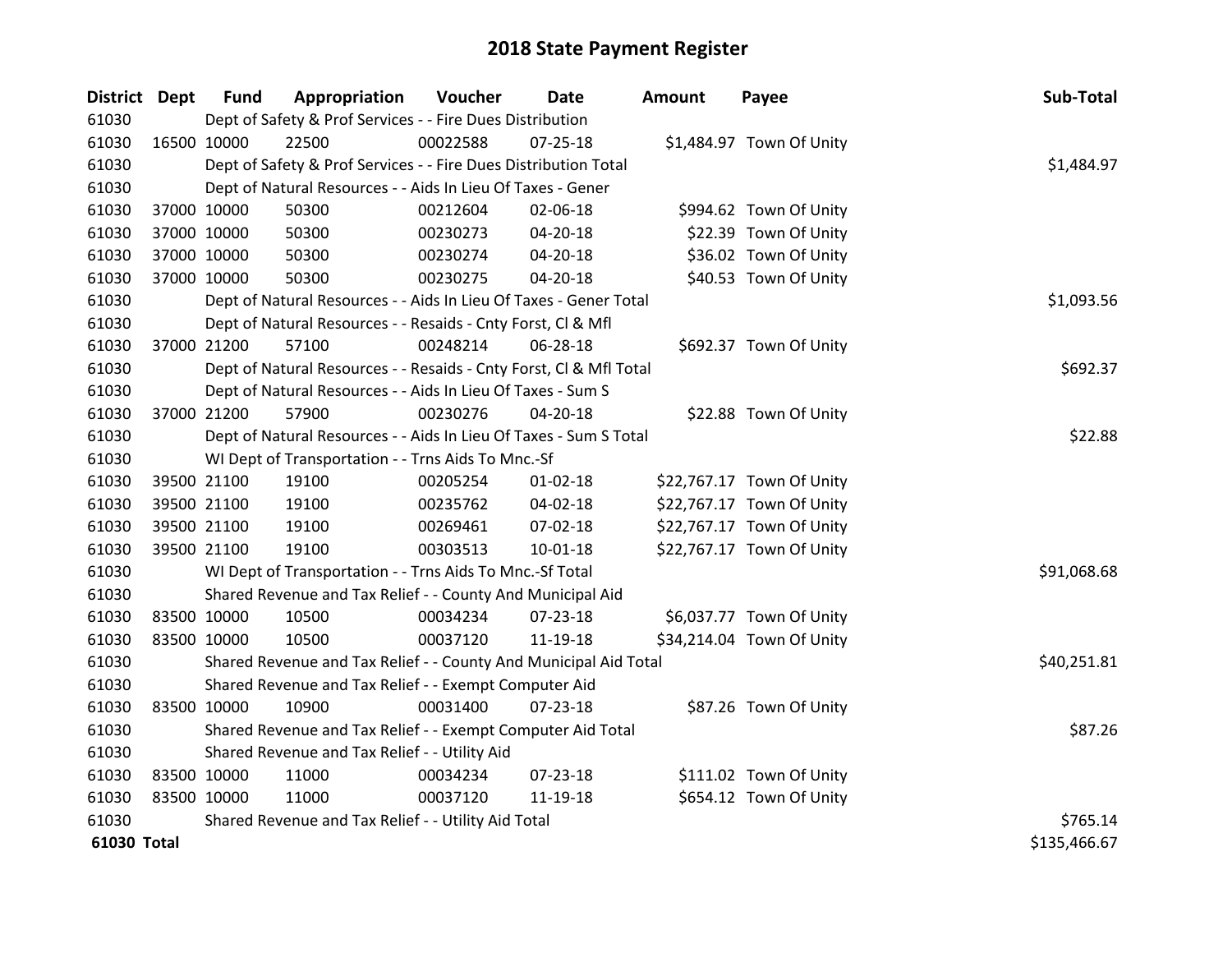| <b>District Dept</b> |             | <b>Fund</b> | Appropriation                                                      | Voucher  | Date           | <b>Amount</b> | Payee                     | Sub-Total    |
|----------------------|-------------|-------------|--------------------------------------------------------------------|----------|----------------|---------------|---------------------------|--------------|
| 61030                |             |             | Dept of Safety & Prof Services - - Fire Dues Distribution          |          |                |               |                           |              |
| 61030                | 16500 10000 |             | 22500                                                              | 00022588 | $07 - 25 - 18$ |               | \$1,484.97 Town Of Unity  |              |
| 61030                |             |             | Dept of Safety & Prof Services - - Fire Dues Distribution Total    |          |                |               |                           | \$1,484.97   |
| 61030                |             |             | Dept of Natural Resources - - Aids In Lieu Of Taxes - Gener        |          |                |               |                           |              |
| 61030                |             | 37000 10000 | 50300                                                              | 00212604 | 02-06-18       |               | \$994.62 Town Of Unity    |              |
| 61030                |             | 37000 10000 | 50300                                                              | 00230273 | 04-20-18       |               | \$22.39 Town Of Unity     |              |
| 61030                |             | 37000 10000 | 50300                                                              | 00230274 | 04-20-18       |               | \$36.02 Town Of Unity     |              |
| 61030                |             | 37000 10000 | 50300                                                              | 00230275 | 04-20-18       |               | \$40.53 Town Of Unity     |              |
| 61030                |             |             | Dept of Natural Resources - - Aids In Lieu Of Taxes - Gener Total  |          |                |               |                           | \$1,093.56   |
| 61030                |             |             | Dept of Natural Resources - - Resaids - Cnty Forst, CI & Mfl       |          |                |               |                           |              |
| 61030                |             | 37000 21200 | 57100                                                              | 00248214 | $06 - 28 - 18$ |               | \$692.37 Town Of Unity    |              |
| 61030                |             |             | Dept of Natural Resources - - Resaids - Cnty Forst, Cl & Mfl Total |          |                |               |                           | \$692.37     |
| 61030                |             |             | Dept of Natural Resources - - Aids In Lieu Of Taxes - Sum S        |          |                |               |                           |              |
| 61030                |             | 37000 21200 | 57900                                                              | 00230276 | 04-20-18       |               | \$22.88 Town Of Unity     |              |
| 61030                |             |             | Dept of Natural Resources - - Aids In Lieu Of Taxes - Sum S Total  |          |                |               |                           | \$22.88      |
| 61030                |             |             | WI Dept of Transportation - - Trns Aids To Mnc.-Sf                 |          |                |               |                           |              |
| 61030                |             | 39500 21100 | 19100                                                              | 00205254 | $01 - 02 - 18$ |               | \$22,767.17 Town Of Unity |              |
| 61030                | 39500 21100 |             | 19100                                                              | 00235762 | 04-02-18       |               | \$22,767.17 Town Of Unity |              |
| 61030                | 39500 21100 |             | 19100                                                              | 00269461 | 07-02-18       |               | \$22,767.17 Town Of Unity |              |
| 61030                |             | 39500 21100 | 19100                                                              | 00303513 | 10-01-18       |               | \$22,767.17 Town Of Unity |              |
| 61030                |             |             | WI Dept of Transportation - - Trns Aids To Mnc.-Sf Total           |          |                |               |                           | \$91,068.68  |
| 61030                |             |             | Shared Revenue and Tax Relief - - County And Municipal Aid         |          |                |               |                           |              |
| 61030                | 83500 10000 |             | 10500                                                              | 00034234 | 07-23-18       |               | \$6,037.77 Town Of Unity  |              |
| 61030                | 83500 10000 |             | 10500                                                              | 00037120 | 11-19-18       |               | \$34,214.04 Town Of Unity |              |
| 61030                |             |             | Shared Revenue and Tax Relief - - County And Municipal Aid Total   |          |                |               |                           | \$40,251.81  |
| 61030                |             |             | Shared Revenue and Tax Relief - - Exempt Computer Aid              |          |                |               |                           |              |
| 61030                | 83500 10000 |             | 10900                                                              | 00031400 | 07-23-18       |               | \$87.26 Town Of Unity     |              |
| 61030                |             |             | Shared Revenue and Tax Relief - - Exempt Computer Aid Total        |          |                |               |                           | \$87.26      |
| 61030                |             |             | Shared Revenue and Tax Relief - - Utility Aid                      |          |                |               |                           |              |
| 61030                | 83500 10000 |             | 11000                                                              | 00034234 | $07 - 23 - 18$ |               | \$111.02 Town Of Unity    |              |
| 61030                | 83500 10000 |             | 11000                                                              | 00037120 | 11-19-18       |               | \$654.12 Town Of Unity    |              |
| 61030                |             |             | Shared Revenue and Tax Relief - - Utility Aid Total                |          |                |               |                           | \$765.14     |
| 61030 Total          |             |             |                                                                    |          |                |               |                           | \$135,466.67 |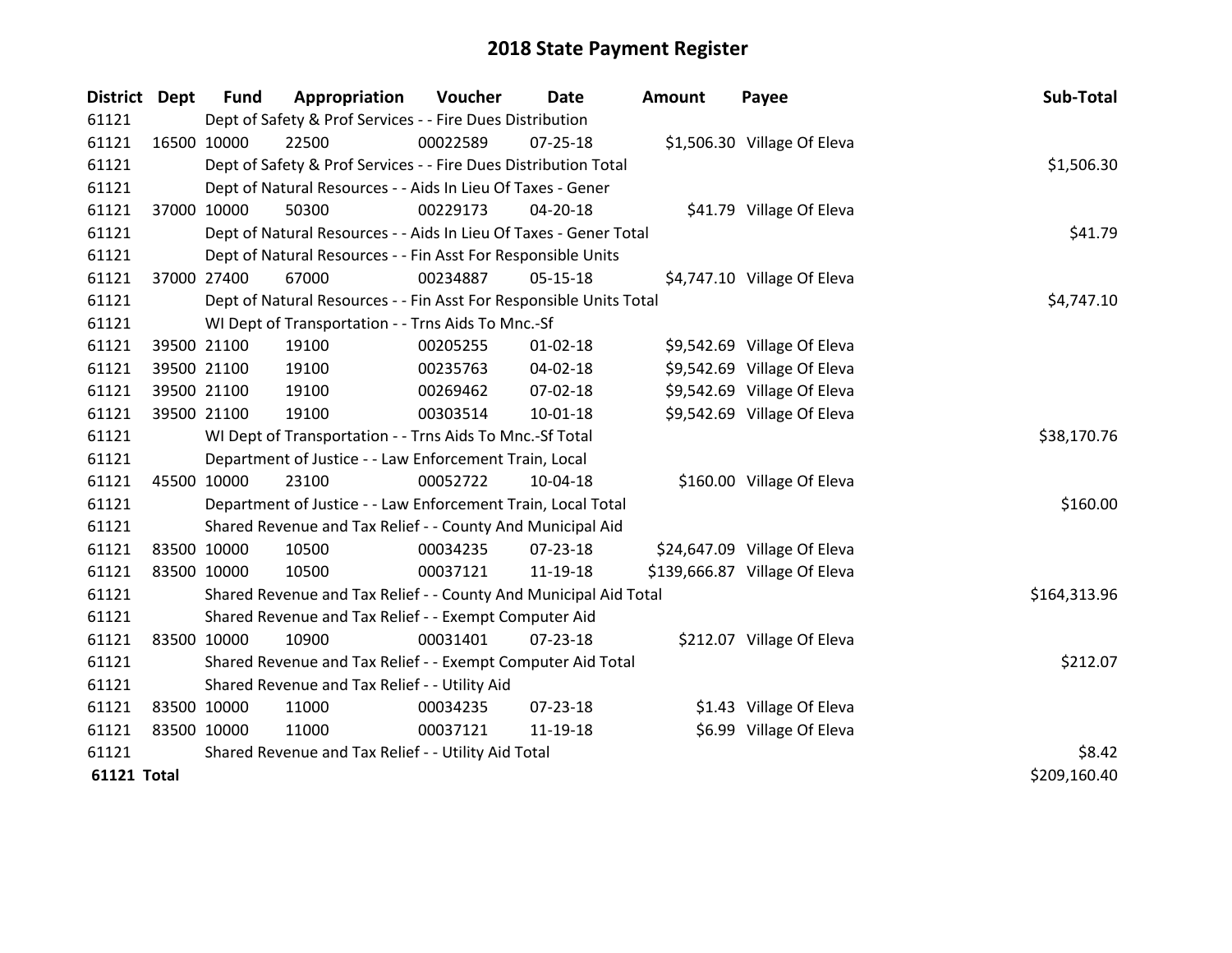| District Dept      |             | <b>Fund</b> | Appropriation                                                      | Voucher  | Date           | <b>Amount</b> | Payee                         | Sub-Total    |
|--------------------|-------------|-------------|--------------------------------------------------------------------|----------|----------------|---------------|-------------------------------|--------------|
| 61121              |             |             | Dept of Safety & Prof Services - - Fire Dues Distribution          |          |                |               |                               |              |
| 61121              |             | 16500 10000 | 22500                                                              | 00022589 | $07 - 25 - 18$ |               | \$1,506.30 Village Of Eleva   |              |
| 61121              |             |             | Dept of Safety & Prof Services - - Fire Dues Distribution Total    |          |                |               |                               | \$1,506.30   |
| 61121              |             |             | Dept of Natural Resources - - Aids In Lieu Of Taxes - Gener        |          |                |               |                               |              |
| 61121              |             | 37000 10000 | 50300                                                              | 00229173 | 04-20-18       |               | \$41.79 Village Of Eleva      |              |
| 61121              |             |             | Dept of Natural Resources - - Aids In Lieu Of Taxes - Gener Total  |          |                |               |                               | \$41.79      |
| 61121              |             |             | Dept of Natural Resources - - Fin Asst For Responsible Units       |          |                |               |                               |              |
| 61121              |             | 37000 27400 | 67000                                                              | 00234887 | 05-15-18       |               | \$4,747.10 Village Of Eleva   |              |
| 61121              |             |             | Dept of Natural Resources - - Fin Asst For Responsible Units Total |          |                |               |                               | \$4,747.10   |
| 61121              |             |             | WI Dept of Transportation - - Trns Aids To Mnc.-Sf                 |          |                |               |                               |              |
| 61121              |             | 39500 21100 | 19100                                                              | 00205255 | $01 - 02 - 18$ |               | \$9,542.69 Village Of Eleva   |              |
| 61121              |             | 39500 21100 | 19100                                                              | 00235763 | 04-02-18       |               | \$9,542.69 Village Of Eleva   |              |
| 61121              |             | 39500 21100 | 19100                                                              | 00269462 | 07-02-18       |               | \$9,542.69 Village Of Eleva   |              |
| 61121              |             | 39500 21100 | 19100                                                              | 00303514 | $10 - 01 - 18$ |               | \$9,542.69 Village Of Eleva   |              |
| 61121              |             |             | WI Dept of Transportation - - Trns Aids To Mnc.-Sf Total           |          |                |               |                               | \$38,170.76  |
| 61121              |             |             | Department of Justice - - Law Enforcement Train, Local             |          |                |               |                               |              |
| 61121              |             | 45500 10000 | 23100                                                              | 00052722 | 10-04-18       |               | \$160.00 Village Of Eleva     |              |
| 61121              |             |             | Department of Justice - - Law Enforcement Train, Local Total       |          |                |               |                               | \$160.00     |
| 61121              |             |             | Shared Revenue and Tax Relief - - County And Municipal Aid         |          |                |               |                               |              |
| 61121              |             | 83500 10000 | 10500                                                              | 00034235 | 07-23-18       |               | \$24,647.09 Village Of Eleva  |              |
| 61121              |             | 83500 10000 | 10500                                                              | 00037121 | 11-19-18       |               | \$139,666.87 Village Of Eleva |              |
| 61121              |             |             | Shared Revenue and Tax Relief - - County And Municipal Aid Total   |          |                |               |                               | \$164,313.96 |
| 61121              |             |             | Shared Revenue and Tax Relief - - Exempt Computer Aid              |          |                |               |                               |              |
| 61121              | 83500 10000 |             | 10900                                                              | 00031401 | $07 - 23 - 18$ |               | \$212.07 Village Of Eleva     |              |
| 61121              |             |             | Shared Revenue and Tax Relief - - Exempt Computer Aid Total        |          |                |               |                               | \$212.07     |
| 61121              |             |             | Shared Revenue and Tax Relief - - Utility Aid                      |          |                |               |                               |              |
| 61121              |             | 83500 10000 | 11000                                                              | 00034235 | 07-23-18       |               | \$1.43 Village Of Eleva       |              |
| 61121              |             | 83500 10000 | 11000                                                              | 00037121 | 11-19-18       |               | \$6.99 Village Of Eleva       |              |
| 61121              |             |             | Shared Revenue and Tax Relief - - Utility Aid Total                |          |                |               |                               | \$8.42       |
| <b>61121 Total</b> |             |             |                                                                    |          |                |               |                               | \$209,160.40 |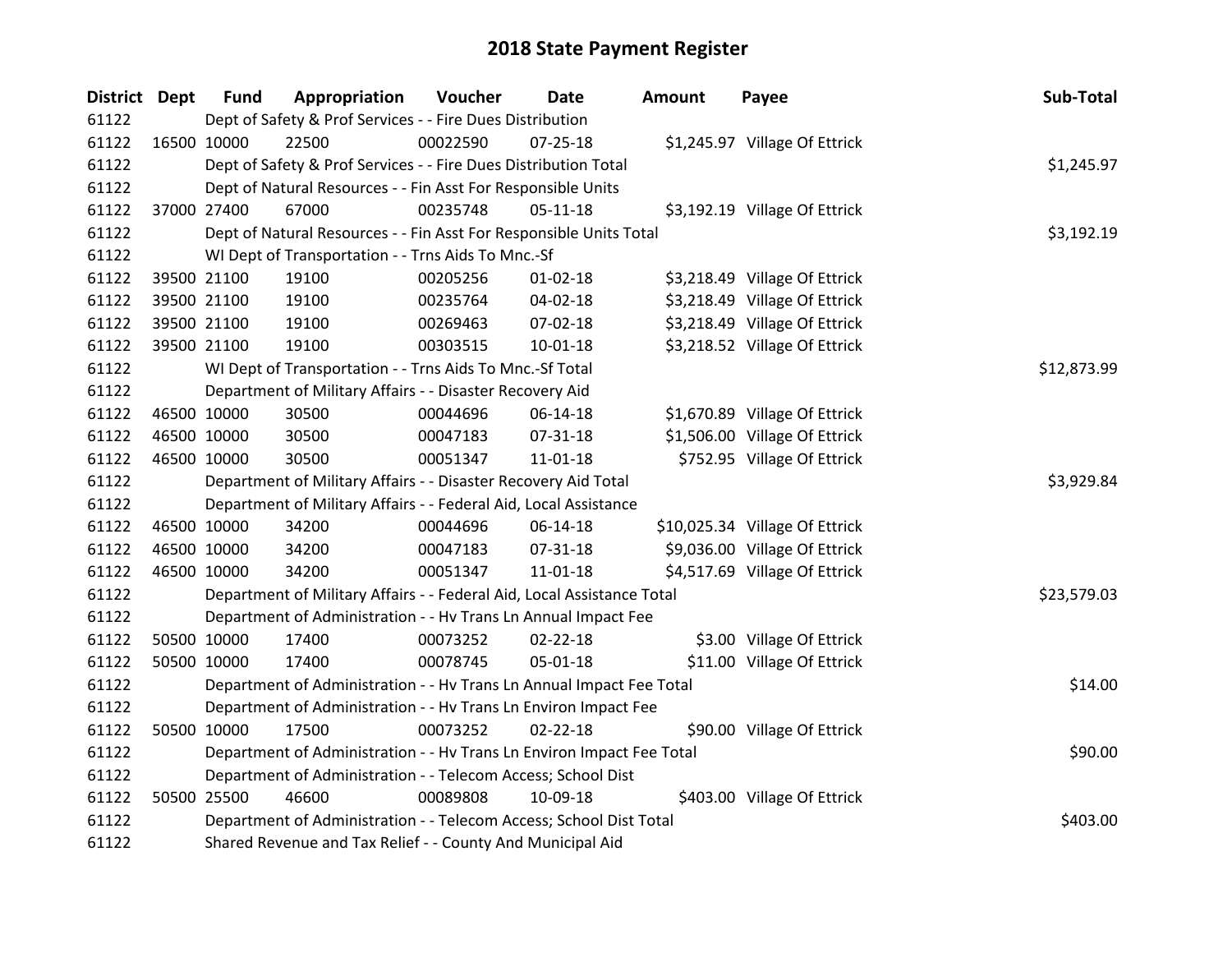| District Dept | <b>Fund</b> | Appropriation                                                          | Voucher  | Date           | <b>Amount</b> | Payee                          | Sub-Total   |
|---------------|-------------|------------------------------------------------------------------------|----------|----------------|---------------|--------------------------------|-------------|
| 61122         |             | Dept of Safety & Prof Services - - Fire Dues Distribution              |          |                |               |                                |             |
| 61122         | 16500 10000 | 22500                                                                  | 00022590 | $07 - 25 - 18$ |               | \$1,245.97 Village Of Ettrick  |             |
| 61122         |             | Dept of Safety & Prof Services - - Fire Dues Distribution Total        |          |                |               |                                | \$1,245.97  |
| 61122         |             | Dept of Natural Resources - - Fin Asst For Responsible Units           |          |                |               |                                |             |
| 61122         | 37000 27400 | 67000                                                                  | 00235748 | $05 - 11 - 18$ |               | \$3,192.19 Village Of Ettrick  |             |
| 61122         |             | Dept of Natural Resources - - Fin Asst For Responsible Units Total     |          |                |               |                                | \$3,192.19  |
| 61122         |             | WI Dept of Transportation - - Trns Aids To Mnc.-Sf                     |          |                |               |                                |             |
| 61122         | 39500 21100 | 19100                                                                  | 00205256 | $01 - 02 - 18$ |               | \$3,218.49 Village Of Ettrick  |             |
| 61122         | 39500 21100 | 19100                                                                  | 00235764 | 04-02-18       |               | \$3,218.49 Village Of Ettrick  |             |
| 61122         | 39500 21100 | 19100                                                                  | 00269463 | 07-02-18       |               | \$3,218.49 Village Of Ettrick  |             |
| 61122         | 39500 21100 | 19100                                                                  | 00303515 | $10 - 01 - 18$ |               | \$3,218.52 Village Of Ettrick  |             |
| 61122         |             | WI Dept of Transportation - - Trns Aids To Mnc.-Sf Total               |          |                |               |                                | \$12,873.99 |
| 61122         |             | Department of Military Affairs - - Disaster Recovery Aid               |          |                |               |                                |             |
| 61122         | 46500 10000 | 30500                                                                  | 00044696 | 06-14-18       |               | \$1,670.89 Village Of Ettrick  |             |
| 61122         | 46500 10000 | 30500                                                                  | 00047183 | 07-31-18       |               | \$1,506.00 Village Of Ettrick  |             |
| 61122         | 46500 10000 | 30500                                                                  | 00051347 | $11 - 01 - 18$ |               | \$752.95 Village Of Ettrick    |             |
| 61122         |             | Department of Military Affairs - - Disaster Recovery Aid Total         |          |                |               |                                | \$3,929.84  |
| 61122         |             | Department of Military Affairs - - Federal Aid, Local Assistance       |          |                |               |                                |             |
| 61122         | 46500 10000 | 34200                                                                  | 00044696 | 06-14-18       |               | \$10,025.34 Village Of Ettrick |             |
| 61122         | 46500 10000 | 34200                                                                  | 00047183 | 07-31-18       |               | \$9,036.00 Village Of Ettrick  |             |
| 61122         | 46500 10000 | 34200                                                                  | 00051347 | $11 - 01 - 18$ |               | \$4,517.69 Village Of Ettrick  |             |
| 61122         |             | Department of Military Affairs - - Federal Aid, Local Assistance Total |          |                |               |                                | \$23,579.03 |
| 61122         |             | Department of Administration - - Hv Trans Ln Annual Impact Fee         |          |                |               |                                |             |
| 61122         | 50500 10000 | 17400                                                                  | 00073252 | $02 - 22 - 18$ |               | \$3.00 Village Of Ettrick      |             |
| 61122         | 50500 10000 | 17400                                                                  | 00078745 | 05-01-18       |               | \$11.00 Village Of Ettrick     |             |
| 61122         |             | Department of Administration - - Hv Trans Ln Annual Impact Fee Total   |          |                |               |                                | \$14.00     |
| 61122         |             | Department of Administration - - Hv Trans Ln Environ Impact Fee        |          |                |               |                                |             |
| 61122         | 50500 10000 | 17500                                                                  | 00073252 | $02 - 22 - 18$ |               | \$90.00 Village Of Ettrick     |             |
| 61122         |             | Department of Administration - - Hv Trans Ln Environ Impact Fee Total  |          |                |               |                                | \$90.00     |
| 61122         |             | Department of Administration - - Telecom Access; School Dist           |          |                |               |                                |             |
| 61122         | 50500 25500 | 46600                                                                  | 00089808 | 10-09-18       |               | \$403.00 Village Of Ettrick    |             |
| 61122         |             | Department of Administration - - Telecom Access; School Dist Total     | \$403.00 |                |               |                                |             |
| 61122         |             | Shared Revenue and Tax Relief - - County And Municipal Aid             |          |                |               |                                |             |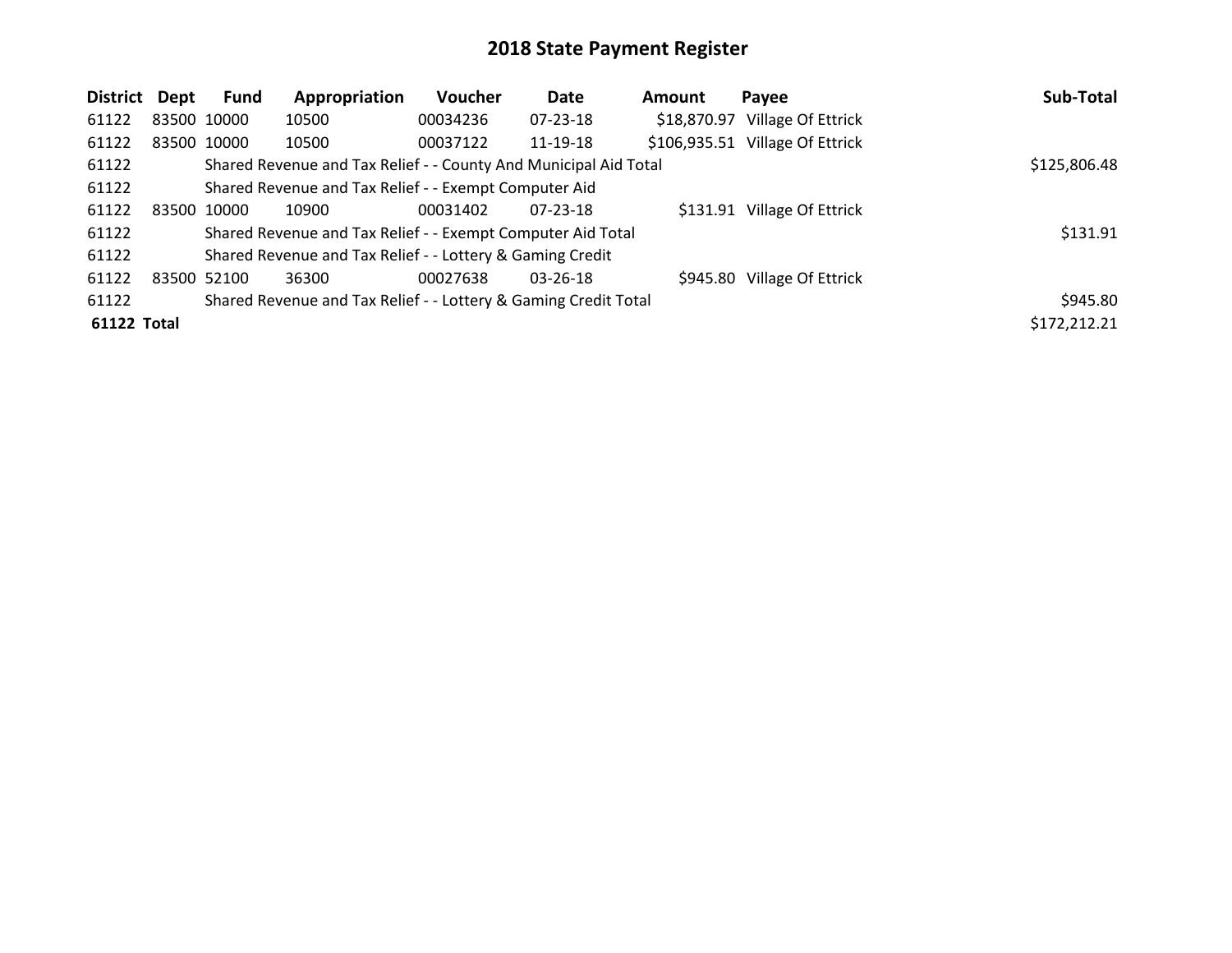| District Dept |             | Fund        | Appropriation                                                    | <b>Voucher</b> | Date           | <b>Amount</b> | Payee                           | Sub-Total    |
|---------------|-------------|-------------|------------------------------------------------------------------|----------------|----------------|---------------|---------------------------------|--------------|
| 61122         |             | 83500 10000 | 10500                                                            | 00034236       | $07 - 23 - 18$ |               | \$18,870.97 Village Of Ettrick  |              |
| 61122         |             | 83500 10000 | 10500                                                            | 00037122       | 11-19-18       |               | \$106,935.51 Village Of Ettrick |              |
| 61122         |             |             | Shared Revenue and Tax Relief - - County And Municipal Aid Total |                |                |               |                                 | \$125,806.48 |
| 61122         |             |             | Shared Revenue and Tax Relief - - Exempt Computer Aid            |                |                |               |                                 |              |
| 61122         | 83500 10000 |             | 10900                                                            | 00031402       | $07 - 23 - 18$ |               | \$131.91 Village Of Ettrick     |              |
| 61122         |             |             | Shared Revenue and Tax Relief - - Exempt Computer Aid Total      |                |                |               |                                 | \$131.91     |
| 61122         |             |             | Shared Revenue and Tax Relief - - Lottery & Gaming Credit        |                |                |               |                                 |              |
| 61122         |             | 83500 52100 | 36300                                                            | 00027638       | $03 - 26 - 18$ |               | \$945.80 Village Of Ettrick     |              |
| 61122         |             |             | Shared Revenue and Tax Relief - - Lottery & Gaming Credit Total  |                |                |               |                                 | \$945.80     |
| 61122 Total   |             |             |                                                                  |                |                |               |                                 | \$172,212.21 |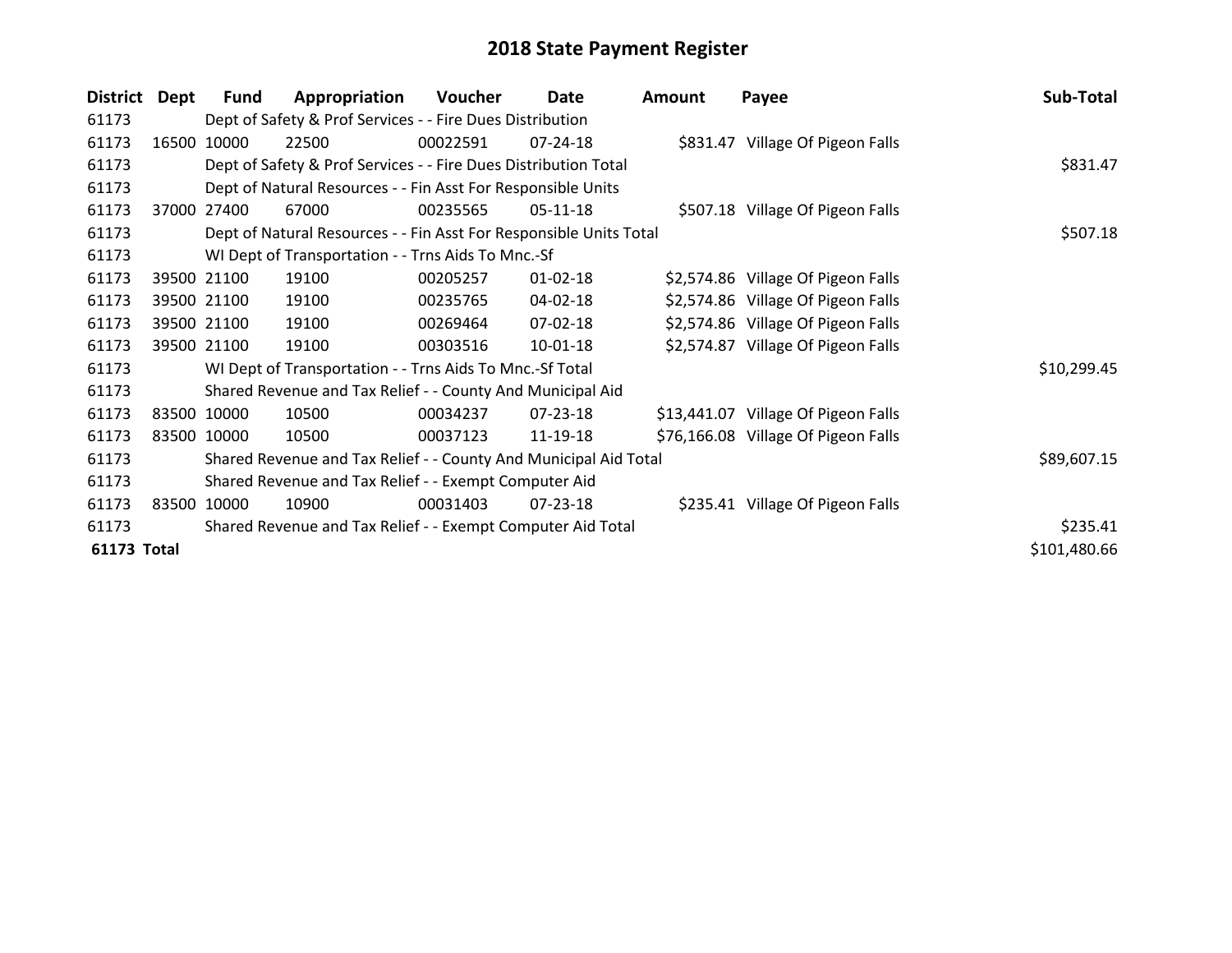| <b>District</b> | Dept  | <b>Fund</b> | Appropriation                                                      | Voucher  | Date           | <b>Amount</b> | Payee                               | Sub-Total    |
|-----------------|-------|-------------|--------------------------------------------------------------------|----------|----------------|---------------|-------------------------------------|--------------|
| 61173           |       |             | Dept of Safety & Prof Services - - Fire Dues Distribution          |          |                |               |                                     |              |
| 61173           | 16500 | 10000       | 22500                                                              | 00022591 | 07-24-18       |               | \$831.47 Village Of Pigeon Falls    |              |
| 61173           |       |             | Dept of Safety & Prof Services - - Fire Dues Distribution Total    |          |                |               |                                     | \$831.47     |
| 61173           |       |             | Dept of Natural Resources - - Fin Asst For Responsible Units       |          |                |               |                                     |              |
| 61173           | 37000 | 27400       | 67000                                                              | 00235565 | $05-11-18$     |               | \$507.18 Village Of Pigeon Falls    |              |
| 61173           |       |             | Dept of Natural Resources - - Fin Asst For Responsible Units Total |          |                |               |                                     | \$507.18     |
| 61173           |       |             | WI Dept of Transportation - - Trns Aids To Mnc.-Sf                 |          |                |               |                                     |              |
| 61173           |       | 39500 21100 | 19100                                                              | 00205257 | $01 - 02 - 18$ |               | \$2,574.86 Village Of Pigeon Falls  |              |
| 61173           |       | 39500 21100 | 19100                                                              | 00235765 | 04-02-18       |               | \$2,574.86 Village Of Pigeon Falls  |              |
| 61173           |       | 39500 21100 | 19100                                                              | 00269464 | 07-02-18       |               | \$2,574.86 Village Of Pigeon Falls  |              |
| 61173           |       | 39500 21100 | 19100                                                              | 00303516 | 10-01-18       |               | \$2,574.87 Village Of Pigeon Falls  |              |
| 61173           |       |             | WI Dept of Transportation - - Trns Aids To Mnc.-Sf Total           |          |                |               |                                     | \$10,299.45  |
| 61173           |       |             | Shared Revenue and Tax Relief - - County And Municipal Aid         |          |                |               |                                     |              |
| 61173           |       | 83500 10000 | 10500                                                              | 00034237 | $07 - 23 - 18$ |               | \$13,441.07 Village Of Pigeon Falls |              |
| 61173           |       | 83500 10000 | 10500                                                              | 00037123 | 11-19-18       |               | \$76,166.08 Village Of Pigeon Falls |              |
| 61173           |       |             | Shared Revenue and Tax Relief - - County And Municipal Aid Total   |          |                |               |                                     | \$89,607.15  |
| 61173           |       |             | Shared Revenue and Tax Relief - - Exempt Computer Aid              |          |                |               |                                     |              |
| 61173           |       | 83500 10000 | 10900                                                              | 00031403 | 07-23-18       |               | \$235.41 Village Of Pigeon Falls    |              |
| 61173           |       |             | Shared Revenue and Tax Relief - - Exempt Computer Aid Total        |          |                |               |                                     | \$235.41     |
| 61173 Total     |       |             |                                                                    |          |                |               |                                     | \$101,480.66 |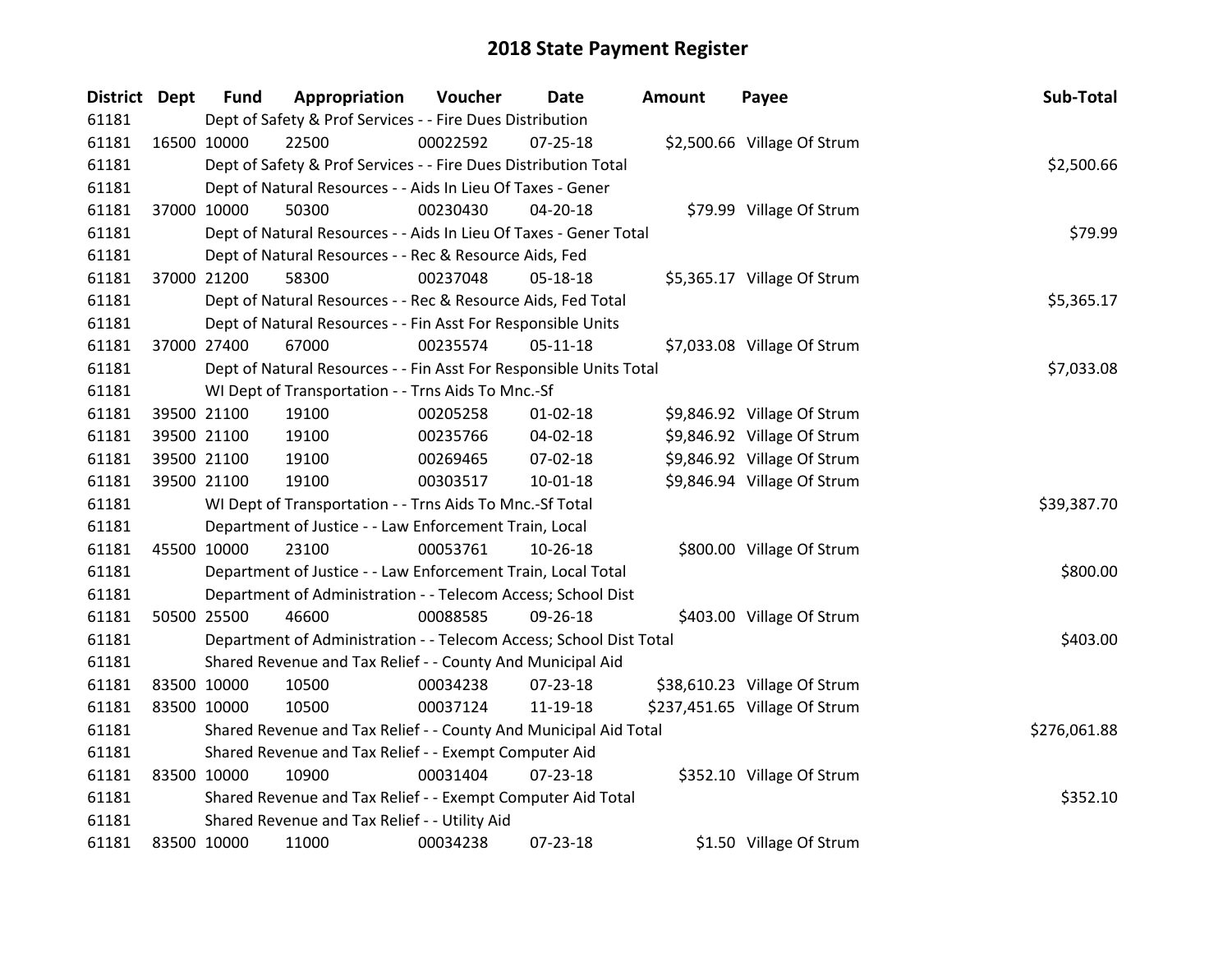| <b>District Dept</b> |             | <b>Fund</b> | Appropriation                                                      | Voucher  | Date           | <b>Amount</b> | Payee                         | Sub-Total    |
|----------------------|-------------|-------------|--------------------------------------------------------------------|----------|----------------|---------------|-------------------------------|--------------|
| 61181                |             |             | Dept of Safety & Prof Services - - Fire Dues Distribution          |          |                |               |                               |              |
| 61181                |             | 16500 10000 | 22500                                                              | 00022592 | 07-25-18       |               | \$2,500.66 Village Of Strum   |              |
| 61181                |             |             | Dept of Safety & Prof Services - - Fire Dues Distribution Total    |          |                |               |                               | \$2,500.66   |
| 61181                |             |             | Dept of Natural Resources - - Aids In Lieu Of Taxes - Gener        |          |                |               |                               |              |
| 61181                |             | 37000 10000 | 50300                                                              | 00230430 | 04-20-18       |               | \$79.99 Village Of Strum      |              |
| 61181                |             |             | Dept of Natural Resources - - Aids In Lieu Of Taxes - Gener Total  |          |                |               |                               | \$79.99      |
| 61181                |             |             | Dept of Natural Resources - - Rec & Resource Aids, Fed             |          |                |               |                               |              |
| 61181                |             | 37000 21200 | 58300                                                              | 00237048 | 05-18-18       |               | \$5,365.17 Village Of Strum   |              |
| 61181                |             |             | Dept of Natural Resources - - Rec & Resource Aids, Fed Total       |          |                |               |                               | \$5,365.17   |
| 61181                |             |             | Dept of Natural Resources - - Fin Asst For Responsible Units       |          |                |               |                               |              |
| 61181                |             | 37000 27400 | 67000                                                              | 00235574 | 05-11-18       |               | \$7,033.08 Village Of Strum   |              |
| 61181                |             |             | Dept of Natural Resources - - Fin Asst For Responsible Units Total |          |                |               |                               | \$7,033.08   |
| 61181                |             |             | WI Dept of Transportation - - Trns Aids To Mnc.-Sf                 |          |                |               |                               |              |
| 61181                |             | 39500 21100 | 19100                                                              | 00205258 | $01 - 02 - 18$ |               | \$9,846.92 Village Of Strum   |              |
| 61181                |             | 39500 21100 | 19100                                                              | 00235766 | 04-02-18       |               | \$9,846.92 Village Of Strum   |              |
| 61181                |             | 39500 21100 | 19100                                                              | 00269465 | 07-02-18       |               | \$9,846.92 Village Of Strum   |              |
| 61181                |             | 39500 21100 | 19100                                                              | 00303517 | 10-01-18       |               | \$9,846.94 Village Of Strum   |              |
| 61181                |             |             | WI Dept of Transportation - - Trns Aids To Mnc.-Sf Total           |          |                |               |                               | \$39,387.70  |
| 61181                |             |             | Department of Justice - - Law Enforcement Train, Local             |          |                |               |                               |              |
| 61181                |             | 45500 10000 | 23100                                                              | 00053761 | 10-26-18       |               | \$800.00 Village Of Strum     |              |
| 61181                |             |             | Department of Justice - - Law Enforcement Train, Local Total       |          |                |               |                               | \$800.00     |
| 61181                |             |             | Department of Administration - - Telecom Access; School Dist       |          |                |               |                               |              |
| 61181                |             | 50500 25500 | 46600                                                              | 00088585 | 09-26-18       |               | \$403.00 Village Of Strum     |              |
| 61181                |             |             | Department of Administration - - Telecom Access; School Dist Total |          |                |               |                               | \$403.00     |
| 61181                |             |             | Shared Revenue and Tax Relief - - County And Municipal Aid         |          |                |               |                               |              |
| 61181                |             | 83500 10000 | 10500                                                              | 00034238 | $07 - 23 - 18$ |               | \$38,610.23 Village Of Strum  |              |
| 61181                |             | 83500 10000 | 10500                                                              | 00037124 | 11-19-18       |               | \$237,451.65 Village Of Strum |              |
| 61181                |             |             | Shared Revenue and Tax Relief - - County And Municipal Aid Total   |          |                |               |                               | \$276,061.88 |
| 61181                |             |             | Shared Revenue and Tax Relief - - Exempt Computer Aid              |          |                |               |                               |              |
| 61181                |             | 83500 10000 | 10900                                                              | 00031404 | $07 - 23 - 18$ |               | \$352.10 Village Of Strum     |              |
| 61181                |             |             | Shared Revenue and Tax Relief - - Exempt Computer Aid Total        |          |                |               |                               | \$352.10     |
| 61181                |             |             | Shared Revenue and Tax Relief - - Utility Aid                      |          |                |               |                               |              |
| 61181                | 83500 10000 |             | 11000                                                              | 00034238 | 07-23-18       |               | \$1.50 Village Of Strum       |              |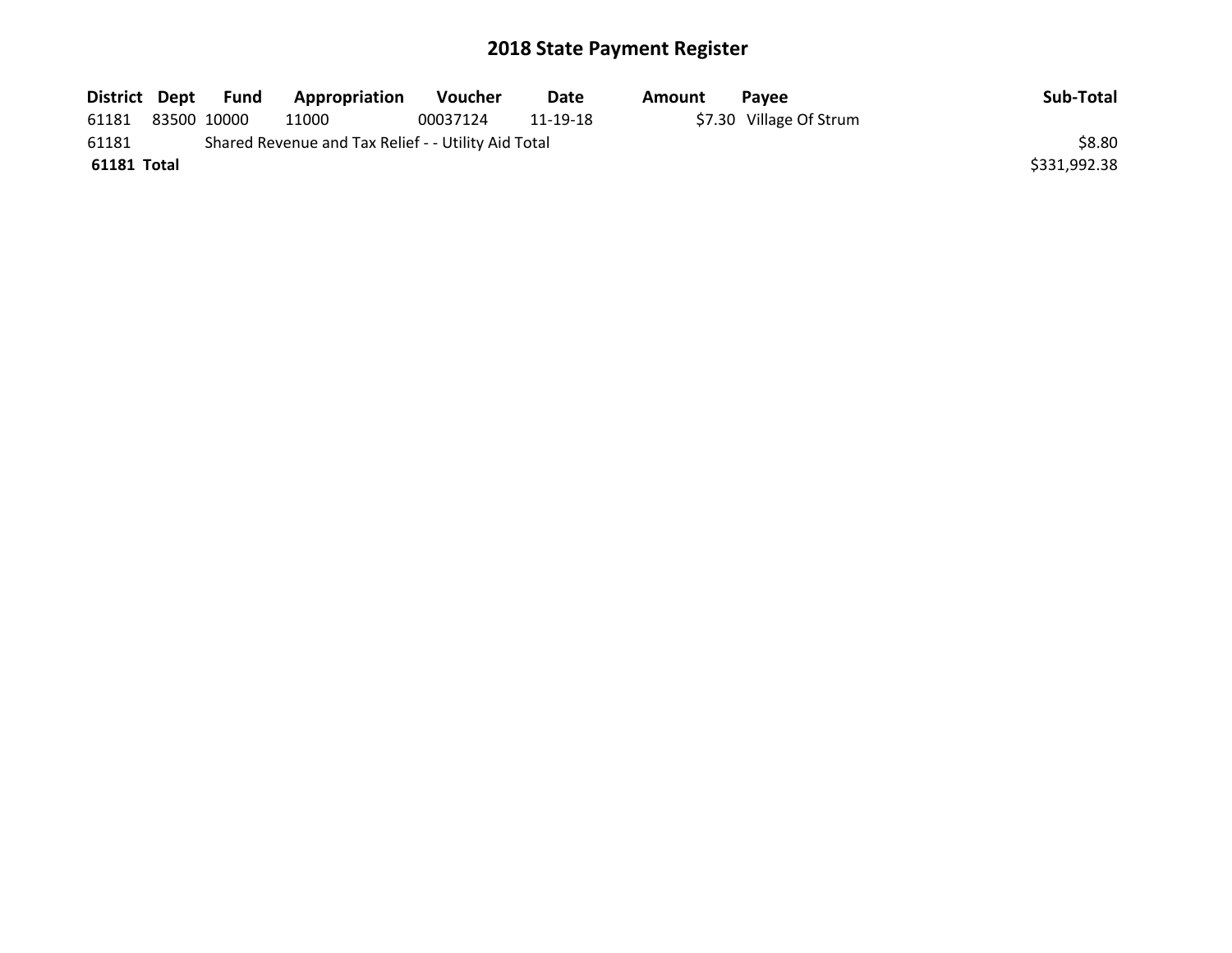|             |                                                     | District Dept Fund | Appropriation | <b>Voucher</b> | Date     | Amount | <b>Pavee</b>            | Sub-Total    |
|-------------|-----------------------------------------------------|--------------------|---------------|----------------|----------|--------|-------------------------|--------------|
| 61181       | 83500 10000                                         |                    | 11000         | 00037124       | 11-19-18 |        | \$7.30 Village Of Strum |              |
| 61181       | Shared Revenue and Tax Relief - - Utility Aid Total |                    |               |                |          |        |                         |              |
| 61181 Total |                                                     |                    |               |                |          |        |                         | \$331,992.38 |
|             |                                                     |                    |               |                |          |        |                         |              |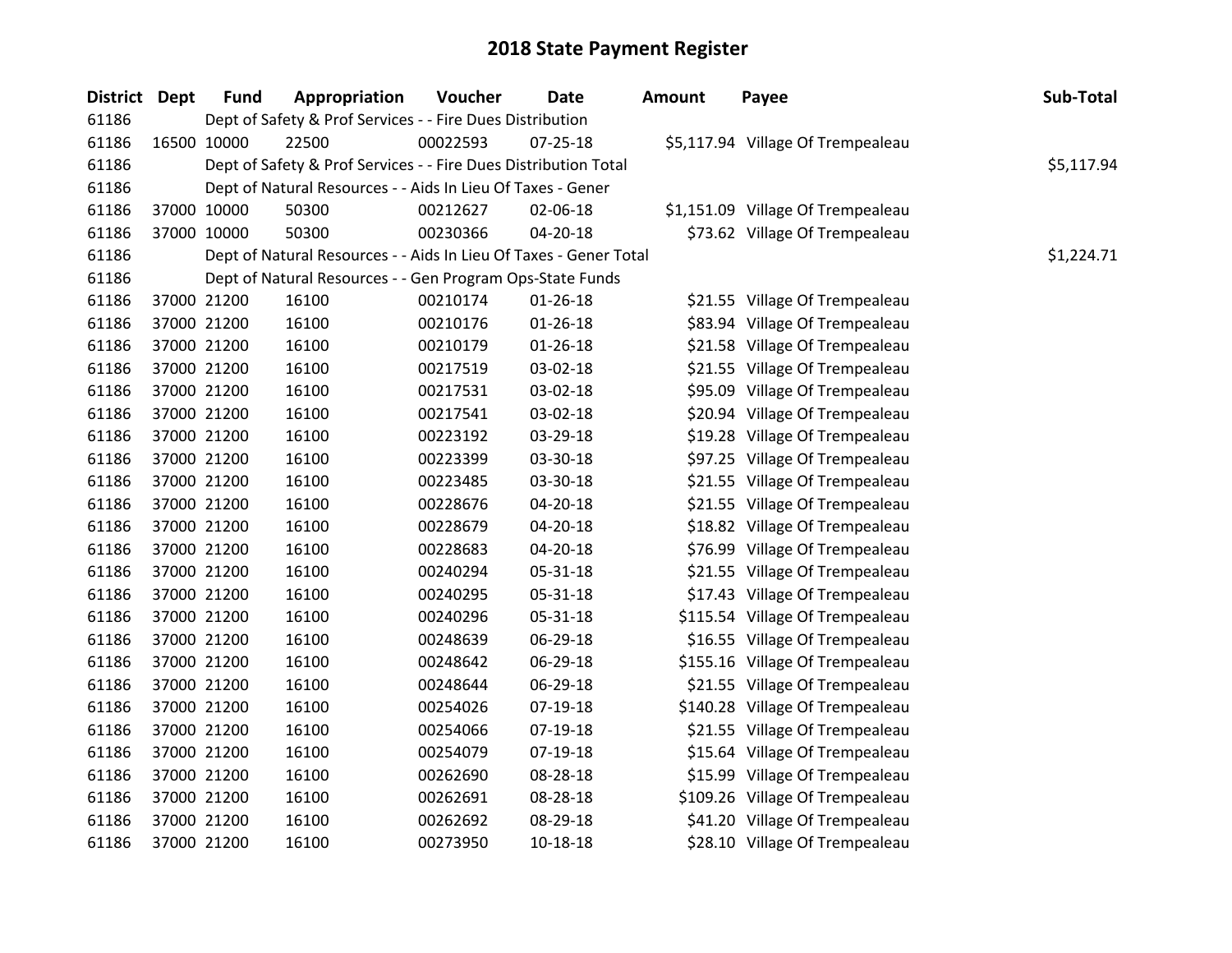| <b>District</b> | <b>Dept</b> | <b>Fund</b> | Appropriation                                                     | Voucher  | Date           | <b>Amount</b> | Payee                             | Sub-Total  |
|-----------------|-------------|-------------|-------------------------------------------------------------------|----------|----------------|---------------|-----------------------------------|------------|
| 61186           |             |             | Dept of Safety & Prof Services - - Fire Dues Distribution         |          |                |               |                                   |            |
| 61186           |             | 16500 10000 | 22500                                                             | 00022593 | 07-25-18       |               | \$5,117.94 Village Of Trempealeau |            |
| 61186           |             |             | Dept of Safety & Prof Services - - Fire Dues Distribution Total   |          |                |               |                                   | \$5,117.94 |
| 61186           |             |             | Dept of Natural Resources - - Aids In Lieu Of Taxes - Gener       |          |                |               |                                   |            |
| 61186           |             | 37000 10000 | 50300                                                             | 00212627 | 02-06-18       |               | \$1,151.09 Village Of Trempealeau |            |
| 61186           |             | 37000 10000 | 50300                                                             | 00230366 | 04-20-18       |               | \$73.62 Village Of Trempealeau    |            |
| 61186           |             |             | Dept of Natural Resources - - Aids In Lieu Of Taxes - Gener Total |          |                |               |                                   | \$1,224.71 |
| 61186           |             |             | Dept of Natural Resources - - Gen Program Ops-State Funds         |          |                |               |                                   |            |
| 61186           |             | 37000 21200 | 16100                                                             | 00210174 | $01 - 26 - 18$ |               | \$21.55 Village Of Trempealeau    |            |
| 61186           |             | 37000 21200 | 16100                                                             | 00210176 | $01 - 26 - 18$ |               | \$83.94 Village Of Trempealeau    |            |
| 61186           |             | 37000 21200 | 16100                                                             | 00210179 | 01-26-18       |               | \$21.58 Village Of Trempealeau    |            |
| 61186           |             | 37000 21200 | 16100                                                             | 00217519 | 03-02-18       |               | \$21.55 Village Of Trempealeau    |            |
| 61186           |             | 37000 21200 | 16100                                                             | 00217531 | 03-02-18       |               | \$95.09 Village Of Trempealeau    |            |
| 61186           |             | 37000 21200 | 16100                                                             | 00217541 | 03-02-18       |               | \$20.94 Village Of Trempealeau    |            |
| 61186           |             | 37000 21200 | 16100                                                             | 00223192 | 03-29-18       |               | \$19.28 Village Of Trempealeau    |            |
| 61186           |             | 37000 21200 | 16100                                                             | 00223399 | 03-30-18       |               | \$97.25 Village Of Trempealeau    |            |
| 61186           |             | 37000 21200 | 16100                                                             | 00223485 | 03-30-18       |               | \$21.55 Village Of Trempealeau    |            |
| 61186           |             | 37000 21200 | 16100                                                             | 00228676 | 04-20-18       |               | \$21.55 Village Of Trempealeau    |            |
| 61186           |             | 37000 21200 | 16100                                                             | 00228679 | 04-20-18       |               | \$18.82 Village Of Trempealeau    |            |
| 61186           |             | 37000 21200 | 16100                                                             | 00228683 | 04-20-18       |               | \$76.99 Village Of Trempealeau    |            |
| 61186           |             | 37000 21200 | 16100                                                             | 00240294 | 05-31-18       |               | \$21.55 Village Of Trempealeau    |            |
| 61186           |             | 37000 21200 | 16100                                                             | 00240295 | 05-31-18       |               | \$17.43 Village Of Trempealeau    |            |
| 61186           |             | 37000 21200 | 16100                                                             | 00240296 | 05-31-18       |               | \$115.54 Village Of Trempealeau   |            |
| 61186           |             | 37000 21200 | 16100                                                             | 00248639 | 06-29-18       |               | \$16.55 Village Of Trempealeau    |            |
| 61186           |             | 37000 21200 | 16100                                                             | 00248642 | 06-29-18       |               | \$155.16 Village Of Trempealeau   |            |
| 61186           |             | 37000 21200 | 16100                                                             | 00248644 | 06-29-18       |               | \$21.55 Village Of Trempealeau    |            |
| 61186           |             | 37000 21200 | 16100                                                             | 00254026 | 07-19-18       |               | \$140.28 Village Of Trempealeau   |            |
| 61186           |             | 37000 21200 | 16100                                                             | 00254066 | $07-19-18$     |               | \$21.55 Village Of Trempealeau    |            |
| 61186           |             | 37000 21200 | 16100                                                             | 00254079 | $07-19-18$     |               | \$15.64 Village Of Trempealeau    |            |
| 61186           |             | 37000 21200 | 16100                                                             | 00262690 | 08-28-18       |               | \$15.99 Village Of Trempealeau    |            |
| 61186           |             | 37000 21200 | 16100                                                             | 00262691 | 08-28-18       |               | \$109.26 Village Of Trempealeau   |            |
| 61186           |             | 37000 21200 | 16100                                                             | 00262692 | 08-29-18       |               | \$41.20 Village Of Trempealeau    |            |
| 61186           |             | 37000 21200 | 16100                                                             | 00273950 | $10 - 18 - 18$ |               | \$28.10 Village Of Trempealeau    |            |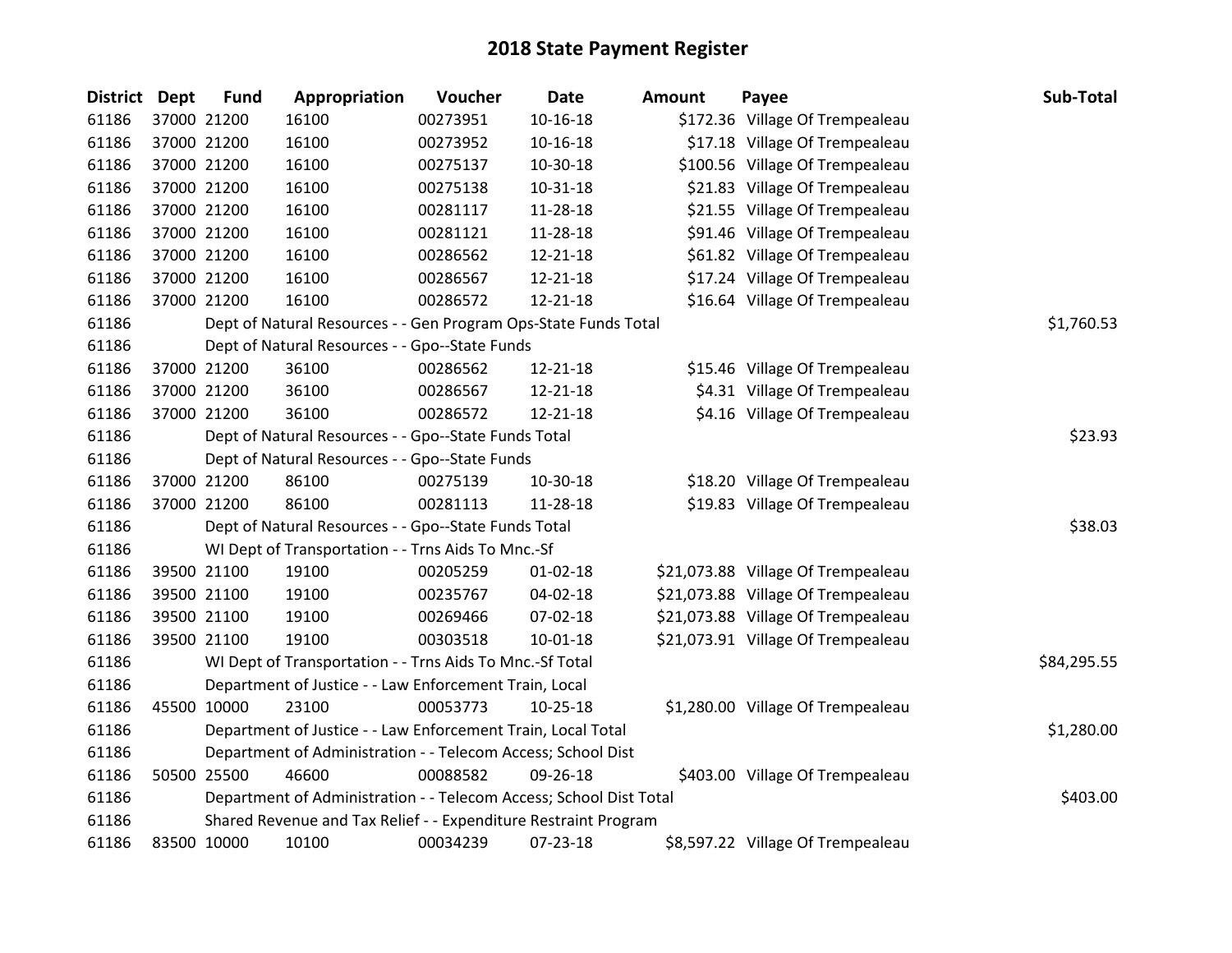| <b>District</b> | <b>Dept</b> | <b>Fund</b> | Appropriation                                                      | Voucher  | <b>Date</b>    | <b>Amount</b> | Payee                              | Sub-Total   |
|-----------------|-------------|-------------|--------------------------------------------------------------------|----------|----------------|---------------|------------------------------------|-------------|
| 61186           |             | 37000 21200 | 16100                                                              | 00273951 | $10 - 16 - 18$ |               | \$172.36 Village Of Trempealeau    |             |
| 61186           |             | 37000 21200 | 16100                                                              | 00273952 | $10 - 16 - 18$ |               | \$17.18 Village Of Trempealeau     |             |
| 61186           |             | 37000 21200 | 16100                                                              | 00275137 | 10-30-18       |               | \$100.56 Village Of Trempealeau    |             |
| 61186           |             | 37000 21200 | 16100                                                              | 00275138 | 10-31-18       |               | \$21.83 Village Of Trempealeau     |             |
| 61186           |             | 37000 21200 | 16100                                                              | 00281117 | 11-28-18       |               | \$21.55 Village Of Trempealeau     |             |
| 61186           |             | 37000 21200 | 16100                                                              | 00281121 | 11-28-18       |               | \$91.46 Village Of Trempealeau     |             |
| 61186           |             | 37000 21200 | 16100                                                              | 00286562 | 12-21-18       |               | \$61.82 Village Of Trempealeau     |             |
| 61186           |             | 37000 21200 | 16100                                                              | 00286567 | 12-21-18       |               | \$17.24 Village Of Trempealeau     |             |
| 61186           |             | 37000 21200 | 16100                                                              | 00286572 | 12-21-18       |               | \$16.64 Village Of Trempealeau     |             |
| 61186           |             |             | Dept of Natural Resources - - Gen Program Ops-State Funds Total    |          |                |               |                                    | \$1,760.53  |
| 61186           |             |             | Dept of Natural Resources - - Gpo--State Funds                     |          |                |               |                                    |             |
| 61186           |             | 37000 21200 | 36100                                                              | 00286562 | 12-21-18       |               | \$15.46 Village Of Trempealeau     |             |
| 61186           |             | 37000 21200 | 36100                                                              | 00286567 | 12-21-18       |               | \$4.31 Village Of Trempealeau      |             |
| 61186           |             | 37000 21200 | 36100                                                              | 00286572 | 12-21-18       |               | \$4.16 Village Of Trempealeau      |             |
| 61186           |             |             | Dept of Natural Resources - - Gpo--State Funds Total               |          |                |               |                                    | \$23.93     |
| 61186           |             |             | Dept of Natural Resources - - Gpo--State Funds                     |          |                |               |                                    |             |
| 61186           |             | 37000 21200 | 86100                                                              | 00275139 | 10-30-18       |               | \$18.20 Village Of Trempealeau     |             |
| 61186           |             | 37000 21200 | 86100                                                              | 00281113 | 11-28-18       |               | \$19.83 Village Of Trempealeau     |             |
| 61186           |             |             | Dept of Natural Resources - - Gpo--State Funds Total               |          |                |               |                                    | \$38.03     |
| 61186           |             |             | WI Dept of Transportation - - Trns Aids To Mnc.-Sf                 |          |                |               |                                    |             |
| 61186           |             | 39500 21100 | 19100                                                              | 00205259 | $01 - 02 - 18$ |               | \$21,073.88 Village Of Trempealeau |             |
| 61186           |             | 39500 21100 | 19100                                                              | 00235767 | 04-02-18       |               | \$21,073.88 Village Of Trempealeau |             |
| 61186           |             | 39500 21100 | 19100                                                              | 00269466 | 07-02-18       |               | \$21,073.88 Village Of Trempealeau |             |
| 61186           |             | 39500 21100 | 19100                                                              | 00303518 | 10-01-18       |               | \$21,073.91 Village Of Trempealeau |             |
| 61186           |             |             | WI Dept of Transportation - - Trns Aids To Mnc.-Sf Total           |          |                |               |                                    | \$84,295.55 |
| 61186           |             |             | Department of Justice - - Law Enforcement Train, Local             |          |                |               |                                    |             |
| 61186           |             | 45500 10000 | 23100                                                              | 00053773 | 10-25-18       |               | \$1,280.00 Village Of Trempealeau  |             |
| 61186           |             |             | Department of Justice - - Law Enforcement Train, Local Total       |          |                |               |                                    | \$1,280.00  |
| 61186           |             |             | Department of Administration - - Telecom Access; School Dist       |          |                |               |                                    |             |
| 61186           |             | 50500 25500 | 46600                                                              | 00088582 | 09-26-18       |               | \$403.00 Village Of Trempealeau    |             |
| 61186           |             |             | Department of Administration - - Telecom Access; School Dist Total |          |                |               |                                    | \$403.00    |
| 61186           |             |             | Shared Revenue and Tax Relief - - Expenditure Restraint Program    |          |                |               |                                    |             |
| 61186           |             | 83500 10000 | 10100                                                              | 00034239 | 07-23-18       |               | \$8,597.22 Village Of Trempealeau  |             |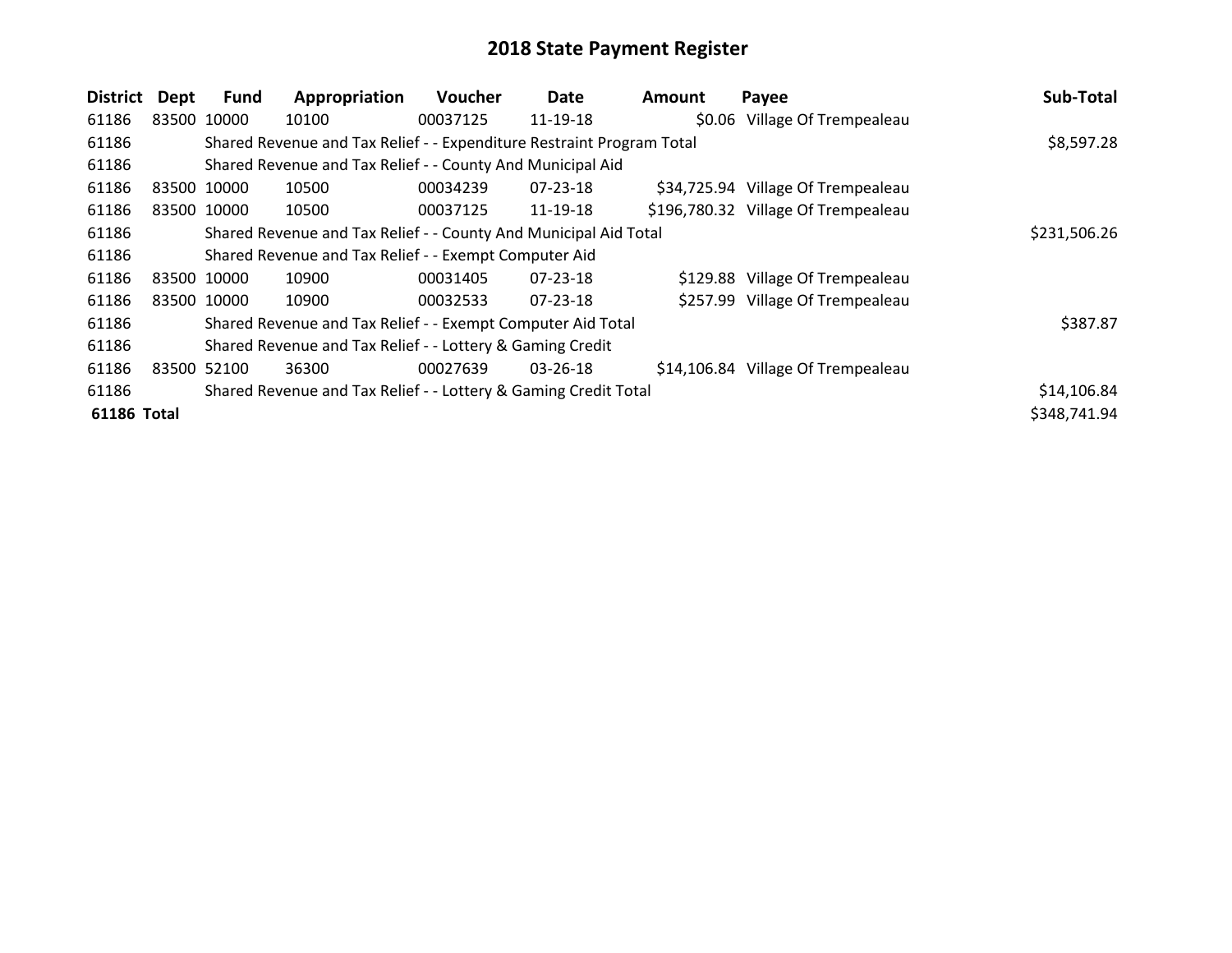| District    | Dept  | Fund        | Appropriation                                                         | Voucher  | Date           | Amount | Payee                               | Sub-Total    |
|-------------|-------|-------------|-----------------------------------------------------------------------|----------|----------------|--------|-------------------------------------|--------------|
| 61186       |       | 83500 10000 | 10100                                                                 | 00037125 | 11-19-18       |        | \$0.06 Village Of Trempealeau       |              |
| 61186       |       |             | Shared Revenue and Tax Relief - - Expenditure Restraint Program Total |          |                |        |                                     | \$8,597.28   |
| 61186       |       |             | Shared Revenue and Tax Relief - - County And Municipal Aid            |          |                |        |                                     |              |
| 61186       |       | 83500 10000 | 10500                                                                 | 00034239 | 07-23-18       |        | \$34,725.94 Village Of Trempealeau  |              |
| 61186       |       | 83500 10000 | 10500                                                                 | 00037125 | 11-19-18       |        | \$196,780.32 Village Of Trempealeau |              |
| 61186       |       |             | Shared Revenue and Tax Relief - - County And Municipal Aid Total      |          |                |        |                                     | \$231,506.26 |
| 61186       |       |             | Shared Revenue and Tax Relief - - Exempt Computer Aid                 |          |                |        |                                     |              |
| 61186       |       | 83500 10000 | 10900                                                                 | 00031405 | $07 - 23 - 18$ |        | \$129.88 Village Of Trempealeau     |              |
| 61186       |       | 83500 10000 | 10900                                                                 | 00032533 | 07-23-18       |        | \$257.99 Village Of Trempealeau     |              |
| 61186       |       |             | Shared Revenue and Tax Relief - - Exempt Computer Aid Total           |          |                |        |                                     | \$387.87     |
| 61186       |       |             | Shared Revenue and Tax Relief - - Lottery & Gaming Credit             |          |                |        |                                     |              |
| 61186       | 83500 | 52100       | 36300                                                                 | 00027639 | $03 - 26 - 18$ |        | \$14,106.84 Village Of Trempealeau  |              |
| 61186       |       |             | Shared Revenue and Tax Relief - - Lottery & Gaming Credit Total       |          |                |        |                                     | \$14,106.84  |
| 61186 Total |       |             |                                                                       |          |                |        |                                     | \$348,741.94 |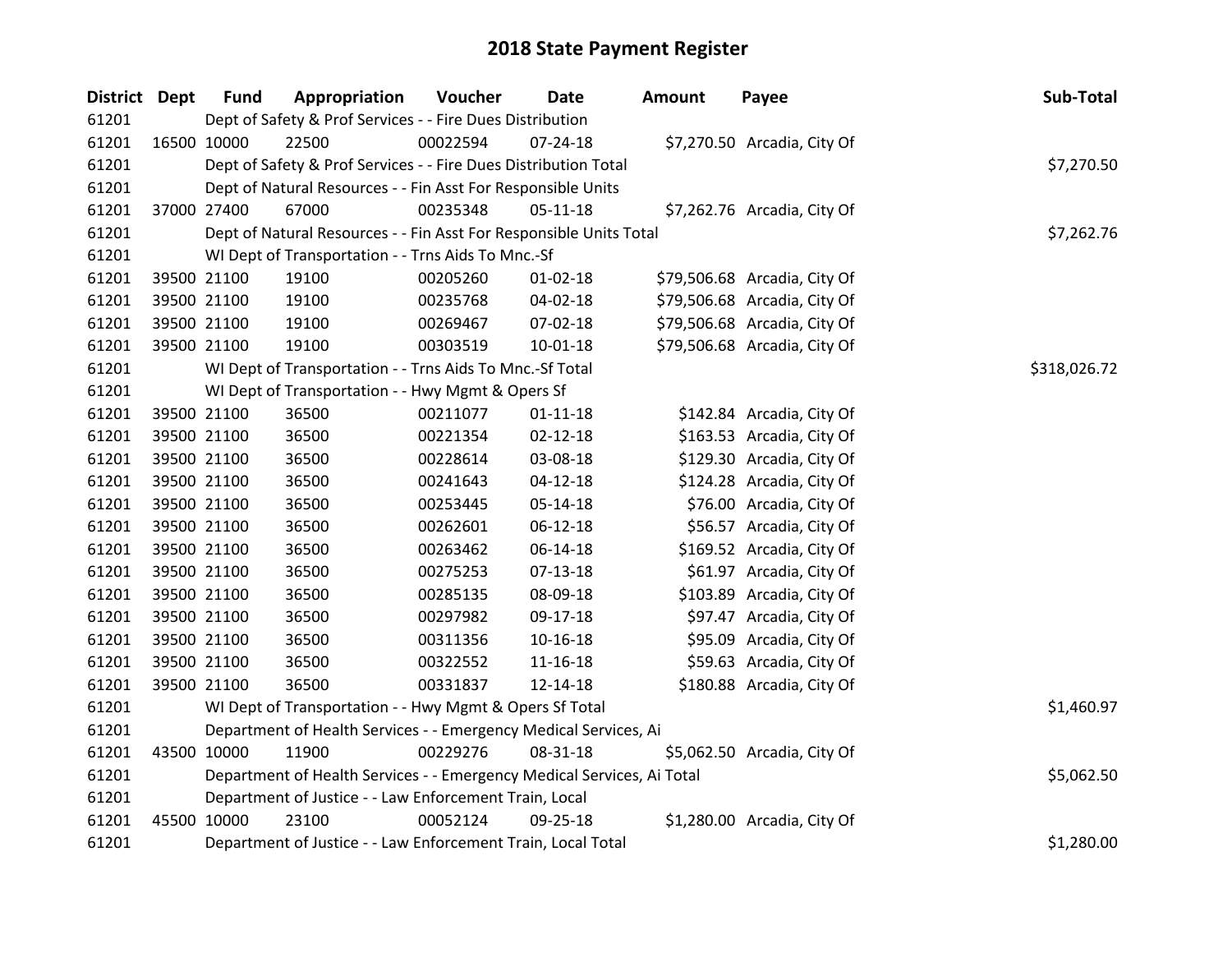| District Dept | <b>Fund</b> | Appropriation                                                          | Voucher    | Date           | Amount | Payee                        | Sub-Total    |
|---------------|-------------|------------------------------------------------------------------------|------------|----------------|--------|------------------------------|--------------|
| 61201         |             | Dept of Safety & Prof Services - - Fire Dues Distribution              |            |                |        |                              |              |
| 61201         | 16500 10000 | 22500                                                                  | 00022594   | $07 - 24 - 18$ |        | \$7,270.50 Arcadia, City Of  |              |
| 61201         |             | Dept of Safety & Prof Services - - Fire Dues Distribution Total        | \$7,270.50 |                |        |                              |              |
| 61201         |             | Dept of Natural Resources - - Fin Asst For Responsible Units           |            |                |        |                              |              |
| 61201         | 37000 27400 | 67000                                                                  | 00235348   | 05-11-18       |        | \$7,262.76 Arcadia, City Of  |              |
| 61201         |             | Dept of Natural Resources - - Fin Asst For Responsible Units Total     | \$7,262.76 |                |        |                              |              |
| 61201         |             | WI Dept of Transportation - - Trns Aids To Mnc.-Sf                     |            |                |        |                              |              |
| 61201         | 39500 21100 | 19100                                                                  | 00205260   | $01-02-18$     |        | \$79,506.68 Arcadia, City Of |              |
| 61201         | 39500 21100 | 19100                                                                  | 00235768   | 04-02-18       |        | \$79,506.68 Arcadia, City Of |              |
| 61201         | 39500 21100 | 19100                                                                  | 00269467   | 07-02-18       |        | \$79,506.68 Arcadia, City Of |              |
| 61201         | 39500 21100 | 19100                                                                  | 00303519   | 10-01-18       |        | \$79,506.68 Arcadia, City Of |              |
| 61201         |             | WI Dept of Transportation - - Trns Aids To Mnc.-Sf Total               |            |                |        |                              | \$318,026.72 |
| 61201         |             | WI Dept of Transportation - - Hwy Mgmt & Opers Sf                      |            |                |        |                              |              |
| 61201         | 39500 21100 | 36500                                                                  | 00211077   | $01 - 11 - 18$ |        | \$142.84 Arcadia, City Of    |              |
| 61201         | 39500 21100 | 36500                                                                  | 00221354   | 02-12-18       |        | \$163.53 Arcadia, City Of    |              |
| 61201         | 39500 21100 | 36500                                                                  | 00228614   | 03-08-18       |        | \$129.30 Arcadia, City Of    |              |
| 61201         | 39500 21100 | 36500                                                                  | 00241643   | $04 - 12 - 18$ |        | \$124.28 Arcadia, City Of    |              |
| 61201         | 39500 21100 | 36500                                                                  | 00253445   | 05-14-18       |        | \$76.00 Arcadia, City Of     |              |
| 61201         | 39500 21100 | 36500                                                                  | 00262601   | 06-12-18       |        | \$56.57 Arcadia, City Of     |              |
| 61201         | 39500 21100 | 36500                                                                  | 00263462   | 06-14-18       |        | \$169.52 Arcadia, City Of    |              |
| 61201         | 39500 21100 | 36500                                                                  | 00275253   | $07-13-18$     |        | \$61.97 Arcadia, City Of     |              |
| 61201         | 39500 21100 | 36500                                                                  | 00285135   | 08-09-18       |        | \$103.89 Arcadia, City Of    |              |
| 61201         | 39500 21100 | 36500                                                                  | 00297982   | 09-17-18       |        | \$97.47 Arcadia, City Of     |              |
| 61201         | 39500 21100 | 36500                                                                  | 00311356   | $10 - 16 - 18$ |        | \$95.09 Arcadia, City Of     |              |
| 61201         | 39500 21100 | 36500                                                                  | 00322552   | 11-16-18       |        | \$59.63 Arcadia, City Of     |              |
| 61201         | 39500 21100 | 36500                                                                  | 00331837   | 12-14-18       |        | \$180.88 Arcadia, City Of    |              |
| 61201         |             | WI Dept of Transportation - - Hwy Mgmt & Opers Sf Total                |            |                |        |                              | \$1,460.97   |
| 61201         |             | Department of Health Services - - Emergency Medical Services, Ai       |            |                |        |                              |              |
| 61201         | 43500 10000 | 11900                                                                  | 00229276   | 08-31-18       |        | \$5,062.50 Arcadia, City Of  |              |
| 61201         |             | Department of Health Services - - Emergency Medical Services, Ai Total |            |                |        |                              | \$5,062.50   |
| 61201         |             | Department of Justice - - Law Enforcement Train, Local                 |            |                |        |                              |              |
| 61201         | 45500 10000 | 23100                                                                  | 00052124   | 09-25-18       |        | \$1,280.00 Arcadia, City Of  |              |
| 61201         |             | Department of Justice - - Law Enforcement Train, Local Total           |            |                |        |                              | \$1,280.00   |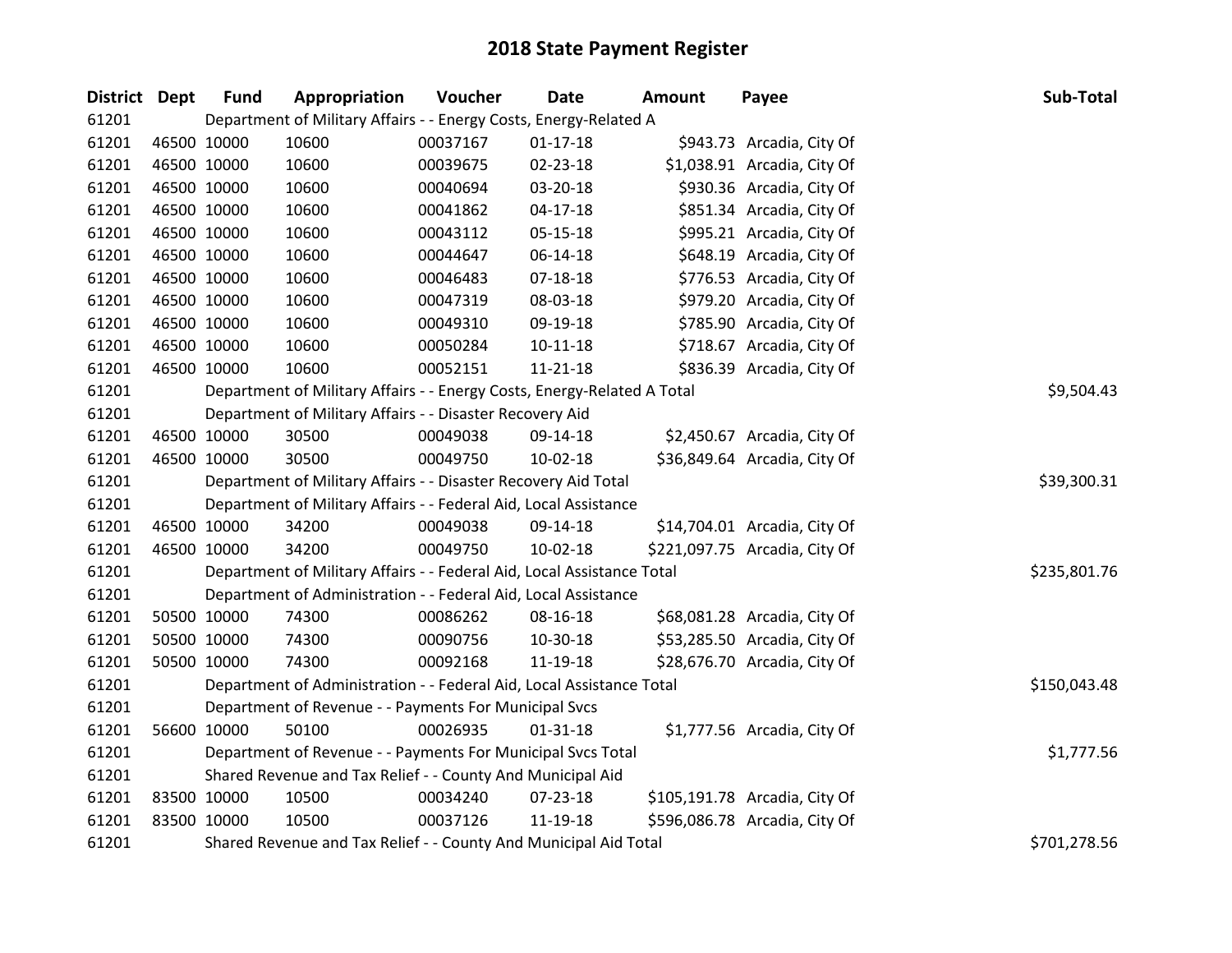| <b>District Dept</b> |             | <b>Fund</b>                                                | Appropriation                                                           | Voucher  | <b>Date</b>    | <b>Amount</b> | Payee                         | Sub-Total    |
|----------------------|-------------|------------------------------------------------------------|-------------------------------------------------------------------------|----------|----------------|---------------|-------------------------------|--------------|
| 61201                |             |                                                            | Department of Military Affairs - - Energy Costs, Energy-Related A       |          |                |               |                               |              |
| 61201                |             | 46500 10000                                                | 10600                                                                   | 00037167 | $01 - 17 - 18$ |               | \$943.73 Arcadia, City Of     |              |
| 61201                | 46500 10000 |                                                            | 10600                                                                   | 00039675 | $02 - 23 - 18$ |               | \$1,038.91 Arcadia, City Of   |              |
| 61201                | 46500 10000 |                                                            | 10600                                                                   | 00040694 | 03-20-18       |               | \$930.36 Arcadia, City Of     |              |
| 61201                |             | 46500 10000                                                | 10600                                                                   | 00041862 | $04 - 17 - 18$ |               | \$851.34 Arcadia, City Of     |              |
| 61201                |             | 46500 10000                                                | 10600                                                                   | 00043112 | $05 - 15 - 18$ |               | \$995.21 Arcadia, City Of     |              |
| 61201                |             | 46500 10000                                                | 10600                                                                   | 00044647 | 06-14-18       |               | \$648.19 Arcadia, City Of     |              |
| 61201                | 46500 10000 |                                                            | 10600                                                                   | 00046483 | $07 - 18 - 18$ |               | \$776.53 Arcadia, City Of     |              |
| 61201                | 46500 10000 |                                                            | 10600                                                                   | 00047319 | 08-03-18       |               | \$979.20 Arcadia, City Of     |              |
| 61201                |             | 46500 10000                                                | 10600                                                                   | 00049310 | 09-19-18       |               | \$785.90 Arcadia, City Of     |              |
| 61201                |             | 46500 10000                                                | 10600                                                                   | 00050284 | $10 - 11 - 18$ |               | \$718.67 Arcadia, City Of     |              |
| 61201                |             | 46500 10000                                                | 10600                                                                   | 00052151 | 11-21-18       |               | \$836.39 Arcadia, City Of     |              |
| 61201                |             |                                                            | Department of Military Affairs - - Energy Costs, Energy-Related A Total |          |                |               |                               | \$9,504.43   |
| 61201                |             |                                                            | Department of Military Affairs - - Disaster Recovery Aid                |          |                |               |                               |              |
| 61201                | 46500 10000 |                                                            | 30500                                                                   | 00049038 | 09-14-18       |               | \$2,450.67 Arcadia, City Of   |              |
| 61201                |             | 46500 10000                                                | 30500                                                                   | 00049750 | 10-02-18       |               | \$36,849.64 Arcadia, City Of  |              |
| 61201                |             |                                                            | Department of Military Affairs - - Disaster Recovery Aid Total          |          |                |               |                               | \$39,300.31  |
| 61201                |             |                                                            | Department of Military Affairs - - Federal Aid, Local Assistance        |          |                |               |                               |              |
| 61201                | 46500 10000 |                                                            | 34200                                                                   | 00049038 | 09-14-18       |               | \$14,704.01 Arcadia, City Of  |              |
| 61201                |             | 46500 10000                                                | 34200                                                                   | 00049750 | 10-02-18       |               | \$221,097.75 Arcadia, City Of |              |
| 61201                |             |                                                            | Department of Military Affairs - - Federal Aid, Local Assistance Total  |          |                |               |                               | \$235,801.76 |
| 61201                |             |                                                            | Department of Administration - - Federal Aid, Local Assistance          |          |                |               |                               |              |
| 61201                |             | 50500 10000                                                | 74300                                                                   | 00086262 | 08-16-18       |               | \$68,081.28 Arcadia, City Of  |              |
| 61201                |             | 50500 10000                                                | 74300                                                                   | 00090756 | 10-30-18       |               | \$53,285.50 Arcadia, City Of  |              |
| 61201                |             | 50500 10000                                                | 74300                                                                   | 00092168 | 11-19-18       |               | \$28,676.70 Arcadia, City Of  |              |
| 61201                |             |                                                            | Department of Administration - - Federal Aid, Local Assistance Total    |          |                |               |                               | \$150,043.48 |
| 61201                |             |                                                            | Department of Revenue - - Payments For Municipal Svcs                   |          |                |               |                               |              |
| 61201                |             | 56600 10000                                                | 50100                                                                   | 00026935 | $01 - 31 - 18$ |               | \$1,777.56 Arcadia, City Of   |              |
| 61201                |             |                                                            | Department of Revenue - - Payments For Municipal Svcs Total             |          |                |               |                               | \$1,777.56   |
| 61201                |             | Shared Revenue and Tax Relief - - County And Municipal Aid |                                                                         |          |                |               |                               |              |
| 61201                | 83500 10000 |                                                            | 10500                                                                   | 00034240 | 07-23-18       |               | \$105,191.78 Arcadia, City Of |              |
| 61201                | 83500 10000 |                                                            | 10500                                                                   | 00037126 | 11-19-18       |               | \$596,086.78 Arcadia, City Of |              |
| 61201                |             |                                                            | Shared Revenue and Tax Relief - - County And Municipal Aid Total        |          |                |               |                               | \$701,278.56 |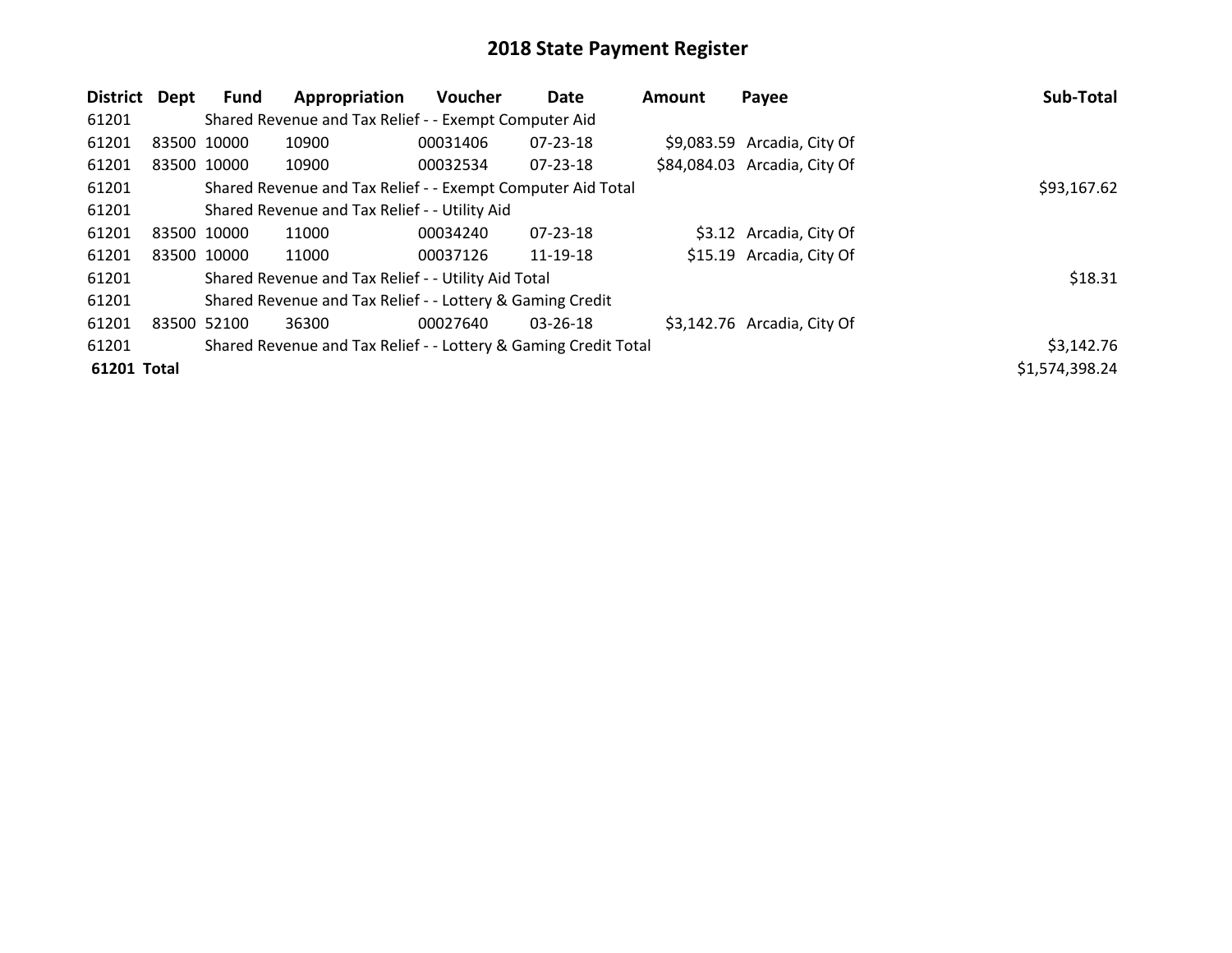| District    | Dept        | Fund        | Appropriation                                                   | <b>Voucher</b> | Date           | <b>Amount</b> | Payee                        | Sub-Total      |
|-------------|-------------|-------------|-----------------------------------------------------------------|----------------|----------------|---------------|------------------------------|----------------|
| 61201       |             |             | Shared Revenue and Tax Relief - - Exempt Computer Aid           |                |                |               |                              |                |
| 61201       | 83500 10000 |             | 10900                                                           | 00031406       | $07 - 23 - 18$ |               | \$9,083.59 Arcadia, City Of  |                |
| 61201       | 83500 10000 |             | 10900                                                           | 00032534       | $07 - 23 - 18$ |               | \$84,084.03 Arcadia, City Of |                |
| 61201       |             |             | Shared Revenue and Tax Relief - - Exempt Computer Aid Total     |                |                |               |                              | \$93,167.62    |
| 61201       |             |             | Shared Revenue and Tax Relief - - Utility Aid                   |                |                |               |                              |                |
| 61201       | 83500 10000 |             | 11000                                                           | 00034240       | $07 - 23 - 18$ |               | \$3.12 Arcadia, City Of      |                |
| 61201       |             | 83500 10000 | 11000                                                           | 00037126       | 11-19-18       |               | \$15.19 Arcadia, City Of     |                |
| 61201       |             |             | Shared Revenue and Tax Relief - - Utility Aid Total             |                |                |               |                              | \$18.31        |
| 61201       |             |             | Shared Revenue and Tax Relief - - Lottery & Gaming Credit       |                |                |               |                              |                |
| 61201       | 83500       | 52100       | 36300                                                           | 00027640       | $03 - 26 - 18$ |               | \$3,142.76 Arcadia, City Of  |                |
| 61201       |             |             | Shared Revenue and Tax Relief - - Lottery & Gaming Credit Total |                |                |               |                              | \$3,142.76     |
| 61201 Total |             |             |                                                                 |                |                |               |                              | \$1,574,398.24 |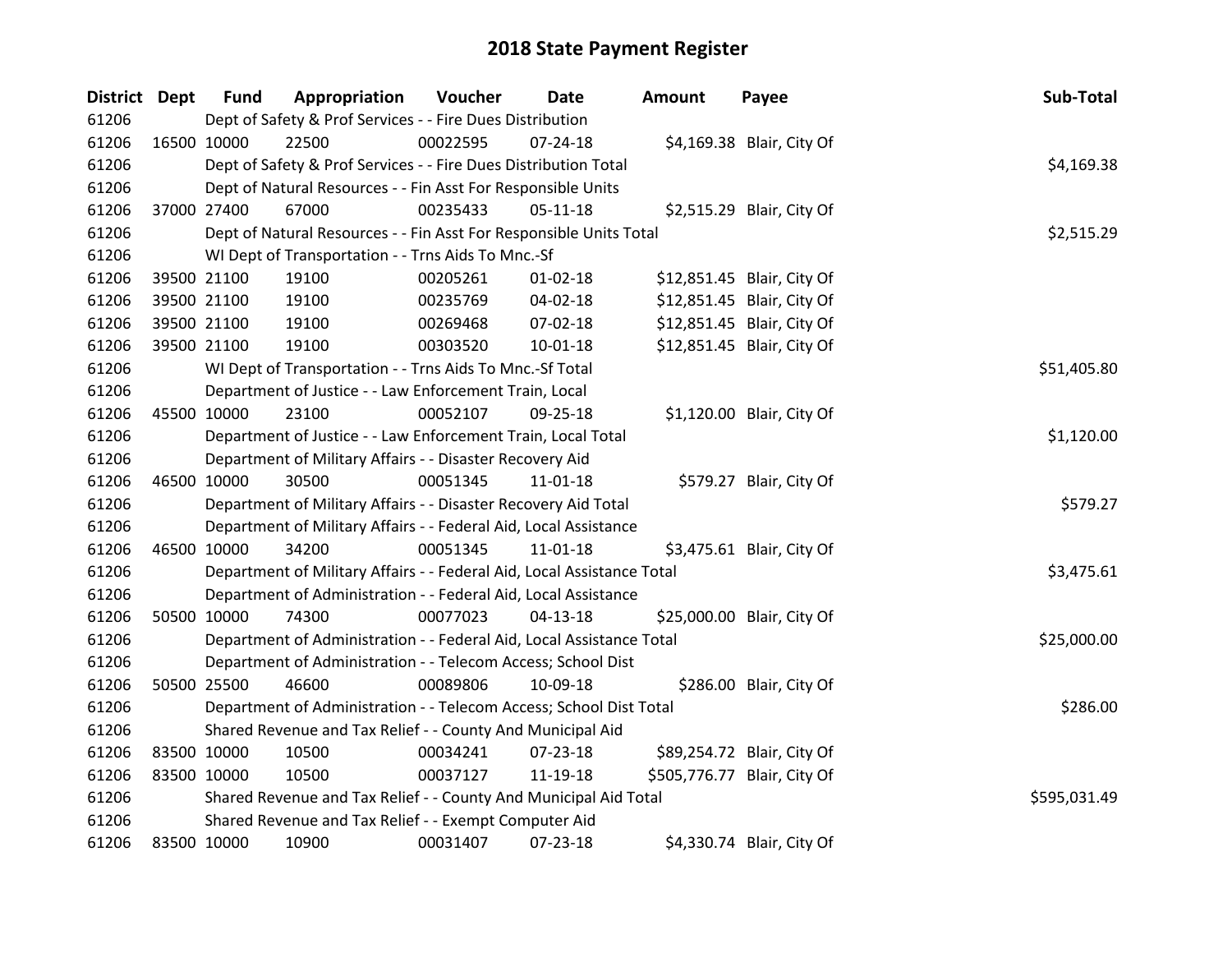| <b>District</b> | <b>Dept</b> | <b>Fund</b> | Appropriation                                                          | Voucher  | Date           | <b>Amount</b> | Payee                       | Sub-Total    |
|-----------------|-------------|-------------|------------------------------------------------------------------------|----------|----------------|---------------|-----------------------------|--------------|
| 61206           |             |             | Dept of Safety & Prof Services - - Fire Dues Distribution              |          |                |               |                             |              |
| 61206           |             | 16500 10000 | 22500                                                                  | 00022595 | 07-24-18       |               | \$4,169.38 Blair, City Of   |              |
| 61206           |             |             | Dept of Safety & Prof Services - - Fire Dues Distribution Total        |          |                |               |                             | \$4,169.38   |
| 61206           |             |             | Dept of Natural Resources - - Fin Asst For Responsible Units           |          |                |               |                             |              |
| 61206           |             | 37000 27400 | 67000                                                                  | 00235433 | 05-11-18       |               | \$2,515.29 Blair, City Of   |              |
| 61206           |             |             | Dept of Natural Resources - - Fin Asst For Responsible Units Total     |          |                |               |                             | \$2,515.29   |
| 61206           |             |             | WI Dept of Transportation - - Trns Aids To Mnc.-Sf                     |          |                |               |                             |              |
| 61206           |             | 39500 21100 | 19100                                                                  | 00205261 | 01-02-18       |               | \$12,851.45 Blair, City Of  |              |
| 61206           |             | 39500 21100 | 19100                                                                  | 00235769 | 04-02-18       |               | \$12,851.45 Blair, City Of  |              |
| 61206           |             | 39500 21100 | 19100                                                                  | 00269468 | 07-02-18       |               | \$12,851.45 Blair, City Of  |              |
| 61206           |             | 39500 21100 | 19100                                                                  | 00303520 | 10-01-18       |               | \$12,851.45 Blair, City Of  |              |
| 61206           |             |             | WI Dept of Transportation - - Trns Aids To Mnc.-Sf Total               |          |                |               |                             | \$51,405.80  |
| 61206           |             |             | Department of Justice - - Law Enforcement Train, Local                 |          |                |               |                             |              |
| 61206           |             | 45500 10000 | 23100                                                                  | 00052107 | 09-25-18       |               | \$1,120.00 Blair, City Of   |              |
| 61206           |             |             | Department of Justice - - Law Enforcement Train, Local Total           |          |                |               |                             | \$1,120.00   |
| 61206           |             |             | Department of Military Affairs - - Disaster Recovery Aid               |          |                |               |                             |              |
| 61206           |             | 46500 10000 | 30500                                                                  | 00051345 | 11-01-18       |               | \$579.27 Blair, City Of     |              |
| 61206           |             |             | Department of Military Affairs - - Disaster Recovery Aid Total         |          |                |               |                             | \$579.27     |
| 61206           |             |             | Department of Military Affairs - - Federal Aid, Local Assistance       |          |                |               |                             |              |
| 61206           |             | 46500 10000 | 34200                                                                  | 00051345 | $11 - 01 - 18$ |               | \$3,475.61 Blair, City Of   |              |
| 61206           |             |             | Department of Military Affairs - - Federal Aid, Local Assistance Total |          |                |               |                             | \$3,475.61   |
| 61206           |             |             | Department of Administration - - Federal Aid, Local Assistance         |          |                |               |                             |              |
| 61206           |             | 50500 10000 | 74300                                                                  | 00077023 | $04 - 13 - 18$ |               | \$25,000.00 Blair, City Of  |              |
| 61206           |             |             | Department of Administration - - Federal Aid, Local Assistance Total   |          |                |               |                             | \$25,000.00  |
| 61206           |             |             | Department of Administration - - Telecom Access; School Dist           |          |                |               |                             |              |
| 61206           |             | 50500 25500 | 46600                                                                  | 00089806 | 10-09-18       |               | \$286.00 Blair, City Of     |              |
| 61206           |             |             | Department of Administration - - Telecom Access; School Dist Total     |          |                |               |                             | \$286.00     |
| 61206           |             |             | Shared Revenue and Tax Relief - - County And Municipal Aid             |          |                |               |                             |              |
| 61206           |             | 83500 10000 | 10500                                                                  | 00034241 | 07-23-18       |               | \$89,254.72 Blair, City Of  |              |
| 61206           |             | 83500 10000 | 10500                                                                  | 00037127 | 11-19-18       |               | \$505,776.77 Blair, City Of |              |
| 61206           |             |             | Shared Revenue and Tax Relief - - County And Municipal Aid Total       |          |                |               |                             | \$595,031.49 |
| 61206           |             |             | Shared Revenue and Tax Relief - - Exempt Computer Aid                  |          |                |               |                             |              |
| 61206           |             | 83500 10000 | 10900                                                                  | 00031407 | 07-23-18       |               | \$4,330.74 Blair, City Of   |              |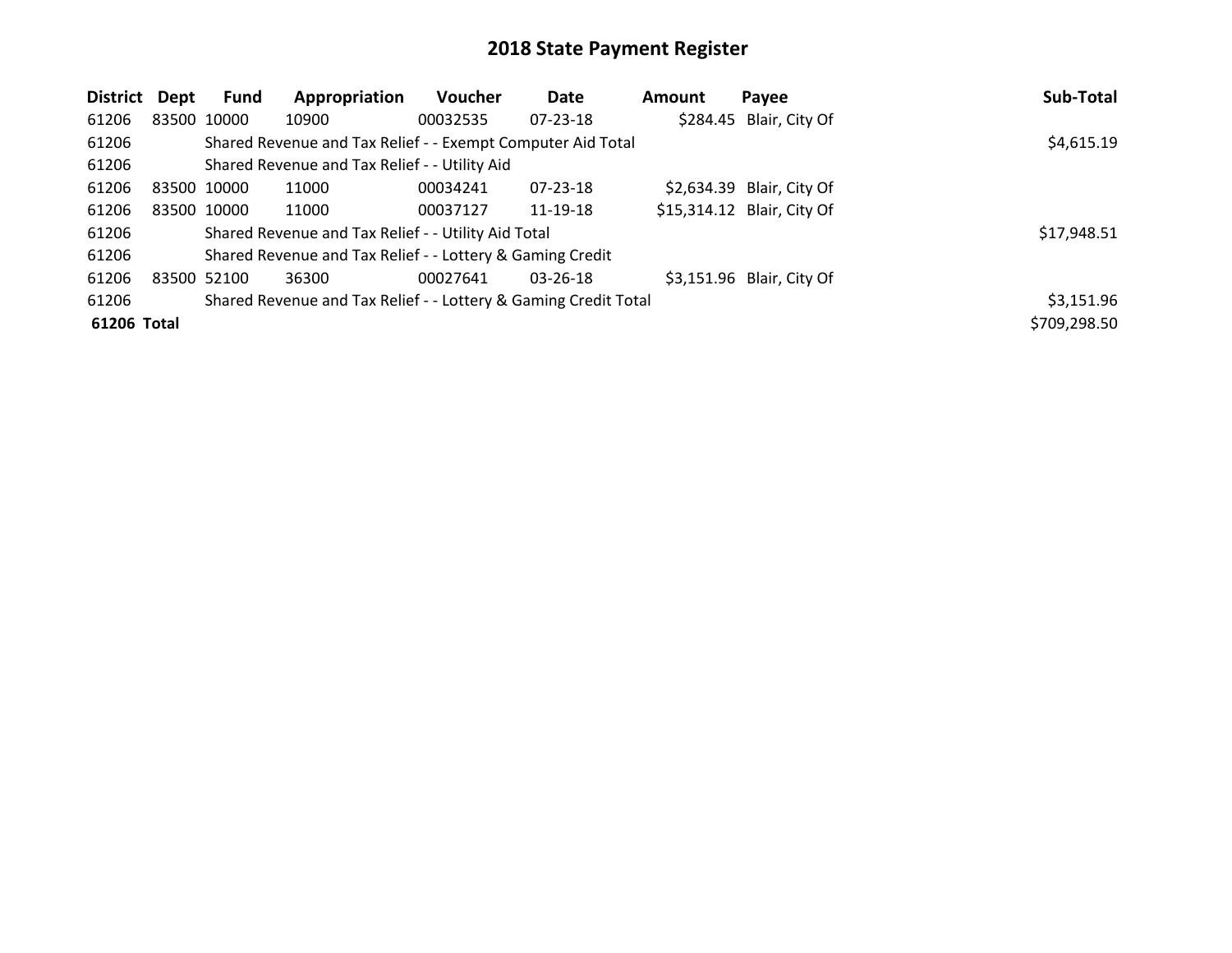| District    | Dept        | Fund        | Appropriation                                                   | Voucher  | Date           | <b>Amount</b> | Payee                      | Sub-Total    |
|-------------|-------------|-------------|-----------------------------------------------------------------|----------|----------------|---------------|----------------------------|--------------|
| 61206       | 83500 10000 |             | 10900                                                           | 00032535 | $07 - 23 - 18$ |               | \$284.45 Blair, City Of    |              |
| 61206       |             |             | Shared Revenue and Tax Relief - - Exempt Computer Aid Total     |          |                |               |                            | \$4,615.19   |
| 61206       |             |             | Shared Revenue and Tax Relief - - Utility Aid                   |          |                |               |                            |              |
| 61206       | 83500 10000 |             | 11000                                                           | 00034241 | $07 - 23 - 18$ |               | \$2,634.39 Blair, City Of  |              |
| 61206       |             | 83500 10000 | 11000                                                           | 00037127 | 11-19-18       |               | \$15,314.12 Blair, City Of |              |
| 61206       |             |             | Shared Revenue and Tax Relief - - Utility Aid Total             |          |                |               |                            | \$17,948.51  |
| 61206       |             |             | Shared Revenue and Tax Relief - - Lottery & Gaming Credit       |          |                |               |                            |              |
| 61206       | 83500 52100 |             | 36300                                                           | 00027641 | $03 - 26 - 18$ |               | \$3,151.96 Blair, City Of  |              |
| 61206       |             |             | Shared Revenue and Tax Relief - - Lottery & Gaming Credit Total |          |                |               |                            | \$3,151.96   |
| 61206 Total |             |             |                                                                 |          |                |               |                            | \$709,298.50 |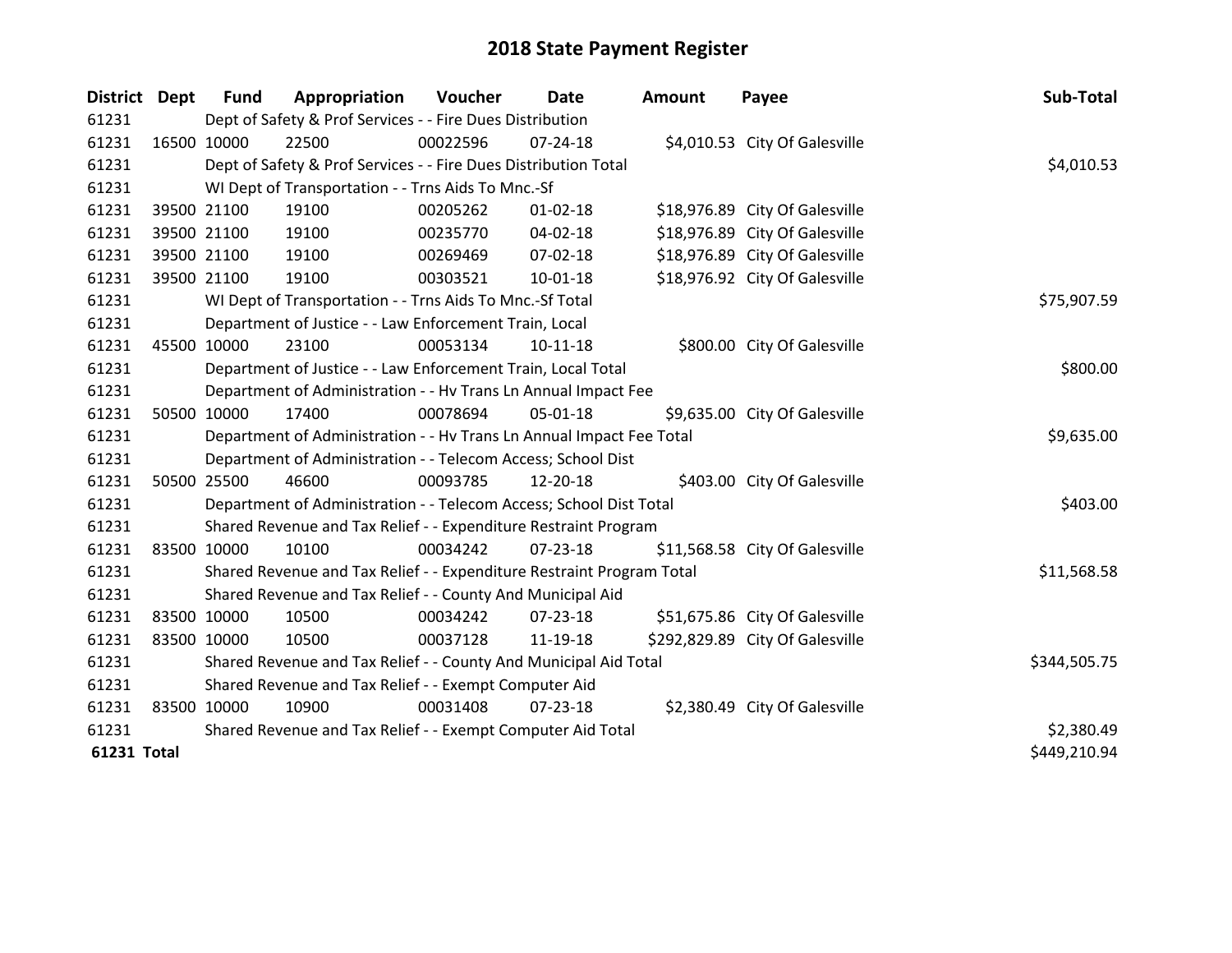| District Dept      |             | <b>Fund</b> | Appropriation                                                         | Voucher  | Date           | <b>Amount</b> | Payee                           | Sub-Total    |
|--------------------|-------------|-------------|-----------------------------------------------------------------------|----------|----------------|---------------|---------------------------------|--------------|
| 61231              |             |             | Dept of Safety & Prof Services - - Fire Dues Distribution             |          |                |               |                                 |              |
| 61231              |             | 16500 10000 | 22500                                                                 | 00022596 | $07 - 24 - 18$ |               | \$4,010.53 City Of Galesville   |              |
| 61231              |             |             | Dept of Safety & Prof Services - - Fire Dues Distribution Total       |          |                |               |                                 | \$4,010.53   |
| 61231              |             |             | WI Dept of Transportation - - Trns Aids To Mnc.-Sf                    |          |                |               |                                 |              |
| 61231              |             | 39500 21100 | 19100                                                                 | 00205262 | $01 - 02 - 18$ |               | \$18,976.89 City Of Galesville  |              |
| 61231              |             | 39500 21100 | 19100                                                                 | 00235770 | $04 - 02 - 18$ |               | \$18,976.89 City Of Galesville  |              |
| 61231              |             | 39500 21100 | 19100                                                                 | 00269469 | 07-02-18       |               | \$18,976.89 City Of Galesville  |              |
| 61231              |             | 39500 21100 | 19100                                                                 | 00303521 | $10 - 01 - 18$ |               | \$18,976.92 City Of Galesville  |              |
| 61231              |             |             | WI Dept of Transportation - - Trns Aids To Mnc.-Sf Total              |          |                |               |                                 | \$75,907.59  |
| 61231              |             |             | Department of Justice - - Law Enforcement Train, Local                |          |                |               |                                 |              |
| 61231              |             | 45500 10000 | 23100                                                                 | 00053134 | $10-11-18$     |               | \$800.00 City Of Galesville     |              |
| 61231              |             |             | Department of Justice - - Law Enforcement Train, Local Total          |          |                |               |                                 | \$800.00     |
| 61231              |             |             | Department of Administration - - Hv Trans Ln Annual Impact Fee        |          |                |               |                                 |              |
| 61231              |             | 50500 10000 | 17400                                                                 | 00078694 | $05 - 01 - 18$ |               | \$9,635.00 City Of Galesville   |              |
| 61231              |             |             | Department of Administration - - Hv Trans Ln Annual Impact Fee Total  |          |                |               |                                 | \$9,635.00   |
| 61231              |             |             | Department of Administration - - Telecom Access; School Dist          |          |                |               |                                 |              |
| 61231              |             | 50500 25500 | 46600                                                                 | 00093785 | 12-20-18       |               | \$403.00 City Of Galesville     |              |
| 61231              |             |             | Department of Administration - - Telecom Access; School Dist Total    |          |                |               |                                 | \$403.00     |
| 61231              |             |             | Shared Revenue and Tax Relief - - Expenditure Restraint Program       |          |                |               |                                 |              |
| 61231              |             | 83500 10000 | 10100                                                                 | 00034242 | $07 - 23 - 18$ |               | \$11,568.58 City Of Galesville  |              |
| 61231              |             |             | Shared Revenue and Tax Relief - - Expenditure Restraint Program Total |          |                |               |                                 | \$11,568.58  |
| 61231              |             |             | Shared Revenue and Tax Relief - - County And Municipal Aid            |          |                |               |                                 |              |
| 61231              |             | 83500 10000 | 10500                                                                 | 00034242 | $07 - 23 - 18$ |               | \$51,675.86 City Of Galesville  |              |
| 61231              |             | 83500 10000 | 10500                                                                 | 00037128 | 11-19-18       |               | \$292,829.89 City Of Galesville |              |
| 61231              |             |             | Shared Revenue and Tax Relief - - County And Municipal Aid Total      |          |                |               |                                 | \$344,505.75 |
| 61231              |             |             | Shared Revenue and Tax Relief - - Exempt Computer Aid                 |          |                |               |                                 |              |
| 61231              | 83500 10000 |             | 10900                                                                 | 00031408 | $07 - 23 - 18$ |               | \$2,380.49 City Of Galesville   |              |
| 61231              |             |             | Shared Revenue and Tax Relief - - Exempt Computer Aid Total           |          |                |               |                                 | \$2,380.49   |
| <b>61231 Total</b> |             |             |                                                                       |          |                |               |                                 | \$449,210.94 |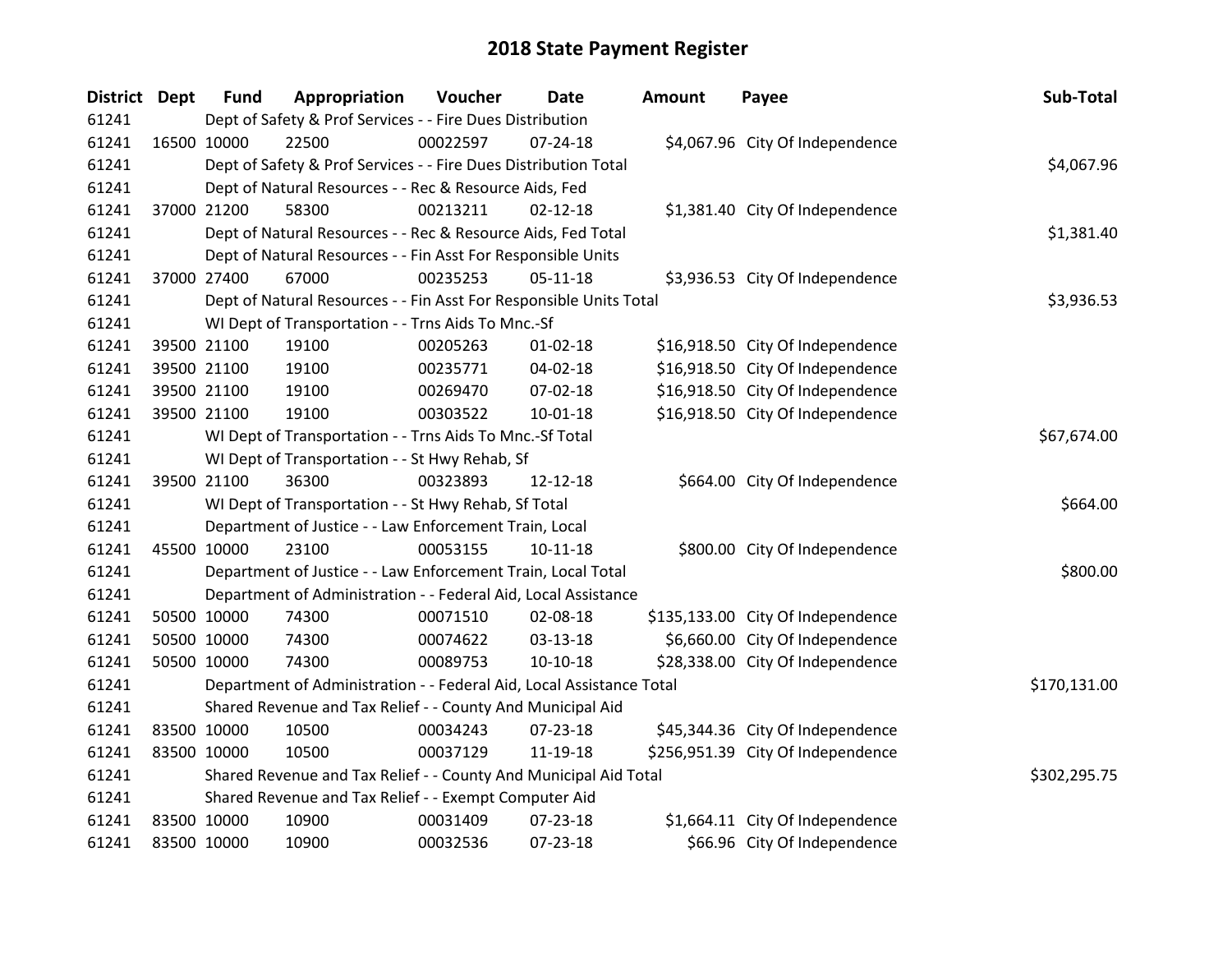| District Dept |             | <b>Fund</b> | Appropriation                                                        | Voucher  | <b>Date</b>    | <b>Amount</b> | Payee                             | Sub-Total    |
|---------------|-------------|-------------|----------------------------------------------------------------------|----------|----------------|---------------|-----------------------------------|--------------|
| 61241         |             |             | Dept of Safety & Prof Services - - Fire Dues Distribution            |          |                |               |                                   |              |
| 61241         | 16500 10000 |             | 22500                                                                | 00022597 | $07 - 24 - 18$ |               | \$4,067.96 City Of Independence   |              |
| 61241         |             |             | Dept of Safety & Prof Services - - Fire Dues Distribution Total      |          |                |               |                                   | \$4,067.96   |
| 61241         |             |             | Dept of Natural Resources - - Rec & Resource Aids, Fed               |          |                |               |                                   |              |
| 61241         |             | 37000 21200 | 58300                                                                | 00213211 | $02 - 12 - 18$ |               | \$1,381.40 City Of Independence   |              |
| 61241         |             |             | Dept of Natural Resources - - Rec & Resource Aids, Fed Total         |          |                |               |                                   | \$1,381.40   |
| 61241         |             |             | Dept of Natural Resources - - Fin Asst For Responsible Units         |          |                |               |                                   |              |
| 61241         |             | 37000 27400 | 67000                                                                | 00235253 | $05 - 11 - 18$ |               | \$3,936.53 City Of Independence   |              |
| 61241         |             |             | Dept of Natural Resources - - Fin Asst For Responsible Units Total   |          |                |               |                                   | \$3,936.53   |
| 61241         |             |             | WI Dept of Transportation - - Trns Aids To Mnc.-Sf                   |          |                |               |                                   |              |
| 61241         |             | 39500 21100 | 19100                                                                | 00205263 | $01 - 02 - 18$ |               | \$16,918.50 City Of Independence  |              |
| 61241         |             | 39500 21100 | 19100                                                                | 00235771 | $04 - 02 - 18$ |               | \$16,918.50 City Of Independence  |              |
| 61241         |             | 39500 21100 | 19100                                                                | 00269470 | 07-02-18       |               | \$16,918.50 City Of Independence  |              |
| 61241         |             | 39500 21100 | 19100                                                                | 00303522 | $10-01-18$     |               | \$16,918.50 City Of Independence  |              |
| 61241         |             |             | WI Dept of Transportation - - Trns Aids To Mnc.-Sf Total             |          |                |               |                                   | \$67,674.00  |
| 61241         |             |             | WI Dept of Transportation - - St Hwy Rehab, Sf                       |          |                |               |                                   |              |
| 61241         |             | 39500 21100 | 36300                                                                | 00323893 | 12-12-18       |               | \$664.00 City Of Independence     |              |
| 61241         |             |             | WI Dept of Transportation - - St Hwy Rehab, Sf Total                 |          |                |               |                                   | \$664.00     |
| 61241         |             |             | Department of Justice - - Law Enforcement Train, Local               |          |                |               |                                   |              |
| 61241         | 45500 10000 |             | 23100                                                                | 00053155 | $10 - 11 - 18$ |               | \$800.00 City Of Independence     |              |
| 61241         |             |             | Department of Justice - - Law Enforcement Train, Local Total         |          |                |               |                                   | \$800.00     |
| 61241         |             |             | Department of Administration - - Federal Aid, Local Assistance       |          |                |               |                                   |              |
| 61241         |             | 50500 10000 | 74300                                                                | 00071510 | 02-08-18       |               | \$135,133.00 City Of Independence |              |
| 61241         |             | 50500 10000 | 74300                                                                | 00074622 | 03-13-18       |               | \$6,660.00 City Of Independence   |              |
| 61241         |             | 50500 10000 | 74300                                                                | 00089753 | $10-10-18$     |               | \$28,338.00 City Of Independence  |              |
| 61241         |             |             | Department of Administration - - Federal Aid, Local Assistance Total |          |                |               |                                   | \$170,131.00 |
| 61241         |             |             | Shared Revenue and Tax Relief - - County And Municipal Aid           |          |                |               |                                   |              |
| 61241         | 83500 10000 |             | 10500                                                                | 00034243 | $07 - 23 - 18$ |               | \$45,344.36 City Of Independence  |              |
| 61241         | 83500 10000 |             | 10500                                                                | 00037129 | 11-19-18       |               | \$256,951.39 City Of Independence |              |
| 61241         |             |             | Shared Revenue and Tax Relief - - County And Municipal Aid Total     |          |                |               |                                   | \$302,295.75 |
| 61241         |             |             | Shared Revenue and Tax Relief - - Exempt Computer Aid                |          |                |               |                                   |              |
| 61241         | 83500 10000 |             | 10900                                                                | 00031409 | 07-23-18       |               | \$1,664.11 City Of Independence   |              |
| 61241         | 83500 10000 |             | 10900                                                                | 00032536 | 07-23-18       |               | \$66.96 City Of Independence      |              |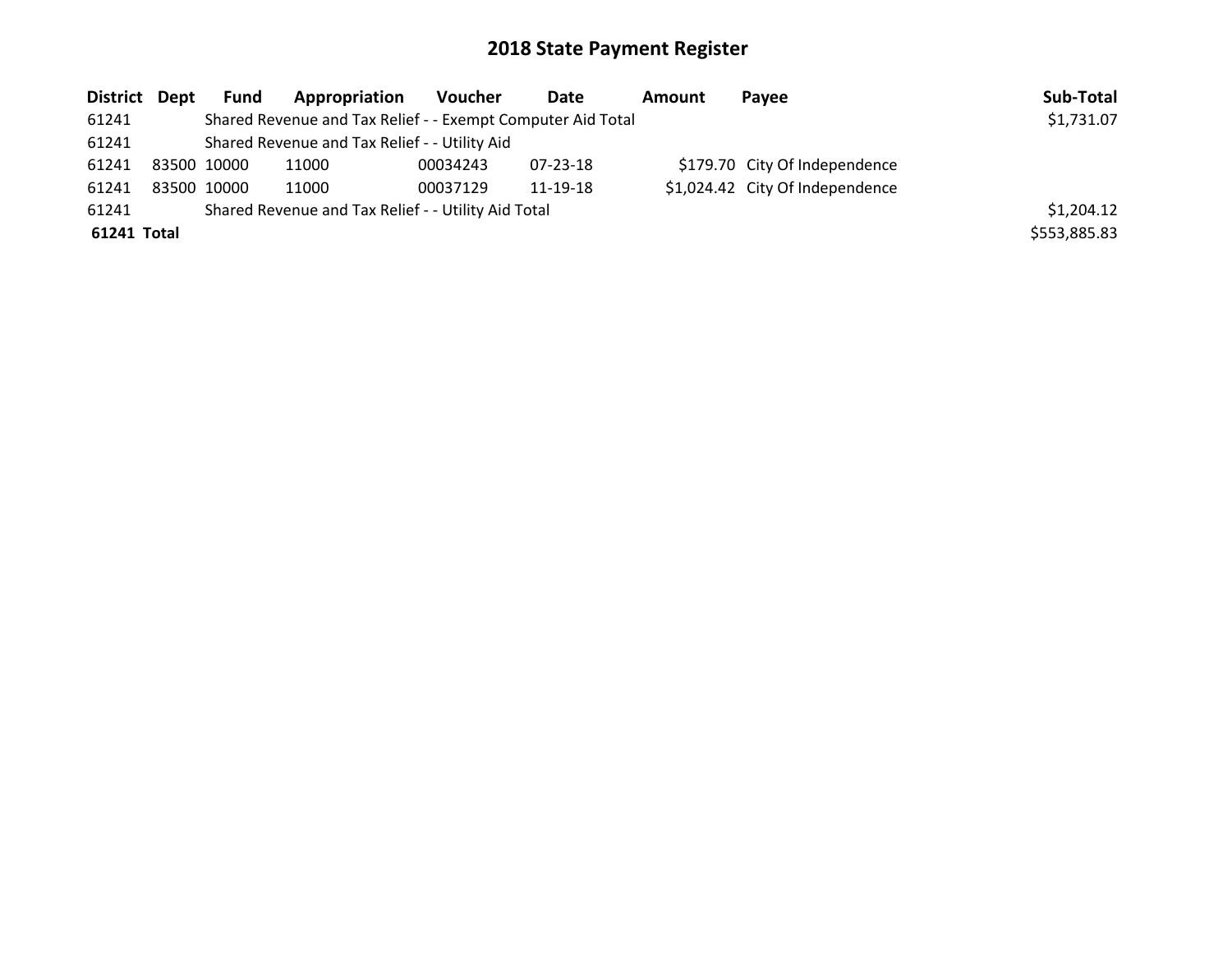| District Dept | Fund        | Appropriation                                               | Voucher  | <b>Date</b> | <b>Amount</b> | Pavee                           | Sub-Total    |
|---------------|-------------|-------------------------------------------------------------|----------|-------------|---------------|---------------------------------|--------------|
| 61241         |             | Shared Revenue and Tax Relief - - Exempt Computer Aid Total |          |             |               |                                 | \$1,731.07   |
| 61241         |             | Shared Revenue and Tax Relief - - Utility Aid               |          |             |               |                                 |              |
| 61241         | 83500 10000 | 11000                                                       | 00034243 | 07-23-18    |               | \$179.70 City Of Independence   |              |
| 61241         | 83500 10000 | 11000                                                       | 00037129 | 11-19-18    |               | \$1,024.42 City Of Independence |              |
| 61241         |             | Shared Revenue and Tax Relief - - Utility Aid Total         |          |             |               |                                 | \$1,204.12   |
| 61241 Total   |             |                                                             |          |             |               |                                 | \$553,885.83 |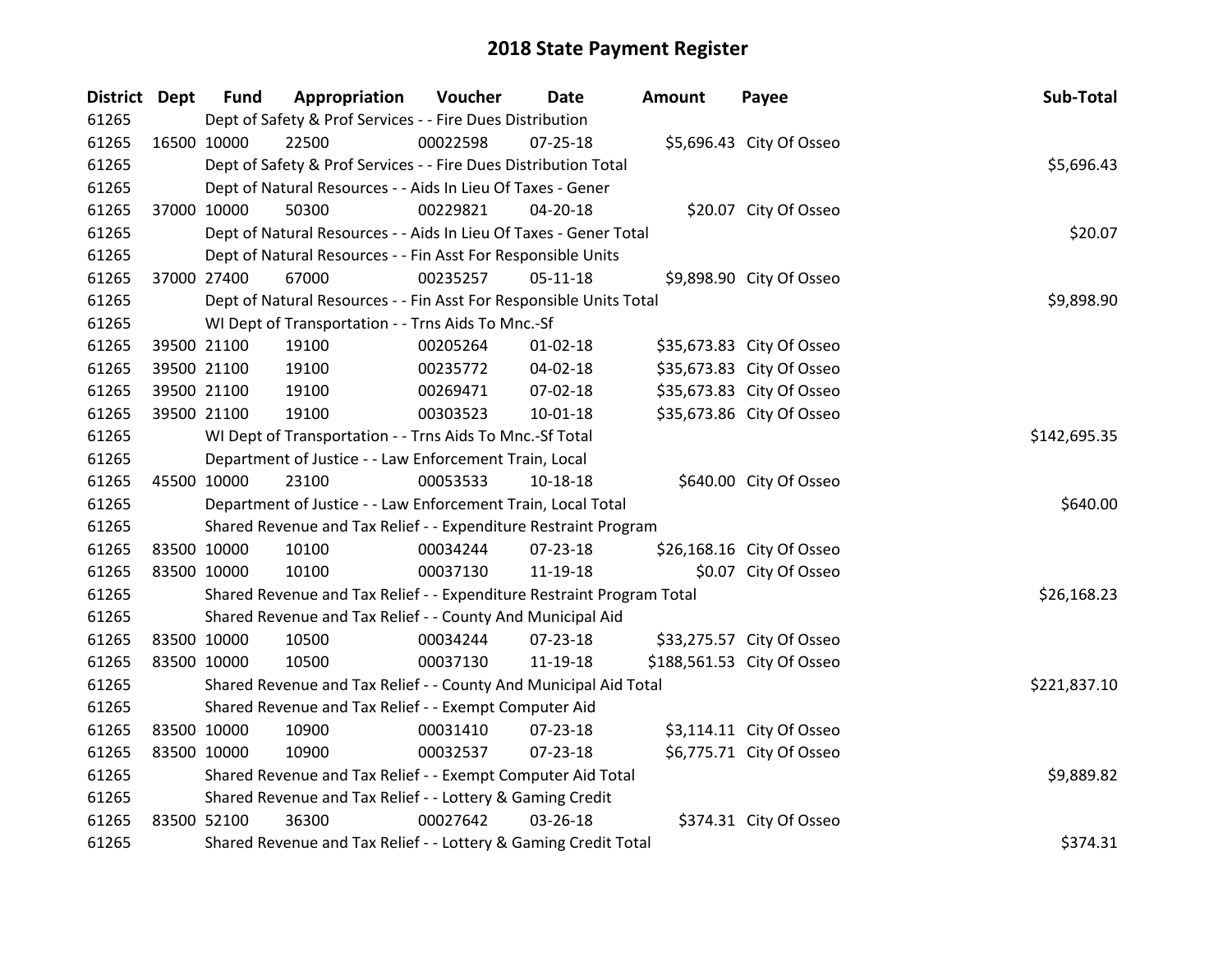| District Dept |             | <b>Fund</b> | Appropriation                                                         | Voucher  | Date           | <b>Amount</b> | Payee                      | Sub-Total    |
|---------------|-------------|-------------|-----------------------------------------------------------------------|----------|----------------|---------------|----------------------------|--------------|
| 61265         |             |             | Dept of Safety & Prof Services - - Fire Dues Distribution             |          |                |               |                            |              |
| 61265         | 16500 10000 |             | 22500                                                                 | 00022598 | $07 - 25 - 18$ |               | \$5,696.43 City Of Osseo   |              |
| 61265         |             |             | Dept of Safety & Prof Services - - Fire Dues Distribution Total       |          |                |               |                            | \$5,696.43   |
| 61265         |             |             | Dept of Natural Resources - - Aids In Lieu Of Taxes - Gener           |          |                |               |                            |              |
| 61265         |             | 37000 10000 | 50300                                                                 | 00229821 | 04-20-18       |               | \$20.07 City Of Osseo      |              |
| 61265         |             |             | Dept of Natural Resources - - Aids In Lieu Of Taxes - Gener Total     |          |                |               |                            | \$20.07      |
| 61265         |             |             | Dept of Natural Resources - - Fin Asst For Responsible Units          |          |                |               |                            |              |
| 61265         |             | 37000 27400 | 67000                                                                 | 00235257 | 05-11-18       |               | \$9,898.90 City Of Osseo   |              |
| 61265         |             |             | Dept of Natural Resources - - Fin Asst For Responsible Units Total    |          |                |               |                            | \$9,898.90   |
| 61265         |             |             | WI Dept of Transportation - - Trns Aids To Mnc.-Sf                    |          |                |               |                            |              |
| 61265         |             | 39500 21100 | 19100                                                                 | 00205264 | $01 - 02 - 18$ |               | \$35,673.83 City Of Osseo  |              |
| 61265         |             | 39500 21100 | 19100                                                                 | 00235772 | 04-02-18       |               | \$35,673.83 City Of Osseo  |              |
| 61265         |             | 39500 21100 | 19100                                                                 | 00269471 | 07-02-18       |               | \$35,673.83 City Of Osseo  |              |
| 61265         | 39500 21100 |             | 19100                                                                 | 00303523 | 10-01-18       |               | \$35,673.86 City Of Osseo  |              |
| 61265         |             |             | WI Dept of Transportation - - Trns Aids To Mnc.-Sf Total              |          |                |               |                            | \$142,695.35 |
| 61265         |             |             | Department of Justice - - Law Enforcement Train, Local                |          |                |               |                            |              |
| 61265         | 45500 10000 |             | 23100                                                                 | 00053533 | 10-18-18       |               | \$640.00 City Of Osseo     |              |
| 61265         |             |             | Department of Justice - - Law Enforcement Train, Local Total          |          |                |               |                            | \$640.00     |
| 61265         |             |             | Shared Revenue and Tax Relief - - Expenditure Restraint Program       |          |                |               |                            |              |
| 61265         |             | 83500 10000 | 10100                                                                 | 00034244 | 07-23-18       |               | \$26,168.16 City Of Osseo  |              |
| 61265         |             | 83500 10000 | 10100                                                                 | 00037130 | 11-19-18       |               | \$0.07 City Of Osseo       |              |
| 61265         |             |             | Shared Revenue and Tax Relief - - Expenditure Restraint Program Total |          |                |               |                            | \$26,168.23  |
| 61265         |             |             | Shared Revenue and Tax Relief - - County And Municipal Aid            |          |                |               |                            |              |
| 61265         |             | 83500 10000 | 10500                                                                 | 00034244 | 07-23-18       |               | \$33,275.57 City Of Osseo  |              |
| 61265         |             | 83500 10000 | 10500                                                                 | 00037130 | 11-19-18       |               | \$188,561.53 City Of Osseo |              |
| 61265         |             |             | Shared Revenue and Tax Relief - - County And Municipal Aid Total      |          |                |               |                            | \$221,837.10 |
| 61265         |             |             | Shared Revenue and Tax Relief - - Exempt Computer Aid                 |          |                |               |                            |              |
| 61265         |             | 83500 10000 | 10900                                                                 | 00031410 | $07 - 23 - 18$ |               | \$3,114.11 City Of Osseo   |              |
| 61265         | 83500 10000 |             | 10900                                                                 | 00032537 | 07-23-18       |               | \$6,775.71 City Of Osseo   |              |
| 61265         |             |             | Shared Revenue and Tax Relief - - Exempt Computer Aid Total           |          |                |               |                            | \$9,889.82   |
| 61265         |             |             | Shared Revenue and Tax Relief - - Lottery & Gaming Credit             |          |                |               |                            |              |
| 61265         | 83500 52100 |             | 36300                                                                 | 00027642 | 03-26-18       |               | \$374.31 City Of Osseo     |              |
| 61265         |             |             | Shared Revenue and Tax Relief - - Lottery & Gaming Credit Total       |          |                |               |                            | \$374.31     |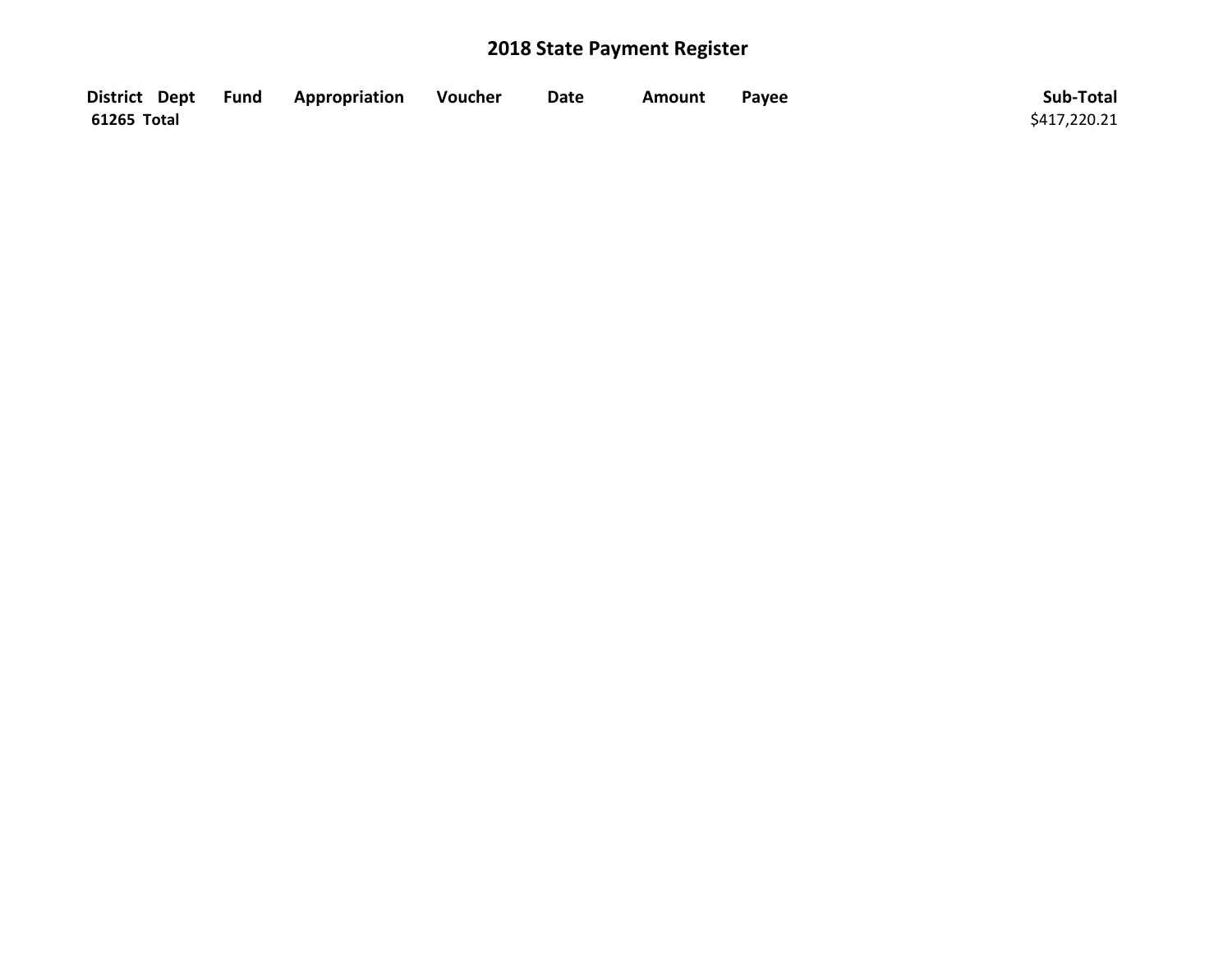| District Dept Fund | <b>Appropriation</b> | Voucher | <b>Date</b> | Amount | Pavee | Sub-Total    |
|--------------------|----------------------|---------|-------------|--------|-------|--------------|
| 61265 Total        |                      |         |             |        |       | \$417,220.21 |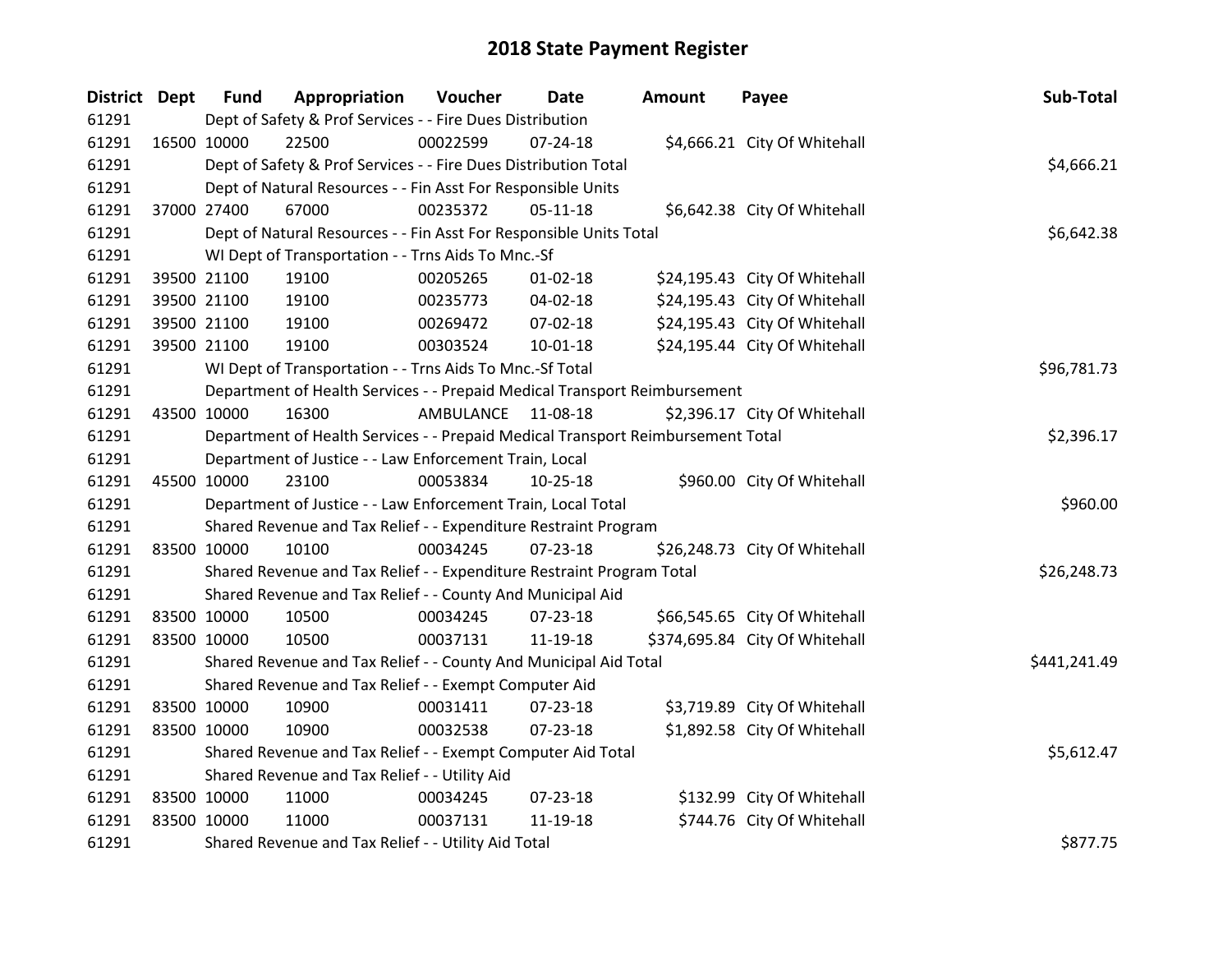| <b>District Dept</b> | <b>Fund</b> | Appropriation                                                                   | Voucher   | Date           | <b>Amount</b> | Payee                          | Sub-Total    |
|----------------------|-------------|---------------------------------------------------------------------------------|-----------|----------------|---------------|--------------------------------|--------------|
| 61291                |             | Dept of Safety & Prof Services - - Fire Dues Distribution                       |           |                |               |                                |              |
| 61291                | 16500 10000 | 22500                                                                           | 00022599  | $07 - 24 - 18$ |               | \$4,666.21 City Of Whitehall   |              |
| 61291                |             | Dept of Safety & Prof Services - - Fire Dues Distribution Total                 |           |                |               |                                | \$4,666.21   |
| 61291                |             | Dept of Natural Resources - - Fin Asst For Responsible Units                    |           |                |               |                                |              |
| 61291                | 37000 27400 | 67000                                                                           | 00235372  | 05-11-18       |               | \$6,642.38 City Of Whitehall   |              |
| 61291                |             | Dept of Natural Resources - - Fin Asst For Responsible Units Total              |           |                |               |                                | \$6,642.38   |
| 61291                |             | WI Dept of Transportation - - Trns Aids To Mnc.-Sf                              |           |                |               |                                |              |
| 61291                | 39500 21100 | 19100                                                                           | 00205265  | $01 - 02 - 18$ |               | \$24,195.43 City Of Whitehall  |              |
| 61291                | 39500 21100 | 19100                                                                           | 00235773  | 04-02-18       |               | \$24,195.43 City Of Whitehall  |              |
| 61291                | 39500 21100 | 19100                                                                           | 00269472  | 07-02-18       |               | \$24,195.43 City Of Whitehall  |              |
| 61291                | 39500 21100 | 19100                                                                           | 00303524  | 10-01-18       |               | \$24,195.44 City Of Whitehall  |              |
| 61291                |             | WI Dept of Transportation - - Trns Aids To Mnc.-Sf Total                        |           |                |               |                                | \$96,781.73  |
| 61291                |             | Department of Health Services - - Prepaid Medical Transport Reimbursement       |           |                |               |                                |              |
| 61291                | 43500 10000 | 16300                                                                           | AMBULANCE | 11-08-18       |               | \$2,396.17 City Of Whitehall   |              |
| 61291                |             | Department of Health Services - - Prepaid Medical Transport Reimbursement Total |           |                |               |                                | \$2,396.17   |
| 61291                |             | Department of Justice - - Law Enforcement Train, Local                          |           |                |               |                                |              |
| 61291                | 45500 10000 | 23100                                                                           | 00053834  | $10-25-18$     |               | \$960.00 City Of Whitehall     |              |
| 61291                |             | Department of Justice - - Law Enforcement Train, Local Total                    |           |                |               |                                | \$960.00     |
| 61291                |             | Shared Revenue and Tax Relief - - Expenditure Restraint Program                 |           |                |               |                                |              |
| 61291                | 83500 10000 | 10100                                                                           | 00034245  | $07 - 23 - 18$ |               | \$26,248.73 City Of Whitehall  |              |
| 61291                |             | Shared Revenue and Tax Relief - - Expenditure Restraint Program Total           |           |                |               |                                | \$26,248.73  |
| 61291                |             | Shared Revenue and Tax Relief - - County And Municipal Aid                      |           |                |               |                                |              |
| 61291                | 83500 10000 | 10500                                                                           | 00034245  | $07 - 23 - 18$ |               | \$66,545.65 City Of Whitehall  |              |
| 61291                | 83500 10000 | 10500                                                                           | 00037131  | 11-19-18       |               | \$374,695.84 City Of Whitehall |              |
| 61291                |             | Shared Revenue and Tax Relief - - County And Municipal Aid Total                |           |                |               |                                | \$441,241.49 |
| 61291                |             | Shared Revenue and Tax Relief - - Exempt Computer Aid                           |           |                |               |                                |              |
| 61291                | 83500 10000 | 10900                                                                           | 00031411  | 07-23-18       |               | \$3,719.89 City Of Whitehall   |              |
| 61291                | 83500 10000 | 10900                                                                           | 00032538  | $07 - 23 - 18$ |               | \$1,892.58 City Of Whitehall   |              |
| 61291                |             | Shared Revenue and Tax Relief - - Exempt Computer Aid Total                     |           |                |               |                                | \$5,612.47   |
| 61291                |             | Shared Revenue and Tax Relief - - Utility Aid                                   |           |                |               |                                |              |
| 61291                | 83500 10000 | 11000                                                                           | 00034245  | 07-23-18       |               | \$132.99 City Of Whitehall     |              |
| 61291                | 83500 10000 | 11000                                                                           | 00037131  | 11-19-18       |               | \$744.76 City Of Whitehall     |              |
| 61291                |             | Shared Revenue and Tax Relief - - Utility Aid Total                             |           |                |               |                                | \$877.75     |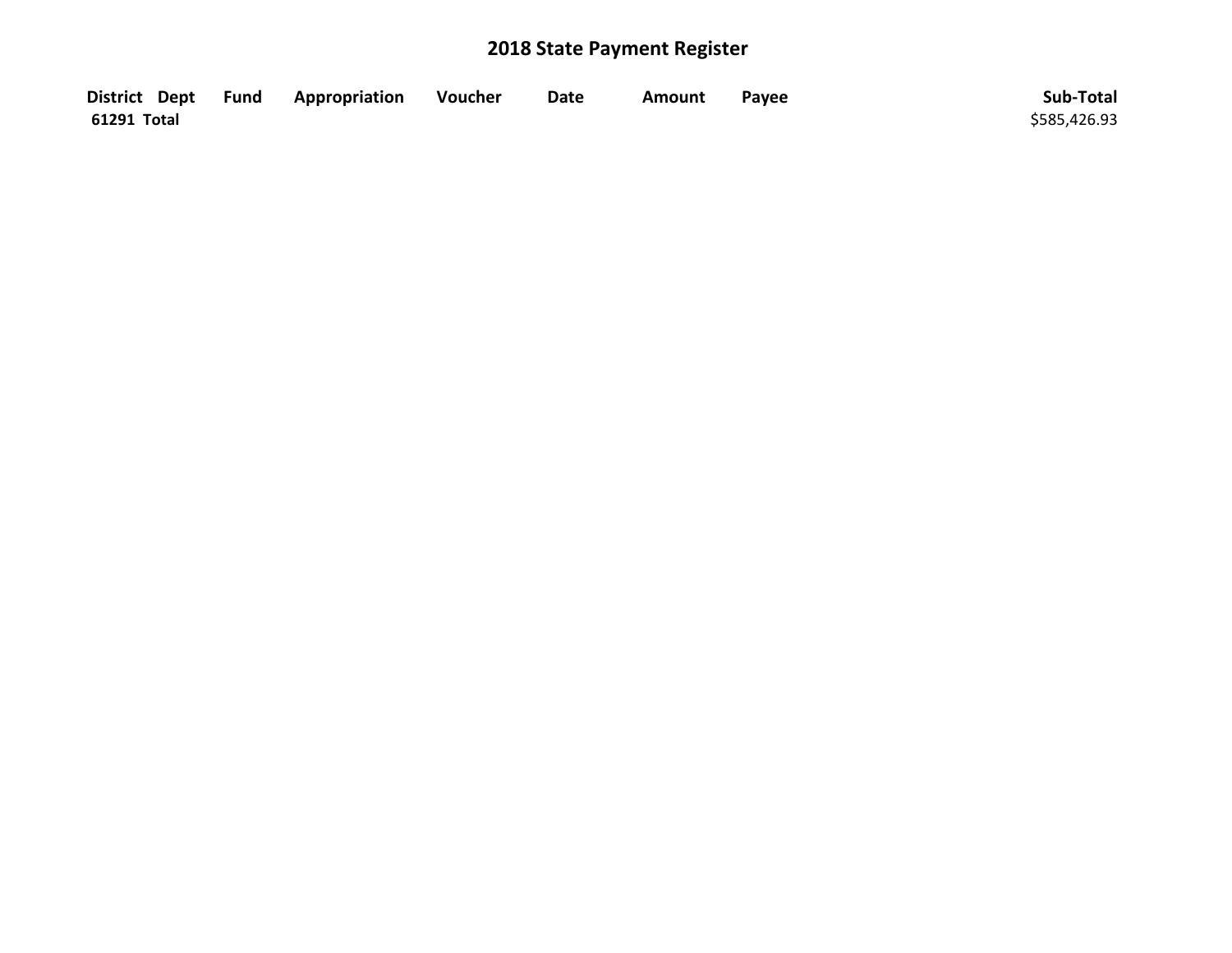|             | District Dept Fund Appropriation | Voucher | <b>Date</b> | <b>Amount</b> | Payee | Sub-Total    |
|-------------|----------------------------------|---------|-------------|---------------|-------|--------------|
| 61291 Total |                                  |         |             |               |       | \$585,426.93 |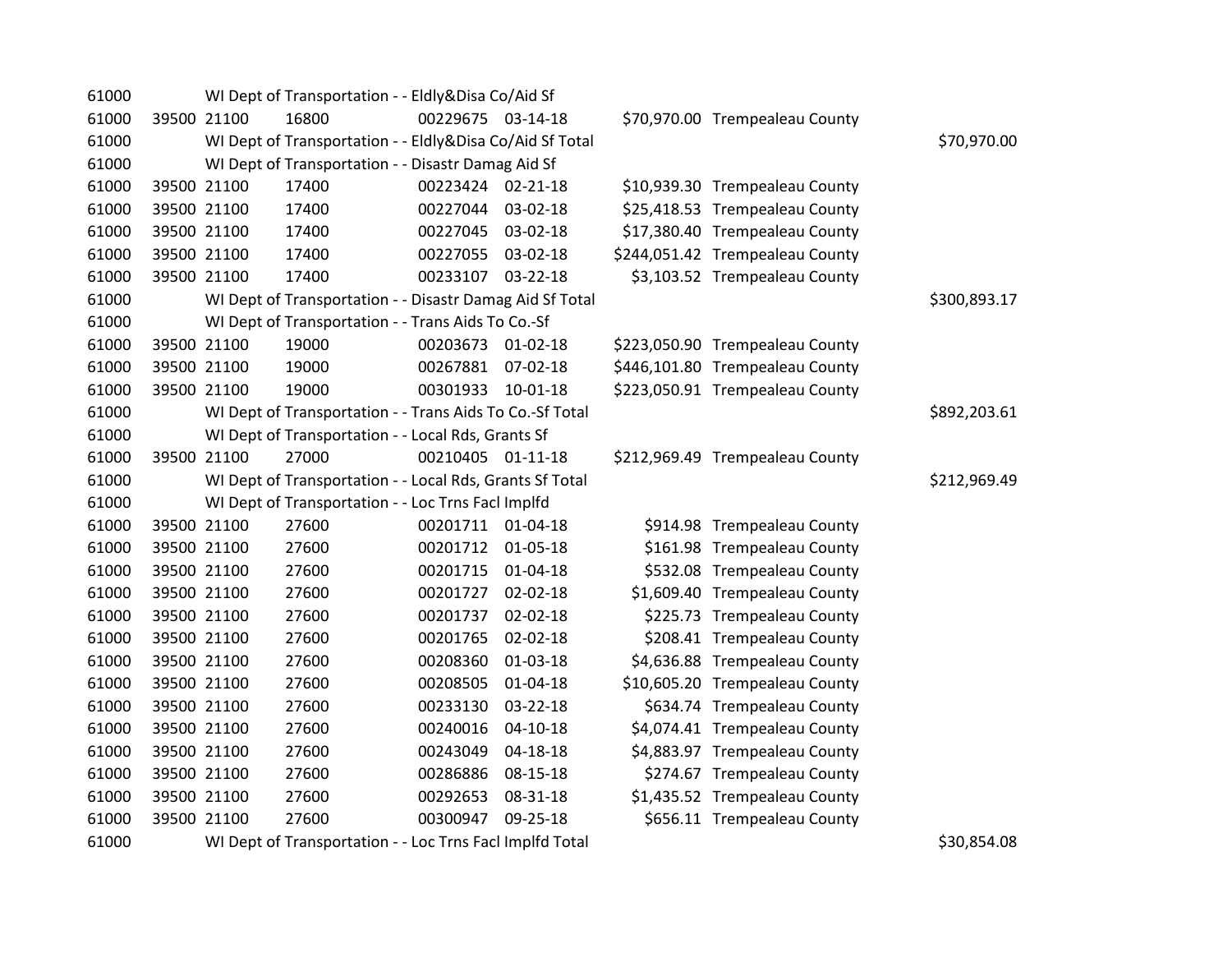| 61000 |             | WI Dept of Transportation - - Eldly&Disa Co/Aid Sf       |                   |                |                                 |              |
|-------|-------------|----------------------------------------------------------|-------------------|----------------|---------------------------------|--------------|
| 61000 | 39500 21100 | 16800                                                    | 00229675 03-14-18 |                | \$70,970.00 Trempealeau County  |              |
| 61000 |             | WI Dept of Transportation - - Eldly&Disa Co/Aid Sf Total |                   |                |                                 | \$70,970.00  |
| 61000 |             | WI Dept of Transportation - - Disastr Damag Aid Sf       |                   |                |                                 |              |
| 61000 | 39500 21100 | 17400                                                    | 00223424 02-21-18 |                | \$10,939.30 Trempealeau County  |              |
| 61000 | 39500 21100 | 17400                                                    | 00227044 03-02-18 |                | \$25,418.53 Trempealeau County  |              |
| 61000 | 39500 21100 | 17400                                                    | 00227045 03-02-18 |                | \$17,380.40 Trempealeau County  |              |
| 61000 | 39500 21100 | 17400                                                    | 00227055 03-02-18 |                | \$244,051.42 Trempealeau County |              |
| 61000 | 39500 21100 | 17400                                                    | 00233107          | 03-22-18       | \$3,103.52 Trempealeau County   |              |
| 61000 |             | WI Dept of Transportation - - Disastr Damag Aid Sf Total |                   |                |                                 | \$300,893.17 |
| 61000 |             | WI Dept of Transportation - - Trans Aids To Co.-Sf       |                   |                |                                 |              |
| 61000 | 39500 21100 | 19000                                                    | 00203673          | $01 - 02 - 18$ | \$223,050.90 Trempealeau County |              |
| 61000 | 39500 21100 | 19000                                                    | 00267881          | $07 - 02 - 18$ | \$446,101.80 Trempealeau County |              |
| 61000 | 39500 21100 | 19000                                                    | 00301933 10-01-18 |                | \$223,050.91 Trempealeau County |              |
| 61000 |             | WI Dept of Transportation - - Trans Aids To Co.-Sf Total |                   |                |                                 | \$892,203.61 |
| 61000 |             | WI Dept of Transportation - - Local Rds, Grants Sf       |                   |                |                                 |              |
| 61000 | 39500 21100 | 27000                                                    | 00210405 01-11-18 |                | \$212,969.49 Trempealeau County |              |
| 61000 |             | WI Dept of Transportation - - Local Rds, Grants Sf Total |                   |                |                                 | \$212,969.49 |
| 61000 |             | WI Dept of Transportation - - Loc Trns Facl Implfd       |                   |                |                                 |              |
| 61000 | 39500 21100 | 27600                                                    | 00201711 01-04-18 |                | \$914.98 Trempealeau County     |              |
| 61000 | 39500 21100 | 27600                                                    | 00201712          | 01-05-18       | \$161.98 Trempealeau County     |              |
| 61000 | 39500 21100 | 27600                                                    | 00201715          | 01-04-18       | \$532.08 Trempealeau County     |              |
| 61000 | 39500 21100 | 27600                                                    | 00201727          | 02-02-18       | \$1,609.40 Trempealeau County   |              |
| 61000 | 39500 21100 | 27600                                                    | 00201737          | 02-02-18       | \$225.73 Trempealeau County     |              |
| 61000 | 39500 21100 | 27600                                                    | 00201765          | 02-02-18       | \$208.41 Trempealeau County     |              |
| 61000 | 39500 21100 | 27600                                                    | 00208360          | 01-03-18       | \$4,636.88 Trempealeau County   |              |
| 61000 | 39500 21100 | 27600                                                    | 00208505          | 01-04-18       | \$10,605.20 Trempealeau County  |              |
| 61000 | 39500 21100 | 27600                                                    | 00233130          | 03-22-18       | \$634.74 Trempealeau County     |              |
| 61000 | 39500 21100 | 27600                                                    | 00240016          | 04-10-18       | \$4,074.41 Trempealeau County   |              |
| 61000 | 39500 21100 | 27600                                                    | 00243049          | 04-18-18       | \$4,883.97 Trempealeau County   |              |
| 61000 | 39500 21100 | 27600                                                    | 00286886          | 08-15-18       | \$274.67 Trempealeau County     |              |
| 61000 | 39500 21100 | 27600                                                    | 00292653          | 08-31-18       | \$1,435.52 Trempealeau County   |              |
| 61000 | 39500 21100 | 27600                                                    | 00300947          | 09-25-18       | \$656.11 Trempealeau County     |              |
| 61000 |             | WI Dept of Transportation - - Loc Trns Facl Implfd Total |                   |                |                                 | \$30,854.08  |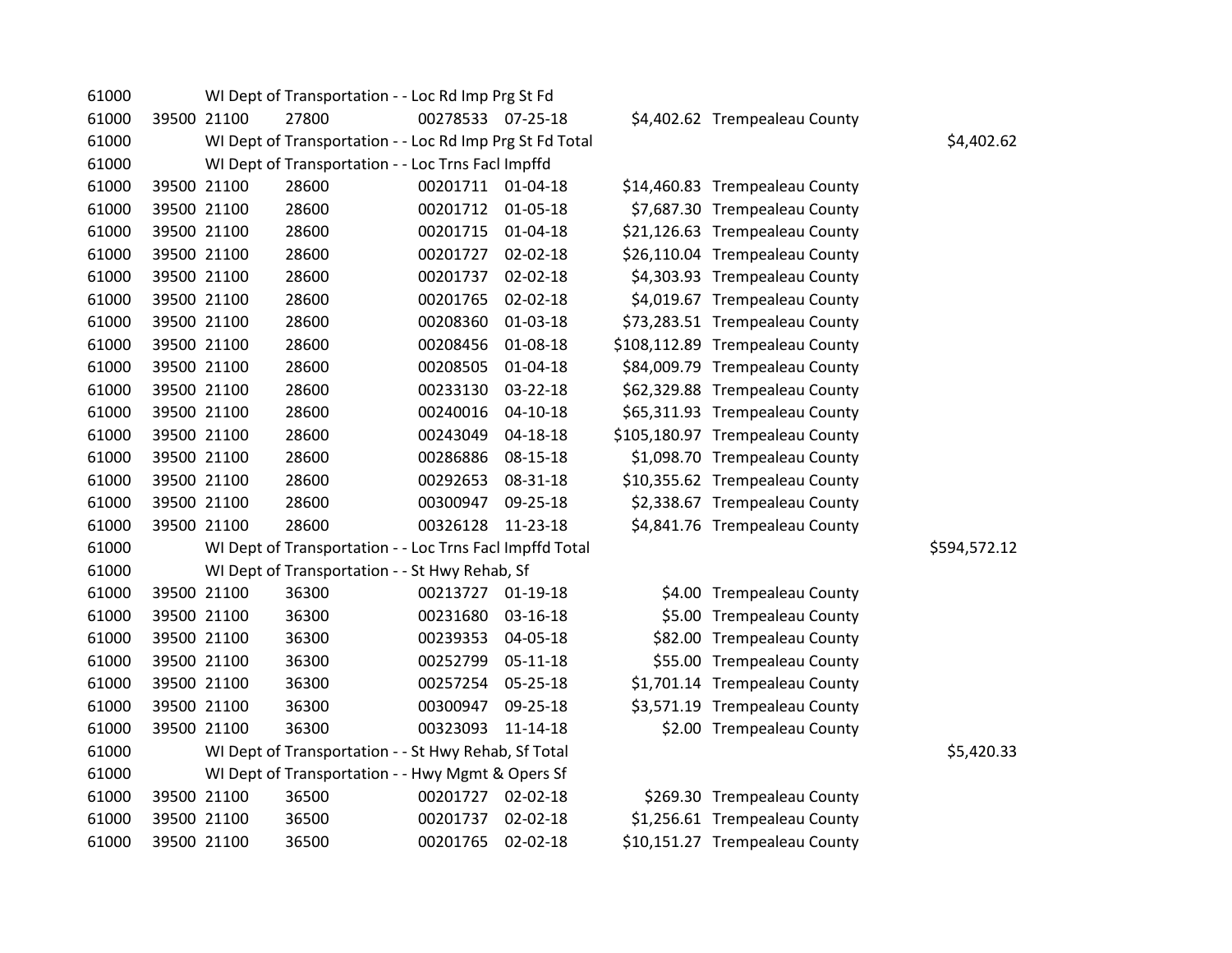| 61000 |             | WI Dept of Transportation - - Loc Rd Imp Prg St Fd       |                   |                |                                 |              |
|-------|-------------|----------------------------------------------------------|-------------------|----------------|---------------------------------|--------------|
| 61000 | 39500 21100 | 27800                                                    | 00278533 07-25-18 |                | \$4,402.62 Trempealeau County   |              |
| 61000 |             | WI Dept of Transportation - - Loc Rd Imp Prg St Fd Total |                   |                |                                 | \$4,402.62   |
| 61000 |             | WI Dept of Transportation - - Loc Trns Facl Impffd       |                   |                |                                 |              |
| 61000 | 39500 21100 | 28600                                                    | 00201711          | 01-04-18       | \$14,460.83 Trempealeau County  |              |
| 61000 | 39500 21100 | 28600                                                    | 00201712 01-05-18 |                | \$7,687.30 Trempealeau County   |              |
| 61000 | 39500 21100 | 28600                                                    | 00201715          | 01-04-18       | \$21,126.63 Trempealeau County  |              |
| 61000 | 39500 21100 | 28600                                                    | 00201727          | 02-02-18       | \$26,110.04 Trempealeau County  |              |
| 61000 | 39500 21100 | 28600                                                    | 00201737          | $02 - 02 - 18$ | \$4,303.93 Trempealeau County   |              |
| 61000 | 39500 21100 | 28600                                                    | 00201765          | 02-02-18       | \$4,019.67 Trempealeau County   |              |
| 61000 | 39500 21100 | 28600                                                    | 00208360          | 01-03-18       | \$73,283.51 Trempealeau County  |              |
| 61000 | 39500 21100 | 28600                                                    | 00208456          | 01-08-18       | \$108,112.89 Trempealeau County |              |
| 61000 | 39500 21100 | 28600                                                    | 00208505          | 01-04-18       | \$84,009.79 Trempealeau County  |              |
| 61000 | 39500 21100 | 28600                                                    | 00233130          | 03-22-18       | \$62,329.88 Trempealeau County  |              |
| 61000 | 39500 21100 | 28600                                                    | 00240016          | 04-10-18       | \$65,311.93 Trempealeau County  |              |
| 61000 | 39500 21100 | 28600                                                    | 00243049          | 04-18-18       | \$105,180.97 Trempealeau County |              |
| 61000 | 39500 21100 | 28600                                                    | 00286886          | 08-15-18       | \$1,098.70 Trempealeau County   |              |
| 61000 | 39500 21100 | 28600                                                    | 00292653          | 08-31-18       | \$10,355.62 Trempealeau County  |              |
| 61000 | 39500 21100 | 28600                                                    | 00300947          | 09-25-18       | \$2,338.67 Trempealeau County   |              |
| 61000 | 39500 21100 | 28600                                                    | 00326128          | 11-23-18       | \$4,841.76 Trempealeau County   |              |
| 61000 |             | WI Dept of Transportation - - Loc Trns Facl Impffd Total |                   |                |                                 | \$594,572.12 |
| 61000 |             | WI Dept of Transportation - - St Hwy Rehab, Sf           |                   |                |                                 |              |
| 61000 | 39500 21100 | 36300                                                    | 00213727          | 01-19-18       | \$4.00 Trempealeau County       |              |
| 61000 | 39500 21100 | 36300                                                    | 00231680          | 03-16-18       | \$5.00 Trempealeau County       |              |
| 61000 | 39500 21100 | 36300                                                    | 00239353          | 04-05-18       | \$82.00 Trempealeau County      |              |
| 61000 | 39500 21100 | 36300                                                    | 00252799          | 05-11-18       | \$55.00 Trempealeau County      |              |
| 61000 | 39500 21100 | 36300                                                    | 00257254          | 05-25-18       | \$1,701.14 Trempealeau County   |              |
| 61000 | 39500 21100 | 36300                                                    | 00300947          | 09-25-18       | \$3,571.19 Trempealeau County   |              |
| 61000 | 39500 21100 | 36300                                                    | 00323093          | 11-14-18       | \$2.00 Trempealeau County       |              |
| 61000 |             | WI Dept of Transportation - - St Hwy Rehab, Sf Total     |                   |                |                                 | \$5,420.33   |
| 61000 |             | WI Dept of Transportation - - Hwy Mgmt & Opers Sf        |                   |                |                                 |              |
| 61000 | 39500 21100 | 36500                                                    | 00201727          | 02-02-18       | \$269.30 Trempealeau County     |              |
| 61000 | 39500 21100 | 36500                                                    | 00201737          | 02-02-18       | \$1,256.61 Trempealeau County   |              |
| 61000 | 39500 21100 | 36500                                                    | 00201765          | 02-02-18       | \$10,151.27 Trempealeau County  |              |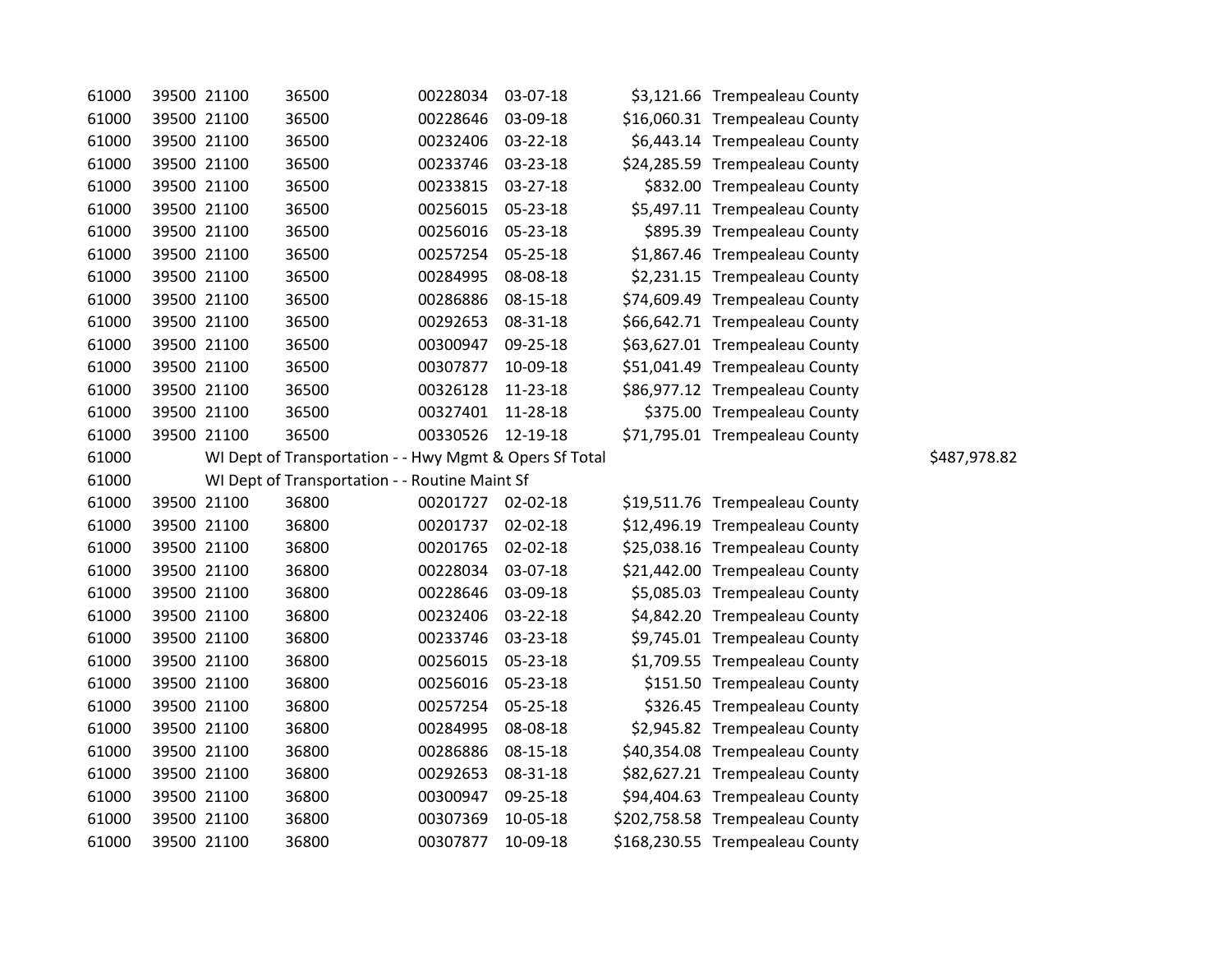| 61000 | 39500 21100 |             | 36500                                                   | 00228034 | 03-07-18 | \$3,121.66 Trempealeau County   |              |
|-------|-------------|-------------|---------------------------------------------------------|----------|----------|---------------------------------|--------------|
| 61000 | 39500 21100 |             | 36500                                                   | 00228646 | 03-09-18 | \$16,060.31 Trempealeau County  |              |
| 61000 | 39500 21100 |             | 36500                                                   | 00232406 | 03-22-18 | \$6,443.14 Trempealeau County   |              |
| 61000 | 39500 21100 |             | 36500                                                   | 00233746 | 03-23-18 | \$24,285.59 Trempealeau County  |              |
| 61000 | 39500 21100 |             | 36500                                                   | 00233815 | 03-27-18 | \$832.00 Trempealeau County     |              |
| 61000 | 39500 21100 |             | 36500                                                   | 00256015 | 05-23-18 | \$5,497.11 Trempealeau County   |              |
| 61000 | 39500 21100 |             | 36500                                                   | 00256016 | 05-23-18 | \$895.39 Trempealeau County     |              |
| 61000 | 39500 21100 |             | 36500                                                   | 00257254 | 05-25-18 | \$1,867.46 Trempealeau County   |              |
| 61000 |             | 39500 21100 | 36500                                                   | 00284995 | 08-08-18 | \$2,231.15 Trempealeau County   |              |
| 61000 | 39500 21100 |             | 36500                                                   | 00286886 | 08-15-18 | \$74,609.49 Trempealeau County  |              |
| 61000 | 39500 21100 |             | 36500                                                   | 00292653 | 08-31-18 | \$66,642.71 Trempealeau County  |              |
| 61000 | 39500 21100 |             | 36500                                                   | 00300947 | 09-25-18 | \$63,627.01 Trempealeau County  |              |
| 61000 | 39500 21100 |             | 36500                                                   | 00307877 | 10-09-18 | \$51,041.49 Trempealeau County  |              |
| 61000 | 39500 21100 |             | 36500                                                   | 00326128 | 11-23-18 | \$86,977.12 Trempealeau County  |              |
| 61000 | 39500 21100 |             | 36500                                                   | 00327401 | 11-28-18 | \$375.00 Trempealeau County     |              |
| 61000 | 39500 21100 |             | 36500                                                   | 00330526 | 12-19-18 | \$71,795.01 Trempealeau County  |              |
| 61000 |             |             | WI Dept of Transportation - - Hwy Mgmt & Opers Sf Total |          |          |                                 | \$487,978.82 |
| 61000 |             |             | WI Dept of Transportation - - Routine Maint Sf          |          |          |                                 |              |
| 61000 | 39500 21100 |             | 36800                                                   | 00201727 | 02-02-18 | \$19,511.76 Trempealeau County  |              |
| 61000 | 39500 21100 |             | 36800                                                   | 00201737 | 02-02-18 | \$12,496.19 Trempealeau County  |              |
| 61000 | 39500 21100 |             | 36800                                                   | 00201765 | 02-02-18 | \$25,038.16 Trempealeau County  |              |
| 61000 | 39500 21100 |             | 36800                                                   | 00228034 | 03-07-18 | \$21,442.00 Trempealeau County  |              |
| 61000 | 39500 21100 |             | 36800                                                   | 00228646 | 03-09-18 | \$5,085.03 Trempealeau County   |              |
| 61000 | 39500 21100 |             | 36800                                                   | 00232406 | 03-22-18 | \$4,842.20 Trempealeau County   |              |
| 61000 | 39500 21100 |             | 36800                                                   | 00233746 | 03-23-18 | \$9,745.01 Trempealeau County   |              |
| 61000 | 39500 21100 |             | 36800                                                   | 00256015 | 05-23-18 | \$1,709.55 Trempealeau County   |              |
| 61000 |             | 39500 21100 | 36800                                                   | 00256016 | 05-23-18 | \$151.50 Trempealeau County     |              |
| 61000 | 39500 21100 |             | 36800                                                   | 00257254 | 05-25-18 | \$326.45 Trempealeau County     |              |
| 61000 | 39500 21100 |             | 36800                                                   | 00284995 | 08-08-18 | \$2,945.82 Trempealeau County   |              |
| 61000 | 39500 21100 |             | 36800                                                   | 00286886 | 08-15-18 | \$40,354.08 Trempealeau County  |              |
| 61000 | 39500 21100 |             | 36800                                                   | 00292653 | 08-31-18 | \$82,627.21 Trempealeau County  |              |
| 61000 | 39500 21100 |             | 36800                                                   | 00300947 | 09-25-18 | \$94,404.63 Trempealeau County  |              |
| 61000 | 39500 21100 |             | 36800                                                   | 00307369 | 10-05-18 | \$202,758.58 Trempealeau County |              |
| 61000 |             | 39500 21100 | 36800                                                   | 00307877 | 10-09-18 | \$168,230.55 Trempealeau County |              |